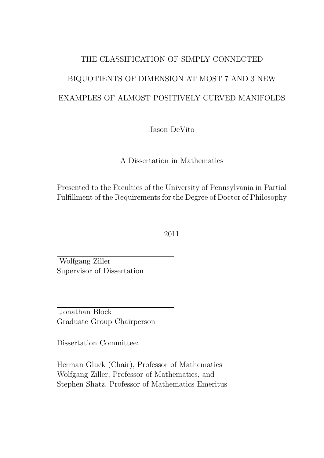# THE CLASSIFICATION OF SIMPLY CONNECTED BIQUOTIENTS OF DIMENSION AT MOST 7 AND 3 NEW EXAMPLES OF ALMOST POSITIVELY CURVED MANIFOLDS

Jason DeVito

A Dissertation in Mathematics

Presented to the Faculties of the University of Pennsylvania in Partial Fulfillment of the Requirements for the Degree of Doctor of Philosophy

2011

Wolfgang Ziller Supervisor of Dissertation

Jonathan Block Graduate Group Chairperson

Dissertation Committee:

Herman Gluck (Chair), Professor of Mathematics Wolfgang Ziller, Professor of Mathematics, and Stephen Shatz, Professor of Mathematics Emeritus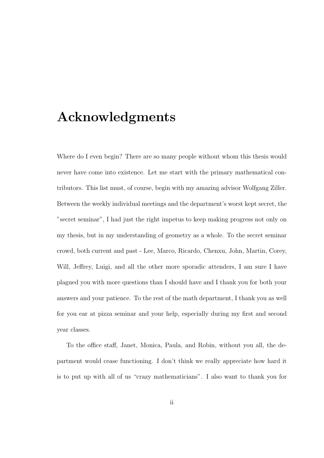### Acknowledgments

Where do I even begin? There are so many people without whom this thesis would never have come into existence. Let me start with the primary mathematical contributors. This list must, of course, begin with my amazing advisor Wolfgang Ziller. Between the weekly individual meetings and the department's worst kept secret, the "secret seminar", I had just the right impetus to keep making progress not only on my thesis, but in my understanding of geometry as a whole. To the secret seminar crowd, both current and past - Lee, Marco, Ricardo, Chenxu, John, Martin, Corey, Will, Jeffrey, Luigi, and all the other more sporadic attenders, I am sure I have plagued you with more questions than I should have and I thank you for both your answers and your patience. To the rest of the math department, I thank you as well for you ear at pizza seminar and your help, especially during my first and second year classes.

To the office staff, Janet, Monica, Paula, and Robin, without you all, the department would cease functioning. I don't think we really appreciate how hard it is to put up with all of us "crazy mathematicians". I also want to thank you for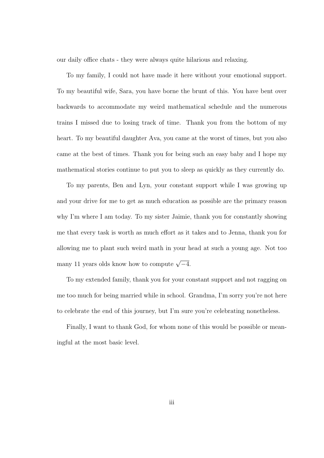our daily office chats - they were always quite hilarious and relaxing.

To my family, I could not have made it here without your emotional support. To my beautiful wife, Sara, you have borne the brunt of this. You have bent over backwards to accommodate my weird mathematical schedule and the numerous trains I missed due to losing track of time. Thank you from the bottom of my heart. To my beautiful daughter Ava, you came at the worst of times, but you also came at the best of times. Thank you for being such an easy baby and I hope my mathematical stories continue to put you to sleep as quickly as they currently do.

To my parents, Ben and Lyn, your constant support while I was growing up and your drive for me to get as much education as possible are the primary reason why I'm where I am today. To my sister Jaimie, thank you for constantly showing me that every task is worth as much effort as it takes and to Jenna, thank you for allowing me to plant such weird math in your head at such a young age. Not too many 11 years olds know how to compute  $\sqrt{-4}$ .

To my extended family, thank you for your constant support and not ragging on me too much for being married while in school. Grandma, I'm sorry you're not here to celebrate the end of this journey, but I'm sure you're celebrating nonetheless.

Finally, I want to thank God, for whom none of this would be possible or meaningful at the most basic level.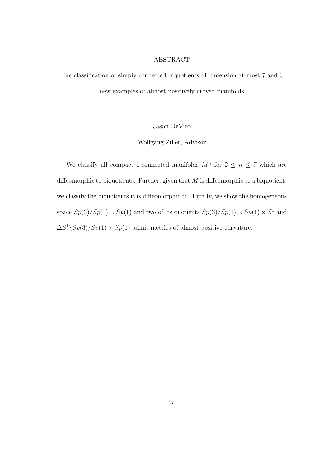#### ABSTRACT

The classification of simply connected biquotients of dimension at most 7 and 3 new examples of almost positively curved manifolds

#### Jason DeVito

#### Wolfgang Ziller, Advisor

We classify all compact 1-connected manifolds  $M^n$  for  $2 \leq n \leq 7$  which are diffeomorphic to biquotients. Further, given that  $M$  is diffeomorphic to a biquotient, we classify the biquotients it is diffeomorphic to. Finally, we show the homogeneous space  $Sp(3)/Sp(1) \times Sp(1)$  and two of its quotients  $Sp(3)/Sp(1) \times Sp(1) \times S^1$  and  $\Delta S^1 \setminus Sp(3)/Sp(1) \times Sp(1)$  admit metrics of almost positive curvature.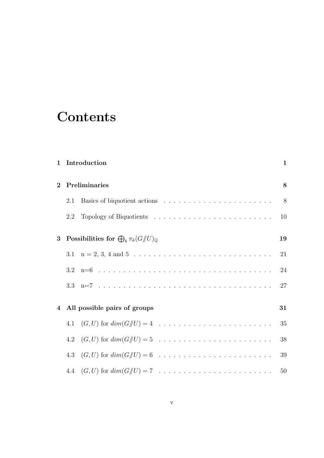## **Contents**

| $\mathbf{1}$   |     | Introduction                                                            | 1  |
|----------------|-----|-------------------------------------------------------------------------|----|
| $\overline{2}$ |     | Preliminaries                                                           | 8  |
|                | 2.1 |                                                                         | 8  |
|                | 2.2 |                                                                         | 10 |
| 3              |     | Possibilities for $\bigoplus_k \pi_k(G/\hspace{-0.1cm}/ U)_{\mathbb Q}$ | 19 |
|                |     |                                                                         | 21 |
|                |     |                                                                         | 24 |
|                |     |                                                                         | 27 |
|                |     | 4 All possible pairs of groups                                          | 31 |
|                |     |                                                                         | 35 |
|                | 4.2 |                                                                         | 38 |
|                |     |                                                                         | 39 |
|                |     |                                                                         | 50 |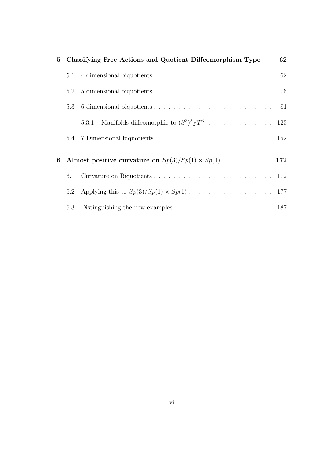| $5^{\circ}$ |         | Classifying Free Actions and Quotient Diffeomorphism Type                              | 62  |
|-------------|---------|----------------------------------------------------------------------------------------|-----|
|             | 5.1     |                                                                                        | 62  |
|             | 5.2     |                                                                                        |     |
|             | 5.3     |                                                                                        |     |
|             |         | 5.3.1                                                                                  |     |
|             |         |                                                                                        |     |
| 6           |         | Almost positive curvature on $Sp(3)/Sp(1) \times Sp(1)$                                | 172 |
|             | 6.1     |                                                                                        |     |
|             | $6.2\,$ |                                                                                        |     |
|             | 6.3     | Distinguishing the new examples $\ldots \ldots \ldots \ldots \ldots \ldots \ldots 187$ |     |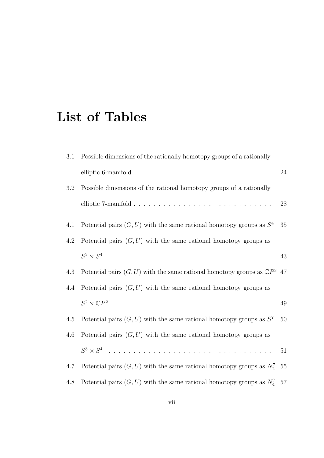## List of Tables

| 3.1 | Possible dimensions of the rationally homotopy groups of a rationally                 |    |
|-----|---------------------------------------------------------------------------------------|----|
|     |                                                                                       | 24 |
| 3.2 | Possible dimensions of the rational homotopy groups of a rationally                   |    |
|     |                                                                                       | 28 |
| 4.1 | Potential pairs $(G, U)$ with the same rational homotopy groups as $S4$               | 35 |
| 4.2 | Potential pairs $(G, U)$ with the same rational homotopy groups as                    |    |
|     |                                                                                       | 43 |
| 4.3 | Potential pairs $(G, U)$ with the same rational homotopy groups as $\mathbb{C}P^3$ 47 |    |
| 4.4 | Potential pairs $(G, U)$ with the same rational homotopy groups as                    |    |
|     |                                                                                       | 49 |
| 4.5 | Potential pairs $(G, U)$ with the same rational homotopy groups as $S^7$              | 50 |
| 4.6 | Potential pairs $(G, U)$ with the same rational homotopy groups as                    |    |
|     | $S^3 \times S^4$                                                                      | 51 |
| 4.7 | Potential pairs $(G, U)$ with the same rational homotopy groups as $N_2^7$ 55         |    |
| 4.8 | Potential pairs $(G, U)$ with the same rational homotopy groups as $N_4^7$ 57         |    |
|     |                                                                                       |    |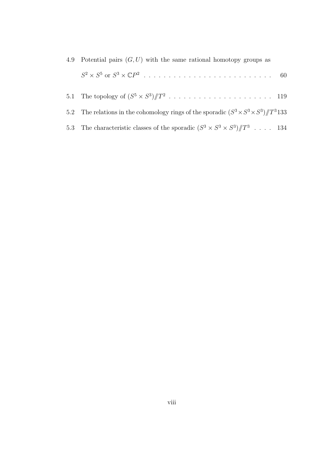| 4.9 Potential pairs $(G, U)$ with the same rational homotopy groups as                          |  |
|-------------------------------------------------------------------------------------------------|--|
|                                                                                                 |  |
|                                                                                                 |  |
| 5.2 The relations in the cohomology rings of the sporadic $(S^3 \times S^3 \times S^3)/T^3$ 133 |  |
| 5.3 The characteristic classes of the sporadic $(S^3 \times S^3 \times S^3)/T^3$ 134            |  |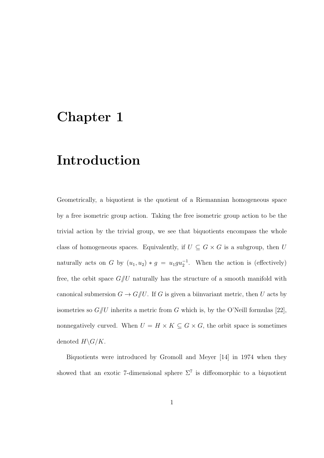### Chapter 1

## Introduction

Geometrically, a biquotient is the quotient of a Riemannian homogeneous space by a free isometric group action. Taking the free isometric group action to be the trivial action by the trivial group, we see that biquotients encompass the whole class of homogeneous spaces. Equivalently, if  $U \, \subseteq \, G \times G$  is a subgroup, then  $U$ naturally acts on G by  $(u_1, u_2) * g = u_1 g u_2^{-1}$ . When the action is (effectively) free, the orbit space  $G/U$  naturally has the structure of a smooth manifold with canonical submersion  $G \to G/\hspace{-3pt}/ U$ . If G is given a biinvariant metric, then U acts by isometries so  $G/U$  inherits a metric from G which is, by the O'Neill formulas [22], nonnegatively curved. When  $U = H \times K \subseteq G \times G$ , the orbit space is sometimes denoted  $H\backslash G/K$ .

Biquotients were introduced by Gromoll and Meyer [14] in 1974 when they showed that an exotic 7-dimensional sphere  $\Sigma^7$  is diffeomorphic to a biquotient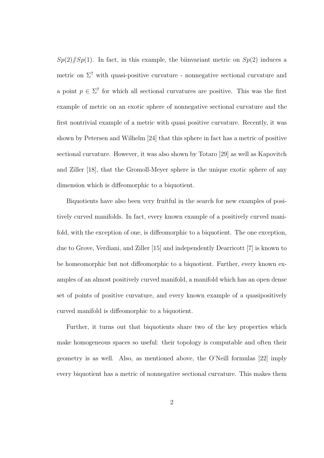$Sp(2)/[Sp(1)]$ . In fact, in this example, the biinvariant metric on  $Sp(2)$  induces a metric on  $\Sigma^7$  with quasi-positive curvature - nonnegative sectional curvature and a point  $p \in \Sigma^7$  for which all sectional curvatures are positive. This was the first example of metric on an exotic sphere of nonnegative sectional curvature and the first nontrivial example of a metric with quasi positive curvature. Recently, it was shown by Petersen and Wilhelm [24] that this sphere in fact has a metric of positive sectional curvature. However, it was also shown by Totaro [29] as well as Kapovitch and Ziller [18], that the Gromoll-Meyer sphere is the unique exotic sphere of any dimension which is diffeomorphic to a biquotient.

Biquotients have also been very fruitful in the search for new examples of positively curved manifolds. In fact, every known example of a positively curved manifold, with the exception of one, is diffeomorphic to a biquotient. The one exception, due to Grove, Verdiani, and Ziller [15] and independently Dearricott [7] is known to be homeomorphic but not diffeomorphic to a biquotient. Further, every known examples of an almost positively curved manifold, a manifold which has an open dense set of points of positive curvature, and every known example of a quasipositively curved manifold is diffeomorphic to a biquotient.

Further, it turns out that biquotients share two of the key properties which make homogeneous spaces so useful: their topology is computable and often their geometry is as well. Also, as mentioned above, the O'Neill formulas [22] imply every biquotient has a metric of nonnegative sectional curvature. This makes them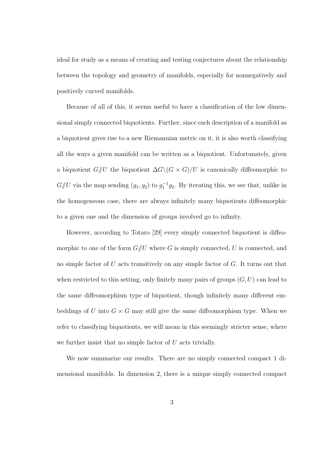ideal for study as a means of creating and testing conjectures about the relationship between the topology and geometry of manifolds, especially for nonnegatively and positively curved manifolds.

Because of all of this, it seems useful to have a classification of the low dimensional simply connected biquotients. Further, since each description of a manifold as a biquotient gives rise to a new Riemannian metric on it, it is also worth classifying all the ways a given manifold can be written as a biquotient. Unfortunately, given a biquotient  $G/U$  the biquotient  $\Delta G \backslash (G \times G)/U$  is canonically diffeomorphic to  $G/\!\!/ U$  via the map sending  $(g_1, g_2)$  to  $g_1^{-1}g_2$ . By iterating this, we see that, unlike in the homogeneous case, there are always infinitely many biquotients diffeomorphic to a given one and the dimension of groups involved go to infinity.

However, according to Totaro [29] every simply connected biquotient is diffeomorphic to one of the form  $G/U$  where G is simply connected, U is connected, and no simple factor of  $U$  acts transitively on any simple factor of  $G$ . It turns out that when restricted to this setting, only finitely many pairs of groups  $(G, U)$  can lead to the same diffeomorphism type of biquotient, though infinitely many different embeddings of U into  $G \times G$  may still give the same diffeomorphism type. When we refer to classifying biquotients, we will mean in this seemingly stricter sense, where we further insist that no simple factor of  $U$  acts trivially.

We now summarize our results. There are no simply connected compact 1 dimensional manifolds. In dimension 2, there is a unique simply connected compact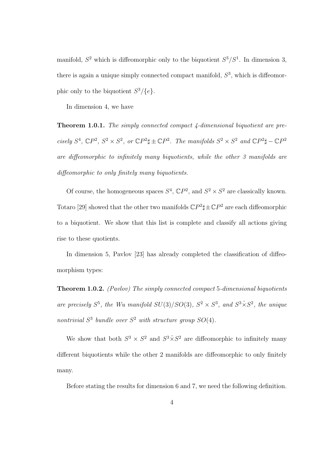manifold,  $S^2$  which is diffeomorphic only to the biquotient  $S^3/S^1$ . In dimension 3, there is again a unique simply connected compact manifold,  $S<sup>3</sup>$ , which is diffeomorphic only to the biquotient  $S^3/\{e\}.$ 

In dimension 4, we have

Theorem 1.0.1. The simply connected compact 4-dimensional biquotient are precisely  $S^4$ ,  $\mathbb{C}P^2$ ,  $S^2 \times S^2$ , or  $\mathbb{C}P^2\sharp \pm \mathbb{C}P^2$ . The manifolds  $S^2 \times S^2$  and  $\mathbb{C}P^2\sharp - \mathbb{C}P^2$ are diffeomorphic to infinitely many biquotients, while the other 3 manifolds are diffeomorphic to only finitely many biquotients.

Of course, the homogeneous spaces  $S^4$ ,  $\mathbb{C}P^2$ , and  $S^2 \times S^2$  are classically known. Totaro [29] showed that the other two manifolds  $\mathbb{C}P^2\sharp \pm \mathbb{C}P^2$  are each diffeomorphic to a biquotient. We show that this list is complete and classify all actions giving rise to these quotients.

In dimension 5, Pavlov [23] has already completed the classification of diffeomorphism types:

Theorem 1.0.2. (Pavlov) The simply connected compact 5-dimensional biquotients are precisely  $S^5$ , the Wu manifold  $SU(3)/SO(3)$ ,  $S^2 \times S^3$ , and  $S^3 \times S^2$ , the unique nontrivial  $S^3$  bundle over  $S^2$  with structure group  $SO(4)$ .

We show that both  $S^3 \times S^2$  and  $S^3 \times S^2$  are diffeomorphic to infinitely many different biquotients while the other 2 manifolds are diffeomorphic to only finitely many.

Before stating the results for dimension 6 and 7, we need the following definition.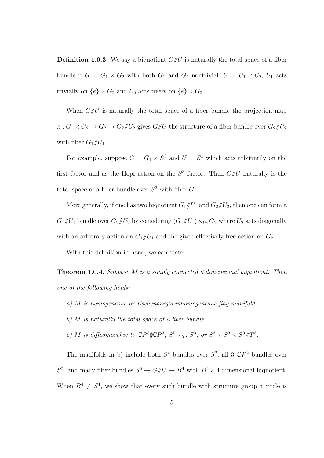**Definition 1.0.3.** We say a biquotient  $G/\!\!/ U$  is naturally the total space of a fiber bundle if  $G = G_1 \times G_2$  with both  $G_1$  and  $G_2$  nontrivial,  $U = U_1 \times U_2$ ,  $U_1$  acts trivially on  $\{e\} \times G_2$  and  $U_2$  acts freely on  $\{e\} \times G_2$ .

When  $G/U$  is naturally the total space of a fiber bundle the projection map  $\pi: G_1 \times G_2 \to G_2 \to G_2/\hspace{-3pt}/ U_2$  gives  $G/\hspace{-3pt}/ U$  the structure of a fiber bundle over  $G_2/\hspace{-3pt}/ U_2$ with fiber  $G_1/\!\!/ U_1$ .

For example, suppose  $G = G_1 \times S^3$  and  $U = S^1$  which acts arbitrarily on the first factor and as the Hopf action on the  $S^3$  factor. Then  $G/\!\!/ U$  naturally is the total space of a fiber bundle over  $S^2$  with fiber  $G_1$ .

More generally, if one has two biquotient  $G_1/\!\!/ U_1$  and  $G_2/\!\!/ U_2$ , then one can form a  $G_1/\!\!/ U_1$  bundle over  $G_2/\!\!/ U_2$  by considering  $(G_1/\!\!/ U_1) \times_{U_2} G_2$  where  $U_2$  acts diagonally with an arbitrary action on  $G_1/U_1$  and the given effectively free action on  $G_2$ .

With this definition in hand, we can state

Theorem 1.0.4. Suppose M is a simply connected 6 dimensional biquotient. Then one of the following holds:

- a) M is homogeneous or Eschenburg's inhomogeneous flag manifold.
- b)  $M$  is naturally the total space of a fiber bundle.
- c) M is diffeomorphic to  $\mathbb{C}P^3 \sharp \mathbb{C}P^3$ ,  $S^5 \times_{T^2} S^3$ , or  $S^3 \times S^3 \times S^3 / T^3$ .

The manifolds in b) include both  $S^4$  bundles over  $S^2$ , all 3  $\mathbb{C}P^2$  bundles over  $S^2$ , and many fiber bundles  $S^2 \to G/\!\!/ U \to B^4$  with  $B^4$  a 4 dimensional biquotient. When  $B^4 \neq S^4$ , we show that every such bundle with structure group a circle is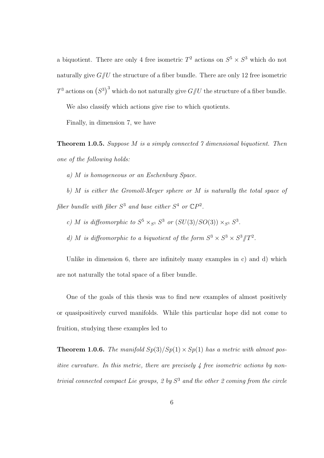a biquotient. There are only 4 free isometric  $T^2$  actions on  $S^5 \times S^3$  which do not naturally give  $G/U$  the structure of a fiber bundle. There are only 12 free isometric  $T^3$  actions on  $(S^3)^3$  which do not naturally give  $G /\!\!/ U$  the structure of a fiber bundle.

We also classify which actions give rise to which quotients.

Finally, in dimension 7, we have

**Theorem 1.0.5.** Suppose M is a simply connected  $\gamma$  dimensional biquotient. Then one of the following holds:

a) M is homogeneous or an Eschenburg Space.

b) M is either the Gromoll-Meyer sphere or M is naturally the total space of fiber bundle with fiber  $S^3$  and base either  $S^4$  or  $\mathbb{C}P^2$ .

c) M is diffeomorphic to  $S^5 \times_{S^1} S^3$  or  $(SU(3)/SO(3)) \times_{S^1} S^3$ .

d) M is diffeomorphic to a biquotient of the form  $S^3 \times S^3 \times S^3 / T^2$ .

Unlike in dimension 6, there are infinitely many examples in  $c$  and  $d$  which are not naturally the total space of a fiber bundle.

One of the goals of this thesis was to find new examples of almost positively or quasipositively curved manifolds. While this particular hope did not come to fruition, studying these examples led to

**Theorem 1.0.6.** The manifold  $Sp(3)/Sp(1) \times Sp(1)$  has a metric with almost positive curvature. In this metric, there are precisely 4 free isometric actions by nontrivial connected compact Lie groups, 2 by  $S<sup>3</sup>$  and the other 2 coming from the circle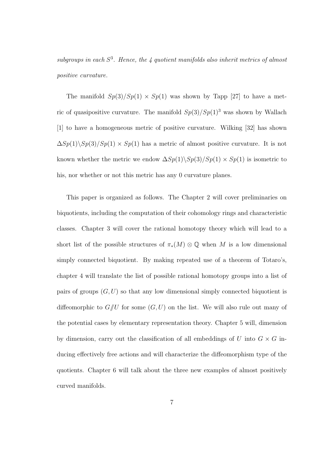subgroups in each  $S^3$ . Hence, the 4 quotient manifolds also inherit metrics of almost positive curvature.

The manifold  $Sp(3)/Sp(1) \times Sp(1)$  was shown by Tapp [27] to have a metric of quasipositive curvature. The manifold  $Sp(3)/Sp(1)^3$  was shown by Wallach [1] to have a homogeneous metric of positive curvature. Wilking [32] has shown  $\Delta Sp(1)\backslash Sp(3)/Sp(1)\times Sp(1)$  has a metric of almost positive curvature. It is not known whether the metric we endow  $\Delta Sp(1)\backslash Sp(3)/Sp(1)\times Sp(1)$  is isometric to his, nor whether or not this metric has any 0 curvature planes.

This paper is organized as follows. The Chapter 2 will cover preliminaries on biquotients, including the computation of their cohomology rings and characteristic classes. Chapter 3 will cover the rational homotopy theory which will lead to a short list of the possible structures of  $\pi_*(M) \otimes \mathbb{Q}$  when M is a low dimensional simply connected biquotient. By making repeated use of a theorem of Totaro's, chapter 4 will translate the list of possible rational homotopy groups into a list of pairs of groups  $(G, U)$  so that any low dimensional simply connected biquotient is diffeomorphic to  $G/U$  for some  $(G, U)$  on the list. We will also rule out many of the potential cases by elementary representation theory. Chapter 5 will, dimension by dimension, carry out the classification of all embeddings of U into  $G \times G$  inducing effectively free actions and will characterize the diffeomorphism type of the quotients. Chapter 6 will talk about the three new examples of almost positively curved manifolds.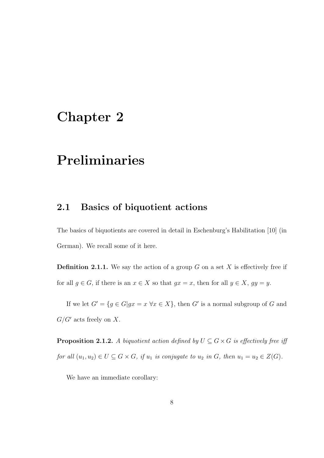### Chapter 2

## Preliminaries

#### 2.1 Basics of biquotient actions

The basics of biquotients are covered in detail in Eschenburg's Habilitation [10] (in German). We recall some of it here.

**Definition 2.1.1.** We say the action of a group G on a set X is effectively free if for all  $g \in G$ , if there is an  $x \in X$  so that  $gx = x$ , then for all  $y \in X$ ,  $gy = y$ .

If we let  $G' = \{ g \in G | gx = x \,\forall x \in X \}$ , then G' is a normal subgroup of G and  $G/G'$  acts freely on X.

**Proposition 2.1.2.** A biquotient action defined by  $U \subseteq G \times G$  is effectively free iff for all  $(u_1, u_2) \in U \subseteq G \times G$ , if  $u_1$  is conjugate to  $u_2$  in  $G$ , then  $u_1 = u_2 \in Z(G)$ .

We have an immediate corollary: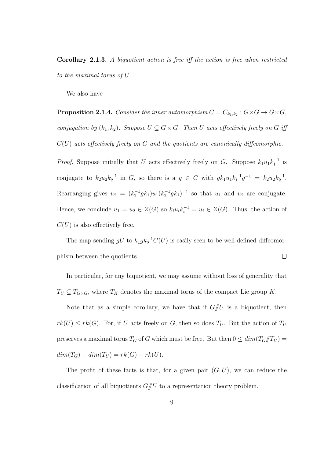Corollary 2.1.3. A biquotient action is free iff the action is free when restricted to the maximal torus of U.

We also have

**Proposition 2.1.4.** Consider the inner automorphism  $C = C_{k_1,k_2} : G \times G \rightarrow G \times G,$ conjugation by  $(k_1, k_2)$ . Suppose  $U \subseteq G \times G$ . Then U acts effectively freely on G iff  $C(U)$  acts effectively freely on G and the quotients are canonically diffeomorphic.

*Proof.* Suppose initially that U acts effectively freely on G. Suppose  $k_1u_1k_1^{-1}$  is conjugate to  $k_2 u_2 k_2^{-1}$  in G, so there is a  $g \in G$  with  $g k_1 u_1 k_1^{-1} g^{-1} = k_2 u_2 k_2^{-1}$ . Rearranging gives  $u_2 = (k_2^{-1} g k_1) u_1 (k_2^{-1} g k_1)^{-1}$  so that  $u_1$  and  $u_2$  are conjugate. Hence, we conclude  $u_1 = u_2 \in Z(G)$  so  $k_i u_i k_i^{-1} = u_i \in Z(G)$ . Thus, the action of  $C(U)$  is also effectively free.

The map sending  $gU$  to  $k_1 g k_2^{-1} C(U)$  is easily seen to be well defined diffeomorphism between the quotients.  $\Box$ 

In particular, for any biquotient, we may assume without loss of generality that  $T_U \subseteq T_{G \times G}$ , where  $T_K$  denotes the maximal torus of the compact Lie group K.

Note that as a simple corollary, we have that if  $G/\!\!/ U$  is a biquotient, then  $rk(U) \leq rk(G)$ . For, if U acts freely on G, then so does  $T_U$ . But the action of  $T_U$ preserves a maximal torus  $T_G$  of G which must be free. But then  $0 \le \dim(T_G/T_U) =$  $dim(T_G) - dim(T_U) = rk(G) - rk(U).$ 

The profit of these facts is that, for a given pair  $(G, U)$ , we can reduce the classification of all biquotients  $G/U$  to a representation theory problem.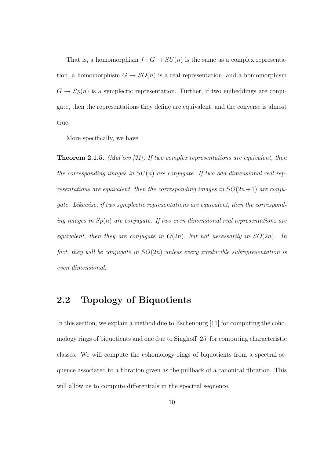That is, a homomorphism  $f : G \to SU(n)$  is the same as a complex representation, a homomorphism  $G \to SO(n)$  is a real representation, and a homomorphism  $G \to Sp(n)$  is a symplectic representation. Further, if two embeddings are conjugate, then the representations they define are equivalent, and the converse is almost true.

More specifically, we have

**Theorem 2.1.5.** (Mal'cev [21]) If two complex representations are equivalent, then the corresponding images in  $SU(n)$  are conjugate. If two odd dimensional real representations are equivalent, then the corresponding images in  $SO(2n+1)$  are conjugate. Likewise, if two symplectic representations are equivalent, then the corresponding images in  $Sp(n)$  are conjugate. If two even dimensional real representations are equivalent, then they are conjugate in  $O(2n)$ , but not necessarily in  $SO(2n)$ . In fact, they will be conjugate in  $SO(2n)$  unless every irreducible subrepresentation is even dimensional.

#### 2.2 Topology of Biquotients

In this section, we explain a method due to Eschenburg [11] for computing the cohomology rings of biquotients and one due to Singhoff [25] for computing characteristic classes. We will compute the cohomology rings of biquotients from a spectral sequence associated to a fibration given as the pullback of a canonical fibration. This will allow us to compute differentials in the spectral sequence.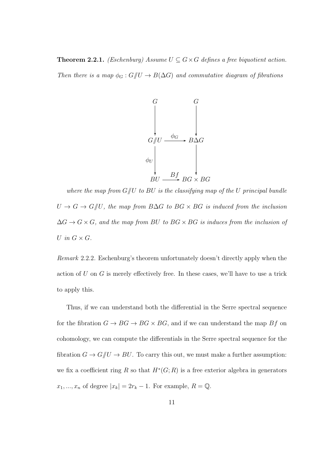**Theorem 2.2.1.** (Eschenburg) Assume  $U \subseteq G \times G$  defines a free biquotient action.

Then there is a map  $\phi_G : G/\!\!/ U \to B(\Delta G)$  and commutative diagram of fibrations



where the map from  $G/U$  to BU is the classifying map of the U principal bundle  $U \to G \to G/\!\!/ U$ , the map from  $B\Delta G$  to  $BG \times BG$  is induced from the inclusion  $\Delta G \rightarrow G \times G$ , and the map from BU to BG × BG is induces from the inclusion of U in  $G \times G$ .

Remark 2.2.2. Eschenburg's theorem unfortunately doesn't directly apply when the action of U on G is merely effectively free. In these cases, we'll have to use a trick to apply this.

Thus, if we can understand both the differential in the Serre spectral sequence for the fibration  $G \to BG \to BG \times BG$ , and if we can understand the map  $Bf$  on cohomology, we can compute the differentials in the Serre spectral sequence for the fibration  $G \to G /\!\!/ U \to BU.$  To carry this out, we must make a further assumption: we fix a coefficient ring R so that  $H^*(G;R)$  is a free exterior algebra in generators  $x_1, ..., x_n$  of degree  $|x_k| = 2r_k - 1$ . For example,  $R = \mathbb{Q}$ .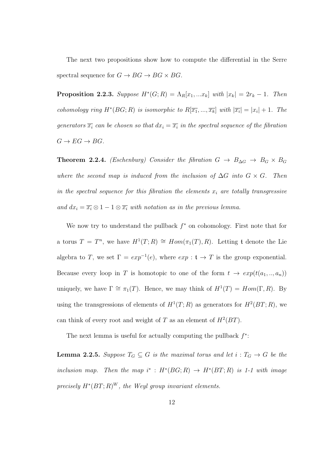The next two propositions show how to compute the differential in the Serre spectral sequence for  $G \to BG \to BG \times BG$ .

**Proposition 2.2.3.** Suppose  $H^*(G; R) = \Lambda_R[x_1, ... x_k]$  with  $|x_k| = 2r_k - 1$ . Then cohomology ring  $H^*(BG; R)$  is isomorphic to  $R[\overline{x_1},...,\overline{x_k}]$  with  $|\overline{x_i}| = |x_i| + 1$ . The generators  $\overline{x_i}$  can be chosen so that  $dx_i = \overline{x_i}$  in the spectral sequence of the fibration  $G \to EG \to BG$ .

**Theorem 2.2.4.** (Eschenburg) Consider the fibration  $G \rightarrow B_{\Delta G} \rightarrow B_G \times B_G$ where the second map is induced from the inclusion of  $\Delta G$  into  $G \times G$ . Then in the spectral sequence for this fibration the elements  $x_i$  are totally transgressive and  $dx_i = \overline{x_i} \otimes 1 - 1 \otimes \overline{x_i}$  with notation as in the previous lemma.

We now try to understand the pullback  $f^*$  on cohomology. First note that for a torus  $T = T^n$ , we have  $H^1(T; R) \cong Hom(\pi_1(T), R)$ . Letting t denote the Lie algebra to T, we set  $\Gamma = exp^{-1}(e)$ , where  $exp : t \to T$  is the group exponential. Because every loop in T is homotopic to one of the form  $t \to exp(t(a_1, ..., a_n))$ uniquely, we have  $\Gamma \cong \pi_1(T)$ . Hence, we may think of  $H^1(T) = Hom(\Gamma, R)$ . By using the transgressions of elements of  $H^1(T;R)$  as generators for  $H^2(BT;R)$ , we can think of every root and weight of T as an element of  $H^2(BT)$ .

The next lemma is useful for actually computing the pullback  $f^*$ :

**Lemma 2.2.5.** Suppose  $T_G \subseteq G$  is the maximal torus and let  $i : T_G \to G$  be the inclusion map. Then the map  $i^*$ :  $H^*(BG; R) \rightarrow H^*(BT; R)$  is 1-1 with image precisely  $H^*(BT;R)^W$ , the Weyl group invariant elements.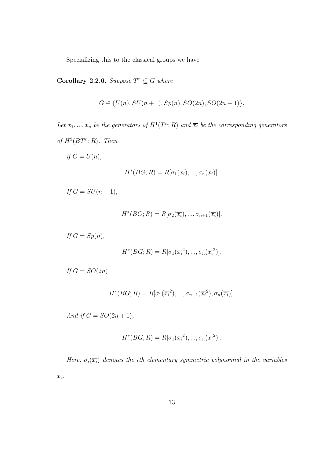Specializing this to the classical groups we have

**Corollary 2.2.6.** Suppose  $T^n \subseteq G$  where

$$
G \in \{U(n), SU(n+1), Sp(n), SO(2n), SO(2n+1)\}.
$$

Let  $x_1, ..., x_n$  be the generators of  $H^1(T^n; R)$  and  $\overline{x_i}$  be the corresponding generators of  $H^2(BT^n;R)$ . Then

if  $G = U(n)$ ,

$$
H^*(BG; R) = R[\sigma_1(\overline{x_i}), ..., \sigma_n(\overline{x_i})].
$$

If  $G = SU(n + 1)$ ,

$$
H^*(BG; R) = R[\sigma_2(\overline{x_i}), \dots, \sigma_{n+1}(\overline{x_i})].
$$

$$
If G = Sp(n),
$$

$$
H^*(BG;R) = R[\sigma_1(\overline{x_i}^2), ..., \sigma_n(\overline{x_i}^2)].
$$

If  $G = SO(2n)$ ,

$$
H^*(BG;R) = R[\sigma_1(\overline{x_i}^2), ..., \sigma_{n-1}(\overline{x_i}^2), \sigma_n(\overline{x_i})].
$$

And if  $G = SO(2n + 1)$ ,

$$
H^*(BG;R) = R[\sigma_1(\overline{x_i}^2), ..., \sigma_n(\overline{x_i}^2)].
$$

Here,  $\sigma_i(\overline{x_i})$  denotes the ith elementary symmetric polynomial in the variables  $\overline{x_i}.$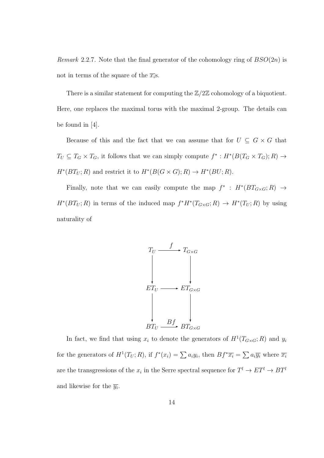*Remark* 2.2.7. Note that the final generator of the cohomology ring of  $BSO(2n)$  is not in terms of the square of the  $\overline{x_i}$ s.

There is a similar statement for computing the  $\mathbb{Z}/2\mathbb{Z}$  cohomology of a biquotient. Here, one replaces the maximal torus with the maximal 2-group. The details can be found in [4].

Because of this and the fact that we can assume that for  $U \subseteq G \times G$  that  $T_U \subseteq T_G \times T_G$ , it follows that we can simply compute  $f^* : H^*(B(T_G \times T_G); R) \to$  $H^*(BT_U; R)$  and restrict it to  $H^*(B(G \times G); R) \to H^*(BU; R)$ .

Finally, note that we can easily compute the map  $f^* : H^*(BT_{G\times G};R) \to$  $H^*(BT_U;R)$  in terms of the induced map  $f^*H^*(T_{G\times G};R) \to H^*(T_U;R)$  by using naturality of



In fact, we find that using  $x_i$  to denote the generators of  $H^1(T_{G\times G};R)$  and  $y_i$ for the generators of  $H^1(T_U; R)$ , if  $f^*(x_i) = \sum a_i y_i$ , then  $Bf^*\overline{x_i} = \sum a_i \overline{y_i}$  where  $\overline{x_i}$ are the transgressions of the  $x_i$  in the Serre spectral sequence for  $T^l \to ET^l \to BT^l$ and likewise for the  $\overline{y_i}$ .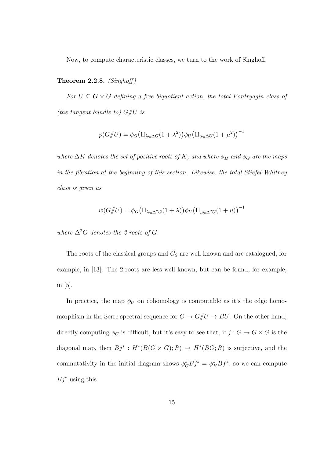Now, to compute characteristic classes, we turn to the work of Singhoff.

#### Theorem 2.2.8.  $(Singhoff)$

For  $U \subseteq G \times G$  defining a free biquotient action, the total Pontryagin class of (the tangent bundle to)  $G/\!\!/ U$  is

$$
p(G/\!\!/ U) = \phi_G \big( \Pi_{\lambda \in \Delta G} (1 + \lambda^2) \big) \phi_U \big( \Pi_{\mu \in \Delta U} (1 + \mu^2) \big)^{-1}
$$

where  $\Delta K$  denotes the set of positive roots of K, and where  $\phi_H$  and  $\phi_G$  are the maps in the fibration at the beginning of this section. Likewise, the total Stiefel-Whitney class is given as

$$
w(G/\!\!/ U)=\phi_G\big(\Pi_{\lambda\in\Delta^2 G}(1+\lambda)\big)\phi_U\big(\Pi_{\mu\in\Delta^2 U}(1+\mu)\big)^{-1}
$$

where  $\Delta^2 G$  denotes the 2-roots of G.

The roots of the classical groups and  $G_2$  are well known and are catalogued, for example, in [13]. The 2-roots are less well known, but can be found, for example, in [5].

In practice, the map  $\phi_U$  on cohomology is computable as it's the edge homomorphism in the Serre spectral sequence for  $G \to G /\!\!/ U \to BU.$  On the other hand, directly computing  $\phi_G$  is difficult, but it's easy to see that, if  $j:G\rightarrow G\times G$  is the diagonal map, then  $Bj^* : H^*(B(G \times G); R) \to H^*(BG; R)$  is surjective, and the commutativity in the initial diagram shows  $\phi_G^* B j^* = \phi_H^* B f^*$ , so we can compute  $B_i^*$  using this.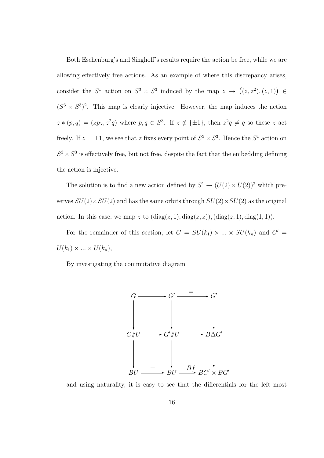Both Eschenburg's and Singhoff's results require the action be free, while we are allowing effectively free actions. As an example of where this discrepancy arises, consider the  $S^1$  action on  $S^3 \times S^3$  induced by the map  $z \to ((z, z^2), (z, 1)) \in$  $(S^3 \times S^3)^2$ . This map is clearly injective. However, the map induces the action  $z * (p,q) = (zp\overline{z}, z^2q)$  where  $p,q \in S^3$ . If  $z \notin {\pm 1}$ , then  $z^2q \neq q$  so these z act freely. If  $z = \pm 1$ , we see that z fixes every point of  $S^3 \times S^3$ . Hence the  $S^1$  action on  $S^3 \times S^3$  is effectively free, but not free, despite the fact that the embedding defining the action is injective.

The solution is to find a new action defined by  $S^1 \to (U(2) \times U(2))^2$  which preserves  $SU(2) \times SU(2)$  and has the same orbits through  $SU(2) \times SU(2)$  as the original action. In this case, we map z to  $(\text{diag}(z, 1), \text{diag}(z, \overline{z}))$ ,  $(\text{diag}(z, 1), \text{diag}(1, 1))$ .

For the remainder of this section, let  $G = SU(k_1) \times ... \times SU(k_n)$  and  $G' =$  $U(k_1) \times ... \times U(k_n),$ 

By investigating the commutative diagram



and using naturality, it is easy to see that the differentials for the left most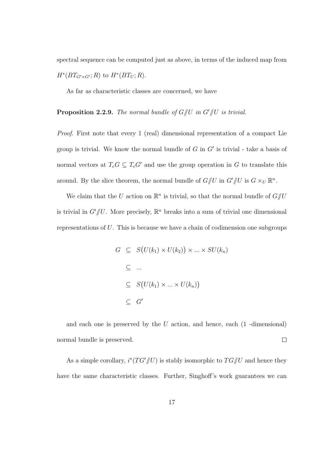spectral sequence can be computed just as above, in terms of the induced map from  $H^*(BT_{G'\times G'};R)$  to  $H^*(BT_U;R)$ .

As far as characteristic classes are concerned, we have

**Proposition 2.2.9.** The normal bundle of  $G/\!\!/ U$  in  $G'/\!\!/ U$  is trivial.

Proof. First note that every 1 (real) dimensional representation of a compact Lie group is trivial. We know the normal bundle of  $G$  in  $G'$  is trivial - take a basis of normal vectors at  $T_eG \subseteq T_eG'$  and use the group operation in G to translate this around. By the slice theorem, the normal bundle of  $G/\!\!/ U$  in  $G'/\!\!/ U$  is  $G\times_U \mathbb{R}^n$ .

We claim that the U action on  $\mathbb{R}^n$  is trivial, so that the normal bundle of  $G/\!\!/ U$ is trivial in  $G'/U$ . More precisely,  $\mathbb{R}^n$  breaks into a sum of trivial one dimensional representations of U. This is because we have a chain of codimension one subgroups

$$
G \subseteq S(U(k_1) \times U(k_2)) \times \dots \times SU(k_n)
$$
  
\n
$$
\subseteq \dots
$$
  
\n
$$
\subseteq S(U(k_1) \times \dots \times U(k_n))
$$
  
\n
$$
\subseteq G'
$$

and each one is preserved by the  $U$  action, and hence, each  $(1 -$ dimensional) normal bundle is preserved.  $\Box$ 

As a simple corollary,  $i^*(TG'/U)$  is stably isomorphic to  $TG/U$  and hence they have the same characteristic classes. Further, Singhoff's work guarantees we can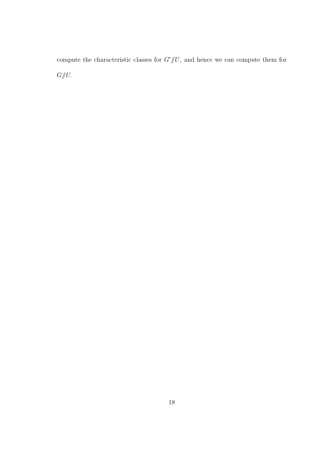compute the characteristic classes for  $G'/\!\!/ U$ , and hence we can compute them for  $G/\!\!/ U.$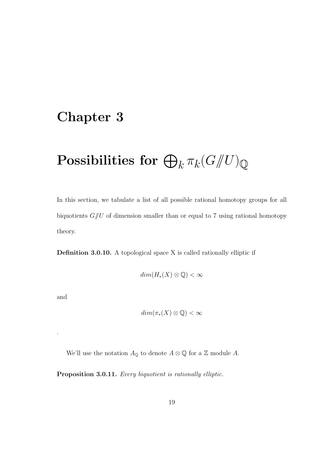### Chapter 3

# $\operatorname{\textbf{Possibilities}} \ \textbf{for} \ \bigoplus_k \pi_k (G /\!\!/ U)_{\mathbb Q}$

In this section, we tabulate a list of all possible rational homotopy groups for all biquotients  $G/\!\!/ U$  of dimension smaller than or equal to 7 using rational homotopy theory.

Definition 3.0.10. A topological space X is called rationally elliptic if

$$
dim(H_*(X)\otimes\mathbb{Q})<\infty
$$

and

.

$$
dim(\pi_*(X)\otimes\mathbb{Q})<\infty
$$

We'll use the notation  $A_{\mathbb{Q}}$  to denote  $A \otimes \mathbb{Q}$  for a  $\mathbb{Z}$  module A.

Proposition 3.0.11. Every biquotient is rationally elliptic.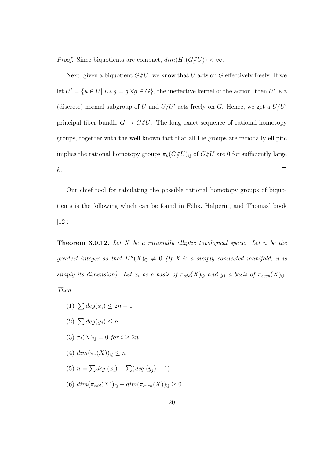*Proof.* Since biquotients are compact,  $dim(H_*(G/\hspace{-0.1cm}/ U)) < \infty$ .

Next, given a biquotient  $G/U$ , we know that U acts on G effectively freely. If we let  $U' = \{u \in U \mid u * g = g \,\forall g \in G\}$ , the ineffective kernel of the action, then U' is a (discrete) normal subgroup of U and  $U/U'$  acts freely on G. Hence, we get a  $U/U'$ principal fiber bundle  $G \to G/\!\!/ U$ . The long exact sequence of rational homotopy groups, together with the well known fact that all Lie groups are rationally elliptic implies the rational homotopy groups  $\pi_k(G/\hspace{-0.1cm}/ U)_\mathbb{Q}$  of  $G/\hspace{-0.1cm}/ U$  are 0 for sufficiently large k.  $\Box$ 

Our chief tool for tabulating the possible rational homotopy groups of biquotients is the following which can be found in Félix, Halperin, and Thomas' book [12]:

**Theorem 3.0.12.** Let X be a rationally elliptic topological space. Let n be the greatest integer so that  $H^n(X)_{\mathbb{Q}} \neq 0$  (If X is a simply connected manifold, n is simply its dimension). Let  $x_i$  be a basis of  $\pi_{odd}(X)_{\mathbb{Q}}$  and  $y_j$  a basis of  $\pi_{even}(X)_{\mathbb{Q}}$ . Then

- (1)  $\sum deg(x_i) \leq 2n 1$
- (2)  $\sum deg(y_i) \leq n$
- (3)  $\pi_i(X)_{\mathbb{Q}} = 0$  for  $i \geq 2n$
- (4)  $\dim(\pi_*(X))_{\mathbb{Q}} \leq n$
- (5)  $n = \sum deg(x_i) \sum (deg(y_j) 1)$
- (6)  $dim(\pi_{odd}(X))_{\mathbb{Q}} dim(\pi_{even}(X))_{\mathbb{Q}} \geq 0$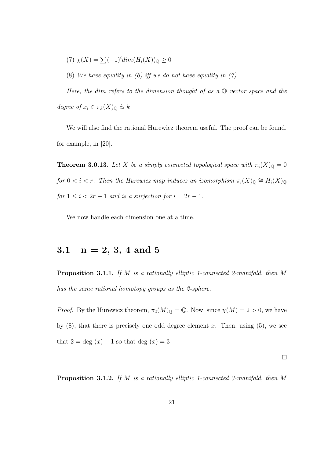$$
(7) \ \chi(X) = \sum (-1)^i \dim(H_i(X))_{\mathbb{Q}} \ge 0
$$

(8) We have equality in (6) iff we do not have equality in  $(7)$ 

Here, the dim refers to the dimension thought of as a  $\mathbb Q$  vector space and the degree of  $x_i \in \pi_k(X)_{\mathbb{Q}}$  is k.

We will also find the rational Hurewicz theorem useful. The proof can be found, for example, in [20].

**Theorem 3.0.13.** Let X be a simply connected topological space with  $\pi_i(X)_{\mathbb{Q}} = 0$ for  $0 < i < r$ . Then the Hurewicz map induces an isomorphism  $\pi_i(X)_{\mathbb{Q}} \cong H_i(X)_{\mathbb{Q}}$ for  $1 \leq i < 2r - 1$  and is a surjection for  $i = 2r - 1$ .

We now handle each dimension one at a time.

### 3.1  $n = 2, 3, 4$  and 5

Proposition 3.1.1. If M is a rationally elliptic 1-connected 2-manifold, then M has the same rational homotopy groups as the 2-sphere.

*Proof.* By the Hurewicz theorem,  $\pi_2(M)_{\mathbb{Q}} = \mathbb{Q}$ . Now, since  $\chi(M) = 2 > 0$ , we have by  $(8)$ , that there is precisely one odd degree element x. Then, using  $(5)$ , we see that  $2 = \text{deg}(x) - 1$  so that deg  $(x) = 3$ 

 $\Box$ 

Proposition 3.1.2. If M is a rationally elliptic 1-connected 3-manifold, then M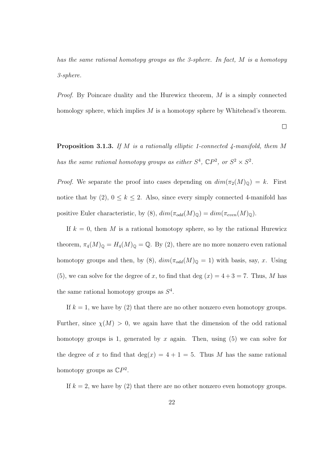has the same rational homotopy groups as the 3-sphere. In fact, M is a homotopy 3-sphere.

Proof. By Poincare duality and the Hurewicz theorem, M is a simply connected homology sphere, which implies M is a homotopy sphere by Whitehead's theorem.

 $\Box$ 

**Proposition 3.1.3.** If M is a rationally elliptic 1-connected 4-manifold, them M has the same rational homotopy groups as either  $S^4$ ,  $\mathbb{C}P^2$ , or  $S^2 \times S^2$ .

*Proof.* We separate the proof into cases depending on  $dim(\pi_2(M)_{\mathbb{Q}}) = k$ . First notice that by (2),  $0 \le k \le 2$ . Also, since every simply connected 4-manifold has positive Euler characteristic, by (8),  $dim(\pi_{odd}(M)_{\mathbb{Q}}) = dim(\pi_{even}(M)_{\mathbb{Q}})$ .

If  $k = 0$ , then M is a rational homotopy sphere, so by the rational Hurewicz theorem,  $\pi_4(M)_{\mathbb{Q}} = H_4(M)_{\mathbb{Q}} = \mathbb{Q}$ . By (2), there are no more nonzero even rational homotopy groups and then, by (8),  $dim(\pi_{odd}(M)_{\mathbb{Q}} = 1)$  with basis, say, x. Using (5), we can solve for the degree of x, to find that deg  $(x) = 4 + 3 = 7$ . Thus, M has the same rational homotopy groups as  $S<sup>4</sup>$ .

If  $k = 1$ , we have by (2) that there are no other nonzero even homotopy groups. Further, since  $\chi(M) > 0$ , we again have that the dimension of the odd rational homotopy groups is 1, generated by  $x$  again. Then, using  $(5)$  we can solve for the degree of x to find that  $deg(x) = 4 + 1 = 5$ . Thus M has the same rational homotopy groups as  $\mathbb{C}P^2$ .

If  $k = 2$ , we have by (2) that there are no other nonzero even homotopy groups.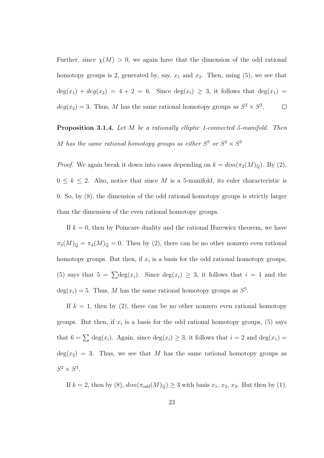Further, since  $\chi(M) > 0$ , we again have that the dimension of the odd rational homotopy groups is 2, generated by, say,  $x_1$  and  $x_2$ . Then, using (5), we see that  $deg(x_1) + deg(x_2) = 4 + 2 = 6$ . Since  $deg(x_i) \geq 3$ , it follows that  $deg(x_1) =$  $deg(x_2) = 3$ . Thus, M has the same rational homotopy groups as  $S^2 \times S^2$ .  $\Box$ 

Proposition 3.1.4. Let M be a rationally elliptic 1-connected 5-manifold. Then M has the same rational homotopy groups as either  $S^5$  or  $S^2 \times S^3$ 

*Proof.* We again break it down into cases depending on  $k = dim(\pi_2(M)_{\mathbb{Q}})$ . By (2),  $0 \leq k \leq 2$ . Also, notice that since M is a 5-manifold, its euler characteristic is 0. So, by (8), the dimension of the odd rational homotopy groups is strictly larger than the dimension of the even rational homotopy groups.

If  $k = 0$ , then by Poincare duality and the rational Hurewicz theorem, we have  $\pi_3(M)_{\mathbb{Q}} = \pi_4(M)_{\mathbb{Q}} = 0$ . Then by (2), there can be no other nonzero even rational homotopy groups. But then, if  $x_i$  is a basis for the odd rational homotopy groups, (5) says that  $5 = \sum \text{deg}(x_i)$ . Since  $\text{deg}(x_i) \geq 3$ , it follows that  $i = 1$  and the  $deg(x_i) = 5$ . Thus, M has the same rational homotopy groups as  $S^5$ .

If  $k = 1$ , then by (2), there can be no other nonzero even rational homotopy groups. But then, if  $x_i$  is a basis for the odd rational homotopy groups, (5) says that  $6 = \sum \text{deg}(x_i)$ . Again, since  $\text{deg}(x_i) \geq 3$ , it follows that  $i = 2$  and  $\text{deg}(x_1) =$  $deg(x_2) = 3$ . Thus, we see that M has the same rational homotopy groups as  $S^2 \times S^3$ .

If  $k = 2$ , then by (8),  $dim(\pi_{odd}(M)_{\mathbb{Q}}) \geq 3$  with basis  $x_1, x_2, x_3$ . But then by (1),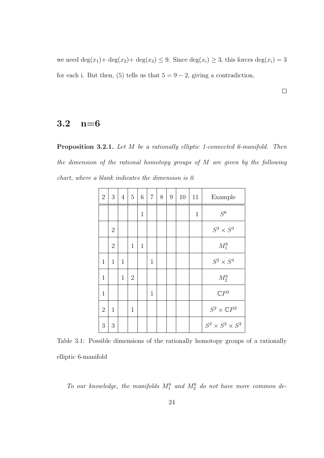we need  $\deg(x_1) + \deg(x_2) + \deg(x_3) \leq 9$ . Since  $\deg(x_i) \geq 3$ , this forces  $\deg(x_i) = 3$ for each i. But then, (5) tells us that  $5 = 9 - 2$ , giving a contradiction,

 $\hfill \square$ 

#### 3.2 n=6

Proposition 3.2.1. Let M be a rationally elliptic 1-connected 6-manifold. Then the dimension of the rational homotopy groups of M are given by the following chart, where a blank indicates the dimension is 0.

| $\overline{2}$ | 3              | $\overline{4}$ | $\overline{5}$ | 6            | $\overline{7}$ | 8 | 9 | 10 | 11           | Example                      |  |
|----------------|----------------|----------------|----------------|--------------|----------------|---|---|----|--------------|------------------------------|--|
|                |                |                |                | $\mathbf{1}$ |                |   |   |    | $\mathbf{1}$ | S <sup>6</sup>               |  |
|                | $\overline{2}$ |                |                |              |                |   |   |    |              | $S^3 \times S^3$             |  |
|                | $\overline{2}$ |                | $\mathbf{1}$   | $\mathbf{1}$ |                |   |   |    |              | $M_1^6$                      |  |
| $\mathbf{1}$   | $\mathbf{1}$   | $\mathbf{1}$   |                |              | $\mathbf{1}$   |   |   |    |              | $S^2 \times S^4$             |  |
| $\mathbf{1}$   |                | $\mathbf{1}$   | $\overline{2}$ |              |                |   |   |    |              | $M_2^6$                      |  |
| $\mathbf{1}$   |                |                |                |              | $\mathbf{1}$   |   |   |    |              | $\mathbb{C}P^3$              |  |
| $\overline{2}$ | $\mathbf{1}$   |                | $\mathbf{1}$   |              |                |   |   |    |              | $S^2\times {\mathbb{C}} P^2$ |  |
| 3              | 3              |                |                |              |                |   |   |    |              | $S^2 \times S^2 \times S^2$  |  |

Table 3.1: Possible dimensions of the rationally homotopy groups of a rationally elliptic 6-manifold

To our knowledge, the manifolds  $M_1^6$  and  $M_2^6$  do not have more common de-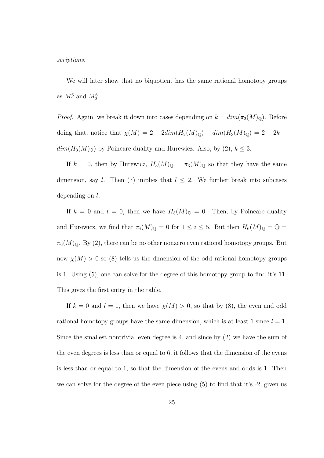scriptions.

We will later show that no biquotient has the same rational homotopy groups as  $M_1^6$  and  $M_2^6$ .

*Proof.* Again, we break it down into cases depending on  $k = dim(\pi_2(M)_{\mathbb{Q}})$ . Before doing that, notice that  $\chi(M) = 2 + 2dim(H_2(M)_{\mathbb{Q}}) - dim(H_3(M)_{\mathbb{Q}}) = 2 + 2k$  –  $dim(H_3(M)_{\mathbb{Q}})$  by Poincare duality and Hurewicz. Also, by (2),  $k \leq 3$ .

If  $k = 0$ , then by Hurewicz,  $H_3(M)_{\mathbb{Q}} = \pi_3(M)_{\mathbb{Q}}$  so that they have the same dimension, say l. Then (7) implies that  $l \leq 2$ . We further break into subcases depending on l.

If  $k = 0$  and  $l = 0$ , then we have  $H_3(M)_{\mathbb{Q}} = 0$ . Then, by Poincare duality and Hurewicz, we find that  $\pi_i(M)_{\mathbb{Q}} = 0$  for  $1 \leq i \leq 5$ . But then  $H_6(M)_{\mathbb{Q}} = \mathbb{Q} =$  $\pi_6(M)_{\mathbb Q}$ . By (2), there can be no other nonzero even rational homotopy groups. But now  $\chi(M) > 0$  so (8) tells us the dimension of the odd rational homotopy groups is 1. Using (5), one can solve for the degree of this homotopy group to find it's 11. This gives the first entry in the table.

If  $k = 0$  and  $l = 1$ , then we have  $\chi(M) > 0$ , so that by (8), the even and odd rational homotopy groups have the same dimension, which is at least 1 since  $l = 1$ . Since the smallest nontrivial even degree is 4, and since by (2) we have the sum of the even degrees is less than or equal to 6, it follows that the dimension of the evens is less than or equal to 1, so that the dimension of the evens and odds is 1. Then we can solve for the degree of the even piece using (5) to find that it's -2, given us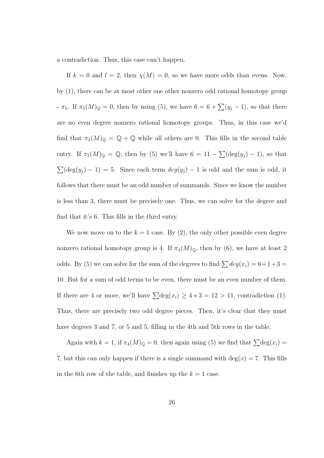a contradiction. Thus, this case can't happen.

If  $k = 0$  and  $l = 2$ , then  $\chi(M) = 0$ , so we have more odds than evens. Now, by (1), there can be at most other one other nonzero odd rational homotopy group -  $\pi_5$ . If  $\pi_5(M)_{\mathbb{Q}} = 0$ , then by using (5), we have  $6 = 6 + \sum(y_j - 1)$ , so that there are no even degree nonzero rational homotopy groups. Thus, in this case we'd find that  $\pi_3(M)_{\mathbb{Q}} = \mathbb{Q} + \mathbb{Q}$  while all others are 0. This fills in the second table entry. If  $\pi_5(M)_{\mathbb{Q}} = \mathbb{Q}$ , then by (5) we'll have  $6 = 11 - \sum (\deg(y_j) - 1)$ , so that  $\sum(\deg(y_j) - 1) = 5$ . Since each term  $deg(y_j) - 1$  is odd and the sum is odd, it follows that there must be an odd number of summands. Since we know the number is less than 3, there must be precisely one. Thus, we can solve for the degree and find that it's 6. This fills in the third entry.

We now move on to the  $k = 1$  case. By (2), the only other possible even degree nonzero rational homotopy group is 4. If  $\pi_4(M)_{\mathbb{Q}}$ , then by (6), we have at least 2 odds. By (5) we can solve for the sum of the degrees to find  $\sum deg(x_i) = 6+1+3 =$ 10. But for a sum of odd terms to be even, there must be an even number of them. If there are 4 or more, we'll have  $\sum \text{deg}(x_i) \geq 4 * 3 = 12 > 11$ , contradiction (1). Thus, there are precisely two odd degree pieces. Then, it's clear that they must have degrees 3 and 7, or 5 and 5, filling in the 4th and 5th rows in the table.

Again with  $k = 1$ , if  $\pi_4(M)_{\mathbb{Q}} = 0$ , then again using (5) we find that  $\sum \text{deg}(x_i) =$ 7, but this can only happen if there is a single summand with  $deg(x) = 7$ . This fills in the 6th row of the table, and finishes up the  $k = 1$  case.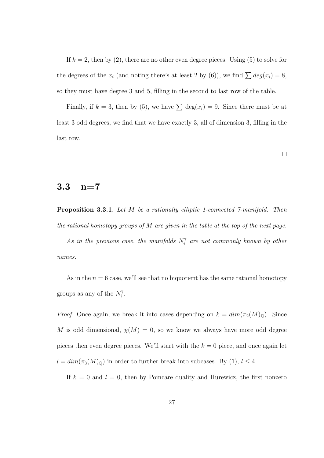If  $k = 2$ , then by (2), there are no other even degree pieces. Using (5) to solve for the degrees of the  $x_i$  (and noting there's at least 2 by (6)), we find  $\sum deg(x_i) = 8$ , so they must have degree 3 and 5, filling in the second to last row of the table.

Finally, if  $k = 3$ , then by (5), we have  $\sum \deg(x_i) = 9$ . Since there must be at least 3 odd degrees, we find that we have exactly 3, all of dimension 3, filling in the last row.

#### 3.3 n=7

Proposition 3.3.1. Let M be a rationally elliptic 1-connected 7-manifold. Then the rational homotopy groups of M are given in the table at the top of the next page.

As in the previous case, the manifolds  $N_i^7$  are not commonly known by other names.

As in the  $n = 6$  case, we'll see that no biquotient has the same rational homotopy groups as any of the  $N_i^7$ .

*Proof.* Once again, we break it into cases depending on  $k = dim(\pi_2(M)_{\mathbb{Q}})$ . Since M is odd dimensional,  $\chi(M) = 0$ , so we know we always have more odd degree pieces then even degree pieces. We'll start with the  $k = 0$  piece, and once again let  $l = dim(\pi_3(M)_{\mathbb{Q}})$  in order to further break into subcases. By (1),  $l \leq 4$ .

If  $k = 0$  and  $l = 0$ , then by Poincare duality and Hurewicz, the first nonzero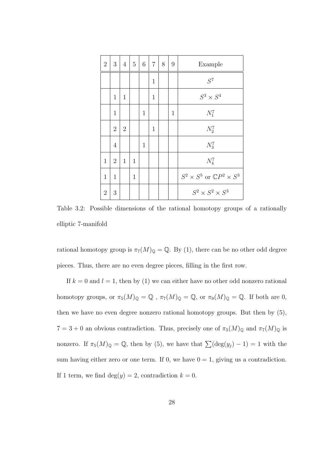| $\overline{2}$ | 3              | $\overline{4}$ | $5\,$        | $\,6\,$      | $\overline{7}$ | 8 | $\boldsymbol{9}$ | Example                                        |
|----------------|----------------|----------------|--------------|--------------|----------------|---|------------------|------------------------------------------------|
|                |                |                |              |              | $\mathbf 1$    |   |                  | $S^7$                                          |
|                | $\mathbf{1}$   | $\mathbf{1}$   |              |              | $\mathbf{1}$   |   |                  | $S^3 \times S^4$                               |
|                | $\mathbf{1}$   |                |              | $\mathbf{1}$ |                |   | $\mathbf 1$      | $N_1^7$                                        |
|                | $\overline{2}$ | $\overline{2}$ |              |              | $\mathbf 1$    |   |                  | $N_2^7$                                        |
|                | $\overline{4}$ |                |              | $\mathbf{1}$ |                |   |                  | $N_3^7$                                        |
| $\mathbf{1}$   | $\overline{2}$ | $\mathbf{1}$   | $\mathbf{1}$ |              |                |   |                  | $N_4^7$                                        |
| $\mathbf{1}$   | $\mathbf{1}$   |                | $\mathbf 1$  |              |                |   |                  | $S^2 \times S^5$ or $\mathbb{C}P^2 \times S^3$ |
| $\overline{2}$ | 3              |                |              |              |                |   |                  | $S^2 \times S^2 \times S^3$                    |

Table 3.2: Possible dimensions of the rational homotopy groups of a rationally elliptic 7-manifold

rational homotopy group is  $\pi_7(M)_{\mathbb{Q}} = \mathbb{Q}$ . By (1), there can be no other odd degree pieces. Thus, there are no even degree pieces, filling in the first row.

If  $k = 0$  and  $l = 1$ , then by (1) we can either have no other odd nonzero rational homotopy groups, or  $\pi_5(M)_{\mathbb{Q}} = \mathbb{Q}$ ,  $\pi_7(M)_{\mathbb{Q}} = \mathbb{Q}$ , or  $\pi_9(M)_{\mathbb{Q}} = \mathbb{Q}$ . If both are 0, then we have no even degree nonzero rational homotopy groups. But then by (5),  $7 = 3 + 0$  an obvious contradiction. Thus, precisely one of  $\pi_5(M)_{\mathbb{Q}}$  and  $\pi_7(M)_{\mathbb{Q}}$  is nonzero. If  $\pi_5(M)_{\mathbb{Q}} = \mathbb{Q}$ , then by (5), we have that  $\sum (\deg(y_j) - 1) = 1$  with the sum having either zero or one term. If 0, we have  $0 = 1$ , giving us a contradiction. If 1 term, we find deg $(y) = 2$ , contradiction  $k = 0$ .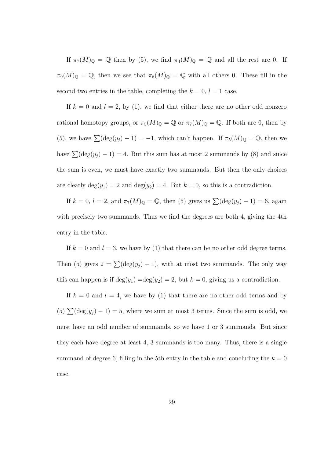If  $\pi_7(M)_{\mathbb{Q}} = \mathbb{Q}$  then by (5), we find  $\pi_4(M)_{\mathbb{Q}} = \mathbb{Q}$  and all the rest are 0. If  $\pi_9(M)_{\mathbb{Q}} = \mathbb{Q}$ , then we see that  $\pi_6(M)_{\mathbb{Q}} = \mathbb{Q}$  with all others 0. These fill in the second two entries in the table, completing the  $k = 0, l = 1$  case.

If  $k = 0$  and  $l = 2$ , by (1), we find that either there are no other odd nonzero rational homotopy groups, or  $\pi_5(M)_{\mathbb{Q}} = \mathbb{Q}$  or  $\pi_7(M)_{\mathbb{Q}} = \mathbb{Q}$ . If both are 0, then by (5), we have  $\sum(\deg(y_j) - 1) = -1$ , which can't happen. If  $\pi_5(M)_{\mathbb{Q}} = \mathbb{Q}$ , then we have  $\sum(\deg(y_j) - 1) = 4$ . But this sum has at most 2 summands by (8) and since the sum is even, we must have exactly two summands. But then the only choices are clearly  $deg(y_1) = 2$  and  $deg(y_2) = 4$ . But  $k = 0$ , so this is a contradiction.

If  $k = 0$ ,  $l = 2$ , and  $\pi_7(M)_{\mathbb{Q}} = \mathbb{Q}$ , then (5) gives us  $\sum(\deg(y_j) - 1) = 6$ , again with precisely two summands. Thus we find the degrees are both 4, giving the 4th entry in the table.

If  $k = 0$  and  $l = 3$ , we have by (1) that there can be no other odd degree terms. Then (5) gives  $2 = \sum (\deg(y_j) - 1)$ , with at most two summands. The only way this can happen is if  $\deg(y_1) = \deg(y_2) = 2$ , but  $k = 0$ , giving us a contradiction.

If  $k = 0$  and  $l = 4$ , we have by (1) that there are no other odd terms and by (5)  $\sum(\deg(y_j) - 1) = 5$ , where we sum at most 3 terms. Since the sum is odd, we must have an odd number of summands, so we have 1 or 3 summands. But since they each have degree at least 4, 3 summands is too many. Thus, there is a single summand of degree 6, filling in the 5th entry in the table and concluding the  $k = 0$ case.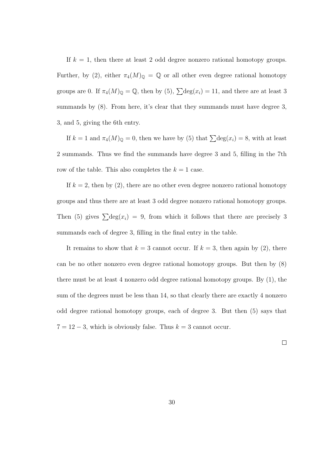If  $k = 1$ , then there at least 2 odd degree nonzero rational homotopy groups. Further, by (2), either  $\pi_4(M)_{\mathbb{Q}} = \mathbb{Q}$  or all other even degree rational homotopy groups are 0. If  $\pi_4(M)_{\mathbb{Q}} = \mathbb{Q}$ , then by (5),  $\sum \text{deg}(x_i) = 11$ , and there are at least 3 summands by  $(8)$ . From here, it's clear that they summands must have degree 3, 3, and 5, giving the 6th entry.

If  $k = 1$  and  $\pi_4(M)_{\mathbb{Q}} = 0$ , then we have by (5) that  $\sum \text{deg}(x_i) = 8$ , with at least 2 summands. Thus we find the summands have degree 3 and 5, filling in the 7th row of the table. This also completes the  $k = 1$  case.

If  $k = 2$ , then by (2), there are no other even degree nonzero rational homotopy groups and thus there are at least 3 odd degree nonzero rational homotopy groups. Then (5) gives  $\sum \text{deg}(x_i) = 9$ , from which it follows that there are precisely 3 summands each of degree 3, filling in the final entry in the table.

It remains to show that  $k = 3$  cannot occur. If  $k = 3$ , then again by (2), there can be no other nonzero even degree rational homotopy groups. But then by (8) there must be at least 4 nonzero odd degree rational homotopy groups. By (1), the sum of the degrees must be less than 14, so that clearly there are exactly 4 nonzero odd degree rational homotopy groups, each of degree 3. But then (5) says that  $7 = 12 - 3$ , which is obviously false. Thus  $k = 3$  cannot occur.

 $\Box$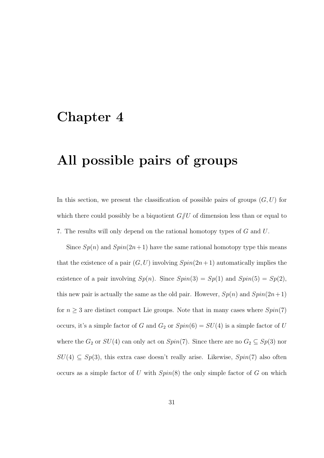# Chapter 4

# All possible pairs of groups

In this section, we present the classification of possible pairs of groups  $(G, U)$  for which there could possibly be a biquotient  $G/U$  of dimension less than or equal to 7. The results will only depend on the rational homotopy types of G and U.

Since  $Sp(n)$  and  $Spin(2n+1)$  have the same rational homotopy type this means that the existence of a pair  $(G, U)$  involving  $Spin(2n+1)$  automatically implies the existence of a pair involving  $Sp(n)$ . Since  $Spin(3) = Sp(1)$  and  $Spin(5) = Sp(2)$ , this new pair is actually the same as the old pair. However,  $Sp(n)$  and  $Spin(2n+1)$ for  $n \geq 3$  are distinct compact Lie groups. Note that in many cases where  $Spin(7)$ occurs, it's a simple factor of G and  $G_2$  or  $Spin(6) = SU(4)$  is a simple factor of U where the  $G_2$  or  $SU(4)$  can only act on  $Spin(7)$ . Since there are no  $G_2 \subseteq Sp(3)$  nor  $SU(4) \subseteq Sp(3)$ , this extra case doesn't really arise. Likewise,  $Spin(7)$  also often occurs as a simple factor of U with  $Spin(8)$  the only simple factor of G on which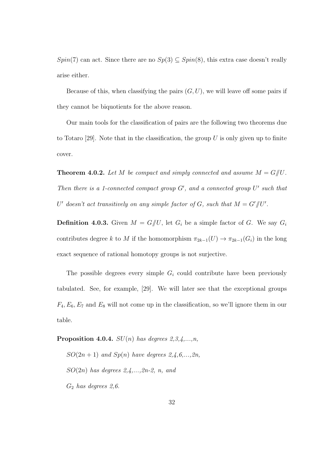$Spin(7)$  can act. Since there are no  $Sp(3) \subseteq Spin(8)$ , this extra case doesn't really arise either.

Because of this, when classifying the pairs  $(G, U)$ , we will leave off some pairs if they cannot be biquotients for the above reason.

Our main tools for the classification of pairs are the following two theorems due to Totaro [29]. Note that in the classification, the group  $U$  is only given up to finite cover.

**Theorem 4.0.2.** Let M be compact and simply connected and assume  $M = G/U$ . Then there is a 1-connected compact group  $G'$ , and a connected group  $U'$  such that U' doesn't act transitively on any simple factor of G, such that  $M = G'/U'$ .

**Definition 4.0.3.** Given  $M = G/U$ , let  $G_i$  be a simple factor of G. We say  $G_i$ contributes degree k to M if the homomorphism  $\pi_{2k-1}(U) \to \pi_{2k-1}(G_i)$  in the long exact sequence of rational homotopy groups is not surjective.

The possible degrees every simple  $G_i$  could contribute have been previously tabulated. See, for example, [29]. We will later see that the exceptional groups  $F_4, E_6, E_7$  and  $E_8$  will not come up in the classification, so we'll ignore them in our table.

**Proposition 4.0.4.**  $SU(n)$  has degrees  $2,3,4,...,n$ ,

 $SO(2n+1)$  and  $Sp(n)$  have degrees  $2,4,6,...,2n$ ,  $SO(2n)$  has degrees  $2,4,\ldots,2n-2, n, and$  $G_2$  has degrees 2,6.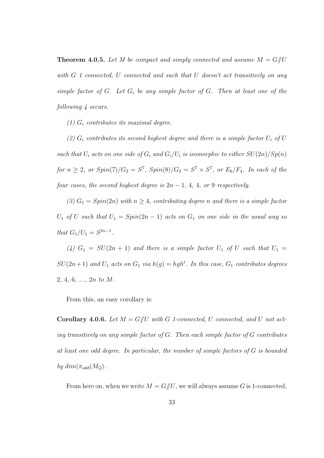**Theorem 4.0.5.** Let M be compact and simply connected and assume  $M = G/U$ with G 1 connected, U connected and such that U doesn't act transitively on any simple factor of  $G$ . Let  $G_i$  be any simple factor of  $G$ . Then at least one of the following  $\frac{1}{4}$  occurs.

(1)  $G_i$  contributes its maximal degree.

(2)  $G_i$  contributes its second highest degree and there is a simple factor  $U_i$  of  $U$ such that  $U_i$  acts on one side of  $G_i$  and  $G_i/U_i$  is isomorphic to either  $SU(2n)/Sp(n)$ for  $n \geq 2$ , or  $Spin(7)/G_2 = S^7$ ,  $Spin(8)/G_2 = S^7 \times S^7$ , or  $E_6/F_4$ . In each of the four cases, the second highest degree is  $2n - 1$ , 4, 4, or 9 respectively.

(3)  $G_1 = Spin(2n)$  with  $n \geq 4$ , contributing degree n and there is a simple factor  $U_1$  of U such that  $U_1 = Spin(2n-1)$  acts on  $G_1$  on one side in the usual way so that  $G_1/U_1 = S^{2n-1}$ .

(4)  $G_1 = SU(2n + 1)$  and there is a simple factor  $U_1$  of U such that  $U_1 =$  $SU(2n+1)$  and  $U_1$  acts on  $G_1$  via  $h(g) = hgh^t$ . In this case,  $G_1$  contributes degrees 2, 4, 6, ..., 2n to M.

From this, an easy corollary is:

**Corollary 4.0.6.** Let  $M = G/U$  with G 1-connected, U connected, and U not acting transitively on any simple factor of  $G$ . Then each simple factor of  $G$  contributes at least one odd degree. In particular, the number of simple factors of G is bounded by  $dim(\pi_{odd}(M_{\mathbb{Q}})).$ 

From here on, when we write  $M = G/\!\!/ U$ , we will always assume G is 1-connected,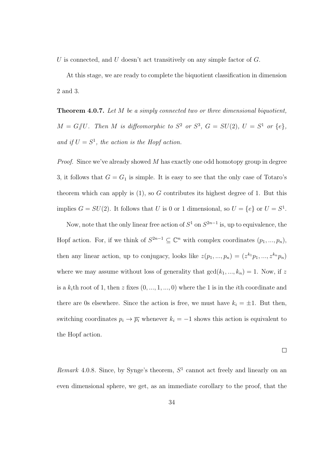U is connected, and U doesn't act transitively on any simple factor of  $G$ .

At this stage, we are ready to complete the biquotient classification in dimension 2 and 3.

Theorem 4.0.7. Let M be a simply connected two or three dimensional biquotient,  $M = G/U$ . Then M is diffeomorphic to  $S^2$  or  $S^3$ ,  $G = SU(2)$ ,  $U = S^1$  or  $\{e\}$ , and if  $U = S^1$ , the action is the Hopf action.

*Proof.* Since we've already showed M has exactly one odd homotopy group in degree 3, it follows that  $G = G_1$  is simple. It is easy to see that the only case of Totaro's theorem which can apply is  $(1)$ , so G contributes its highest degree of 1. But this implies  $G = SU(2)$ . It follows that U is 0 or 1 dimensional, so  $U = \{e\}$  or  $U = S^1$ .

Now, note that the only linear free action of  $S^1$  on  $S^{2n-1}$  is, up to equivalence, the Hopf action. For, if we think of  $S^{2n-1} \subseteq \mathbb{C}^n$  with complex coordinates  $(p_1, ..., p_n)$ , then any linear action, up to conjugacy, looks like  $z(p_1, ..., p_n) = (z^{k_1}p_1, ..., z^{k_n}p_n)$ where we may assume without loss of generality that  $gcd(k_1, ..., k_n) = 1$ . Now, if z is a  $k_i$ th root of 1, then z fixes  $(0, ..., 1, ..., 0)$  where the 1 is in the *i*th coordinate and there are 0s elsewhere. Since the action is free, we must have  $k_i = \pm 1$ . But then, switching coordinates  $p_i \to \overline{p_i}$  whenever  $k_i = -1$  shows this action is equivalent to the Hopf action.

 $\Box$ 

Remark 4.0.8. Since, by Synge's theorem,  $S<sup>1</sup>$  cannot act freely and linearly on an even dimensional sphere, we get, as an immediate corollary to the proof, that the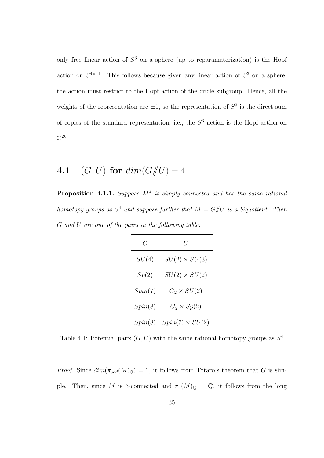only free linear action of  $S<sup>3</sup>$  on a sphere (up to reparamaterization) is the Hopf action on  $S^{4k-1}$ . This follows because given any linear action of  $S^3$  on a sphere, the action must restrict to the Hopf action of the circle subgroup. Hence, all the weights of the representation are  $\pm 1$ , so the representation of  $S^3$  is the direct sum of copies of the standard representation, i.e., the  $S<sup>3</sup>$  action is the Hopf action on  $\mathbb{C}^{2k}$ .

## 4.1 (G, U) for  $dim(G)/U = 4$

**Proposition 4.1.1.** Suppose  $M^4$  is simply connected and has the same rational homotopy groups as  $S^4$  and suppose further that  $M = G/U$  is a biquotient. Then G and U are one of the pairs in the following table.

| G       | H                      |
|---------|------------------------|
| SU(4)   | $SU(2) \times SU(3)$   |
| Sp(2)   | $SU(2) \times SU(2)$   |
| Spin(7) | $G_2 \times SU(2)$     |
| Spin(8) | $G_2 \times Sp(2)$     |
| Spin(8) | $Spin(7) \times SU(2)$ |

Table 4.1: Potential pairs  $(G, U)$  with the same rational homotopy groups as  $S<sup>4</sup>$ 

*Proof.* Since  $dim(\pi_{odd}(M)_{\mathbb{Q}}) = 1$ , it follows from Totaro's theorem that G is simple. Then, since M is 3-connected and  $\pi_4(M)_{\mathbb{Q}} = \mathbb{Q}$ , it follows from the long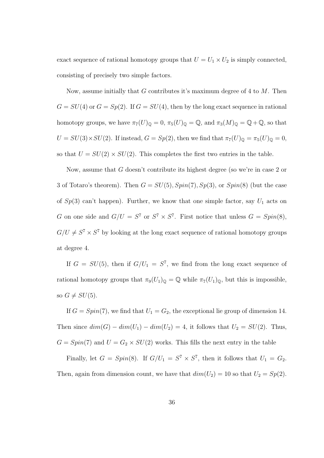exact sequence of rational homotopy groups that  $U = U_1 \times U_2$  is simply connected, consisting of precisely two simple factors.

Now, assume initially that G contributes it's maximum degree of 4 to  $M$ . Then  $G = SU(4)$  or  $G = Sp(2)$ . If  $G = SU(4)$ , then by the long exact sequence in rational homotopy groups, we have  $\pi_7(U)_\mathbb{Q} = 0$ ,  $\pi_5(U)_\mathbb{Q} = \mathbb{Q}$ , and  $\pi_3(M)_\mathbb{Q} = \mathbb{Q} + \mathbb{Q}$ , so that  $U = SU(3) \times SU(2)$ . If instead,  $G = Sp(2)$ , then we find that  $\pi_7(U)_{\mathbb{Q}} = \pi_5(U)_{\mathbb{Q}} = 0$ , so that  $U = SU(2) \times SU(2)$ . This completes the first two entries in the table.

Now, assume that G doesn't contribute its highest degree (so we're in case 2 or 3 of Totaro's theorem). Then  $G = SU(5), Spin(7), Sp(3),$  or  $Spin(8)$  (but the case of  $Sp(3)$  can't happen). Further, we know that one simple factor, say  $U_1$  acts on G on one side and  $G/U = S^7$  or  $S^7 \times S^7$ . First notice that unless  $G = Spin(8)$ ,  $G/U \neq S^7 \times S^7$  by looking at the long exact sequence of rational homotopy groups at degree 4.

If  $G = SU(5)$ , then if  $G/U_1 = S^7$ , we find from the long exact sequence of rational homotopy groups that  $\pi_9(U_1)_{\mathbb{Q}} = \mathbb{Q}$  while  $\pi_7(U_1)_{\mathbb{Q}}$ , but this is impossible, so  $G \neq SU(5)$ .

If  $G = Spin(7)$ , we find that  $U_1 = G_2$ , the exceptional lie group of dimension 14. Then since  $dim(G) - dim(U_1) - dim(U_2) = 4$ , it follows that  $U_2 = SU(2)$ . Thus,  $G = Spin(7)$  and  $U = G_2 \times SU(2)$  works. This fills the next entry in the table

Finally, let  $G = Spin(8)$ . If  $G/U_1 = S^7 \times S^7$ , then it follows that  $U_1 = G_2$ . Then, again from dimension count, we have that  $dim(U_2) = 10$  so that  $U_2 = Sp(2)$ .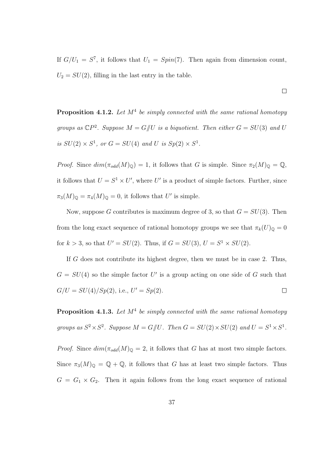If  $G/U_1 = S^7$ , it follows that  $U_1 = Spin(7)$ . Then again from dimension count,  $U_2 = SU(2)$ , filling in the last entry in the table.

**Proposition 4.1.2.** Let  $M^4$  be simply connected with the same rational homotopy groups as  $\mathbb{C}P^2$ . Suppose  $M = G/U$  is a biquotient. Then either  $G = SU(3)$  and U is  $SU(2) \times S^1$ , or  $G = SU(4)$  and U is  $Sp(2) \times S^1$ .

Proof. Since  $dim(\pi_{odd}(M)_{\mathbb{Q}}) = 1$ , it follows that G is simple. Since  $\pi_2(M)_{\mathbb{Q}} = \mathbb{Q}$ , it follows that  $U = S^1 \times U'$ , where U' is a product of simple factors. Further, since  $\pi_3(M)_{\mathbb{Q}} = \pi_4(M)_{\mathbb{Q}} = 0$ , it follows that U' is simple.

Now, suppose G contributes is maximum degree of 3, so that  $G = SU(3)$ . Then from the long exact sequence of rational homotopy groups we see that  $\pi_k(U)_{\mathbb{Q}} = 0$ for  $k > 3$ , so that  $U' = SU(2)$ . Thus, if  $G = SU(3)$ ,  $U = S^1 \times SU(2)$ .

If G does not contribute its highest degree, then we must be in case 2. Thus,  $G = SU(4)$  so the simple factor U' is a group acting on one side of G such that  $G/U = SU(4)/Sp(2)$ , i.e.,  $U' = Sp(2)$ .  $\Box$ 

**Proposition 4.1.3.** Let  $M^4$  be simply connected with the same rational homotopy groups as  $S^2 \times S^2$ . Suppose  $M = G/U$ . Then  $G = SU(2) \times SU(2)$  and  $U = S^1 \times S^1$ .

*Proof.* Since  $dim(\pi_{odd}(M)_{\mathbb{Q}} = 2$ , it follows that G has at most two simple factors. Since  $\pi_3(M)_{\mathbb{Q}} = \mathbb{Q} + \mathbb{Q}$ , it follows that G has at least two simple factors. Thus  $G = G_1 \times G_2$ . Then it again follows from the long exact sequence of rational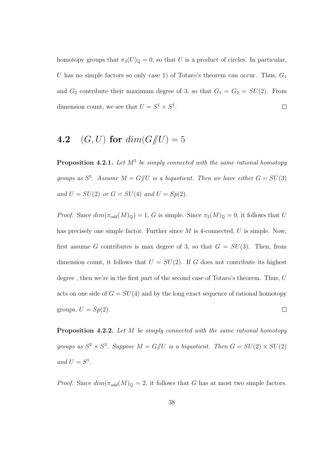homotopy groups that  $\pi_3(U)_{\mathbb{Q}} = 0$ , so that U is a product of circles. In particular, U has no simple factors so only case 1) of Totaro's theorem can occur. Thus,  $G_1$ and  $G_2$  contribute their maximum degree of 3, so that  $G_1 = G_2 = SU(2)$ . From dimension count, we see that  $U = S^1 \times S^1$ .  $\Box$ 

## 4.2 (G, U) for  $dim(G/\!\!/ U) = 5$

**Proposition 4.2.1.** Let  $M^5$  be simply connected with the same rational homotopy groups as  $S^5$ . Assume  $M = G/U$  is a biquotient. Then we have either  $G = SU(3)$ and  $U = SU(2)$  or  $G = SU(4)$  and  $U = Sp(2)$ .

*Proof.* Since  $dim(\pi_{odd}(M)_{\mathbb{Q}}) = 1$ , G is simple. Since  $\pi_3(M)_{\mathbb{Q}} = 0$ , it follows that U has precisely one simple factor. Further since  $M$  is 4-connected,  $U$  is simple. Now, first assume G contributes is max degree of 3, so that  $G = SU(3)$ . Then, from dimension count, it follows that  $U = SU(2)$ . If G does not contribute its highest degree, then we're in the first part of the second case of Totaro's theorem. Thus, U acts on one side of  $G = SU(4)$  and by the long exact sequence of rational homotopy groups,  $U = Sp(2)$ .  $\Box$ 

Proposition 4.2.2. Let M be simply connected with the same rational homotopy groups as  $S^2 \times S^3$ . Suppose  $M = G/\!\!/ U$  is a biquotient. Then  $G = SU(2) \times SU(2)$ and  $U = S^1$ .

*Proof.* Since  $dim(\pi_{odd}(M)_{\mathbb{Q}} = 2$ , it follows that G has at most two simple factors.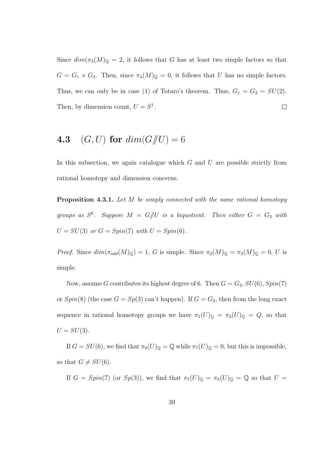Since  $dim(\pi_3(M)_{\mathbb{Q}} = 2$ , it follows that G has at least two simple factors so that  $G = G_1 \times G_2$ . Then, since  $\pi_4(M)_{\mathbb{Q}} = 0$ , it follows that U has no simple factors. Thus, we can only be in case (1) of Totaro's theorem. Thus,  $G_1 = G_2 = SU(2)$ . Then, by dimension count,  $U = S^1$ .  $\Box$ 

## 4.3 (G, U) for  $dim(G/\!\!/ U) = 6$

In this subsection, we again catalogue which  $G$  and  $U$  are possible strictly from rational homotopy and dimension concerns.

Proposition 4.3.1. Let M be simply connected with the same rational homotopy groups as  $S^6$ . Suppose  $M = G/U$  is a biquotient. Then either  $G = G_2$  with  $U = SU(3)$  or  $G = Spin(7)$  with  $U = Spin(6)$ .

*Proof.* Since  $dim(\pi_{odd}(M)_{\mathbb{Q}}) = 1$ , G is simple. Since  $\pi_2(M)_{\mathbb{Q}} = \pi_3(M)_{\mathbb{Q}} = 0$ , U is simple.

Now, assume G contributes its highest degree of 6. Then  $G = G_2$ ,  $SU(6)$ ,  $Spin(7)$ or  $Spin(8)$  (the case  $G = Sp(3)$  can't happen). If  $G = G_2$ , then from the long exact sequence in rational homotopy groups we have  $\pi_5(U)_{\mathbb{Q}} = \pi_3(U)_{\mathbb{Q}} = Q$ , so that  $U = SU(3)$ .

If  $G = SU(6)$ , we find that  $\pi_9(U)_\mathbb{Q} = \mathbb{Q}$  while  $\pi_7(U)_\mathbb{Q} = 0$ , but this is impossible, so that  $G \neq SU(6)$ .

If  $G = Spin(7)$  (or  $Sp(3)$ ), we find that  $\pi_7(U)_{\mathbb{Q}} = \pi_5(U)_{\mathbb{Q}} = \mathbb{Q}$  so that  $U =$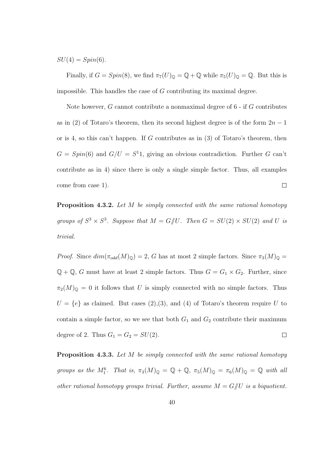$SU(4) = Spin(6)$ .

Finally, if  $G = Spin(8)$ , we find  $\pi_7(U)_{\mathbb{Q}} = \mathbb{Q} + \mathbb{Q}$  while  $\pi_5(U)_{\mathbb{Q}} = \mathbb{Q}$ . But this is impossible. This handles the case of  $G$  contributing its maximal degree.

Note however, G cannot contribute a nonmaximal degree of 6 - if G contributes as in (2) of Totaro's theorem, then its second highest degree is of the form  $2n - 1$ or is 4, so this can't happen. If  $G$  contributes as in  $(3)$  of Totaro's theorem, then  $G = Spin(6)$  and  $G/U = S<sup>1</sup>1$ , giving an obvious contradiction. Further G can't contribute as in 4) since there is only a single simple factor. Thus, all examples come from case 1).  $\Box$ 

Proposition 4.3.2. Let M be simply connected with the same rational homotopy groups of  $S^3 \times S^3$ . Suppose that  $M = G/U$ . Then  $G = SU(2) \times SU(2)$  and U is trivial.

*Proof.* Since  $dim(\pi_{odd}(M)_{\mathbb{Q}}) = 2$ , G has at most 2 simple factors. Since  $\pi_3(M)_{\mathbb{Q}} =$  $\mathbb{Q} + \mathbb{Q}$ , G must have at least 2 simple factors. Thus  $G = G_1 \times G_2$ . Further, since  $\pi_2(M)_{\mathbb{Q}} = 0$  it follows that U is simply connected with no simple factors. Thus  $U = \{e\}$  as claimed. But cases (2),(3), and (4) of Totaro's theorem require U to contain a simple factor, so we see that both  $G_1$  and  $G_2$  contribute their maximum degree of 2. Thus  $G_1 = G_2 = SU(2)$ .  $\Box$ 

Proposition 4.3.3. Let M be simply connected with the same rational homotopy groups as the  $M_1^6$ . That is,  $\pi_3(M)_{\mathbb{Q}} = \mathbb{Q} + \mathbb{Q}$ ,  $\pi_5(M)_{\mathbb{Q}} = \pi_6(M)_{\mathbb{Q}} = \mathbb{Q}$  with all other rational homotopy groups trivial. Further, assume  $M = G/U$  is a biquotient.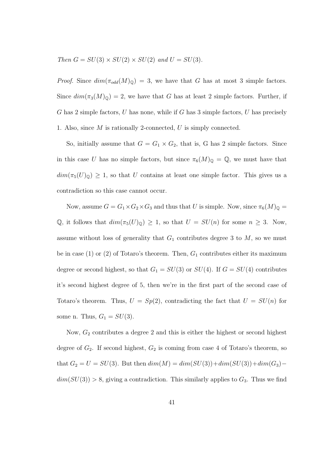Then  $G = SU(3) \times SU(2) \times SU(2)$  and  $U = SU(3)$ .

*Proof.* Since  $dim(\pi_{odd}(M)_{\mathbb{Q}}) = 3$ , we have that G has at most 3 simple factors. Since  $dim(\pi_3(M)_{\mathbb{Q}}) = 2$ , we have that G has at least 2 simple factors. Further, if G has 2 simple factors, U has none, while if G has 3 simple factors, U has precisely 1. Also, since M is rationally 2-connected, U is simply connected.

So, initially assume that  $G = G_1 \times G_2$ , that is, G has 2 simple factors. Since in this case U has no simple factors, but since  $\pi_6(M)_{\mathbb{Q}} = \mathbb{Q}$ , we must have that  $dim(\pi_5(U)_{\mathbb{Q}}) \geq 1$ , so that U contains at least one simple factor. This gives us a contradiction so this case cannot occur.

Now, assume  $G = G_1 \times G_2 \times G_3$  and thus that U is simple. Now, since  $\pi_6(M)_{\mathbb{Q}} =$ Q, it follows that  $dim(\pi_5(U)_\mathbb{Q}) \geq 1$ , so that  $U = SU(n)$  for some  $n \geq 3$ . Now, assume without loss of generality that  $G_1$  contributes degree 3 to  $M$ , so we must be in case (1) or (2) of Totaro's theorem. Then,  $G_1$  contributes either its maximum degree or second highest, so that  $G_1 = SU(3)$  or  $SU(4)$ . If  $G = SU(4)$  contributes it's second highest degree of 5, then we're in the first part of the second case of Totaro's theorem. Thus,  $U = Sp(2)$ , contradicting the fact that  $U = SU(n)$  for some n. Thus,  $G_1 = SU(3)$ .

Now,  $G_2$  contributes a degree 2 and this is either the highest or second highest degree of  $G_2$ . If second highest,  $G_2$  is coming from case 4 of Totaro's theorem, so that  $G_2 = U = SU(3)$ . But then  $dim(M) = dim(SU(3)) + dim(SU(3)) + dim(G_3)$  $dim(SU(3)) > 8$ , giving a contradiction. This similarly applies to  $G_3$ . Thus we find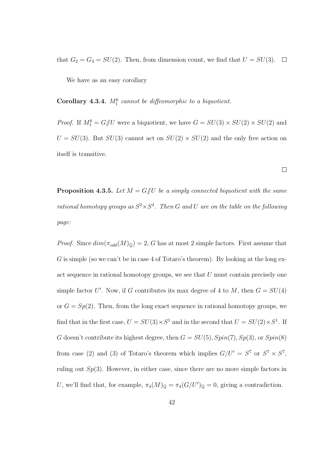that  $G_2 = G_3 = SU(2)$ . Then, from dimension count, we find that  $U = SU(3)$ .  $\Box$ 

We have as an easy corollary

Corollary 4.3.4.  $M_1^6$  cannot be diffeomorphic to a biquotient.

*Proof.* If  $M_1^6 = G/U$  were a biquotient, we have  $G = SU(3) \times SU(2) \times SU(2)$  and  $U = SU(3)$ . But  $SU(3)$  cannot act on  $SU(2) \times SU(2)$  and the only free action on itself is transitive.

 $\Box$ 

**Proposition 4.3.5.** Let  $M = G/U$  be a simply connected biquotient with the same rational homotopy groups as  $S^2 \times S^4$ . Then G and U are on the table on the following page:

*Proof.* Since  $dim(\pi_{odd}(M)_{\mathbb{Q}}) = 2$ , G has at most 2 simple factors. First assume that G is simple (so we can't be in case 4 of Totaro's theorem). By looking at the long exact sequence in rational homotopy groups, we see that U must contain precisely one simple factor U'. Now, if G contributes its max degree of 4 to M, then  $G = SU(4)$ or  $G = Sp(2)$ . Then, from the long exact sequence in rational homotopy groups, we find that in the first case,  $U = SU(3) \times S^1$  and in the second that  $U = SU(2) \times S^1$ . If G doesn't contribute its highest degree, then  $G = SU(5)$ ,  $Spin(7)$ ,  $Sp(3)$ , or  $Spin(8)$ from case (2) and (3) of Totaro's theorem which implies  $G/U' = S^7$  or  $S^7 \times S^7$ , ruling out  $Sp(3)$ . However, in either case, since there are no more simple factors in U, we'll find that, for example,  $\pi_4(M)_{\mathbb{Q}} = \pi_4(G/U')_{\mathbb{Q}} = 0$ , giving a contradiction.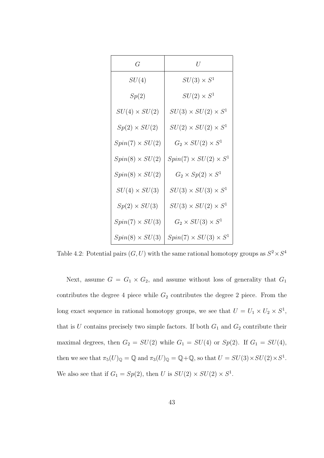| $G\,$                  | $\,$                              |
|------------------------|-----------------------------------|
| SU(4)                  | $SU(3) \times S^1$                |
| Sp(2)                  | $SU(2) \times S^1$                |
| $SU(4) \times SU(2)$   | $SU(3)\times SU(2)\times S^1$     |
| $Sp(2) \times SU(2)$   | $SU(2)\times SU(2)\times S^1$     |
| $Spin(7) \times SU(2)$ | $G_2 \times SU(2) \times S^1$     |
| $Spin(8) \times SU(2)$ | $Spin(7) \times SU(2) \times S^1$ |
| $Spin(8) \times SU(2)$ | $G_2 \times Sp(2) \times S^1$     |
| $SU(4) \times SU(3)$   | $SU(3)\times SU(3)\times S^1$     |
| $Sp(2) \times SU(3)$   | $SU(3) \times SU(2) \times S^1$   |
| $Spin(7) \times SU(3)$ | $G_2 \times SU(3) \times S^1$     |
| $Spin(8) \times SU(3)$ | $Spin(7) \times SU(3) \times S^1$ |

Table 4.2: Potential pairs  $(G, U)$  with the same rational homotopy groups as  $S^2 \times S^4$ 

Next, assume  $G = G_1 \times G_2$ , and assume without loss of generality that  $G_1$ contributes the degree 4 piece while  $G_2$  contributes the degree 2 piece. From the long exact sequence in rational homotopy groups, we see that  $U = U_1 \times U_2 \times S^1$ , that is  $U$  contains precisely two simple factors. If both  $G_1$  and  $G_2$  contribute their maximal degrees, then  $G_2 = SU(2)$  while  $G_1 = SU(4)$  or  $Sp(2)$ . If  $G_1 = SU(4)$ , then we see that  $\pi_5(U)_{\mathbb{Q}} = \mathbb{Q}$  and  $\pi_3(U)_{\mathbb{Q}} = \mathbb{Q} + \mathbb{Q}$ , so that  $U = SU(3) \times SU(2) \times S^1$ . We also see that if  $G_1 = Sp(2)$ , then U is  $SU(2) \times SU(2) \times S^1$ .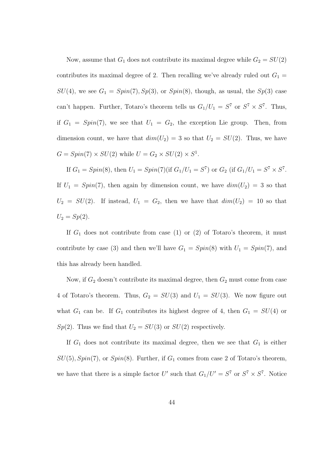Now, assume that  $G_1$  does not contribute its maximal degree while  $G_2 = SU(2)$ contributes its maximal degree of 2. Then recalling we've already ruled out  $G_1 =$  $SU(4)$ , we see  $G_1 = Spin(7), Sp(3)$ , or  $Spin(8)$ , though, as usual, the  $Sp(3)$  case can't happen. Further, Totaro's theorem tells us  $G_1/U_1 = S^7$  or  $S^7 \times S^7$ . Thus, if  $G_1 = Spin(7)$ , we see that  $U_1 = G_2$ , the exception Lie group. Then, from dimension count, we have that  $dim(U_2) = 3$  so that  $U_2 = SU(2)$ . Thus, we have  $G = Spin(7) \times SU(2)$  while  $U = G_2 \times SU(2) \times S^1$ .

If  $G_1 = Spin(8)$ , then  $U_1 = Spin(7)$  (if  $G_1/U_1 = S^7$ ) or  $G_2$  (if  $G_1/U_1 = S^7 \times S^7$ . If  $U_1 = Spin(7)$ , then again by dimension count, we have  $dim(U_2) = 3$  so that  $U_2 = SU(2)$ . If instead,  $U_1 = G_2$ , then we have that  $dim(U_2) = 10$  so that  $U_2 = Sp(2)$ .

If  $G_1$  does not contribute from case (1) or (2) of Totaro's theorem, it must contribute by case (3) and then we'll have  $G_1 = Spin(8)$  with  $U_1 = Spin(7)$ , and this has already been handled.

Now, if  $G_2$  doesn't contribute its maximal degree, then  $G_2$  must come from case 4 of Totaro's theorem. Thus,  $G_2 = SU(3)$  and  $U_1 = SU(3)$ . We now figure out what  $G_1$  can be. If  $G_1$  contributes its highest degree of 4, then  $G_1 = SU(4)$  or  $Sp(2)$ . Thus we find that  $U_2 = SU(3)$  or  $SU(2)$  respectively.

If  $G_1$  does not contribute its maximal degree, then we see that  $G_1$  is either  $SU(5), Spin(7)$ , or  $Spin(8)$ . Further, if  $G_1$  comes from case 2 of Totaro's theorem, we have that there is a simple factor U' such that  $G_1/U = S^7$  or  $S^7 \times S^7$ . Notice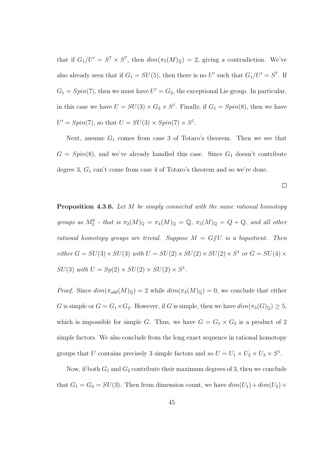that if  $G_1/U' = S^7 \times S^7$ , then  $dim(\pi_7(M)_{\mathbb{Q}}) = 2$ , giving a contradiction. We've also already seen that if  $G_1 = SU(5)$ , then there is no U' such that  $G_1/U' = S^7$ . If  $G_1 = Spin(7)$ , then we must have  $U' = G_2$ , the exceptional Lie group. In particular, in this case we have  $U = SU(3) \times G_2 \times S^1$ . Finally, if  $G_1 = Spin(8)$ , then we have  $U' = Spin(7)$ , so that  $U = SU(3) \times Spin(7) \times S^1$ .

Next, assume  $G_1$  comes from case 3 of Totaro's theorem. Then we see that  $G = Spin(8)$ , and we've already handled this case. Since  $G_1$  doesn't contribute degree 3,  $G_1$  can't come from case 4 of Totaro's theorem and so we're done.

 $\Box$ 

**Proposition 4.3.6.** Let M be simply connected with the same rational homotopy groups as  $M_2^6$  - that is  $\pi_2(M)_{\mathbb{Q}} = \pi_4(M)_{\mathbb{Q}} = \mathbb{Q}$ ,  $\pi_5(M)_{\mathbb{Q}} = Q + Q$ , and all other rational homotopy groups are trivial. Suppose  $M = G/U$  is a biquotient. Then either  $G = SU(3) \times SU(3)$  with  $U = SU(2) \times SU(2) \times SU(2) \times S^1$  or  $G = SU(4) \times$  $SU(3)$  with  $U = Sp(2) \times SU(2) \times SU(2) \times S^1$ .

*Proof.* Since  $dim(\pi_{odd}(M)_{\mathbb{Q}}) = 2$  while  $dim(\pi_3(M)_{\mathbb{Q}}) = 0$ , we conclude that either G is simple or  $G = G_1 \times G_2$ . However, if G is simple, then we have  $dim(\pi_5(G)_{\mathbb{Q}}) \geq 5$ , which is impossible for simple G. Thus, we have  $G = G_1 \times G_2$  is a product of 2 simple factors. We also conclude from the long exact sequence in rational homotopy groups that U contains precisely 3 simple factors and so  $U = U_1 \times U_2 \times U_3 \times S^1$ .

Now, if both  $G_1$  and  $G_2$  contribute their maximum degrees of 3, then we conclude that  $G_1 = G_2 = SU(3)$ . Then from dimension count, we have  $dim(U_1) + dim(U_2) +$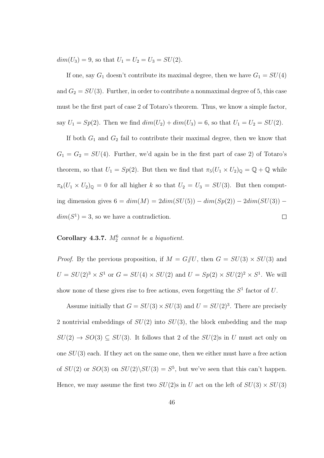$dim(U_3) = 9$ , so that  $U_1 = U_2 = U_3 = SU(2)$ .

If one, say  $G_1$  doesn't contribute its maximal degree, then we have  $G_1 = SU(4)$ and  $G_2 = SU(3)$ . Further, in order to contribute a nonmaximal degree of 5, this case must be the first part of case 2 of Totaro's theorem. Thus, we know a simple factor, say  $U_1 = Sp(2)$ . Then we find  $dim(U_2) + dim(U_3) = 6$ , so that  $U_1 = U_2 = SU(2)$ .

If both  $G_1$  and  $G_2$  fail to contribute their maximal degree, then we know that  $G_1 = G_2 = SU(4)$ . Further, we'd again be in the first part of case 2) of Totaro's theorem, so that  $U_1 = Sp(2)$ . But then we find that  $\pi_5(U_1 \times U_2)_{\mathbb{Q}} = \mathbb{Q} + \mathbb{Q}$  while  $\pi_k(U_1 \times U_2)_{\mathbb{Q}} = 0$  for all higher k so that  $U_2 = U_3 = SU(3)$ . But then computing dimension gives  $6 = dim(M) = 2dim(SU(5)) - dim(Sp(2)) - 2dim(SU(3))$  $dim(S^1) = 3$ , so we have a contradiction.  $\Box$ 

#### Corollary 4.3.7.  $M_2^6$  cannot be a biquotient.

*Proof.* By the previous proposition, if  $M = G/U$ , then  $G = SU(3) \times SU(3)$  and  $U = SU(2)^3 \times S^1$  or  $G = SU(4) \times SU(2)$  and  $U = Sp(2) \times SU(2)^2 \times S^1$ . We will show none of these gives rise to free actions, even forgetting the  $S<sup>1</sup>$  factor of U.

Assume initially that  $G = SU(3) \times SU(3)$  and  $U = SU(2)^3$ . There are precisely 2 nontrivial embeddings of  $SU(2)$  into  $SU(3)$ , the block embedding and the map  $SU(2) \rightarrow SO(3) \subseteq SU(3)$ . It follows that 2 of the  $SU(2)$ s in U must act only on one  $SU(3)$  each. If they act on the same one, then we either must have a free action of  $SU(2)$  or  $SO(3)$  on  $SU(2)\backslash SU(3) = S^5$ , but we've seen that this can't happen. Hence, we may assume the first two  $SU(2)$ s in U act on the left of  $SU(3) \times SU(3)$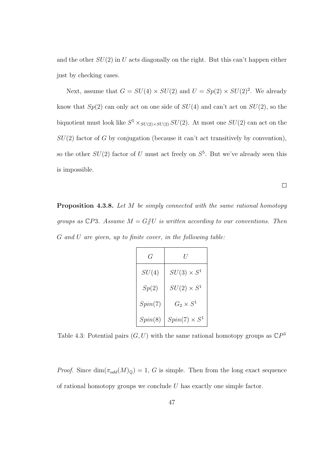and the other  $SU(2)$  in U acts diagonally on the right. But this can't happen either just by checking cases.

Next, assume that  $G = SU(4) \times SU(2)$  and  $U = Sp(2) \times SU(2)^2$ . We already know that  $Sp(2)$  can only act on one side of  $SU(4)$  and can't act on  $SU(2)$ , so the biquotient must look like  $S^5 \times_{SU(2) \times SU(2)} SU(2)$ . At most one  $SU(2)$  can act on the  $SU(2)$  factor of G by conjugation (because it can't act transitively by convention), so the other  $SU(2)$  factor of U must act freely on  $S^5$ . But we've already seen this is impossible.

 $\Box$ 

Proposition 4.3.8. Let M be simply connected with the same rational homotopy groups as  $\mathbb{C}P3$ . Assume  $M = G/U$  is written according to our conventions. Then G and U are given, up to finite cover, in the following table:

| G       |                      |
|---------|----------------------|
| SU(4)   | $SU(3)\times S^1$    |
| Sp(2)   | $SU(2)\times S^1$    |
| Spin(7) | $G_2 \times S^1$     |
| Spin(8) | $Spin(7) \times S^1$ |

Table 4.3: Potential pairs  $(G, U)$  with the same rational homotopy groups as  $\mathbb{C}P^3$ 

*Proof.* Since  $\dim(\pi_{odd}(M)_{\mathbb{Q}}) = 1$ , G is simple. Then from the long exact sequence of rational homotopy groups we conclude  $U$  has exactly one simple factor.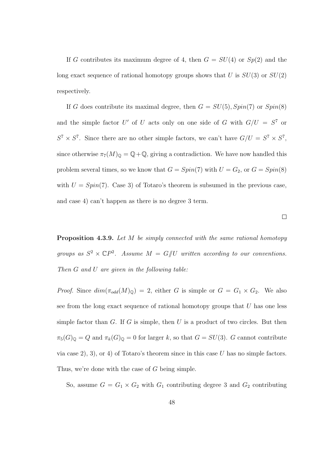If G contributes its maximum degree of 4, then  $G = SU(4)$  or  $Sp(2)$  and the long exact sequence of rational homotopy groups shows that U is  $SU(3)$  or  $SU(2)$ respectively.

If G does contribute its maximal degree, then  $G = SU(5), Spin(7)$  or  $Spin(8)$ and the simple factor U' of U acts only on one side of G with  $G/U = S^7$  or  $S^7 \times S^7$ . Since there are no other simple factors, we can't have  $G/U = S^7 \times S^7$ , since otherwise  $\pi_7(M)_{\mathbb{Q}} = \mathbb{Q} + \mathbb{Q}$ , giving a contradiction. We have now handled this problem several times, so we know that  $G = Spin(7)$  with  $U = G_2$ , or  $G = Spin(8)$ with  $U = Spin(7)$ . Case 3) of Totaro's theorem is subsumed in the previous case, and case 4) can't happen as there is no degree 3 term.

 $\Box$ 

**Proposition 4.3.9.** Let M be simply connected with the same rational homotopy groups as  $S^2 \times \mathbb{C}P^2$ . Assume  $M = G/\hspace{-3pt}/ U$  written according to our conventions. Then G and U are given in the following table:

*Proof.* Since  $dim(\pi_{odd}(M)_{\mathbb{Q}}) = 2$ , either G is simple or  $G = G_1 \times G_2$ . We also see from the long exact sequence of rational homotopy groups that U has one less simple factor than  $G$ . If  $G$  is simple, then  $U$  is a product of two circles. But then  $\pi_5(G)_{\mathbb{Q}} = Q$  and  $\pi_k(G)_{\mathbb{Q}} = 0$  for larger k, so that  $G = SU(3)$ . G cannot contribute via case 2), 3), or 4) of Totaro's theorem since in this case  $U$  has no simple factors. Thus, we're done with the case of G being simple.

So, assume  $G = G_1 \times G_2$  with  $G_1$  contributing degree 3 and  $G_2$  contributing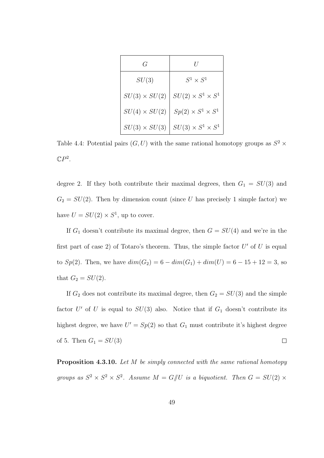| G                    |                               |
|----------------------|-------------------------------|
| SU(3)                | $S^1 \times S^1$              |
| $SU(3) \times SU(2)$ | $SU(2) \times S^1 \times S^1$ |
| $SU(4) \times SU(2)$ | $Sp(2)\times S^1\times S^1$   |
| $SU(3) \times SU(3)$ | $SU(3) \times S^1 \times S^1$ |

Table 4.4: Potential pairs  $(G, U)$  with the same rational homotopy groups as  $S^2$  ×  $\mathbb{C}P^2$ .

degree 2. If they both contribute their maximal degrees, then  $G_1 = SU(3)$  and  $G_2 = SU(2)$ . Then by dimension count (since U has precisely 1 simple factor) we have  $U = SU(2) \times S^1$ , up to cover.

If  $G_1$  doesn't contribute its maximal degree, then  $G = SU(4)$  and we're in the first part of case 2) of Totaro's theorem. Thus, the simple factor  $U'$  of  $U$  is equal to  $Sp(2)$ . Then, we have  $dim(G_2) = 6 - dim(G_1) + dim(U) = 6 - 15 + 12 = 3$ , so that  $G_2 = SU(2)$ .

If  $G_2$  does not contribute its maximal degree, then  $G_2 = SU(3)$  and the simple factor U' of U is equal to  $SU(3)$  also. Notice that if  $G_1$  doesn't contribute its highest degree, we have  $U' = Sp(2)$  so that  $G_1$  must contribute it's highest degree of 5. Then  $G_1 = SU(3)$  $\Box$ 

**Proposition 4.3.10.** Let M be simply connected with the same rational homotopy groups as  $S^2 \times S^2 \times S^2$ . Assume  $M = G/\!\!/ U$  is a biquotient. Then  $G = SU(2) \times$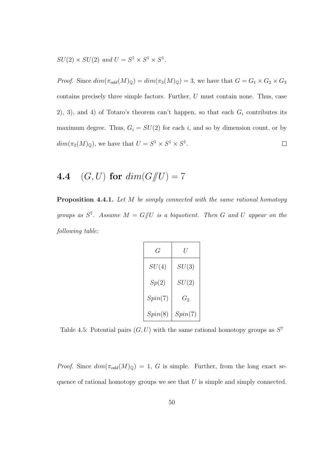$SU(2) \times SU(2)$  and  $U = S^1 \times S^1 \times S^1$ .

*Proof.* Since  $dim(\pi_{odd}(M)_{\mathbb{Q}}) = dim(\pi_3(M)_{\mathbb{Q}}) = 3$ , we have that  $G = G_1 \times G_2 \times G_3$ contains precisely three simple factors. Further, U must contain none. Thus, case 2), 3), and 4) of Totaro's theorem can't happen, so that each  $G_i$  contributes its maximum degree. Thus,  $G_i = SU(2)$  for each i, and so by dimension count, or by  $dim(\pi_2(M)_{\mathbb{Q}})$ , we have that  $U = S^1 \times S^1 \times S^1$ .  $\Box$ 

## 4.4 (G, U) for  $dim(G)/U = 7$

Proposition 4.4.1. Let M be simply connected with the same rational homotopy groups as  $S^7$ . Assume  $M = G/U$  is a biquotient. Then G and U appear on the following table:

| G       | U       |
|---------|---------|
| SU(4)   | SU(3)   |
| Sp(2)   | SU(2)   |
| Spin(7) | $G_2$   |
| Spin(8) | Spin(7) |

Table 4.5: Potential pairs  $(G, U)$  with the same rational homotopy groups as  $S<sup>7</sup>$ 

*Proof.* Since  $dim(\pi_{odd}(M)_{\mathbb{Q}}) = 1$ , G is simple. Further, from the long exact sequence of rational homotopy groups we see that  $U$  is simple and simply connected.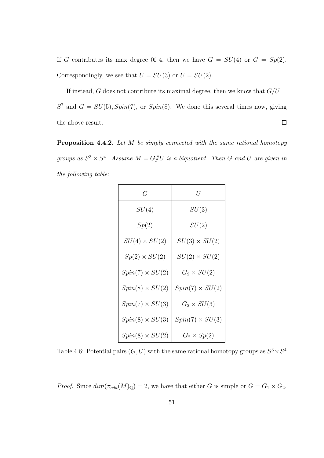If G contributes its max degree 0f 4, then we have  $G = SU(4)$  or  $G = Sp(2)$ . Correspondingly, we see that  $U = SU(3)$  or  $U = SU(2)$ .

If instead, G does not contribute its maximal degree, then we know that  $G/U =$  $S<sup>7</sup>$  and  $G = SU(5), Spin(7),$  or  $Spin(8)$ . We done this several times now, giving the above result.  $\Box$ 

Proposition 4.4.2. Let M be simply connected with the same rational homotopy groups as  $S^3 \times S^4$ . Assume  $M = G/\!\!/ U$  is a biquotient. Then G and U are given in the following table:

| G                      | U                      |
|------------------------|------------------------|
| SU(4)                  | SU(3)                  |
| Sp(2)                  | SU(2)                  |
| $SU(4) \times SU(2)$   | $SU(3) \times SU(2)$   |
| $Sp(2) \times SU(2)$   | $SU(2) \times SU(2)$   |
| $Spin(7) \times SU(2)$ | $G_2 \times SU(2)$     |
| $Spin(8) \times SU(2)$ | $Spin(7) \times SU(2)$ |
| $Spin(7) \times SU(3)$ | $G_2 \times SU(3)$     |
| $Spin(8) \times SU(3)$ | $Spin(7) \times SU(3)$ |
| $Spin(8) \times SU(2)$ | $G_2 \times Sp(2)$     |

Table 4.6: Potential pairs  $(G, U)$  with the same rational homotopy groups as  $S^3 \times S^4$ 

*Proof.* Since  $dim(\pi_{odd}(M)_{\mathbb{Q}}) = 2$ , we have that either G is simple or  $G = G_1 \times G_2$ .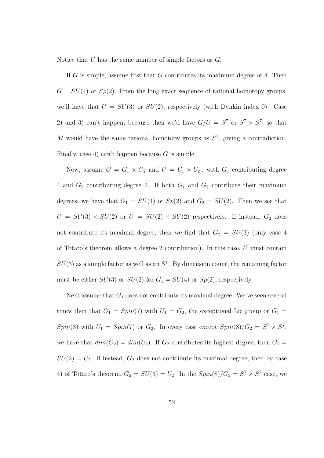Notice that U has the same number of simple factors as G.

If  $G$  is simple, assume first that  $G$  contributes its maximum degree of 4. Then  $G = SU(4)$  or  $Sp(2)$ . From the long exact sequence of rational homotopy groups, we'll have that  $U = SU(3)$  or  $SU(2)$ , respectively (with Dynkin index 0). Case 2) and 3) can't happen, because then we'd have  $G/U = S^7$  or  $S^7 \times S^7$ , so that M would have the same rational homotopy groups as  $S^7$ , giving a contradiction. Finally, case 4) can't happen because  $G$  is simple.

Now, assume  $G = G_1 \times G_2$  and  $U = U_1 \times U_2$ ., with  $G_1$  contributing degree 4 and  $G_2$  contributing degree 2. If both  $G_1$  and  $G_2$  contribute their maximum degrees, we have that  $G_1 = SU(4)$  or  $Sp(2)$  and  $G_2 = SU(2)$ . Then we see that  $U = SU(3) \times SU(2)$  or  $U = SU(2) \times SU(2)$  respectively. If instead,  $G_2$  does not contribute its maximal degree, then we find that  $G_2 = SU(3)$  (only case 4 of Totaro's theorem allows a degree 2 contribution). In this case, U must contain  $SU(3)$  as a simple factor as well as an  $S<sup>1</sup>$ . By dimension count, the remaining factor must be either  $SU(3)$  or  $SU(2)$  for  $G_1 = SU(4)$  or  $Sp(2)$ , respectively.

Next assume that  $G_1$  does not contribute its maximal degree. We've seen several times then that  $G_1 = Spin(7)$  with  $U_1 = G_2$ , the exceptional Lie group or  $G_1$  $Spin(8)$  with  $U_1 = Spin(7)$  or  $G_2$ . In every case except  $Spin(8)/G_2 = S^7 \times S^7$ , we have that  $dim(G_2) = dim(U_2)$ . If  $G_2$  contributes its highest degree, then  $G_2 =$  $SU(2) = U_2$ . If instead,  $G_2$  does not contribute its maximal degree, then by case 4) of Totaro's theorem,  $G_2 = SU(3) = U_2$ . In the  $Spin(8)/G_2 = S^7 \times S^7$  case, we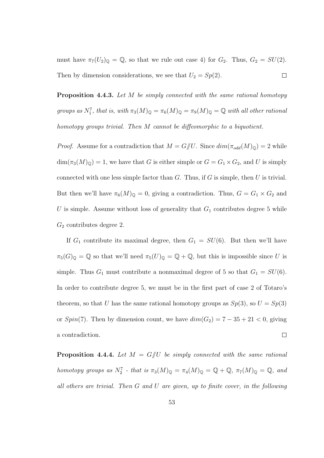must have  $\pi_7(U_2)_{\mathbb{Q}} = \mathbb{Q}$ , so that we rule out case 4) for  $G_2$ . Thus,  $G_2 = SU(2)$ . Then by dimension considerations, we see that  $U_2 = Sp(2)$ .  $\Box$ 

Proposition 4.4.3. Let M be simply connected with the same rational homotopy groups as  $N_1^7$ , that is, with  $\pi_3(M)_{\mathbb{Q}} = \pi_6(M)_{\mathbb{Q}} = \pi_9(M)_{\mathbb{Q}} = \mathbb{Q}$  with all other rational homotopy groups trivial. Then M cannot be diffeomorphic to a biquotient.

*Proof.* Assume for a contradiction that  $M = G/U$ . Since  $dim(\pi_{odd}(M)_{\mathbb{Q}}) = 2$  while  $\dim(\pi_3(M)_{\mathbb{Q}}) = 1$ , we have that G is either simple or  $G = G_1 \times G_2$ , and U is simply connected with one less simple factor than  $G$ . Thus, if  $G$  is simple, then  $U$  is trivial. But then we'll have  $\pi_6(M)_{\mathbb{Q}} = 0$ , giving a contradiction. Thus,  $G = G_1 \times G_2$  and U is simple. Assume without loss of generality that  $G_1$  contributes degree 5 while  $G_2$  contributes degree 2.

If  $G_1$  contribute its maximal degree, then  $G_1 = SU(6)$ . But then we'll have  $\pi_5(G)_{\mathbb{Q}} = \mathbb{Q}$  so that we'll need  $\pi_5(U)_{\mathbb{Q}} = \mathbb{Q} + \mathbb{Q}$ , but this is impossible since U is simple. Thus  $G_1$  must contribute a nonmaximal degree of 5 so that  $G_1 = SU(6)$ . In order to contribute degree 5, we must be in the first part of case 2 of Totaro's theorem, so that U has the same rational homotopy groups as  $Sp(3)$ , so  $U = Sp(3)$ or  $Spin(7)$ . Then by dimension count, we have  $dim(G_2) = 7 - 35 + 21 < 0$ , giving a contradiction.  $\Box$ 

**Proposition 4.4.4.** Let  $M = G/U$  be simply connected with the same rational homotopy groups as  $N_2^7$  - that is  $\pi_3(M)_{\mathbb{Q}} = \pi_4(M)_{\mathbb{Q}} = \mathbb{Q} + \mathbb{Q}$ ,  $\pi_7(M)_{\mathbb{Q}} = \mathbb{Q}$ , and all others are trivial. Then G and U are given, up to finite cover, in the following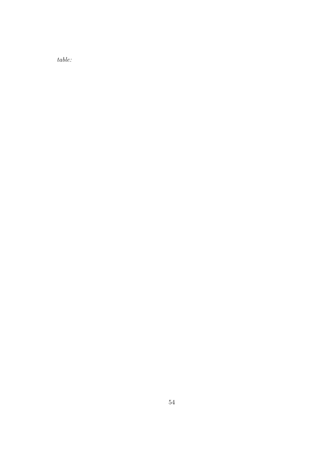table: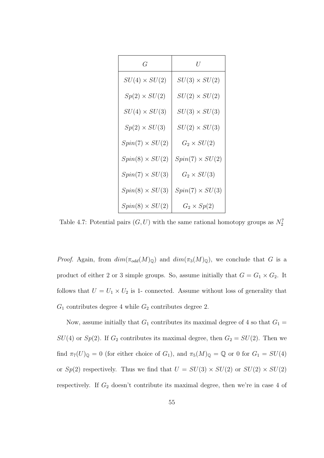| G                      | $\cal U$               |
|------------------------|------------------------|
| $SU(4)\times SU(2)$    | $SU(3) \times SU(2)$   |
| $Sp(2) \times SU(2)$   | $SU(2)\times SU(2)$    |
| $SU(4) \times SU(3)$   | $SU(3) \times SU(3)$   |
| $Sp(2) \times SU(3)$   | $SU(2) \times SU(3)$   |
| $Spin(7) \times SU(2)$ | $G_2 \times SU(2)$     |
| $Spin(8) \times SU(2)$ | $Spin(7) \times SU(2)$ |
| $Spin(7) \times SU(3)$ | $G_2 \times SU(3)$     |
| $Spin(8) \times SU(3)$ | $Spin(7) \times SU(3)$ |
| $Spin(8) \times SU(2)$ | $G_2 \times Sp(2)$     |

Table 4.7: Potential pairs  $(G, U)$  with the same rational homotopy groups as  $N_2^7$ 

*Proof.* Again, from  $dim(\pi_{odd}(M)_{\mathbb{Q}})$  and  $dim(\pi_3(M)_{\mathbb{Q}})$ , we conclude that G is a product of either 2 or 3 simple groups. So, assume initially that  $G = G_1 \times G_2$ . It follows that  $U = U_1 \times U_2$  is 1- connected. Assume without loss of generality that  $G_1$  contributes degree 4 while  $G_2$  contributes degree 2.

Now, assume initially that  $G_1$  contributes its maximal degree of 4 so that  $G_1$  =  $SU(4)$  or  $Sp(2)$ . If  $G_2$  contributes its maximal degree, then  $G_2 = SU(2)$ . Then we find  $\pi_7(U)_\mathbb{Q} = 0$  (for either choice of  $G_1$ ), and  $\pi_5(M)_\mathbb{Q} = \mathbb{Q}$  or 0 for  $G_1 = SU(4)$ or  $Sp(2)$  respectively. Thus we find that  $U = SU(3) \times SU(2)$  or  $SU(2) \times SU(2)$ respectively. If  $G_2$  doesn't contribute its maximal degree, then we're in case 4 of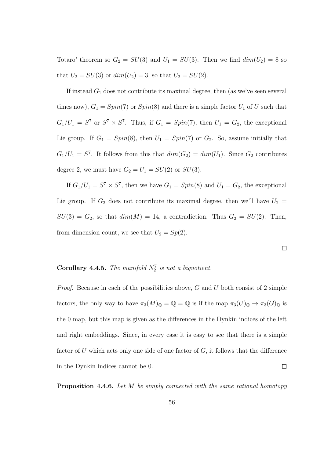Totaro' theorem so  $G_2 = SU(3)$  and  $U_1 = SU(3)$ . Then we find  $dim(U_2) = 8$  so that  $U_2 = SU(3)$  or  $dim(U_2) = 3$ , so that  $U_2 = SU(2)$ .

If instead  $G_1$  does not contribute its maximal degree, then (as we've seen several times now),  $G_1 = Spin(7)$  or  $Spin(8)$  and there is a simple factor  $U_1$  of U such that  $G_1/U_1 = S^7$  or  $S^7 \times S^7$ . Thus, if  $G_1 = Spin(7)$ , then  $U_1 = G_2$ , the exceptional Lie group. If  $G_1 = Spin(8)$ , then  $U_1 = Spin(7)$  or  $G_2$ . So, assume initially that  $G_1/U_1 = S^7$ . It follows from this that  $dim(G_2) = dim(U_1)$ . Since  $G_2$  contributes degree 2, we must have  $G_2 = U_1 = SU(2)$  or  $SU(3)$ .

If  $G_1/U_1 = S^7 \times S^7$ , then we have  $G_1 = Spin(8)$  and  $U_1 = G_2$ , the exceptional Lie group. If  $G_2$  does not contribute its maximal degree, then we'll have  $U_2 =$  $SU(3) = G_2$ , so that  $dim(M) = 14$ , a contradiction. Thus  $G_2 = SU(2)$ . Then, from dimension count, we see that  $U_2 = Sp(2)$ .

 $\Box$ 

#### **Corollary 4.4.5.** The manifold  $N_2^7$  is not a biquotient.

*Proof.* Because in each of the possibilities above,  $G$  and  $U$  both consist of 2 simple factors, the only way to have  $\pi_3(M)_{\mathbb{Q}} = \mathbb{Q} = \mathbb{Q}$  is if the map  $\pi_3(U)_{\mathbb{Q}} \to \pi_3(G)_{\mathbb{Q}}$  is the 0 map, but this map is given as the differences in the Dynkin indices of the left and right embeddings. Since, in every case it is easy to see that there is a simple factor of U which acts only one side of one factor of  $G$ , it follows that the difference in the Dynkin indices cannot be 0.  $\Box$ 

Proposition 4.4.6. Let M be simply connected with the same rational homotopy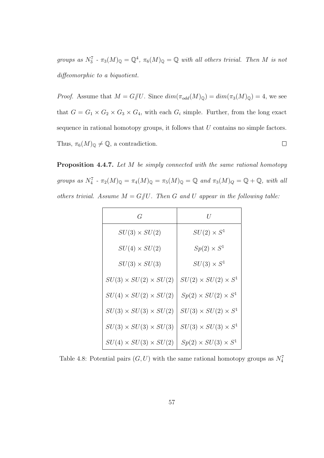groups as  $N_3^7$  -  $\pi_3(M)_{\mathbb{Q}} = \mathbb{Q}^4$ ,  $\pi_6(M)_{\mathbb{Q}} = \mathbb{Q}$  with all others trivial. Then M is not diffeomorphic to a biquotient.

*Proof.* Assume that  $M = G/U$ . Since  $dim(\pi_{odd}(M)_{\mathbb{Q}}) = dim(\pi_3(M)_{\mathbb{Q}}) = 4$ , we see that  $G = G_1 \times G_2 \times G_3 \times G_4$ , with each  $G_i$  simple. Further, from the long exact sequence in rational homotopy groups, it follows that U contains no simple factors. Thus,  $\pi_6(M)_{\mathbb{Q}} \neq \mathbb{Q}$ , a contradiction.  $\Box$ 

Proposition 4.4.7. Let M be simply connected with the same rational homotopy groups as  $N_4^7$  -  $\pi_2(M)_{\mathbb{Q}} = \pi_4(M)_{\mathbb{Q}} = \pi_5(M)_{\mathbb{Q}} = \mathbb{Q}$  and  $\pi_3(M)_{\mathbb{Q}} = \mathbb{Q} + \mathbb{Q}$ , with all others trivial. Assume  $M = G/U$ . Then G and U appear in the following table:

| G                                 | U                               |
|-----------------------------------|---------------------------------|
| $SU(3) \times SU(2)$              | $SU(2) \times S^1$              |
| $SU(4) \times SU(2)$              | $Sp(2) \times S^1$              |
| $SU(3) \times SU(3)$              | $SU(3) \times S^1$              |
| $SU(3) \times SU(2) \times SU(2)$ | $SU(2) \times SU(2) \times S^1$ |
| $SU(4) \times SU(2) \times SU(2)$ | $Sp(2) \times SU(2) \times S^1$ |
| $SU(3) \times SU(3) \times SU(2)$ | $SU(3)\times SU(2)\times S^1$   |
| $SU(3) \times SU(3) \times SU(3)$ | $SU(3) \times SU(3) \times S^1$ |
| $SU(4) \times SU(3) \times SU(2)$ | $Sp(2) \times SU(3) \times S^1$ |

Table 4.8: Potential pairs  $(G, U)$  with the same rational homotopy groups as  $N_4^7$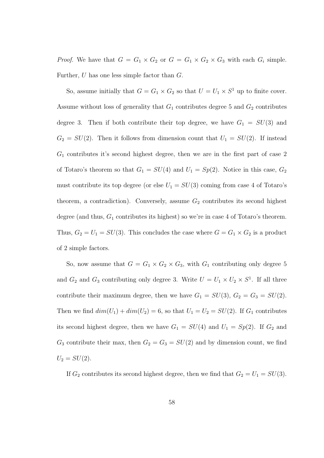*Proof.* We have that  $G = G_1 \times G_2$  or  $G = G_1 \times G_2 \times G_3$  with each  $G_i$  simple. Further, U has one less simple factor than G.

So, assume initially that  $G = G_1 \times G_2$  so that  $U = U_1 \times S^1$  up to finite cover. Assume without loss of generality that  $G_1$  contributes degree 5 and  $G_2$  contributes degree 3. Then if both contribute their top degree, we have  $G_1 = SU(3)$  and  $G_2 = SU(2)$ . Then it follows from dimension count that  $U_1 = SU(2)$ . If instead  $G_1$  contributes it's second highest degree, then we are in the first part of case 2 of Totaro's theorem so that  $G_1 = SU(4)$  and  $U_1 = Sp(2)$ . Notice in this case,  $G_2$ must contribute its top degree (or else  $U_1 = SU(3)$  coming from case 4 of Totaro's theorem, a contradiction). Conversely, assume  $G_2$  contributes its second highest degree (and thus,  $G_1$  contributes its highest) so we're in case 4 of Totaro's theorem. Thus,  $G_2 = U_1 = SU(3)$ . This concludes the case where  $G = G_1 \times G_2$  is a product of 2 simple factors.

So, now assume that  $G = G_1 \times G_2 \times G_3$ , with  $G_1$  contributing only degree 5 and  $G_2$  and  $G_3$  contributing only degree 3. Write  $U = U_1 \times U_2 \times S^1$ . If all three contribute their maximum degree, then we have  $G_1 = SU(3)$ ,  $G_2 = G_3 = SU(2)$ . Then we find  $dim(U_1) + dim(U_2) = 6$ , so that  $U_1 = U_2 = SU(2)$ . If  $G_1$  contributes its second highest degree, then we have  $G_1 = SU(4)$  and  $U_1 = Sp(2)$ . If  $G_2$  and  $G_3$  contribute their max, then  $G_2 = G_3 = SU(2)$  and by dimension count, we find  $U_2 = SU(2)$ .

If  $G_2$  contributes its second highest degree, then we find that  $G_2 = U_1 = SU(3)$ .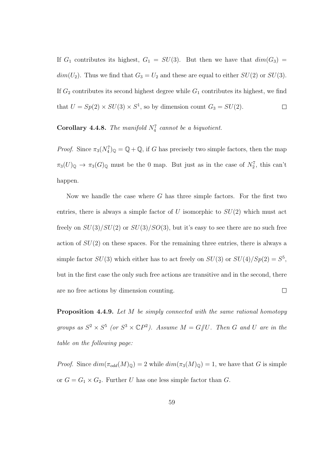If  $G_1$  contributes its highest,  $G_1 = SU(3)$ . But then we have that  $dim(G_3)$  $dim(U_2)$ . Thus we find that  $G_3 = U_2$  and these are equal to either  $SU(2)$  or  $SU(3)$ . If  $G_2$  contributes its second highest degree while  $G_1$  contributes its highest, we find that  $U = Sp(2) \times SU(3) \times S^1$ , so by dimension count  $G_3 = SU(2)$ .  $\Box$ 

#### **Corollary 4.4.8.** The manifold  $N_4^7$  cannot be a biquotient.

*Proof.* Since  $\pi_3(N_4^7)_{\mathbb{Q}} = \mathbb{Q} + \mathbb{Q}$ , if G has precisely two simple factors, then the map  $\pi_3(U)_{\mathbb{Q}} \to \pi_3(G)_{\mathbb{Q}}$  must be the 0 map. But just as in the case of  $N_2^7$ , this can't happen.

Now we handle the case where  $G$  has three simple factors. For the first two entries, there is always a simple factor of U isomorphic to  $SU(2)$  which must act freely on  $SU(3)/SU(2)$  or  $SU(3)/SO(3)$ , but it's easy to see there are no such free action of  $SU(2)$  on these spaces. For the remaining three entries, there is always a simple factor  $SU(3)$  which either has to act freely on  $SU(3)$  or  $SU(4)/Sp(2) = S^5$ , but in the first case the only such free actions are transitive and in the second, there are no free actions by dimension counting.  $\Box$ 

Proposition 4.4.9. Let M be simply connected with the same rational homotopy groups as  $S^2 \times S^5$  (or  $S^3 \times \mathbb{C}P^2$ ). Assume  $M = G/\!\!/ U$ . Then G and U are in the table on the following page:

*Proof.* Since  $dim(\pi_{odd}(M)_{\mathbb{Q}}) = 2$  while  $dim(\pi_3(M)_{\mathbb{Q}}) = 1$ , we have that G is simple or  $G = G_1 \times G_2$ . Further U has one less simple factor than G.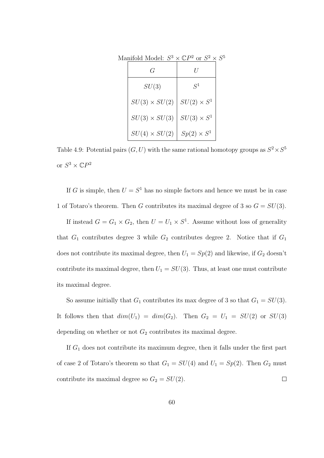| G                    |                    |  |
|----------------------|--------------------|--|
| SU(3)                | $S^1$              |  |
| $SU(3) \times SU(2)$ | $SU(2) \times S^1$ |  |
| $SU(3) \times SU(3)$ | $SU(3) \times S^1$ |  |
| $SU(4) \times SU(2)$ | $Sp(2) \times S^1$ |  |

Manifold Model:  $S^3 \times \mathbb{C}P^2$  or  $S^2 \times S^5$ 

Table 4.9: Potential pairs  $(G, U)$  with the same rational homotopy groups as  $S^2 \times S^5$ or  $S^3 \times \mathbb{C}P^2$ 

If G is simple, then  $U = S^1$  has no simple factors and hence we must be in case 1 of Totaro's theorem. Then G contributes its maximal degree of 3 so  $G = SU(3)$ .

If instead  $G = G_1 \times G_2$ , then  $U = U_1 \times S^1$ . Assume without loss of generality that  $G_1$  contributes degree 3 while  $G_2$  contributes degree 2. Notice that if  $G_1$ does not contribute its maximal degree, then  $U_1 = Sp(2)$  and likewise, if  $G_2$  doesn't contribute its maximal degree, then  $U_1 = SU(3)$ . Thus, at least one must contribute its maximal degree.

So assume initially that  $G_1$  contributes its max degree of 3 so that  $G_1 = SU(3)$ . It follows then that  $dim(U_1) = dim(G_2)$ . Then  $G_2 = U_1 = SU(2)$  or  $SU(3)$ depending on whether or not  $G_2$  contributes its maximal degree.

If  $G_1$  does not contribute its maximum degree, then it falls under the first part of case 2 of Totaro's theorem so that  $G_1 = SU(4)$  and  $U_1 = Sp(2)$ . Then  $G_2$  must contribute its maximal degree so  $G_2 = SU(2)$ .  $\Box$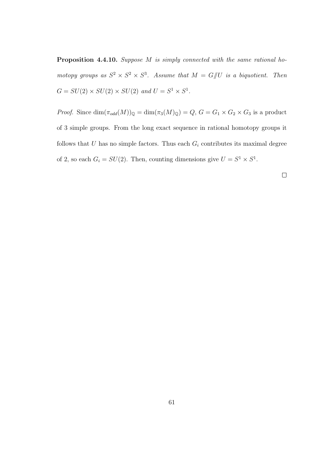Proposition 4.4.10. Suppose M is simply connected with the same rational homotopy groups as  $S^2 \times S^2 \times S^3$ . Assume that  $M = G/U$  is a biquotient. Then  $G = SU(2) \times SU(2) \times SU(2)$  and  $U = S^1 \times S^1$ .

*Proof.* Since  $\dim(\pi_{odd}(M))_{\mathbb{Q}} = \dim(\pi_3(M)_{\mathbb{Q}}) = Q, G = G_1 \times G_2 \times G_3$  is a product of 3 simple groups. From the long exact sequence in rational homotopy groups it follows that  $U$  has no simple factors. Thus each  $G_i$  contributes its maximal degree of 2, so each  $G_i = SU(2)$ . Then, counting dimensions give  $U = S^1 \times S^1$ .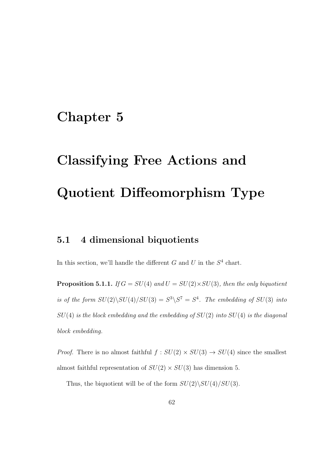# Chapter 5

# Classifying Free Actions and Quotient Diffeomorphism Type

#### 5.1 4 dimensional biquotients

In this section, we'll handle the different  $G$  and  $U$  in the  $S<sup>4</sup>$  chart.

**Proposition 5.1.1.** If  $G = SU(4)$  and  $U = SU(2) \times SU(3)$ , then the only biquotient is of the form  $SU(2)\setminus SU(4)/SU(3)=S^3\setminus S^7=S^4$ . The embedding of  $SU(3)$  into  $SU(4)$  is the block embedding and the embedding of  $SU(2)$  into  $SU(4)$  is the diagonal block embedding.

*Proof.* There is no almost faithful  $f : SU(2) \times SU(3) \rightarrow SU(4)$  since the smallest almost faithful representation of  $SU(2) \times SU(3)$  has dimension 5.

Thus, the biquotient will be of the form  $SU(2)\setminus SU(4)/SU(3)$ .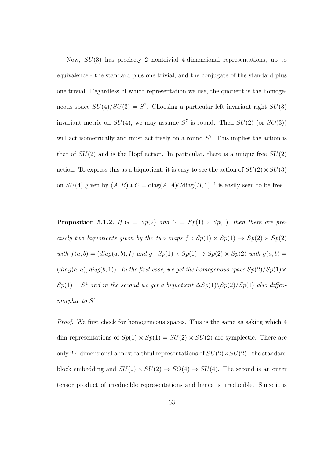Now,  $SU(3)$  has precisely 2 nontrivial 4-dimensional representations, up to equivalence - the standard plus one trivial, and the conjugate of the standard plus one trivial. Regardless of which representation we use, the quotient is the homogeneous space  $SU(4)/SU(3) = S<sup>7</sup>$ . Choosing a particular left invariant right  $SU(3)$ invariant metric on  $SU(4)$ , we may assume  $S^7$  is round. Then  $SU(2)$  (or  $SO(3)$ ) will act isometrically and must act freely on a round  $S<sup>7</sup>$ . This implies the action is that of  $SU(2)$  and is the Hopf action. In particular, there is a unique free  $SU(2)$ action. To express this as a biquotient, it is easy to see the action of  $SU(2) \times SU(3)$ on  $SU(4)$  given by  $(A, B) * C = diag(A, A)C diag(B, 1)^{-1}$  is easily seen to be free

**Proposition 5.1.2.** If  $G = Sp(2)$  and  $U = Sp(1) \times Sp(1)$ , then there are precisely two biquotients given by the two maps  $f : Sp(1) \times Sp(1) \rightarrow Sp(2) \times Sp(2)$ with  $f(a, b) = (diag(a, b), I)$  and  $g : Sp(1) \times Sp(1) \rightarrow Sp(2) \times Sp(2)$  with  $g(a, b) =$  $(diag(a, a), diag(b, 1)).$  In the first case, we get the homogenous space  $Sp(2)/Sp(1) \times$  $Sp(1) = S<sup>4</sup>$  and in the second we get a biquotient  $\Delta Sp(1)\backslash Sp(2)/Sp(1)$  also diffeomorphic to  $S^4$ .

 $\Box$ 

Proof. We first check for homogeneous spaces. This is the same as asking which 4 dim representations of  $Sp(1) \times Sp(1) = SU(2) \times SU(2)$  are symplectic. There are only 2.4 dimensional almost faithful representations of  $SU(2) \times SU(2)$  - the standard block embedding and  $SU(2) \times SU(2) \rightarrow SO(4) \rightarrow SU(4)$ . The second is an outer tensor product of irreducible representations and hence is irreducible. Since it is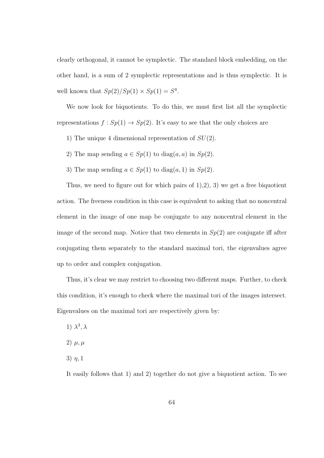clearly orthogonal, it cannot be symplectic. The standard block embedding, on the other hand, is a sum of 2 symplectic representations and is thus symplectic. It is well known that  $Sp(2)/Sp(1) \times Sp(1) = S^4$ .

We now look for biquotients. To do this, we must first list all the symplectic representations  $f: Sp(1) \to Sp(2)$ . It's easy to see that the only choices are

- 1) The unique 4 dimensional representation of  $SU(2)$ .
- 2) The map sending  $a \in Sp(1)$  to  $diag(a, a)$  in  $Sp(2)$ .
- 3) The map sending  $a \in Sp(1)$  to  $diag(a, 1)$  in  $Sp(2)$ .

Thus, we need to figure out for which pairs of  $(1), (2), (3)$  we get a free biquotient action. The freeness condition in this case is equivalent to asking that no noncentral element in the image of one map be conjugate to any noncentral element in the image of the second map. Notice that two elements in  $Sp(2)$  are conjugate iff after conjugating them separately to the standard maximal tori, the eigenvalues agree up to order and complex conjugation.

Thus, it's clear we may restrict to choosing two different maps. Further, to check this condition, it's enough to check where the maximal tori of the images intersect. Eigenvalues on the maximal tori are respectively given by:

- 1)  $\lambda^3, \lambda$
- 2)  $\mu, \mu$
- 3)  $\eta$ , 1

It easily follows that 1) and 2) together do not give a biquotient action. To see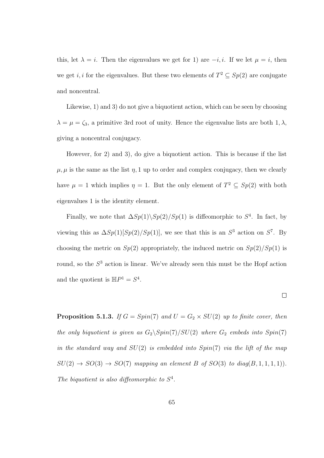this, let  $\lambda = i$ . Then the eigenvalues we get for 1) are  $-i, i$ . If we let  $\mu = i$ , then we get *i*, *i* for the eigenvalues. But these two elements of  $T^2 \subseteq Sp(2)$  are conjugate and noncentral.

Likewise, 1) and 3) do not give a biquotient action, which can be seen by choosing  $\lambda = \mu = \zeta_3$ , a primitive 3rd root of unity. Hence the eigenvalue lists are both 1,  $\lambda$ , giving a noncentral conjugacy.

However, for 2) and 3), do give a biquotient action. This is because if the list  $\mu, \mu$  is the same as the list  $\eta$ , 1 up to order and complex conjugacy, then we clearly have  $\mu = 1$  which implies  $\eta = 1$ . But the only element of  $T^2 \subseteq Sp(2)$  with both eigenvalues 1 is the identity element.

Finally, we note that  $\Delta Sp(1)\backslash Sp(2)/Sp(1)$  is diffeomorphic to  $S^4$ . In fact, by viewing this as  $\Delta Sp(1)[Sp(2)/Sp(1)]$ , we see that this is an  $S^3$  action on  $S^7$ . By choosing the metric on  $Sp(2)$  appropriately, the induced metric on  $Sp(2)/Sp(1)$  is round, so the  $S<sup>3</sup>$  action is linear. We've already seen this must be the Hopf action and the quotient is  $\mathbb{H}P^1 = S^4$ .

 $\Box$ 

**Proposition 5.1.3.** If  $G = Spin(7)$  and  $U = G_2 \times SU(2)$  up to finite cover, then the only biquotient is given as  $G_2 \setminus Spin(7)/SU(2)$  where  $G_2$  embeds into  $Spin(7)$ in the standard way and  $SU(2)$  is embedded into  $Spin(7)$  via the lift of the map  $SU(2) \rightarrow SO(3) \rightarrow SO(7)$  mapping an element B of  $SO(3)$  to  $diag(B, 1, 1, 1, 1)$ . The biquotient is also diffeomorphic to  $S^4$ .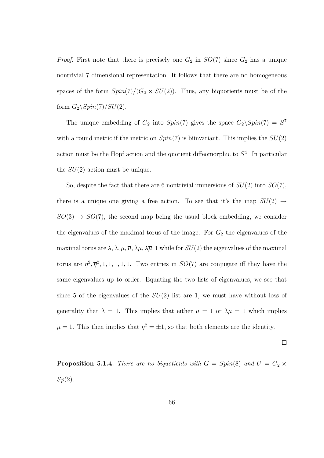*Proof.* First note that there is precisely one  $G_2$  in  $SO(7)$  since  $G_2$  has a unique nontrivial 7 dimensional representation. It follows that there are no homogeneous spaces of the form  $Spin(7)/(G_2 \times SU(2))$ . Thus, any biquotients must be of the form  $G_2\backslash Spin(7)/SU(2)$ .

The unique embedding of  $G_2$  into  $Spin(7)$  gives the space  $G_2\backslash Spin(7) = S^7$ with a round metric if the metric on  $Spin(7)$  is biinvariant. This implies the  $SU(2)$ action must be the Hopf action and the quotient diffeomorphic to  $S<sup>4</sup>$ . In particular the  $SU(2)$  action must be unique.

So, despite the fact that there are 6 nontrivial immersions of  $SU(2)$  into  $SO(7)$ , there is a unique one giving a free action. To see that it's the map  $SU(2) \rightarrow$  $SO(3) \rightarrow SO(7)$ , the second map being the usual block embedding, we consider the eigenvalues of the maximal torus of the image. For  $G_2$  the eigenvalues of the maximal torus are  $\lambda$ ,  $\overline{\lambda}$ ,  $\mu$ ,  $\overline{\mu}$ ,  $\lambda$  $\mu$ ,  $\overline{\lambda}$  $\overline{\mu}$ , 1 while for  $SU(2)$  the eigenvalues of the maximal torus are  $\eta^2$ ,  $\overline{\eta}^2$ , 1, 1, 1, 1, 1. Two entries in  $SO(7)$  are conjugate iff they have the same eigenvalues up to order. Equating the two lists of eigenvalues, we see that since 5 of the eigenvalues of the  $SU(2)$  list are 1, we must have without loss of generality that  $\lambda = 1$ . This implies that either  $\mu = 1$  or  $\lambda \mu = 1$  which implies  $\mu = 1$ . This then implies that  $\eta^2 = \pm 1$ , so that both elements are the identity.

 $\Box$ 

**Proposition 5.1.4.** There are no biquotients with  $G = Spin(8)$  and  $U = G_2 \times$  $Sp(2)$ .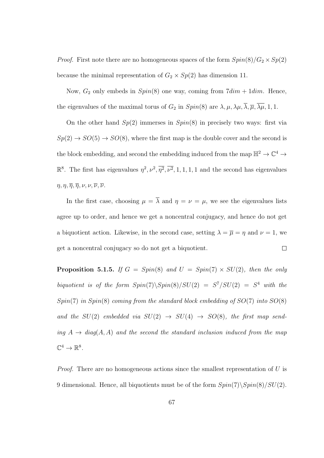*Proof.* First note there are no homogeneous spaces of the form  $Spin(8)/G_2 \times Sp(2)$ because the minimal representation of  $G_2 \times Sp(2)$  has dimension 11.

Now,  $G_2$  only embeds in  $Spin(8)$  one way, coming from  $7dim + 1dim$ . Hence, the eigenvalues of the maximal torus of  $G_2$  in  $Spin(8)$  are  $\lambda, \mu, \lambda\mu, \overline{\lambda}, \overline{\mu}, \overline{\lambda\mu}, 1, 1$ .

On the other hand  $Sp(2)$  immerses in  $Spin(8)$  in precisely two ways: first via  $Sp(2) \rightarrow SO(5) \rightarrow SO(8)$ , where the first map is the double cover and the second is the block embedding, and second the embedding induced from the map  $\mathbb{H}^2 \to \mathbb{C}^4 \to$  $\mathbb{R}^8$ . The first has eigenvalues  $\eta^2, \nu^2, \overline{\eta^2}, \overline{\nu^2}, 1, 1, 1, 1$  and the second has eigenvalues  $\eta, \eta, \overline{\eta}, \overline{\eta}, \nu, \nu, \overline{\nu}, \overline{\nu}.$ 

In the first case, choosing  $\mu = \overline{\lambda}$  and  $\eta = \nu = \mu$ , we see the eigenvalues lists agree up to order, and hence we get a noncentral conjugacy, and hence do not get a biquotient action. Likewise, in the second case, setting  $\lambda = \overline{\mu} = \eta$  and  $\nu = 1$ , we  $\Box$ get a noncentral conjugacy so do not get a biquotient.

**Proposition 5.1.5.** If  $G = Spin(8)$  and  $U = Spin(7) \times SU(2)$ , then the only biquotient is of the form  $Spin(7)\S{pin(8)}/SU(2) = S^7/SU(2) = S^4$  with the  $Spin(7)$  in  $Spin(8)$  coming from the standard block embedding of  $SO(7)$  into  $SO(8)$ and the  $SU(2)$  embedded via  $SU(2) \rightarrow SU(4) \rightarrow SO(8)$ , the first map sending  $A \rightarrow diag(A, A)$  and the second the standard inclusion induced from the map  $\mathbb{C}^4 \to \mathbb{R}^8$ .

*Proof.* There are no homogeneous actions since the smallest representation of  $U$  is 9 dimensional. Hence, all biquotients must be of the form  $Spin(7)\S{pin(8)}/SU(2)$ .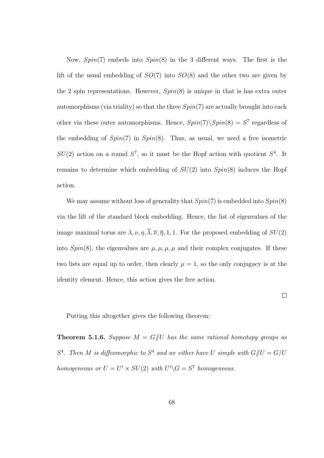Now,  $Spin(7)$  embeds into  $Spin(8)$  in the 3 different ways. The first is the lift of the usual embedding of  $SO(7)$  into  $SO(8)$  and the other two are given by the 2 spin representations. However,  $Spin(8)$  is unique in that is has extra outer automorphisms (via triality) so that the three  $Spin(7)$  are actually brought into each other via these outer automorphisms. Hence,  $Spin(7)\backslash Spin(8) = S^7$  regardless of the embedding of  $Spin(7)$  in  $Spin(8)$ . Thus, as usual, we need a free isometric  $SU(2)$  action on a round  $S^7$ , so it must be the Hopf action with quotient  $S^4$ . It remains to determine which embedding of  $SU(2)$  into  $Spin(8)$  induces the Hopf action.

We may assume without loss of generality that  $Spin(7)$  is embedded into  $Spin(8)$ via the lift of the standard block embedding. Hence, the list of eigenvalues of the image maximal torus are  $\lambda, \nu, \eta, \overline{\lambda}, \overline{\nu}, \overline{\eta}, 1, 1$ . For the proposed embedding of  $SU(2)$ into  $Spin(8)$ , the eigenvalues are  $\mu, \mu, \mu, \mu$  and their complex conjugates. If these two lists are equal up to order, then clearly  $\mu = 1$ , so the only conjugacy is at the identity element. Hence, this action gives the free action.

 $\Box$ 

Putting this altogether gives the following theorem:

**Theorem 5.1.6.** Suppose  $M = G/U$  has the same rational homotopy groups as  $S<sup>4</sup>$ . Then M is diffeomorphic to  $S<sup>4</sup>$  and we either have U simple with  $G/\!\!/ U = G/U$ homogeneous or  $U = U' \times SU(2)$  with  $U' \backslash G = S^7$  homogeneous.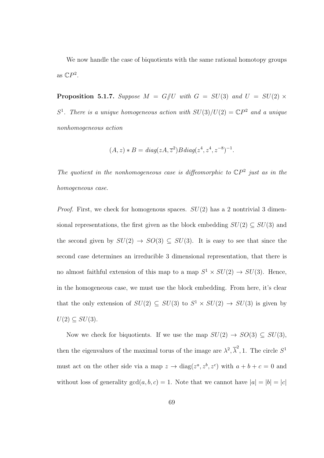We now handle the case of biquotients with the same rational homotopy groups as  $\mathbb{C}P^2$ .

**Proposition 5.1.7.** Suppose  $M = G/U$  with  $G = SU(3)$  and  $U = SU(2) \times$  $S^1$ . There is a unique homogeneous action with  $SU(3)/U(2) = \mathbb{C}P^2$  and a unique nonhomogeneous action

$$
(A, z) * B = diag(zA, \overline{z}^{2})B diag(z^{4}, z^{4}, z^{-8})^{-1}.
$$

The quotient in the nonhomogeneous case is diffeomorphic to  $\mathbb{C}P^2$  just as in the homogeneous case.

*Proof.* First, we check for homogenous spaces.  $SU(2)$  has a 2 nontrivial 3 dimensional representations, the first given as the block embedding  $SU(2) \subseteq SU(3)$  and the second given by  $SU(2) \rightarrow SO(3) \subseteq SU(3)$ . It is easy to see that since the second case determines an irreducible 3 dimensional representation, that there is no almost faithful extension of this map to a map  $S^1 \times SU(2) \rightarrow SU(3)$ . Hence, in the homogeneous case, we must use the block embedding. From here, it's clear that the only extension of  $SU(2) \subseteq SU(3)$  to  $S^1 \times SU(2) \rightarrow SU(3)$  is given by  $U(2) \subseteq SU(3)$ .

Now we check for biquotients. If we use the map  $SU(2) \rightarrow SO(3) \subseteq SU(3)$ , then the eigenvalues of the maximal torus of the image are  $\lambda^2$ ,  $\overline{\lambda}^2$ , 1. The circle  $S^1$ must act on the other side via a map  $z \to \text{diag}(z^a, z^b, z^c)$  with  $a + b + c = 0$  and without loss of generality  $gcd(a, b, c) = 1$ . Note that we cannot have  $|a| = |b| = |c|$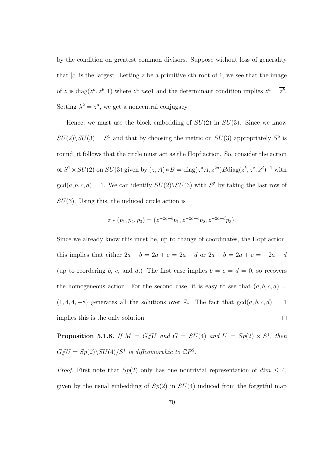by the condition on greatest common divisors. Suppose without loss of generality that |c| is the largest. Letting z be a primitive cth root of 1, we see that the image of z is diag( $z^a, z^b, 1$ ) where  $z^a$  neq1 and the determinant condition implies  $z^a = \overline{z^b}$ . Setting  $\lambda^2 = z^a$ , we get a noncentral conjugacy.

Hence, we must use the block embedding of  $SU(2)$  in  $SU(3)$ . Since we know  $SU(2)\backslash SU(3) = S^5$  and that by choosing the metric on  $SU(3)$  appropriately  $S^5$  is round, it follows that the circle must act as the Hopf action. So, consider the action of  $S^1 \times SU(2)$  on  $SU(3)$  given by  $(z, A) * B = \text{diag}(z^a A, \overline{z}^{2a}) B \text{diag}(z^b, z^c, z^d)^{-1}$  with  $gcd(a, b, c, d) = 1$ . We can identify  $SU(2) \setminus SU(3)$  with  $S<sup>5</sup>$  by taking the last row of  $SU(3)$ . Using this, the induced circle action is

$$
z * (p_1, p_2, p_3) = (z^{-2a-b}p_1, z^{-2a-c}p_2, z^{-2a-d}p_3).
$$

Since we already know this must be, up to change of coordinates, the Hopf action, this implies that either  $2a + b = 2a + c = 2a + d$  or  $2a + b = 2a + c = -2a - d$ (up to reordering b, c, and d.) The first case implies  $b = c = d = 0$ , so recovers the homogeneous action. For the second case, it is easy to see that  $(a, b, c, d)$  $(1, 4, 4, -8)$  generates all the solutions over Z. The fact that  $gcd(a, b, c, d) = 1$ implies this is the only solution.  $\Box$ 

**Proposition 5.1.8.** If  $M = G/U$  and  $G = SU(4)$  and  $U = Sp(2) \times S^1$ , then  $G/\!\!/ U = Sp(2) \backslash SU(4)/S^1$  is diffeomorphic to  $\mathbb{C}P^2$ .

*Proof.* First note that  $Sp(2)$  only has one nontrivial representation of  $dim \leq 4$ , given by the usual embedding of  $Sp(2)$  in  $SU(4)$  induced from the forgetful map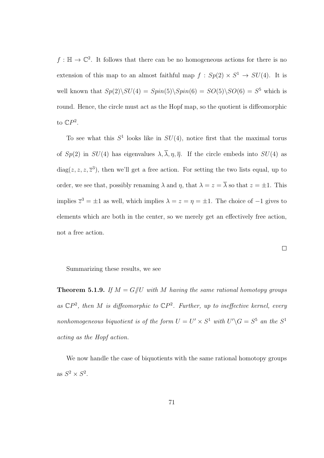$f : \mathbb{H} \to \mathbb{C}^2$ . It follows that there can be no homogeneous actions for there is no extension of this map to an almost faithful map  $f : Sp(2) \times S^1 \to SU(4)$ . It is well known that  $Sp(2)\setminus SU(4) = Spin(5)\setminus Spin(6) = SO(5)\setminus SO(6) = S^5$  which is round. Hence, the circle must act as the Hopf map, so the quotient is diffeomorphic to  $\mathbb{C}P^2$ .

To see what this  $S^1$  looks like in  $SU(4)$ , notice first that the maximal torus of  $Sp(2)$  in  $SU(4)$  has eigenvalues  $\lambda, \overline{\lambda}, \eta, \overline{\eta}$ . If the circle embeds into  $SU(4)$  as  $diag(z, z, z, \overline{z}^3)$ , then we'll get a free action. For setting the two lists equal, up to order, we see that, possibly renaming  $\lambda$  and  $\eta$ , that  $\lambda = z = \overline{\lambda}$  so that  $z = \pm 1$ . This implies  $\overline{z}^3 = \pm 1$  as well, which implies  $\lambda = z = \eta = \pm 1$ . The choice of  $-1$  gives to elements which are both in the center, so we merely get an effectively free action, not a free action.

 $\Box$ 

Summarizing these results, we see

**Theorem 5.1.9.** If  $M = G/U$  with M having the same rational homotopy groups as  $\mathbb{C}P^2$ , then M is diffeomorphic to  $\mathbb{C}P^2$ . Further, up to ineffective kernel, every nonhomogeneous biquotient is of the form  $U = U' \times S^1$  with  $U' \backslash G = S^5$  an the  $S^1$ acting as the Hopf action.

We now handle the case of biquotients with the same rational homotopy groups as  $S^2 \times S^2$ .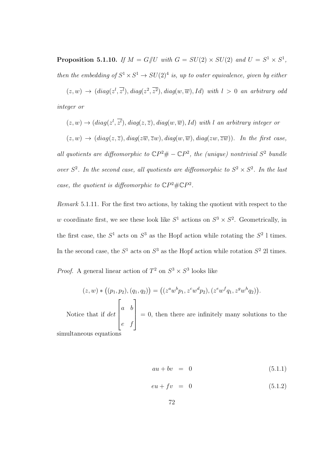**Proposition 5.1.10.** If  $M = G/U$  with  $G = SU(2) \times SU(2)$  and  $U = S^1 \times S^1$ , then the embedding of  $S^1 \times S^1 \to SU(2)^4$  is, up to outer equivalence, given by either

 $(z, w) \rightarrow (diag(z^l, \overline{z^l}), diag(z^2, \overline{z^2}), diag(w, \overline{w}), Id)$  with  $l > 0$  an arbitrary odd integer or

$$
(z, w) \rightarrow (diag(z^l, \overline{z^l}), diag(z, \overline{z}), diag(w, \overline{w}), Id)
$$
 with  $l$  an arbitrary integer or  $(z, w) \rightarrow (diag(z, \overline{z}), diag(z\overline{w}, \overline{z}w), diag(w, \overline{w}), diag(zw, \overline{z}\overline{w}))$ . In the first case, all quotients are diffeomorphic to  $\mathbb{C}P^2 \# - \mathbb{C}P^2$ , the (unique) nontrivial  $S^2$  bundle over  $S^2$ . In the second case, all quotients are diffeomorphic to  $S^2 \times S^2$ . In the last case, the quotient is diffeomorphic to  $\mathbb{C}P^2 \# \mathbb{C}P^2$ .

Remark 5.1.11. For the first two actions, by taking the quotient with respect to the w coordinate first, we see these look like  $S^1$  actions on  $S^3 \times S^2$ . Geometrically, in the first case, the  $S^1$  acts on  $S^3$  as the Hopf action while rotating the  $S^2$  l times. In the second case, the  $S^1$  acts on  $S^3$  as the Hopf action while rotation  $S^2$  2l times.

*Proof.* A general linear action of  $T^2$  on  $S^3 \times S^3$  looks like

$$
(z, w) * ((p_1, p_2), (q_1, q_2)) = ((z^a w^b p_1, z^c w^d p_2), (z^e w^f q_1, z^g w^h q_2)).
$$
  
Notice that if  $det \begin{bmatrix} a & b \\ e & f \end{bmatrix} = 0$ , then there are infinitely many solutions to the  
subspaces equations.

simultaneous equations

$$
au + bv = 0 \tag{5.1.1}
$$

$$
eu + fv = 0 \tag{5.1.2}
$$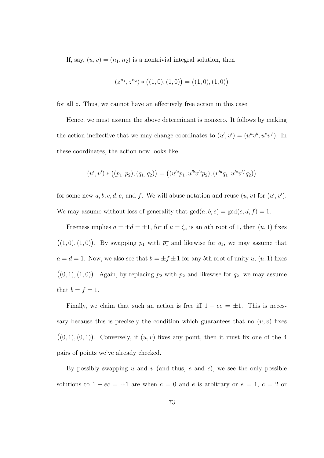If, say,  $(u, v) = (n_1, n_2)$  is a nontrivial integral solution, then

$$
(z^{n_1}, z^{n_2}) * ((1,0), (1,0)) = ((1,0), (1,0))
$$

for all z. Thus, we cannot have an effectively free action in this case.

Hence, we must assume the above determinant is nonzero. It follows by making the action ineffective that we may change coordinates to  $(u', v') = (u^a v^b, u^e v^f)$ . In these coordinates, the action now looks like

$$
(u',v') * ((p_1,p_2),(q_1,q_2)) = ((u'^a p_1, u'^b v'^c p_2), (v'^d q_1, u'^e v'^f q_2))
$$

for some new  $a, b, c, d, e$ , and f. We will abuse notation and reuse  $(u, v)$  for  $(u', v')$ . We may assume without loss of generality that  $gcd(a, b, e) = gcd(c, d, f) = 1$ .

Freeness implies  $a = \pm d = \pm 1$ , for if  $u = \zeta_a$  is an ath root of 1, then  $(u, 1)$  fixes  $((1, 0), (1, 0))$ . By swapping  $p_1$  with  $\overline{p_1}$  and likewise for  $q_1$ , we may assume that  $a = d = 1$ . Now, we also see that  $b = \pm f \pm 1$  for any bth root of unity u,  $(u, 1)$  fixes  $((0, 1), (1, 0))$ . Again, by replacing  $p_2$  with  $\overline{p_2}$  and likewise for  $q_2$ , we may assume that  $b = f = 1$ .

Finally, we claim that such an action is free iff  $1 - ec = \pm 1$ . This is necessary because this is precisely the condition which guarantees that no  $(u, v)$  fixes  $((0, 1), (0, 1))$ . Conversely, if  $(u, v)$  fixes any point, then it must fix one of the 4 pairs of points we've already checked.

By possibly swapping u and v (and thus, e and c), we see the only possible solutions to  $1 - ec = \pm 1$  are when  $c = 0$  and e is arbitrary or  $e = 1, c = 2$  or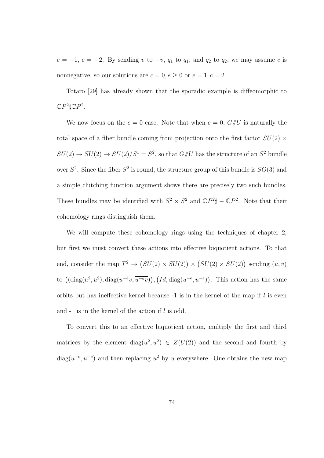$e = -1, c = -2.$  By sending v to  $-v$ ,  $q_1$  to  $\overline{q_1}$ , and  $q_2$  to  $\overline{q_2}$ , we may assume c is nonnegative, so our solutions are  $c = 0, e \ge 0$  or  $e = 1, c = 2$ .

Totaro [29] has already shown that the sporadic example is diffeomorphic to  $\mathbb{C}P^2\sharp \mathbb{C}P^2$ .

We now focus on the  $c = 0$  case. Note that when  $e = 0$ ,  $G/\!\!/ U$  is naturally the total space of a fiber bundle coming from projection onto the first factor  $SU(2)$  ×  $SU(2) \rightarrow SU(2) \rightarrow SU(2)/S^1 = S^2$ , so that  $G/\!\!/ U$  has the structure of an  $S^2$  bundle over  $S^2$ . Since the fiber  $S^2$  is round, the structure group of this bundle is  $SO(3)$  and a simple clutching function argument shows there are precisely two such bundles. These bundles may be identified with  $S^2 \times S^2$  and  $\mathbb{C}P^2\sharp - \mathbb{C}P^2$ . Note that their cohomology rings distinguish them.

We will compute these cohomology rings using the techniques of chapter 2, but first we must convert these actions into effective biquotient actions. To that end, consider the map  $T^2 \to (SU(2) \times SU(2)) \times (SU(2) \times SU(2))$  sending  $(u, v)$ to  $((\text{diag}(u^2, \overline{u}^2), \text{diag}(u^{-e}v, \overline{u^{-e}v})), (Id, \text{diag}(u^{-e}, \overline{u}^{-e}))$ . This action has the same orbits but has ineffective kernel because  $-1$  is in the kernel of the map if l is even and -1 is in the kernel of the action if l is odd.

To convert this to an effective biquotient action, multiply the first and third matrices by the element diag( $u^2, u^2$ )  $\in Z(U(2))$  and the second and fourth by diag( $u^{-e}, u^{-e}$ ) and then replacing  $u^2$  by u everywhere. One obtains the new map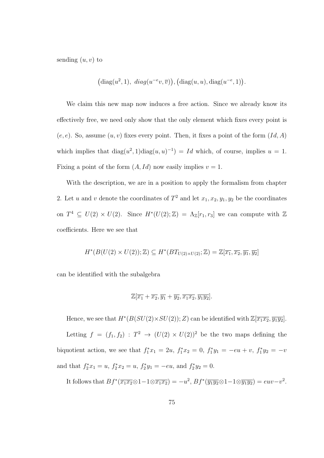sending  $(u, v)$  to

$$
(\text{diag}(u^2, 1), \ \text{diag}(u^{-e}v, \overline{v})), (\text{diag}(u, u), \text{diag}(u^{-e}, 1)).
$$

We claim this new map now induces a free action. Since we already know its effectively free, we need only show that the only element which fixes every point is  $(e, e)$ . So, assume  $(u, v)$  fixes every point. Then, it fixes a point of the form  $(Id, A)$ which implies that  $diag(u^2, 1)diag(u, u)^{-1} = Id$  which, of course, implies  $u = 1$ . Fixing a point of the form  $(A, Id)$  now easily implies  $v = 1$ .

With the description, we are in a position to apply the formalism from chapter 2. Let u and v denote the coordinates of  $T^2$  and let  $x_1, x_2, y_1, y_2$  be the coordinates on  $T^4 \subseteq U(2) \times U(2)$ . Since  $H^*(U(2); \mathbb{Z}) = \Lambda_{\mathbb{Z}}[r_1, r_3]$  we can compute with  $\mathbb{Z}$ coefficients. Here we see that

$$
H^*(B(U(2)\times U(2));\mathbb{Z})\subseteq H^*(BT_{U(2)\times U(2)};\mathbb{Z})=\mathbb{Z}[\overline{x_1},\overline{x_2},\overline{y_1},\overline{y_2}]
$$

can be identified with the subalgebra

$$
\mathbb{Z}[\overline{x_1} + \overline{x_2}, \overline{y_1} + \overline{y_2}, \overline{x_1x_2}, \overline{y_1y_2}].
$$

Hence, we see that  $H^*(B(SU(2)\times SU(2)); Z)$  can be identified with  $\mathbb{Z}[\overline{x_1x_2}, \overline{y_1y_2}]$ . Letting  $f = (f_1, f_2) : T^2 \to (U(2) \times U(2))^2$  be the two maps defining the biquotient action, we see that  $f_1^*x_1 = 2u$ ,  $f_1^*x_2 = 0$ ,  $f_1^*y_1 = -eu + v$ ,  $f_1^*y_2 = -v$ and that  $f_2^*x_1 = u$ ,  $f_2^*x_2 = u$ ,  $f_2^*y_1 = -eu$ , and  $f_2^*y_2 = 0$ .

It follows that  $Bf^*(\overline{x_1x_2}\otimes 1-1\otimes \overline{x_1x_2})=-u^2$ ,  $Bf^*(\overline{y_1y_2}\otimes 1-1\otimes \overline{y_1y_2})=euv-v^2$ .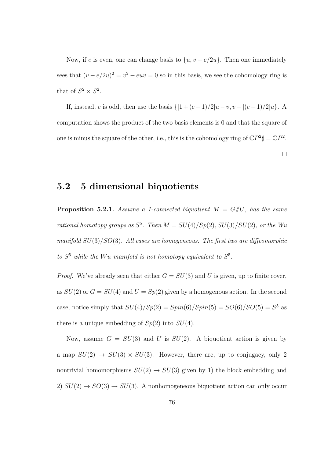Now, if e is even, one can change basis to  $\{u, v - e/2u\}$ . Then one immediately sees that  $(v - e/2u)^2 = v^2 - euv = 0$  so in this basis, we see the cohomology ring is that of  $S^2 \times S^2$ .

If, instead,  $e$  is odd, then use the basis  $\{[1 + (e-1)/2]u - v, v - [(e-1)/2]u\}$ . A computation shows the product of the two basis elements is 0 and that the square of one is minus the square of the other, i.e., this is the cohomology ring of  $\mathbb{C}P^2\sharp = \mathbb{C}P^2$ .

 $\Box$ 

## 5.2 5 dimensional biquotients

**Proposition 5.2.1.** Assume a 1-connected biquotient  $M = G/U$ , has the same rational homotopy groups as  $S^5$ . Then  $M = SU(4)/Sp(2), SU(3)/SU(2)$ , or the Wu manifold  $SU(3)/SO(3)$ . All cases are homogeneous. The first two are diffeomorphic to  $S^5$  while the Wu manifold is not homotopy equivalent to  $S^5$ .

*Proof.* We've already seen that either  $G = SU(3)$  and U is given, up to finite cover, as  $SU(2)$  or  $G = SU(4)$  and  $U = Sp(2)$  given by a homogenous action. In the second case, notice simply that  $SU(4)/Sp(2) = Spin(6)/Spin(5) = SO(6)/SO(5) = S<sup>5</sup>$  as there is a unique embedding of  $Sp(2)$  into  $SU(4)$ .

Now, assume  $G = SU(3)$  and U is  $SU(2)$ . A biquotient action is given by a map  $SU(2) \rightarrow SU(3) \times SU(3)$ . However, there are, up to conjugacy, only 2 nontrivial homomorphisms  $SU(2) \rightarrow SU(3)$  given by 1) the block embedding and 2)  $SU(2) \rightarrow SO(3) \rightarrow SU(3)$ . A nonhomogeneous biquotient action can only occur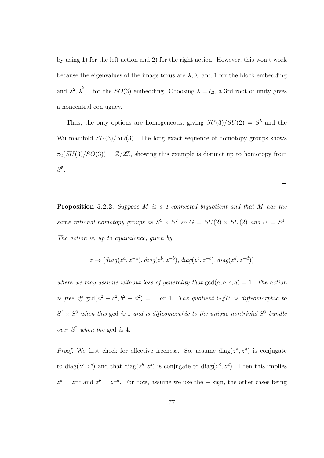by using 1) for the left action and 2) for the right action. However, this won't work because the eigenvalues of the image torus are  $\lambda$ ,  $\overline{\lambda}$ , and 1 for the block embedding and  $\lambda^2$ ,  $\overline{\lambda}^2$ , 1 for the  $SO(3)$  embedding. Choosing  $\lambda = \zeta_3$ , a 3rd root of unity gives a noncentral conjugacy.

Thus, the only options are homogeneous, giving  $SU(3)/SU(2) = S<sup>5</sup>$  and the Wu manifold  $SU(3)/SO(3)$ . The long exact sequence of homotopy groups shows  $\pi_2(SU(3)/SO(3)) = \mathbb{Z}/2\mathbb{Z}$ , showing this example is distinct up to homotopy from  $S^5$ .

Proposition 5.2.2. Suppose M is a 1-connected biquotient and that M has the same rational homotopy groups as  $S^3 \times S^2$  so  $G = SU(2) \times SU(2)$  and  $U = S^1$ . The action is, up to equivalence, given by

$$
z \rightarrow (diag(z^a, z^{-a}), diag(z^b, z^{-b}), diag(z^c, z^{-c}), diag(z^d, z^{-d}))
$$

where we may assume without loss of generality that  $gcd(a, b, c, d) = 1$ . The action is free iff  $gcd(a^2 - c^2, b^2 - d^2) = 1$  or 4. The quotient  $G/U$  is diffeomorphic to  $S^2 \times S^3$  when this gcd is 1 and is diffeomorphic to the unique nontrivial  $S^3$  bundle over  $S^2$  when the gcd is 4.

*Proof.* We first check for effective freeness. So, assume diag( $z^a$ ,  $\overline{z}^a$ ) is conjugate to diag( $z^c, \overline{z}^c$ ) and that diag( $z^b, \overline{z}^b$ ) is conjugate to diag( $z^d, \overline{z}^d$ ). Then this implies  $z^a = z^{\pm c}$  and  $z^b = z^{\pm d}$ . For now, assume we use the  $+$  sign, the other cases being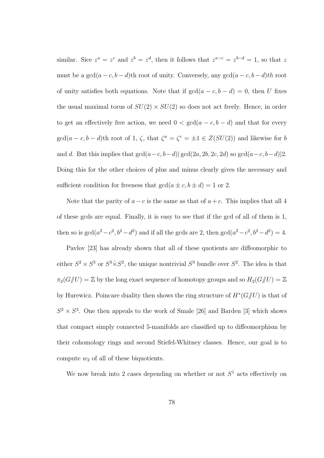similar. Sice  $z^a = z^c$  and  $z^b = z^d$ , then it follows that  $z^{a-c} = z^{b-d} = 1$ , so that z must be a  $\gcd(a-c, b-d)$ th root of unity. Conversely, any  $\gcd(a-c, b-d)$ th root of unity satisfies both equations. Note that if  $gcd(a - c, b - d) = 0$ , then U fixes the usual maximal torus of  $SU(2) \times SU(2)$  so does not act freely. Hence, in order to get an effectively free action, we need  $0 < \gcd(a-c, b-d)$  and that for every  $gcd(a-c, b-d)$ th root of 1,  $\zeta$ , that  $\zeta^a = \zeta^c = \pm 1 \in Z(SU(2))$  and likewise for b and d. But this implies that  $gcd(a-c, b-d)| gcd(2a, 2b, 2c, 2d)$  so  $gcd(a-c, b-d)|2$ . Doing this for the other choices of plus and minus clearly gives the necessary and sufficient condition for freeness that  $gcd(a \pm c, b \pm d) = 1$  or 2.

Note that the parity of  $a - c$  is the same as that of  $a + c$ . This implies that all 4 of these gcds are equal. Finally, it is easy to see that if the gcd of all of them is 1, then so is  $gcd(a^2 - c^2, b^2 - d^2)$  and if all the gcds are 2, then  $gcd(a^2 - c^2, b^2 - d^2) = 4$ .

Pavlov [23] has already shown that all of these quotients are diffeomorphic to either  $S^2 \times S^3$  or  $S^3 \times S^2$ , the unique nontrivial  $S^3$  bundle over  $S^2$ . The idea is that  $\pi_2(G/\hspace{-3pt}/ U)=\mathbb{Z}$  by the long exact sequence of homotopy groups and so  $H_2(G/\hspace{-3pt}/ U)=\mathbb{Z}$ by Hurewicz. Poincare duality then shows the ring structure of  $H^*(G/\!\!/ U)$  is that of  $S^2 \times S^3$ . One then appeals to the work of Smale [26] and Barden [3] which shows that compact simply connected 5-manifolds are classified up to diffeomorphism by their cohomology rings and second Stiefel-Whitney classes. Hence, our goal is to compute  $w_2$  of all of these biquotients.

We now break into 2 cases depending on whether or not  $S<sup>1</sup>$  acts effectively on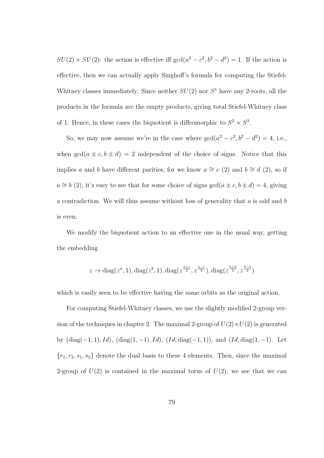$SU(2) \times SU(2)$ : the action is effective iff  $gcd(a^2 - c^2, b^2 - d^2) = 1$ . If the action is effective, then we can actually apply Singhoff's formula for computing the Stiefel-Whitney classes immediately. Since neither  $SU(2)$  nor  $S<sup>1</sup>$  have any 2-roots, all the products in the formula are the empty products, giving total Stiefel-Whitney class of 1. Hence, in these cases the biquotient is diffeomorphic to  $S^2 \times S^3$ .

So, we may now assume we're in the case where  $gcd(a^2 - c^2, b^2 - d^2) = 4$ , i.e., when  $gcd(a \pm c, b \pm d) = 2$  independent of the choice of signs. Notice that this implies a and b have different parities, for we know  $a \cong c$  (2) and  $b \cong d$  (2), so if  $a \cong b$  (2), it's easy to see that for some choice of signs  $gcd(a \pm c, b \pm d) = 4$ , giving a contradiction. We will thus assume without loss of generality that  $a$  is odd and  $b$ is even.

We modify the biquotient action to an effective one in the usual way, getting the embedding

$$
z \to \text{diag}(z^a, 1), \text{diag}(z^b, 1), \text{diag}(z^{\frac{a+c}{2}}, z^{\frac{a-c}{2}}), \text{diag}(z^{\frac{b+d}{2}}, z^{\frac{b-d}{2}})
$$

which is easily seen to be effective having the same orbits as the original action.

For computing Stiefel-Whitney classes, we use the slightly modified 2-group version of the techniques in chapter 2. The maximal 2-group of  $U(2) \times U(2)$  is generated by  $(\text{diag}(-1, 1), Id)$ ,  $(\text{diag}(1, -1), Id)$ ,  $(Id, \text{diag}(-1, 1))$ , and  $(Id, \text{diag}(1, -1)$ . Let  ${r_1, r_2, s_1, s_2}$  denote the dual basis to these 4 elements. Then, since the maximal 2-group of  $U(2)$  is contained in the maximal torus of  $U(2)$ , we see that we can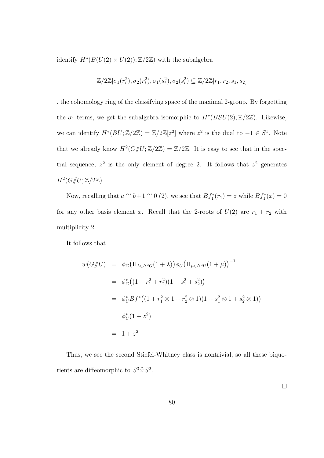identify  $H^*(B(U(2) \times U(2)); \mathbb{Z}/2\mathbb{Z})$  with the subalgebra

$$
\mathbb{Z}/2\mathbb{Z}[\sigma_1(r_i^2),\sigma_2(r_i^2),\sigma_1(s_i^2),\sigma_2(s_i^2)\subseteq \mathbb{Z}/2\mathbb{Z}[r_1,r_2,s_1,s_2]
$$

, the cohomology ring of the classifying space of the maximal 2-group. By forgetting the  $\sigma_1$  terms, we get the subalgebra isomorphic to  $H^*(BSU(2); \mathbb{Z}/2\mathbb{Z})$ . Likewise, we can identify  $H^*(BU; \mathbb{Z}/2\mathbb{Z}) = \mathbb{Z}/2\mathbb{Z}[z^2]$  where  $z^2$  is the dual to  $-1 \in S^1$ . Note that we already know  $H^2(G/\hspace{-3pt}/ U;\mathbb{Z}/2\mathbb{Z})=\mathbb{Z}/2\mathbb{Z}$ . It is easy to see that in the spectral sequence,  $z^2$  is the only element of degree 2. It follows that  $z^2$  generates  $H^2(G/\!\!/ U;\mathbb{Z}/2\mathbb{Z}).$ 

Now, recalling that  $a \cong b+1 \cong 0$  (2), we see that  $Bf_1^*(r_1) = z$  while  $Bf_1^*(x) = 0$ for any other basis element x. Recall that the 2-roots of  $U(2)$  are  $r_1 + r_2$  with multiplicity 2.

It follows that

$$
w(G\#U) = \phi_G(\Pi_{\lambda \in \Delta^2 G}(1+\lambda))\phi_U(\Pi_{\mu \in \Delta^2 U}(1+\mu))^{-1}
$$
  
\n
$$
= \phi_G^*((1+r_1^2+r_2^2)(1+s_1^2+s_2^2))
$$
  
\n
$$
= \phi_U^* Bf^*((1+r_1^2 \otimes 1+r_2^2 \otimes 1)(1+s_1^2 \otimes 1+s_2^2 \otimes 1))
$$
  
\n
$$
= \phi_U^*(1+z^2)
$$
  
\n
$$
= 1+z^2
$$

Thus, we see the second Stiefel-Whitney class is nontrivial, so all these biquotients are diffeomorphic to  $S^3 \hat{\times} S^2$ .

 $\Box$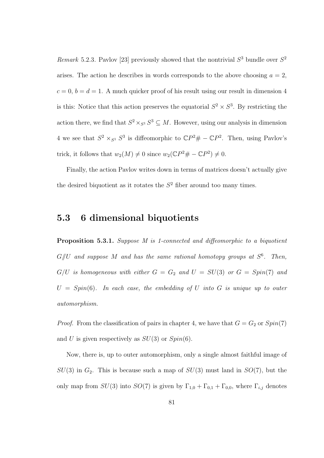Remark 5.2.3. Pavlov [23] previously showed that the nontrivial  $S^3$  bundle over  $S^2$ arises. The action he describes in words corresponds to the above choosing  $a = 2$ ,  $c = 0, b = d = 1$ . A much quicker proof of his result using our result in dimension 4 is this: Notice that this action preserves the equatorial  $S^2 \times S^3$ . By restricting the action there, we find that  $S^2 \times_{S^1} S^3 \subseteq M$ . However, using our analysis in dimension 4 we see that  $S^2 \times_{S^1} S^3$  is diffeomorphic to  $\mathbb{C}P^2 \# - \mathbb{C}P^2$ . Then, using Pavlov's trick, it follows that  $w_2(M) \neq 0$  since  $w_2(\mathbb{C}P^2 \# - \mathbb{C}P^2) \neq 0$ .

Finally, the action Pavlov writes down in terms of matrices doesn't actually give the desired biquotient as it rotates the  $S<sup>2</sup>$  fiber around too many times.

## 5.3 6 dimensional biquotients

Proposition 5.3.1. Suppose M is 1-connected and diffeomorphic to a biquotient  $G/\!\!/ U$  and suppose M and has the same rational homotopy groups at  $S^6$ . Then,  $G/U$  is homogeneous with either  $G = G_2$  and  $U = SU(3)$  or  $G = Spin(7)$  and  $U = Spin(6)$ . In each case, the embedding of U into G is unique up to outer automorphism.

*Proof.* From the classification of pairs in chapter 4, we have that  $G = G_2$  or  $Spin(7)$ and U is given respectively as  $SU(3)$  or  $Spin(6)$ .

Now, there is, up to outer automorphism, only a single almost faithful image of  $SU(3)$  in  $G_2$ . This is because such a map of  $SU(3)$  must land in  $SO(7)$ , but the only map from  $SU(3)$  into  $SO(7)$  is given by  $\Gamma_{1,0} + \Gamma_{0,1} + \Gamma_{0,0}$ , where  $\Gamma_{i,j}$  denotes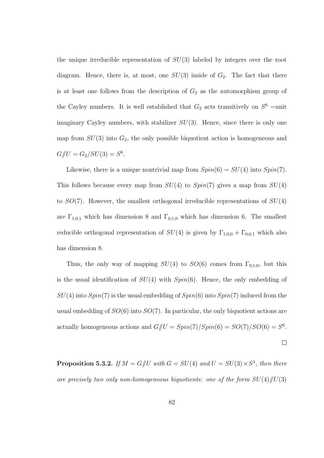the unique irreducible representation of  $SU(3)$  labeled by integers over the root diagram. Hence, there is, at most, one  $SU(3)$  inside of  $G_2$ . The fact that there is at least one follows from the description of  $G_2$  as the automorphism group of the Cayley numbers. It is well established that  $G_2$  acts transitively on  $S^6$  =unit imaginary Cayley numbers, with stabilizer  $SU(3)$ . Hence, since there is only one map from  $SU(3)$  into  $G_2$ , the only possible biquotient action is homogeneous and  $G/\!\!/ U = G_2/SU(3) = S^6.$ 

Likewise, there is a unique nontrivial map from  $Spin(6) = SU(4)$  into  $Spin(7)$ . This follows because every map from  $SU(4)$  to  $Spin(7)$  gives a map from  $SU(4)$ to  $SO(7)$ . However, the smallest orthogonal irreducible representations of  $SU(4)$ are  $\Gamma_{1,0,1}$  which has dimension 8 and  $\Gamma_{0,1,0}$  which has dimension 6. The smallest reducible orthogonal representation of  $SU(4)$  is given by  $\Gamma_{1,0,0} + \Gamma_{0,0,1}$  which also has dimension 8.

Thus, the only way of mapping  $SU(4)$  to  $SO(6)$  comes from  $\Gamma_{0,1,0}$ , but this is the usual identification of  $SU(4)$  with  $Spin(6)$ . Hence, the only embedding of  $SU(4)$  into  $Spin(7)$  is the usual embedding of  $Spin(6)$  into  $Spin(7)$  induced from the usual embedding of  $SO(6)$  into  $SO(7)$ . In particular, the only biquotient actions are actually homogeneous actions and  $G/\hspace{-3pt}/ U = Spin(7)/Spin(6) = SO(7)/SO(6) = S^6$ .

 $\Box$ 

**Proposition 5.3.2.** If  $M = G/U$  with  $G = SU(4)$  and  $U = SU(3) \times S^1$ , then there are precisely two only non-homogeneous biquotients: one of the form  $SU(4)/U(3)$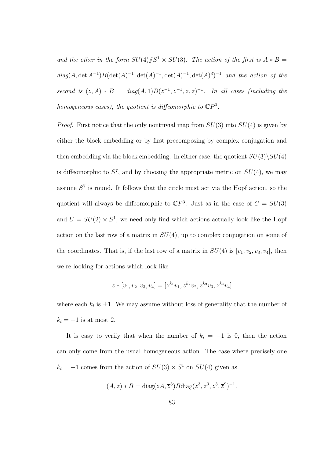and the other in the form  $SU(4)/\!\!/S^1 \times SU(3)$ . The action of the first is  $A * B =$  $diag(A, \det A^{-1})B(\det(A)^{-1}, \det(A)^{-1}, \det(A)^{-1}, \det(A)^3)^{-1}$  and the action of the second is  $(z, A) * B = diag(A, 1)B(z^{-1}, z^{-1}, z, z)^{-1}$ . In all cases (including the homogeneous cases), the quotient is diffeomorphic to  $\mathbb{C}P^3$ .

*Proof.* First notice that the only nontrivial map from  $SU(3)$  into  $SU(4)$  is given by either the block embedding or by first precomposing by complex conjugation and then embedding via the block embedding. In either case, the quotient  $SU(3)\backslash SU(4)$ is diffeomorphic to  $S^7$ , and by choosing the appropriate metric on  $SU(4)$ , we may assume  $S<sup>7</sup>$  is round. It follows that the circle must act via the Hopf action, so the quotient will always be diffeomorphic to  $\mathbb{C}P^3$ . Just as in the case of  $G = SU(3)$ and  $U = SU(2) \times S<sup>1</sup>$ , we need only find which actions actually look like the Hopf action on the last row of a matrix in  $SU(4)$ , up to complex conjugation on some of the coordinates. That is, if the last row of a matrix in  $SU(4)$  is  $[v_1, v_2, v_3, v_4]$ , then we're looking for actions which look like

$$
z * [v_1, v_2, v_3, v_4] = [z^{k_1}v_1, z^{k_2}v_2, z^{k_3}v_3, z^{k_4}v_4]
$$

where each  $k_i$  is  $\pm 1$ . We may assume without loss of generality that the number of  $k_i = -1$  is at most 2.

It is easy to verify that when the number of  $k_i = -1$  is 0, then the action can only come from the usual homogeneous action. The case where precisely one  $k_i = -1$  comes from the action of  $SU(3) \times S^1$  on  $SU(4)$  given as

$$
(A, z) * B = diag(zA, \overline{z}^{3})Bdiag(z^{3}, z^{3}, z^{3}, \overline{z}^{9})^{-1}.
$$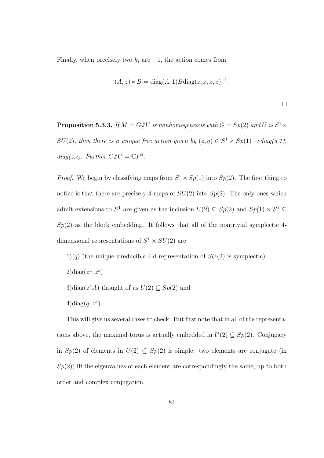Finally, when precisely two  $k_i$  are  $-1$ , the action comes from

$$
(A, z) * B = diag(A, 1)Bdiag(z, z, \overline{z}, \overline{z})^{-1}.
$$

 $\Box$ 

**Proposition 5.3.3.** If  $M = G \parallel U$  is nonhomogeneous with  $G = Sp(2)$  and U is  $S^1 \times$  $SU(2)$ , then there is a unique free action given by  $(z, q) \in S^1 \times Sp(1) \rightarrow diag(q, 1)$ , diag(z,z). Further  $G/\!\!/ U = \mathbb{C}P^3$ .

*Proof.* We begin by classifying maps from  $S^1 \times Sp(1)$  into  $Sp(2)$ . The first thing to notice is that there are precisely 4 maps of  $SU(2)$  into  $Sp(2)$ . The only ones which admit extensions to  $S^1$  are given as the inclusion  $U(2) \subseteq Sp(2)$  and  $Sp(1) \times S^1 \subseteq$  $Sp(2)$  as the block embedding. It follows that all of the nontrivial symplectic 4dimensional representations of  $S^1 \times SU(2)$  are

 $1)(q)$  (the unique irreducible 4-d representation of  $SU(2)$  is symplectic)  $2)diag(z^a, z^b)$ 3)diag( $z^a A$ ) thought of as  $U(2) \subseteq Sp(2)$  and  $4)diag(q, z^a)$ 

This will give us several cases to check. But first note that in all of the representations above, the maximal torus is actually embedded in  $U(2) \subseteq Sp(2)$ . Conjugacy in  $Sp(2)$  of elements in  $U(2) \subseteq Sp(2)$  is simple: two elements are conjugate (in  $Sp(2)$ ) iff the eigenvalues of each element are correspondingly the same, up to both order and complex conjugation.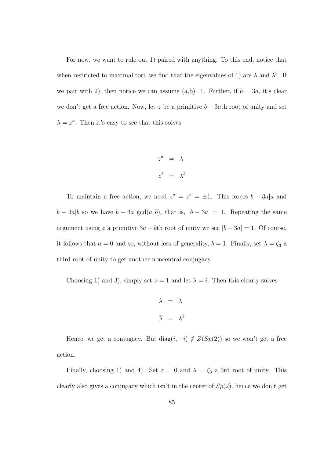For now, we want to rule out 1) paired with anything. To this end, notice that when restricted to maximal tori, we find that the eigenvalues of 1) are  $\lambda$  and  $\lambda^3$ . If we pair with 2), then notice we can assume  $(a,b)=1$ . Further, if  $b=3a$ , it's clear we don't get a free action. Now, let z be a primitive  $b - 3ab$  root of unity and set  $\lambda = z^a$ . Then it's easy to see that this solves

$$
z^{a} = \lambda
$$

$$
z^{b} = \lambda^{3}
$$

To maintain a free action, we need  $z^a = z^b = \pm 1$ . This forces  $b - 3a/a$  and  $b - 3a|b$  so we have  $b - 3a|\gcd(a, b)$ , that is,  $|b - 3a| = 1$ . Repeating the same argument using z a primitive  $3a + b$ th root of unity we see  $|b + 3a| = 1$ . Of course, it follows that  $a = 0$  and so, without loss of generality,  $b = 1$ . Finally, set  $\lambda = \zeta_3$  a third root of unity to get another noncentral conjugacy.

Choosing 1) and 3), simply set  $z = 1$  and let  $\lambda = i$ . Then this clearly solves

$$
\lambda = \lambda
$$
  

$$
\overline{\lambda} = \lambda^3
$$

Hence, we get a conjugacy. But  $\text{diag}(i,-i) \notin Z(Sp(2))$  so we won't get a free action.

Finally, choosing 1) and 4). Set  $z = 0$  and  $\lambda = \zeta_3$  a 3rd root of unity. This clearly also gives a conjugacy which isn't in the center of  $Sp(2)$ , hence we don't get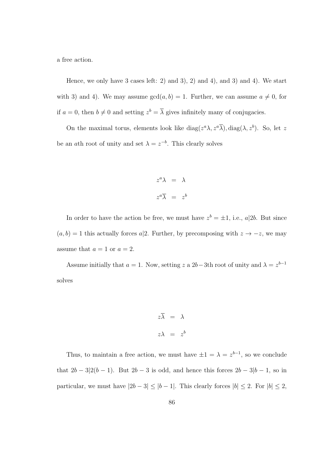a free action.

Hence, we only have 3 cases left: 2) and 3), 2) and 4), and 3) and 4). We start with 3) and 4). We may assume  $gcd(a, b) = 1$ . Further, we can assume  $a \neq 0$ , for if  $a = 0$ , then  $b \neq 0$  and setting  $z^b = \overline{\lambda}$  gives infinitely many of conjugacies.

On the maximal torus, elements look like  $diag(z^a\lambda, z^a\overline{\lambda}), diag(\lambda, z^b)$ . So, let z be an ath root of unity and set  $\lambda = z^{-b}$ . This clearly solves

$$
z^{a} \lambda = \lambda
$$

$$
z^{a} \overline{\lambda} = z^{b}
$$

In order to have the action be free, we must have  $z^b = \pm 1$ , i.e.,  $a|2b$ . But since  $(a, b) = 1$  this actually forces a|2. Further, by precomposing with  $z \to -z$ , we may assume that  $a = 1$  or  $a = 2$ .

Assume initially that  $a = 1$ . Now, setting z a 2b – 3th root of unity and  $\lambda = z^{b-1}$ solves

$$
z\overline{\lambda} = \lambda
$$
  

$$
z\lambda = z^b
$$

Thus, to maintain a free action, we must have  $\pm 1 = \lambda = z^{b-1}$ , so we conclude that  $2b - 3|2(b-1)$ . But  $2b - 3$  is odd, and hence this forces  $2b - 3|b-1$ , so in particular, we must have  $|2b - 3| \le |b - 1|$ . This clearly forces  $|b| \le 2$ . For  $|b| \le 2$ ,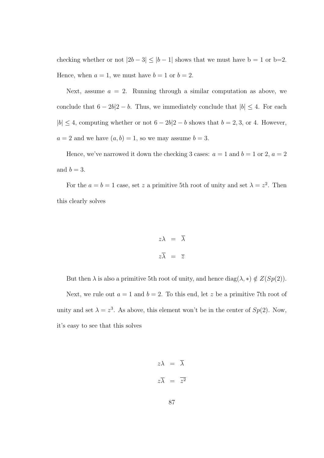checking whether or not  $|2b - 3| \le |b - 1|$  shows that we must have  $b = 1$  or  $b=2$ . Hence, when  $a = 1$ , we must have  $b = 1$  or  $b = 2$ .

Next, assume  $a = 2$ . Running through a similar computation as above, we conclude that  $6 - 2b/2 - b$ . Thus, we immediately conclude that  $|b| \leq 4$ . For each  $|b| \leq 4$ , computing whether or not  $6 - 2b|2 - b$  shows that  $b = 2, 3$ , or 4. However,  $a = 2$  and we have  $(a, b) = 1$ , so we may assume  $b = 3$ .

Hence, we've narrowed it down the checking 3 cases:  $a = 1$  and  $b = 1$  or 2,  $a = 2$ and  $b = 3$ .

For the  $a = b = 1$  case, set z a primitive 5th root of unity and set  $\lambda = z^2$ . Then this clearly solves

$$
z\lambda = \overline{\lambda}
$$

$$
z\overline{\lambda} = \overline{z}
$$

But then  $\lambda$  is also a primitive 5th root of unity, and hence  $diag(\lambda, *) \notin Z(Sp(2)).$ 

Next, we rule out  $a = 1$  and  $b = 2$ . To this end, let z be a primitive 7th root of unity and set  $\lambda = z^3$ . As above, this element won't be in the center of  $Sp(2)$ . Now, it's easy to see that this solves

$$
z\lambda = \lambda
$$

$$
z\overline{\lambda} = \overline{z^2}
$$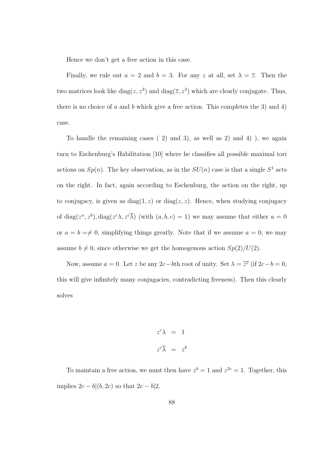Hence we don't get a free action in this case.

Finally, we rule out  $a = 2$  and  $b = 3$ . For any z at all, set  $\lambda = \overline{z}$ . Then the two matrices look like  $diag(z, z^3)$  and  $diag(\overline{z}, z^3)$  which are clearly conjugate. Thus, there is no choice of a and b which give a free action. This completes the 3) and 4) case.

To handle the remaining cases ( 2) and 3), as well as 2) and 4) ), we again turn to Eschenburg's Habilitation [10] where he classifies all possible maximal tori actions on  $Sp(n)$ . The key observation, as in the  $SU(n)$  case is that a single  $S^1$  acts on the right. In fact, again according to Eschenburg, the action on the right, up to conjugacy, is given as  $diag(1, z)$  or  $diag(z, z)$ . Hence, when studying conjugacy of diag( $z^a, z^b$ ), diag( $z^c \lambda, z^c \overline{\lambda}$ ) (with  $(a, b, c) = 1$ ) we may assume that either  $a = 0$ or  $a = b \neq 0$ , simplifying things greatly. Note that if we assume  $a = 0$ , we may assume  $b \neq 0$ , since otherwise we get the homogenous action  $Sp(2)/U(2)$ .

Now, assume  $a = 0$ . Let z be any 2c-bth root of unity. Set  $\lambda = \overline{z^c}$  (if  $2c - b = 0$ , this will give infinitely many conjugacies, contradicting freeness). Then this clearly solves

$$
z^{c} \lambda = 1
$$

$$
z^{c} \overline{\lambda} = z^{b}
$$

To maintain a free action, we must then have  $z^b = 1$  and  $z^{2c} = 1$ . Together, this implies  $2c - b|(b, 2c)$  so that  $2c - b|2$ .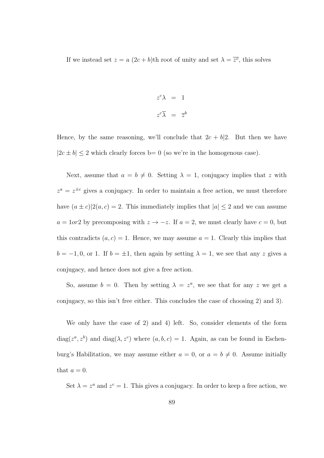If we instead set  $z = a(2c + b)$ th root of unity and set  $\lambda = \overline{z^c}$ , this solves

$$
z^{c} \lambda = 1
$$

$$
z^{c} \overline{\lambda} = \overline{z}^{b}
$$

Hence, by the same reasoning, we'll conclude that  $2c + b/2$ . But then we have  $|2c \pm b| \leq 2$  which clearly forces b= 0 (so we're in the homogenous case).

Next, assume that  $a = b \neq 0$ . Setting  $\lambda = 1$ , conjugacy implies that z with  $z^a = z^{\pm c}$  gives a conjugacy. In order to maintain a free action, we must therefore have  $(a \pm c)|2(a, c)| = 2$ . This immediately implies that  $|a| \leq 2$  and we can assume  $a = 1$ or2 by precomposing with  $z \to -z$ . If  $a = 2$ , we must clearly have  $c = 0$ , but this contradicts  $(a, c) = 1$ . Hence, we may assume  $a = 1$ . Clearly this implies that  $b = -1, 0$ , or 1. If  $b = \pm 1$ , then again by setting  $\lambda = 1$ , we see that any z gives a conjugacy, and hence does not give a free action.

So, assume  $b = 0$ . Then by setting  $\lambda = z^a$ , we see that for any z we get a conjugacy, so this isn't free either. This concludes the case of choosing 2) and 3).

We only have the case of 2) and 4) left. So, consider elements of the form  $diag(z^a, z^b)$  and  $diag(\lambda, z^c)$  where  $(a, b, c) = 1$ . Again, as can be found in Eschenburg's Habilitation, we may assume either  $a = 0$ , or  $a = b \neq 0$ . Assume initially that  $a = 0$ .

Set  $\lambda = z^a$  and  $z^c = 1$ . This gives a conjugacy. In order to keep a free action, we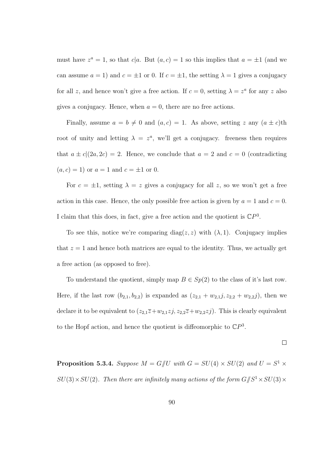must have  $z^a = 1$ , so that  $c|a$ . But  $(a, c) = 1$  so this implies that  $a = \pm 1$  (and we can assume  $a = 1$ ) and  $c = \pm 1$  or 0. If  $c = \pm 1$ , the setting  $\lambda = 1$  gives a conjugacy for all z, and hence won't give a free action. If  $c = 0$ , setting  $\lambda = z^a$  for any z also gives a conjugacy. Hence, when  $a = 0$ , there are no free actions.

Finally, assume  $a = b \neq 0$  and  $(a, c) = 1$ . As above, setting z any  $(a \pm c)$ th root of unity and letting  $\lambda = z^a$ , we'll get a conjugacy. freeness then requires that  $a \pm c|(2a, 2c) = 2$ . Hence, we conclude that  $a = 2$  and  $c = 0$  (contradicting  $(a, c) = 1$  or  $a = 1$  and  $c = \pm 1$  or 0.

For  $c = \pm 1$ , setting  $\lambda = z$  gives a conjugacy for all z, so we won't get a free action in this case. Hence, the only possible free action is given by  $a = 1$  and  $c = 0$ . I claim that this does, in fact, give a free action and the quotient is  $\mathbb{C}P^3$ .

To see this, notice we're comparing diag( $z, z$ ) with  $(\lambda, 1)$ . Conjugacy implies that  $z = 1$  and hence both matrices are equal to the identity. Thus, we actually get a free action (as opposed to free).

To understand the quotient, simply map  $B \in Sp(2)$  to the class of it's last row. Here, if the last row  $(b_{2,1}, b_{2,2})$  is expanded as  $(z_{2,1} + w_{2,1}j, z_{2,2} + w_{2,2}j)$ , then we declare it to be equivalent to  $(z_{2,1}\overline{z}+w_{2,1}z_j, z_{2,2}\overline{z}+w_{2,2}z_j)$ . This is clearly equivalent to the Hopf action, and hence the quotient is diffeomorphic to  $\mathbb{C}P^3$ .

$$
\qquad \qquad \Box
$$

**Proposition 5.3.4.** Suppose  $M = G/U$  with  $G = SU(4) \times SU(2)$  and  $U = S^1 \times$  $SU(3)\times SU(2)$ . Then there are infinitely many actions of the form  $G/\!\!/S^1 \times SU(3) \times$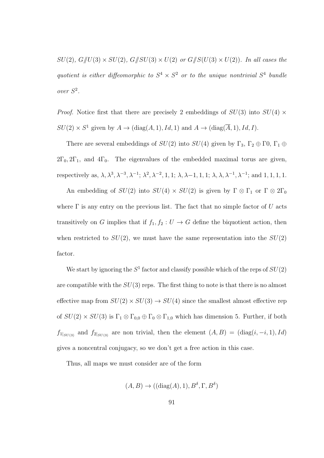$SU(2), G/\!\!/ U(3) \times SU(2), G/\!\!/ SU(3) \times U(2)$  or  $G/\!\!/ S(U(3) \times U(2))$ . In all cases the quotient is either diffeomorphic to  $S^4 \times S^2$  or to the unique nontrivial  $S^4$  bundle over S 2 .

*Proof.* Notice first that there are precisely 2 embeddings of  $SU(3)$  into  $SU(4)$  ×  $SU(2) \times S^1$  given by  $A \to (\text{diag}(A, 1), Id, 1)$  and  $A \to (\text{diag}(\overline{A}, 1), Id, I)$ .

There are several embeddings of  $SU(2)$  into  $SU(4)$  given by  $\Gamma_3$ ,  $\Gamma_2 \oplus \Gamma_3$ ,  $\Gamma_1 \oplus \Gamma_2$  $2\Gamma_0$ ,  $2\Gamma_1$ , and  $4\Gamma_0$ . The eigenvalues of the embedded maximal torus are given, respectively as,  $\lambda, \lambda^3, \lambda^{-3}, \lambda^{-1}$ ;  $\lambda^2, \lambda^{-2}, 1, 1$ ;  $\lambda, \lambda-1, 1, 1$ ;  $\lambda, \lambda, \lambda^{-1}, \lambda^{-1}$ ; and 1, 1, 1, 1.

An embedding of  $SU(2)$  into  $SU(4) \times SU(2)$  is given by  $\Gamma \otimes \Gamma_1$  or  $\Gamma \otimes 2\Gamma_0$ where  $\Gamma$  is any entry on the previous list. The fact that no simple factor of U acts transitively on G implies that if  $f_1, f_2 : U \to G$  define the biquotient action, then when restricted to  $SU(2)$ , we must have the same representation into the  $SU(2)$ factor.

We start by ignoring the  $S^1$  factor and classify possible which of the reps of  $SU(2)$ are compatible with the  $SU(3)$  reps. The first thing to note is that there is no almost effective map from  $SU(2) \times SU(3) \rightarrow SU(4)$  since the smallest almost effective rep of  $SU(2) \times SU(3)$  is  $\Gamma_1 \otimes \Gamma_{0,0} \oplus \Gamma_0 \otimes \Gamma_{1,0}$  which has dimension 5. Further, if both  $f_{1|_{SU(3)}}$  and  $f_{2|_{SU(3)}}$  are non trivial, then the element  $(A, B) = (\text{diag}(i, -i, 1), Id)$ gives a noncentral conjugacy, so we don't get a free action in this case.

Thus, all maps we must consider are of the form

$$
(A, B) \to ((diag(A), 1), B^{\delta}, \Gamma, B^{\delta})
$$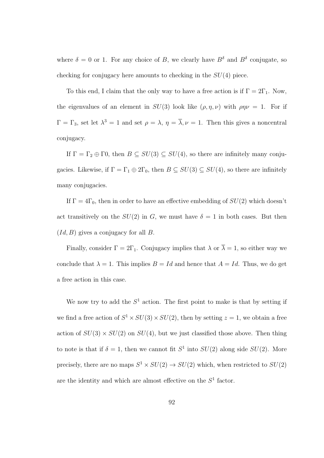where  $\delta = 0$  or 1. For any choice of B, we clearly have  $B^{\delta}$  and  $B^{\delta}$  conjugate, so checking for conjugacy here amounts to checking in the  $SU(4)$  piece.

To this end, I claim that the only way to have a free action is if  $\Gamma = 2\Gamma_1$ . Now, the eigenvalues of an element in  $SU(3)$  look like  $(\rho, \eta, \nu)$  with  $\rho \eta \nu = 1$ . For if  $\Gamma = \Gamma_3$ , set let  $\lambda^3 = 1$  and set  $\rho = \lambda$ ,  $\eta = \overline{\lambda}$ ,  $\nu = 1$ . Then this gives a noncentral conjugacy.

If  $\Gamma = \Gamma_2 \oplus \Gamma_2$ , then  $B \subseteq SU(3) \subseteq SU(4)$ , so there are infinitely many conjugacies. Likewise, if  $\Gamma = \Gamma_1 \oplus 2\Gamma_0$ , then  $B \subseteq SU(3) \subseteq SU(4)$ , so there are infinitely many conjugacies.

If  $\Gamma = 4\Gamma_0$ , then in order to have an effective embedding of  $SU(2)$  which doesn't act transitively on the  $SU(2)$  in G, we must have  $\delta = 1$  in both cases. But then  $(Id, B)$  gives a conjugacy for all B.

Finally, consider  $\Gamma = 2\Gamma_1$ . Conjugacy implies that  $\lambda$  or  $\overline{\lambda} = 1$ , so either way we conclude that  $\lambda = 1$ . This implies  $B = Id$  and hence that  $A = Id$ . Thus, we do get a free action in this case.

We now try to add the  $S<sup>1</sup>$  action. The first point to make is that by setting if we find a free action of  $S^1 \times SU(3) \times SU(2)$ , then by setting  $z = 1$ , we obtain a free action of  $SU(3) \times SU(2)$  on  $SU(4)$ , but we just classified those above. Then thing to note is that if  $\delta = 1$ , then we cannot fit  $S^1$  into  $SU(2)$  along side  $SU(2)$ . More precisely, there are no maps  $S^1 \times SU(2) \rightarrow SU(2)$  which, when restricted to  $SU(2)$ are the identity and which are almost effective on the  $S<sup>1</sup>$  factor.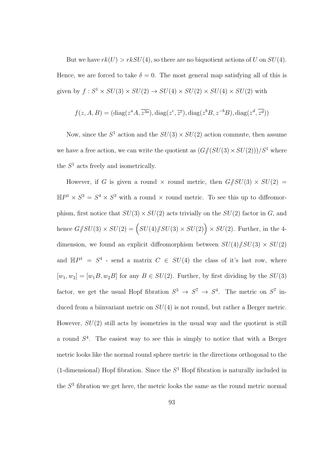But we have  $rk(U) > rkSU(4)$ , so there are no biquotient actions of U on  $SU(4)$ . Hence, we are forced to take  $\delta = 0$ . The most general map satisfying all of this is given by  $f: S^1 \times SU(3) \times SU(2) \rightarrow SU(4) \times SU(2) \times SU(4) \times SU(2)$  with

$$
f(z, A, B) = (\text{diag}(z^a A, \overline{z^{3a}}), \text{diag}(z^c, \overline{z^c}), \text{diag}(z^b B, z^{-b} B), \text{diag}(z^d, \overline{z^d}))
$$

Now, since the  $S^1$  action and the  $SU(3) \times SU(2)$  action commute, then assume we have a free action, we can write the quotient as  $(G/(SU(3) \times SU(2)))/S^1$  where the  $S<sup>1</sup>$  acts freely and isometrically.

However, if G is given a round  $\times$  round metric, then  $G/\!\!/SU(3) \times SU(2) =$  $\mathbb{H}P^1 \times S^3 = S^4 \times S^3$  with a round  $\times$  round metric. To see this up to diffeomorphism, first notice that  $SU(3) \times SU(2)$  acts trivially on the  $SU(2)$  factor in G, and hence  $G/\!\!/SU(3) \times SU(2) = \left(SU(4)/\!\!/SU(3) \times SU(2)\right) \times SU(2)$ . Further, in the 4dimension, we found an explicit diffeomorphism between  $SU(4)/SU(3) \times SU(2)$ and  $\mathbb{H}P^1 = S^4$  - send a matrix  $C \in SU(4)$  the class of it's last row, where  $[w_1, w_2] = [w_1B, w_2B]$  for any  $B \in SU(2)$ . Further, by first dividing by the  $SU(3)$ factor, we get the usual Hopf fibration  $S^3 \to S^7 \to S^4$ . The metric on  $S^7$  induced from a biinvariant metric on  $SU(4)$  is not round, but rather a Berger metric. However,  $SU(2)$  still acts by isometries in the usual way and the quotient is still a round  $S<sup>4</sup>$ . The easiest way to see this is simply to notice that with a Berger metric looks like the normal round sphere metric in the directions orthogonal to the (1-dimensional) Hopf fibration. Since the  $S<sup>1</sup>$  Hopf fibration is naturally included in the  $S<sup>3</sup>$  fibration we get here, the metric looks the same as the round metric normal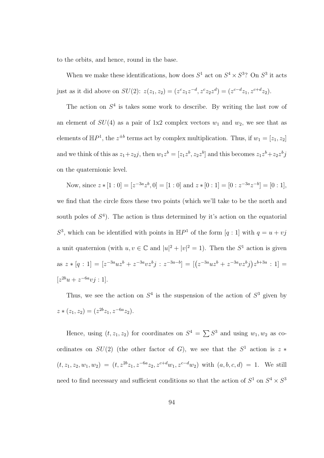to the orbits, and hence, round in the base.

When we make these identifications, how does  $S^1$  act on  $S^4 \times S^3$ ? On  $S^3$  it acts just as it did above on  $SU(2)$ :  $z(z_1, z_2) = (z^c z_1 z^{-d}, z^c z_2 z^d) = (z^{c-d} z_1, z^{c+d} z_2)$ .

The action on  $S<sup>4</sup>$  is takes some work to describe. By writing the last row of an element of  $SU(4)$  as a pair of 1x2 complex vectors  $w_1$  and  $w_2$ , we see that as elements of  $\mathbb{H}P^1$ , the  $z^{\pm b}$  terms act by complex multiplication. Thus, if  $w_1 = [z_1, z_2]$ and we think of this as  $z_1 + z_2j$ , then  $w_1 z^b = [z_1 z^b, z_2 z^b]$  and this becomes  $z_1 z^b + z_2 z^b j$ on the quaternionic level.

Now, since  $z * [1 : 0] = [z^{-3a}z^b, 0] = [1 : 0]$  and  $z * [0 : 1] = [0 : z^{-3a}z^{-b}] = [0 : 1]$ , we find that the circle fixes these two points (which we'll take to be the north and south poles of  $S<sup>4</sup>$ ). The action is thus determined by it's action on the equatorial  $S^3$ , which can be identified with points in  $\mathbb{H}P^1$  of the form  $[q:1]$  with  $q = u + vj$ a unit quaternion (with  $u, v \in \mathbb{C}$  and  $|u|^2 + |v|^2 = 1$ ). Then the  $S^1$  action is given as  $z * [q : 1] = [z^{-3a}uz^b + z^{-3a}vz^b j : z^{-3a-b}] = [(z^{-3a}uz^b + z^{-3a}vz^b j)z^{b+3a} : 1] =$  $[z^{2b}u + z^{-6a}vj : 1].$ 

Thus, we see the action on  $S^4$  is the suspension of the action of  $S^3$  given by  $z*(z_1, z_2) = (z^{2b}z_1, z^{-6a}z_2).$ 

Hence, using  $(t, z_1, z_2)$  for coordinates on  $S^4 = \sum S^3$  and using  $w_1, w_2$  as coordinates on  $SU(2)$  (the other factor of G), we see that the  $S<sup>1</sup>$  action is  $z *$  $(t, z_1, z_2, w_1, w_2) = (t, z^{2b}z_1, z^{-6a}z_2, z^{c+d}w_1, z^{c-d}w_2)$  with  $(a, b, c, d) = 1$ . We still need to find necessary and sufficient conditions so that the action of  $S^1$  on  $S^4 \times S^3$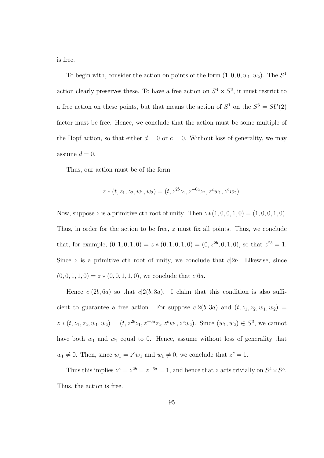is free.

To begin with, consider the action on points of the form  $(1, 0, 0, w_1, w_2)$ . The  $S<sup>1</sup>$ action clearly preserves these. To have a free action on  $S^4 \times S^3$ , it must restrict to a free action on these points, but that means the action of  $S^1$  on the  $S^3 = SU(2)$ factor must be free. Hence, we conclude that the action must be some multiple of the Hopf action, so that either  $d = 0$  or  $c = 0$ . Without loss of generality, we may assume  $d = 0$ .

Thus, our action must be of the form

$$
z*(t, z_1, z_2, w_1, w_2) = (t, z^{2b}z_1, z^{-6a}z_2, z^c w_1, z^c w_2).
$$

Now, suppose z is a primitive cth root of unity. Then  $z*(1, 0, 0, 1, 0) = (1, 0, 0, 1, 0)$ . Thus, in order for the action to be free, z must fix all points. Thus, we conclude that, for example,  $(0, 1, 0, 1, 0) = z * (0, 1, 0, 1, 0) = (0, z^{2b}, 0, 1, 0)$ , so that  $z^{2b} = 1$ . Since z is a primitive cth root of unity, we conclude that  $c|2b$ . Likewise, since  $(0, 0, 1, 1, 0) = z * (0, 0, 1, 1, 0)$ , we conclude that  $c|6a$ .

Hence  $c|(2b, 6a)$  so that  $c|2(b, 3a)$ . I claim that this condition is also sufficient to guarantee a free action. For suppose  $c|2(b, 3a)$  and  $(t, z_1, z_2, w_1, w_2)$  =  $z*(t, z_1, z_2, w_1, w_2) = (t, z^{2b}z_1, z^{-6a}z_2, z^c w_1, z^c w_2).$  Since  $(w_1, w_2) \in S^3$ , we cannot have both  $w_1$  and  $w_2$  equal to 0. Hence, assume without loss of generality that  $w_1 \neq 0$ . Then, since  $w_1 = z^c w_1$  and  $w_1 \neq 0$ , we conclude that  $z^c = 1$ .

Thus this implies  $z^c = z^{2b} = z^{-6a} = 1$ , and hence that z acts trivially on  $S^4 \times S^3$ . Thus, the action is free.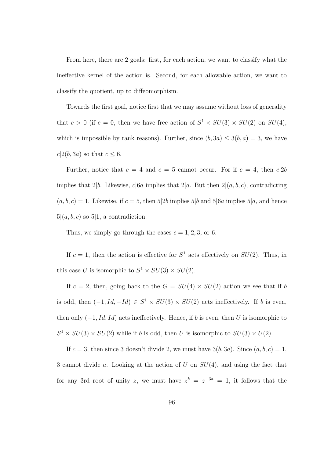From here, there are 2 goals: first, for each action, we want to classify what the ineffective kernel of the action is. Second, for each allowable action, we want to classify the quotient, up to diffeomorphism.

Towards the first goal, notice first that we may assume without loss of generality that  $c > 0$  (if  $c = 0$ , then we have free action of  $S^1 \times SU(3) \times SU(2)$  on  $SU(4)$ , which is impossible by rank reasons). Further, since  $(b, 3a) \leq 3(b, a) = 3$ , we have  $c|2(b, 3a)$  so that  $c \leq 6$ .

Further, notice that  $c = 4$  and  $c = 5$  cannot occur. For if  $c = 4$ , then  $c|2b$ implies that 2|b. Likewise, c|6a implies that 2|a. But then  $2|(a, b, c)$ , contradicting  $(a, b, c) = 1$ . Likewise, if  $c = 5$ , then  $5|2b$  implies  $5|b$  and  $5|6a$  implies  $5|a$ , and hence  $5|(a, b, c)$  so  $5|1$ , a contradiction.

Thus, we simply go through the cases  $c = 1, 2, 3$ , or 6.

If  $c = 1$ , then the action is effective for  $S<sup>1</sup>$  acts effectively on  $SU(2)$ . Thus, in this case U is isomorphic to  $S^1 \times SU(3) \times SU(2)$ .

If  $c = 2$ , then, going back to the  $G = SU(4) \times SU(2)$  action we see that if b is odd, then  $(-1, Id, -Id) \in S^1 \times SU(3) \times SU(2)$  acts ineffectively. If b is even, then only  $(-1, Id, Id)$  acts ineffectively. Hence, if b is even, then U is isomorphic to  $S^1 \times SU(3) \times SU(2)$  while if b is odd, then U is isomorphic to  $SU(3) \times U(2)$ .

If  $c = 3$ , then since 3 doesn't divide 2, we must have  $3(b, 3a)$ . Since  $(a, b, c) = 1$ , 3 cannot divide a. Looking at the action of U on  $SU(4)$ , and using the fact that for any 3rd root of unity z, we must have  $z^b = z^{-3a} = 1$ , it follows that the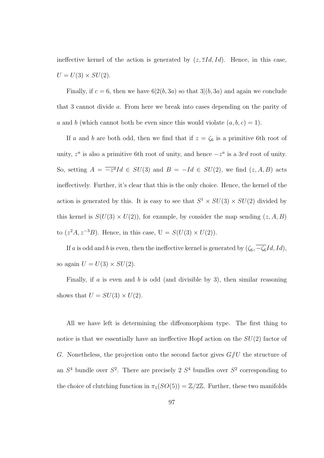ineffective kernel of the action is generated by  $(z, \overline{z}Id, Id)$ . Hence, in this case,  $U = U(3) \times SU(2)$ .

Finally, if  $c = 6$ , then we have  $6|2(b, 3a)$  so that  $3|(b, 3a)$  and again we conclude that 3 cannot divide a. From here we break into cases depending on the parity of a and b (which cannot both be even since this would violate  $(a, b, c) = 1$ ).

If a and b are both odd, then we find that if  $z = \zeta_6$  is a primitive 6th root of unity,  $z^a$  is also a primitive 6th root of unity, and hence  $-z^a$  is a 3rd root of unity. So, setting  $A = \overline{-z^a}Id \in SU(3)$  and  $B = -Id \in SU(2)$ , we find  $(z, A, B)$  acts ineffectively. Further, it's clear that this is the only choice. Hence, the kernel of the action is generated by this. It is easy to see that  $S^1 \times SU(3) \times SU(2)$  divided by this kernel is  $S(U(3) \times U(2))$ , for example, by consider the map sending  $(z, A, B)$ to  $(z^2A, z^{-3}B)$ . Hence, in this case,  $U = S(U(3) \times U(2))$ .

If a is odd and b is even, then the ineffective kernel is generated by  $(\zeta_6, \overline{-\zeta_6}Id, Id)$ , so again  $U = U(3) \times SU(2)$ .

Finally, if a is even and b is odd (and divisible by 3), then similar reasoning shows that  $U = SU(3) \times U(2)$ .

All we have left is determining the diffeomorphism type. The first thing to notice is that we essentially have an ineffective Hopf action on the  $SU(2)$  factor of G. Nonetheless, the projection onto the second factor gives  $G/U$  the structure of an  $S<sup>4</sup>$  bundle over  $S<sup>2</sup>$ . There are precisely 2  $S<sup>4</sup>$  bundles over  $S<sup>2</sup>$  corresponding to the choice of clutching function in  $\pi_1(SO(5)) = \mathbb{Z}/2\mathbb{Z}$ . Further, these two manifolds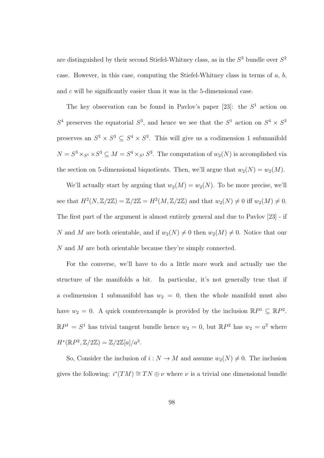are distinguished by their second Stiefel-Whitney class, as in the  $S<sup>3</sup>$  bundle over  $S<sup>2</sup>$ case. However, in this case, computing the Stiefel-Whitney class in terms of  $a, b$ , and c will be significantly easier than it was in the 5-dimensional case.

The key observation can be found in Pavlov's paper  $[23]$ : the  $S<sup>1</sup>$  action on  $S<sup>4</sup>$  preserves the equatorial  $S<sup>3</sup>$ , and hence we see that the  $S<sup>1</sup>$  action on  $S<sup>4</sup> \times S<sup>3</sup>$ preserves an  $S^3 \times S^3 \subseteq S^4 \times S^3$ . This will give us a codimension 1 submanifold  $N = S^3 \times_{S^1} S^3 \subseteq M = S^4 \times_{S^1} S^3$ . The computation of  $w_2(N)$  is accomplished via the section on 5-dimensional biquotients. Then, we'll argue that  $w_2(N) = w_2(M)$ .

We'll actually start by arguing that  $w_2(M) = w_2(N)$ . To be more precise, we'll see that  $H^2(N, \mathbb{Z}/2\mathbb{Z}) = \mathbb{Z}/2\mathbb{Z} = H^2(M, \mathbb{Z}/2\mathbb{Z})$  and that  $w_2(N) \neq 0$  iff  $w_2(M) \neq 0$ . The first part of the argument is almost entirely general and due to Pavlov [23] - if N and M are both orientable, and if  $w_2(N) \neq 0$  then  $w_2(M) \neq 0$ . Notice that our N and M are both orientable because they're simply connected.

For the converse, we'll have to do a little more work and actually use the structure of the manifolds a bit. In particular, it's not generally true that if a codimension 1 submanifold has  $w_2 = 0$ , then the whole manifold must also have  $w_2 = 0$ . A quick counterexample is provided by the inclusion  $\mathbb{R}P^1 \subseteq \mathbb{R}P^2$ .  $\mathbb{R}P^1 = S^1$  has trivial tangent bundle hence  $w_2 = 0$ , but  $\mathbb{R}P^2$  has  $w_2 = a^2$  where  $H^*(\mathbb{R}P^2, \mathbb{Z}/2\mathbb{Z}) = \mathbb{Z}/2\mathbb{Z}[a]/a^3.$ 

So, Consider the inclusion of  $i : N \to M$  and assume  $w_2(N) \neq 0$ . The inclusion gives the following:  $i^*(TM) \cong TN \oplus \nu$  where  $\nu$  is a trivial one dimensional bundle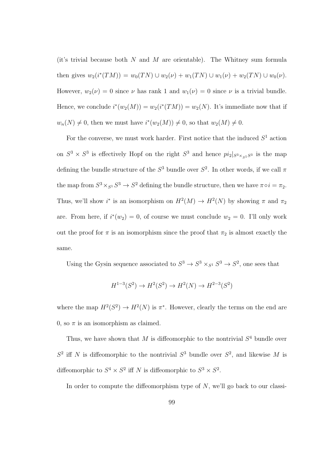(it's trivial because both  $N$  and  $M$  are orientable). The Whitney sum formula then gives  $w_2(i^*(TM)) = w_0(TN) \cup w_2(\nu) + w_1(TN) \cup w_1(\nu) + w_2(TN) \cup w_0(\nu)$ . However,  $w_2(\nu) = 0$  since  $\nu$  has rank 1 and  $w_1(\nu) = 0$  since  $\nu$  is a trivial bundle. Hence, we conclude  $i^*(w_2(M)) = w_2(i^*(TM)) = w_2(N)$ . It's immediate now that if  $w_n(N) \neq 0$ , then we must have  $i^*(w_2(M)) \neq 0$ , so that  $w_2(M) \neq 0$ .

For the converse, we must work harder. First notice that the induced  $S<sup>1</sup>$  action on  $S^3 \times S^3$  is effectively Hopf on the right  $S^3$  and hence  $pi_2|_{S^3 \times_{S^1} S^3}$  is the map defining the bundle structure of the  $S^3$  bundle over  $S^2$ . In other words, if we call  $\pi$ the map from  $S^3 \times_{S^1} S^3 \to S^2$  defining the bundle structure, then we have  $\pi \circ i = \pi_2$ . Thus, we'll show  $i^*$  is an isomorphism on  $H^2(M) \to H^2(N)$  by showing  $\pi$  and  $\pi_2$ are. From here, if  $i^*(w_2) = 0$ , of course we must conclude  $w_2 = 0$ . I'll only work out the proof for  $\pi$  is an isomorphism since the proof that  $\pi_2$  is almost exactly the same.

Using the Gysin sequence associated to  $S^3 \to S^3 \times_{S^1} S^3 \to S^2$ , one sees that

$$
H^{1-3}(S^2) \to H^2(S^2) \to H^2(N) \to H^{2-3}(S^2)
$$

where the map  $H^2(S^2) \to H^2(N)$  is  $\pi^*$ . However, clearly the terms on the end are 0, so  $\pi$  is an isomorphism as claimed.

Thus, we have shown that M is diffeomorphic to the nontrivial  $S<sup>4</sup>$  bundle over  $S^2$  iff N is diffeomorphic to the nontrivial  $S^3$  bundle over  $S^2$ , and likewise M is diffeomorphic to  $S^4 \times S^2$  iff N is diffeomorphic to  $S^3 \times S^2$ .

In order to compute the diffeomorphism type of  $N$ , we'll go back to our classi-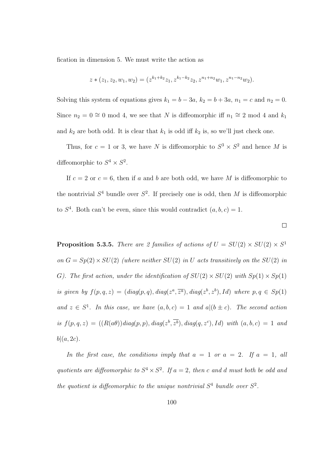fication in dimension 5. We must write the action as

$$
z*(z_1, z_2, w_1, w_2) = (z^{k_1+k_2}z_1, z^{k_1-k_2}z_2, z^{n_1+n_2}w_1, z^{n_1-n_2}w_2).
$$

Solving this system of equations gives  $k_1 = b - 3a$ ,  $k_2 = b + 3a$ ,  $n_1 = c$  and  $n_2 = 0$ . Since  $n_2 = 0 \approx 0 \mod 4$ , we see that N is diffeomorphic iff  $n_1 \approx 2 \mod 4$  and  $k_1$ and  $k_2$  are both odd. It is clear that  $k_1$  is odd iff  $k_2$  is, so we'll just check one.

Thus, for  $c = 1$  or 3, we have N is diffeomorphic to  $S^3 \times S^2$  and hence M is diffeomorphic to  $S^4 \times S^2$ .

If  $c = 2$  or  $c = 6$ , then if a and b are both odd, we have M is diffeomorphic to the nontrivial  $S^4$  bundle over  $S^2$ . If precisely one is odd, then M is diffeomorphic to  $S<sup>4</sup>$ . Both can't be even, since this would contradict  $(a, b, c) = 1$ .

 $\Box$ 

**Proposition 5.3.5.** There are 2 families of actions of  $U = SU(2) \times SU(2) \times S^1$ on  $G = Sp(2) \times SU(2)$  (where neither  $SU(2)$  in U acts transitively on the  $SU(2)$  in G). The first action, under the identification of  $SU(2) \times SU(2)$  with  $Sp(1) \times Sp(1)$ is given by  $f(p,q,z) = (diag(p,q), diag(z^a, \overline{z^a}), diag(z^b, z^b), Id)$  where  $p, q \in Sp(1)$ and  $z \in S^1$ . In this case, we have  $(a, b, c) = 1$  and  $a|(b \pm c)$ . The second action is  $f(p,q,z) = (R(a\theta))diag(p,p), diag(z^b, \overline{z^b}), diag(q,z^c), Id)$  with  $(a, b, c) = 1$  and  $b|(a, 2c)$ .

In the first case, the conditions imply that  $a = 1$  or  $a = 2$ . If  $a = 1$ , all quotients are diffeomorphic to  $S^4 \times S^2$ . If  $a = 2$ , then c and d must both be odd and the quotient is diffeomorphic to the unique nontrivial  $S<sup>4</sup>$  bundle over  $S<sup>2</sup>$ .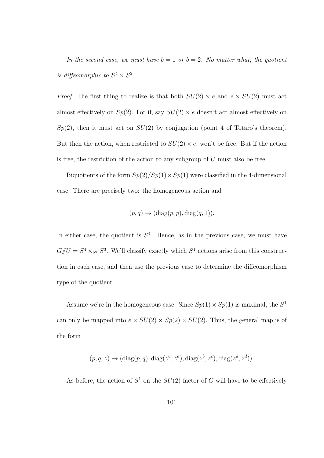In the second case, we must have  $b = 1$  or  $b = 2$ . No matter what, the quotient is diffeomorphic to  $S^4 \times S^2$ .

*Proof.* The first thing to realize is that both  $SU(2) \times e$  and  $e \times SU(2)$  must act almost effectively on  $Sp(2)$ . For if, say  $SU(2) \times e$  doesn't act almost effectively on  $Sp(2)$ , then it must act on  $SU(2)$  by conjugation (point 4 of Totaro's theorem). But then the action, when restricted to  $SU(2) \times e$ , won't be free. But if the action is free, the restriction of the action to any subgroup of  $U$  must also be free.

Biquotients of the form  $Sp(2)/Sp(1) \times Sp(1)$  were classified in the 4-dimensional case. There are precisely two: the homogeneous action and

$$
(p, q) \rightarrow (diag(p, p), diag(q, 1)).
$$

In either case, the quotient is  $S<sup>4</sup>$ . Hence, as in the previous case, we must have  $G/\!\!/ U = S^4 \times_{S^1} S^3$ . We'll classify exactly which  $S^1$  actions arise from this construction in each case, and then use the previous case to determine the diffeomorphism type of the quotient.

Assume we're in the homogeneous case. Since  $Sp(1) \times Sp(1)$  is maximal, the  $S^1$ can only be mapped into  $e \times SU(2) \times Sp(2) \times SU(2)$ . Thus, the general map is of the form

$$
(p, q, z) \rightarrow (diag(p, q), diag(z^a, \overline{z}^a), diag(z^b, z^c), diag(z^d, \overline{z}^d)).
$$

As before, the action of  $S^1$  on the  $SU(2)$  factor of G will have to be effectively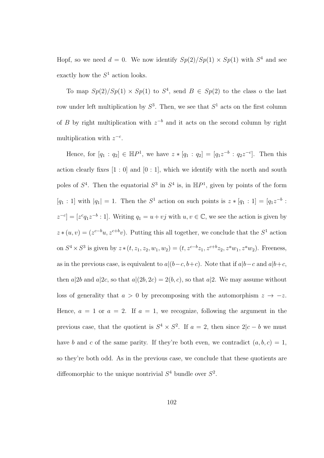Hopf, so we need  $d = 0$ . We now identify  $Sp(2)/Sp(1) \times Sp(1)$  with  $S<sup>4</sup>$  and see exactly how the  $S<sup>1</sup>$  action looks.

To map  $Sp(2)/Sp(1) \times Sp(1)$  to  $S^4$ , send  $B \in Sp(2)$  to the class o the last row under left multiplication by  $S^3$ . Then, we see that  $S^1$  acts on the first column of B by right multiplication with  $z^{-b}$  and it acts on the second column by right multiplication with  $z^{-c}$ .

Hence, for  $[q_1 : q_2] \in \mathbb{H}P^1$ , we have  $z * [q_1 : q_2] = [q_1z^{-b} : q_2z^{-c}]$ . Then this action clearly fixes  $[1:0]$  and  $[0:1]$ , which we identify with the north and south poles of  $S^4$ . Then the equatorial  $S^3$  in  $S^4$  is, in  $\mathbb{H}P^1$ , given by points of the form  $[q_1:1]$  with  $|q_1|=1$ . Then the  $S^1$  action on such points is  $z*[q_1:1] = [q_1z^{-b}$ :  $z^{-c}$ ] = [ $z^c q_1 z^{-b}$ : 1]. Writing  $q_1 = u + vj$  with  $u, v \in \mathbb{C}$ , we see the action is given by  $z*(u, v) = (z^{c-b}u, z^{c+b}v)$ . Putting this all together, we conclude that the  $S<sup>1</sup>$  action on  $S^4 \times S^3$  is given by  $z*(t, z_1, z_2, w_1, w_2) = (t, z^{c-b}z_1, z^{c+b}z_2, z^a w_1, z^a w_2)$ . Freeness, as in the previous case, is equivalent to  $a|(b-c, b+c)$ . Note that if  $a|b-c$  and  $a|b+c$ , then  $a|2b$  and  $a|2c$ , so that  $a|(2b, 2c) = 2(b, c)$ , so that  $a|2$ . We may assume without loss of generality that  $a > 0$  by precomposing with the automorphism  $z \to -z$ . Hence,  $a = 1$  or  $a = 2$ . If  $a = 1$ , we recognize, following the argument in the previous case, that the quotient is  $S^4 \times S^2$ . If  $a = 2$ , then since  $2|c - b$  we must have b and c of the same parity. If they're both even, we contradict  $(a, b, c) = 1$ , so they're both odd. As in the previous case, we conclude that these quotients are diffeomorphic to the unique nontrivial  $S<sup>4</sup>$  bundle over  $S<sup>2</sup>$ .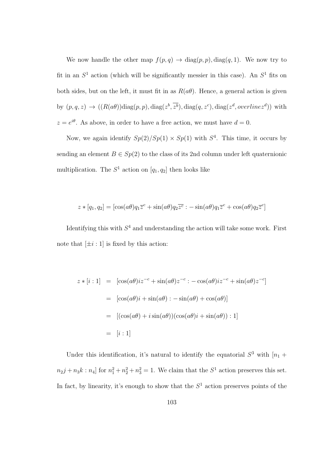We now handle the other map  $f(p,q) \to \text{diag}(p, p)$ ,  $\text{diag}(q, 1)$ . We now try to fit in an  $S^1$  action (which will be significantly messier in this case). An  $S^1$  fits on both sides, but on the left, it must fit in as  $R(a\theta)$ . Hence, a general action is given by  $(p, q, z) \rightarrow ((R(a\theta))\text{diag}(p, p), \text{diag}(z^b, \overline{z^b}), \text{diag}(q, z^c), \text{diag}(z^d, \text{overline}z^d))$  with  $z = e^{i\theta}$ . As above, in order to have a free action, we must have  $d = 0$ .

Now, we again identify  $Sp(2)/Sp(1) \times Sp(1)$  with  $S<sup>4</sup>$ . This time, it occurs by sending an element  $B \in Sp(2)$  to the class of its 2nd column under left quaternionic multiplication. The  $S^1$  action on  $[q_1, q_2]$  then looks like

$$
z * [q_1, q_2] = [\cos(a\theta)q_1\overline{z}^c + \sin(a\theta)q_2\overline{z}^c : -\sin(a\theta)q_1\overline{z}^c + \cos(a\theta)q_2\overline{z}^c]
$$

Identifying this with  $S<sup>4</sup>$  and understanding the action will take some work. First note that  $[\pm i: 1]$  is fixed by this action:

$$
z * [i : 1] = [\cos(a\theta)iz^{-c} + \sin(a\theta)z^{-c} : -\cos(a\theta)iz^{-c} + \sin(a\theta)z^{-c}]
$$
  

$$
= [\cos(a\theta)i + \sin(a\theta) : -\sin(a\theta) + \cos(a\theta)]
$$
  

$$
= [(\cos(a\theta) + i\sin(a\theta))(\cos(a\theta)i + \sin(a\theta)) : 1]
$$
  

$$
= [i : 1]
$$

Under this identification, it's natural to identify the equatorial  $S^3$  with  $[n_1 +$  $n_2 j + n_3 k : n_4$  for  $n_1^2 + n_2^2 + n_3^2 = 1$ . We claim that the  $S^1$  action preserves this set. In fact, by linearity, it's enough to show that the  $S<sup>1</sup>$  action preserves points of the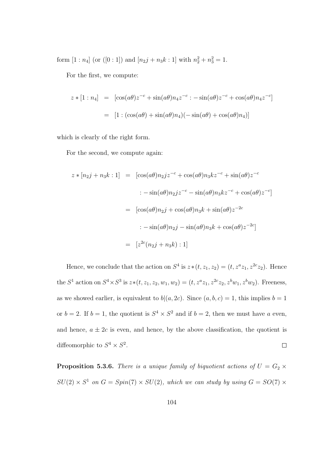form  $[1:n_4]$  (or  $([0:1])$  and  $[n_2j+n_3k:1]$  with  $n_2^2+n_3^2=1$ .

For the first, we compute:

$$
z * [1 : n_4] = [\cos(a\theta)z^{-c} + \sin(a\theta)n_4z^{-c} : -\sin(a\theta)z^{-c} + \cos(a\theta)n_4z^{-c}]
$$

$$
= [1 : (\cos(a\theta) + \sin(a\theta)n_4)(-\sin(a\theta) + \cos(a\theta)n_4)]
$$

which is clearly of the right form.

For the second, we compute again:

$$
z * [n_2 j + n_3 k : 1] = [\cos(a\theta)n_2 j z^{-c} + \cos(a\theta)n_3 kz^{-c} + \sin(a\theta) z^{-c}
$$
  

$$
:- \sin(a\theta)n_2 j z^{-c} - \sin(a\theta)n_3 kz^{-c} + \cos(a\theta) z^{-c}]
$$
  

$$
= [\cos(a\theta)n_2 j + \cos(a\theta)n_3 k + \sin(a\theta) z^{-2c}
$$
  

$$
:- \sin(a\theta)n_2 j - \sin(a\theta)n_3 k + \cos(a\theta) z^{-2c}]
$$
  

$$
= [z^{2c}(n_2 j + n_3 k) : 1]
$$

Hence, we conclude that the action on  $S^4$  is  $z*(t, z_1, z_2) = (t, z^a z_1, z^{2c} z_2)$ . Hence the  $S^1$  action on  $S^4 \times S^3$  is  $z*(t, z_1, z_2, w_1, w_2) = (t, z^a z_1, z^{2c} z_2, z^b w_1, z^b w_2)$ . Freeness, as we showed earlier, is equivalent to  $b|(a, 2c)$ . Since  $(a, b, c) = 1$ , this implies  $b = 1$ or  $b = 2$ . If  $b = 1$ , the quotient is  $S<sup>4</sup> \times S<sup>2</sup>$  and if  $b = 2$ , then we must have a even, and hence,  $a \pm 2c$  is even, and hence, by the above classification, the quotient is diffeomorphic to  $S^4 \times S^2$ .  $\Box$ 

**Proposition 5.3.6.** There is a unique family of biquotient actions of  $U = G_2 \times$  $SU(2) \times S^1$  on  $G = Spin(7) \times SU(2)$ , which we can study by using  $G = SO(7) \times$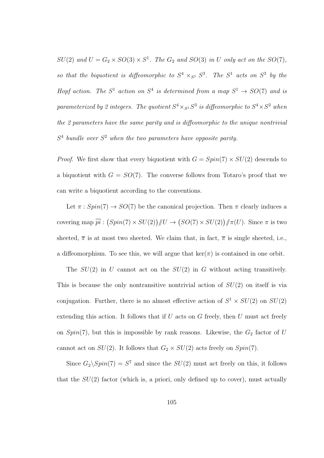$SU(2)$  and  $U = G_2 \times SO(3) \times S^1$ . The  $G_2$  and  $SO(3)$  in U only act on the  $SO(7)$ , so that the biquotient is diffeomorphic to  $S^4 \times_{S^1} S^3$ . The  $S^1$  acts on  $S^3$  by the Hopf action. The  $S^1$  action on  $S^4$  is determined from a map  $S^1 \rightarrow SO(7)$  and is parameterized by 2 integers. The quotient  $S^4 \times_{S^1} S^3$  is diffeomorphic to  $S^4 \times S^2$  when the 2 parameters have the same parity and is diffeomorphic to the unique nontrivial  $S<sup>4</sup>$  bundle over  $S<sup>2</sup>$  when the two parameters have opposite parity.

*Proof.* We first show that every biquotient with  $G = Spin(7) \times SU(2)$  descends to a biquotient with  $G = SO(7)$ . The converse follows from Totaro's proof that we can write a biquotient according to the conventions.

Let  $\pi : Spin(7) \rightarrow SO(7)$  be the canonical projection. Then  $\pi$  clearly induces a covering map  $\overline{pi}$ :  $(Spin(7) \times SU(2)) \ll U \rightarrow (SO(7) \times SU(2)) \ll \pi(U)$ . Since  $\pi$  is two sheeted,  $\bar{\pi}$  is at most two sheeted. We claim that, in fact,  $\bar{\pi}$  is single sheeted, i.e., a diffeomorphism. To see this, we will argue that  $\ker(\pi)$  is contained in one orbit.

The  $SU(2)$  in U cannot act on the  $SU(2)$  in G without acting transitively. This is because the only nontransitive nontrivial action of  $SU(2)$  on itself is via conjugation. Further, there is no almost effective action of  $S^1 \times SU(2)$  on  $SU(2)$ extending this action. It follows that if  $U$  acts on  $G$  freely, then  $U$  must act freely on  $Spin(7)$ , but this is impossible by rank reasons. Likewise, the  $G_2$  factor of U cannot act on  $SU(2)$ . It follows that  $G_2 \times SU(2)$  acts freely on  $Spin(7)$ .

Since  $G_2 \setminus Spin(7) = S^7$  and since the  $SU(2)$  must act freely on this, it follows that the  $SU(2)$  factor (which is, a priori, only defined up to cover), must actually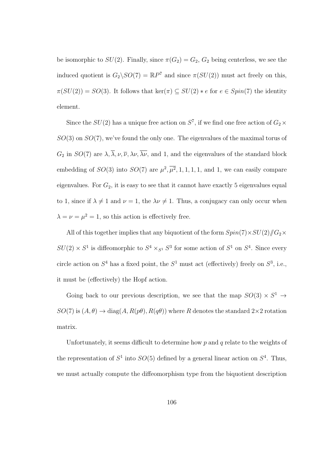be isomorphic to  $SU(2)$ . Finally, since  $\pi(G_2) = G_2$ ,  $G_2$  being centerless, we see the induced quotient is  $G_2 \backslash SO(7) = \mathbb{R}P^7$  and since  $\pi(SU(2))$  must act freely on this,  $\pi(SU(2)) = SO(3)$ . It follows that ker( $\pi$ )  $\subseteq SU(2) * e$  for  $e \in Spin(7)$  the identity element.

Since the  $SU(2)$  has a unique free action on  $S^7$ , if we find one free action of  $G_2 \times$  $SO(3)$  on  $SO(7)$ , we've found the only one. The eigenvalues of the maximal torus of  $G_2$  in  $SO(7)$  are  $\lambda$ ,  $\overline{\lambda}$ ,  $\nu$ ,  $\overline{\nu}$ ,  $\lambda \nu$ ,  $\overline{\lambda \nu}$ , and 1, and the eigenvalues of the standard block embedding of  $SO(3)$  into  $SO(7)$  are  $\mu^2$ ,  $\overline{\mu^2}$ , 1, 1, 1, 1, and 1, we can easily compare eigenvalues. For  $G_2$ , it is easy to see that it cannot have exactly 5 eigenvalues equal to 1, since if  $\lambda \neq 1$  and  $\nu = 1$ , the  $\lambda \nu \neq 1$ . Thus, a conjugacy can only occur when  $\lambda = \nu = \mu^2 = 1$ , so this action is effectively free.

All of this together implies that any biquotient of the form  $Spin(7)\times SU(2)/\!\!/G_2\times$  $SU(2) \times S^1$  is diffeomorphic to  $S^4 \times_{S^1} S^3$  for some action of  $S^1$  on  $S^4$ . Since every circle action on  $S^4$  has a fixed point, the  $S^1$  must act (effectively) freely on  $S^3$ , i.e., it must be (effectively) the Hopf action.

Going back to our previous description, we see that the map  $SO(3) \times S^1 \rightarrow$  $SO(7)$  is  $(A, \theta) \rightarrow diag(A, R(p\theta), R(q\theta))$  where R denotes the standard  $2 \times 2$  rotation matrix.

Unfortunately, it seems difficult to determine how  $p$  and  $q$  relate to the weights of the representation of  $S^1$  into  $SO(5)$  defined by a general linear action on  $S^4$ . Thus, we must actually compute the diffeomorphism type from the biquotient description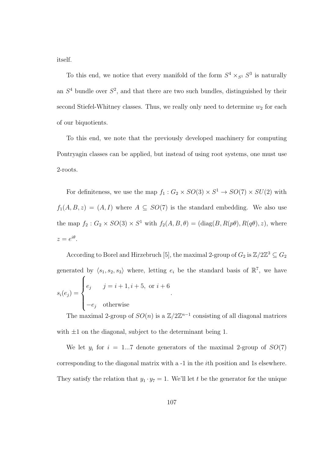itself.

To this end, we notice that every manifold of the form  $S^4 \times_{S^1} S^3$  is naturally an  $S<sup>4</sup>$  bundle over  $S<sup>2</sup>$ , and that there are two such bundles, distinguished by their second Stiefel-Whitney classes. Thus, we really only need to determine  $w_2$  for each of our biquotients.

To this end, we note that the previously developed machinery for computing Pontryagin classes can be applied, but instead of using root systems, one must use 2-roots.

For definiteness, we use the map  $f_1: G_2 \times SO(3) \times S^1 \to SO(7) \times SU(2)$  with  $f_1(A, B, z) = (A, I)$  where  $A \subseteq SO(7)$  is the standard embedding. We also use the map  $f_2: G_2 \times SO(3) \times S^1$  with  $f_2(A, B, \theta) = (diag(B, R(p\theta), R(q\theta), z)$ , where  $z=e^{i\theta}$ .

According to Borel and Hirzebruch [5], the maximal 2-group of  $G_2$  is  $\mathbb{Z}/2\mathbb{Z}^3 \subseteq G_2$ generated by  $\langle s_1, s_2, s_3 \rangle$  where, letting  $e_i$  be the standard basis of  $\mathbb{R}^7$ , we have  $s_i(e_j) =$  $\sqrt{ }$  $\int$  $\overline{\mathcal{L}}$  $e_j$   $j = i + 1, i + 5, \text{ or } i + 6$  $-e_j$  otherwise .

The maximal 2-group of  $SO(n)$  is a  $\mathbb{Z}/2\mathbb{Z}^{n-1}$  consisting of all diagonal matrices with  $\pm 1$  on the diagonal, subject to the determinant being 1.

We let  $y_i$  for  $i = 1...7$  denote generators of the maximal 2-group of  $SO(7)$ corresponding to the diagonal matrix with a -1 in the ith position and 1s elsewhere. They satisfy the relation that  $y_1 \cdot y_7 = 1$ . We'll let t be the generator for the unique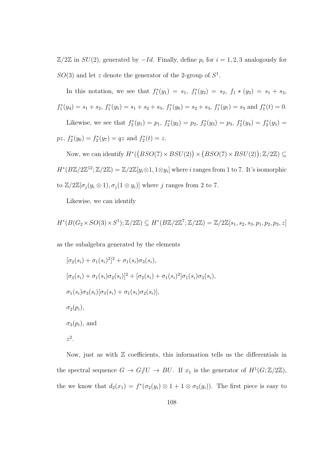$\mathbb{Z}/2\mathbb{Z}$  in  $SU(2)$ , generated by  $-Id$ . Finally, define  $p_i$  for  $i = 1, 2, 3$  analogously for  $SO(3)$  and let z denote the generator of the 2-group of  $S^1$ .

In this notation, we see that  $f_1^*(y_1) = s_1$ ,  $f_1^*(y_2) = s_2$ ,  $f_1 * (y_3) = s_1 + s_3$ ,  $f_1^*(y_4) = s_1 + s_2$ ,  $f_1^*(y_5) = s_1 + s_2 + s_3$ ,  $f_1^*(y_6) = s_2 + s_3$ ,  $f_1^*(y_7) = s_3$  and  $f_1^*(t) = 0$ . Likewise, we see that  $f_2^*(y_1) = p_1$ ,  $f_2^*(y_2) = p_2$ ,  $f_2^*(y_3) = p_3$ ,  $f_2^*(y_4) = f_2^*(y_5) =$ 

 $pz, f_2^*(y_6) = f_2^*(y_7) = qz \text{ and } f_2^*(t) = z.$ 

Now, we can identify  $H^*((BSO(7) \times BSU(2)) \times (BSO(7) \times BSU(2)); \mathbb{Z}/2\mathbb{Z}) \subseteq$  $H^*(B\mathbb{Z}/2\mathbb{Z}^{12}; \mathbb{Z}/2\mathbb{Z}) = \mathbb{Z}/2\mathbb{Z}[y_i \otimes 1, 1 \otimes y_i]$  where i ranges from 1 to 7. It's isomorphic to  $\mathbb{Z}/2\mathbb{Z}[\sigma_j(y_i\otimes 1), \sigma_j(1\otimes y_i)]$  where j ranges from 2 to 7.

Likewise, we can identify

$$
H^*(B(G_2 \times SO(3) \times S^1); \mathbb{Z}/2\mathbb{Z}) \subseteq H^*(B\mathbb{Z}/2\mathbb{Z}^7; \mathbb{Z}/2\mathbb{Z}) = \mathbb{Z}/2\mathbb{Z}[s_1, s_2, s_3, p_1, p_2, p_3, z]
$$

as the subalgebra generated by the elements

$$
[\sigma_2(s_i) + \sigma_1(s_i)^2]^2 + \sigma_1(s_i)\sigma_3(s_i),
$$
  
\n
$$
[\sigma_3(s_i) + \sigma_1(s_i)\sigma_2(s_i)]^2 + [\sigma_2(s_i) + \sigma_1(s_i)^2]\sigma_1(s_i)\sigma_3(s_i),
$$
  
\n
$$
\sigma_1(s_i)\sigma_3(s_i)[\sigma_3(s_i) + \sigma_1(s_i)\sigma_2(s_i)],
$$
  
\n
$$
\sigma_2(p_i),
$$
  
\n
$$
\sigma_3(p_i),
$$
 and  
\n
$$
z^2.
$$

Now, just as with  $\mathbb Z$  coefficients, this information tells us the differentials in the spectral sequence  $G \to G/\!\!/ U \to BU$ . If  $x_1$  is the generator of  $H^1(G;\mathbb{Z}/2\mathbb{Z})$ , the we know that  $d_2(x_1) = f^*(\sigma_2(y_i) \otimes 1 + 1 \otimes \sigma_2(y_i))$ . The first piece is easy to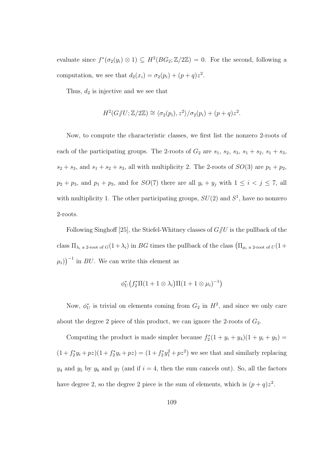evaluate since  $f^*(\sigma_2(y_i) \otimes 1) \subseteq H^2(BG_2; \mathbb{Z}/2\mathbb{Z}) = 0$ . For the second, following a computation, we see that  $d_2(x_i) = \sigma_2(p_i) + (p+q)z^2$ .

Thus,  $d_2$  is injective and we see that

$$
H^2(G/\hspace{-0.1cm}/ U;\mathbb{Z}/2\mathbb{Z}) \cong \langle \sigma_2(p_i), z^2 \rangle / \sigma_2(p_i) + (p+q)z^2.
$$

Now, to compute the characteristic classes, we first list the nonzero 2-roots of each of the participating groups. The 2-roots of  $G_2$  are  $s_1$ ,  $s_2$ ,  $s_3$ ,  $s_1 + s_2$ ,  $s_1 + s_3$ ,  $s_2 + s_3$ , and  $s_1 + s_2 + s_3$ , all with multiplicity 2. The 2-roots of  $SO(3)$  are  $p_1 + p_2$ ,  $p_2 + p_3$ , and  $p_1 + p_3$ , and for  $SO(7)$  there are all  $y_i + y_j$  with  $1 \leq i \leq j \leq 7$ , all with multiplicity 1. The other participating groups,  $SU(2)$  and  $S<sup>1</sup>$ , have no nonzero 2-roots.

Following Singhoff [25], the Stiefel-Whitney classes of  $G/U$  is the pullback of the class  $\Pi_{\lambda_i}$  a 2-root of  $G(1+\lambda_i)$  in BG times the pullback of the class  $(\Pi_{\mu_i}$  a 2-root of  $U(1+\lambda_i)$  $(\mu_i)\big)^{-1}$  in *BU*. We can write this element as

$$
\phi_U^*\big(f_2^* \Pi(1+1\otimes\lambda_i\big)\Pi(1+1\otimes\mu_i)^{-1}\big)
$$

Now,  $\phi_U^*$  is trivial on elements coming from  $G_2$  in  $H^2$ , and since we only care about the degree 2 piece of this product, we can ignore the 2-roots of  $G_2$ .

Computing the product is made simpler because  $f_2^*(1 + y_i + y_4)(1 + y_i + y_5) =$  $(1 + f_2^* y_i + pz)(1 + f_2^* y_i + pz) = (1 + f_2^* y_1^2 + pz^2)$  we see that and similarly replacing  $y_4$  and  $y_5$  by  $y_6$  and  $y_7$  (and if  $i = 4$ , then the sum cancels out). So, all the factors have degree 2, so the degree 2 piece is the sum of elements, which is  $(p+q)z^2$ .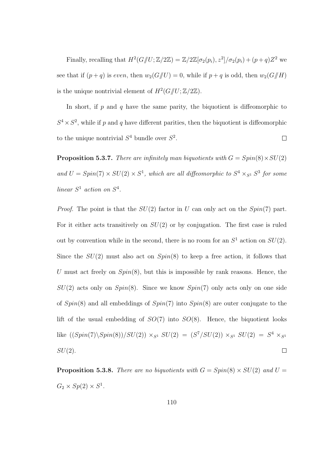Finally, recalling that  $H^2(G/\hspace{-0.1cm}/ U;\mathbb{Z}/2\mathbb{Z}) = \mathbb{Z}/2\mathbb{Z}[\sigma_2(p_i), z^2]/\sigma_2(p_i) + (p+q)Z^2$  we see that if  $(p+q)$  is even, then  $w_2(G/\!\!/ U) = 0$ , while if  $p+q$  is odd, then  $w_2(G/\!\!/ H)$ is the unique nontrivial element of  $H^2(G/\hspace{-0.1cm}/ U;\mathbb{Z}/2\mathbb{Z}).$ 

In short, if  $p$  and  $q$  have the same parity, the biquotient is diffeomorphic to  $S^4 \times S^2$ , while if p and q have different parities, then the biquotient is diffeomorphic to the unique nontrivial  $S^4$  bundle over  $S^2$ .  $\Box$ 

**Proposition 5.3.7.** There are infinitely man biquotients with  $G = Spin(8) \times SU(2)$ and  $U = Spin(7) \times SU(2) \times S^1$ , which are all diffeomorphic to  $S^4 \times_{S^1} S^3$  for some linear  $S^1$  action on  $S^4$ .

*Proof.* The point is that the  $SU(2)$  factor in U can only act on the  $Spin(7)$  part. For it either acts transitively on  $SU(2)$  or by conjugation. The first case is ruled out by convention while in the second, there is no room for an  $S^1$  action on  $SU(2)$ . Since the  $SU(2)$  must also act on  $Spin(8)$  to keep a free action, it follows that U must act freely on  $Spin(8)$ , but this is impossible by rank reasons. Hence, the  $SU(2)$  acts only on  $Spin(8)$ . Since we know  $Spin(7)$  only acts only on one side of  $Spin(8)$  and all embeddings of  $Spin(7)$  into  $Spin(8)$  are outer conjugate to the lift of the usual embedding of  $SO(7)$  into  $SO(8)$ . Hence, the biquotient looks like  $((Spin(7)\setminus Spin(8))/SU(2)) \times_{S^1} SU(2) = (S^7/SU(2)) \times_{S^1} SU(2) = S^4 \times_{S^1} SU(2)$  $SU(2)$ .  $\Box$ 

**Proposition 5.3.8.** There are no biquotients with  $G = Spin(8) \times SU(2)$  and  $U =$  $G_2 \times Sp(2) \times S^1$ .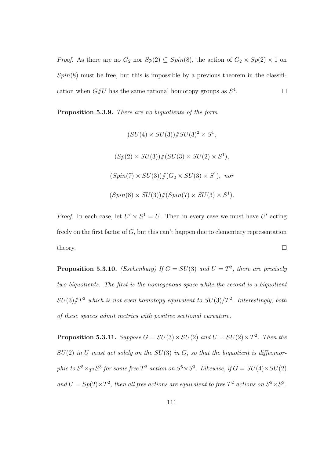*Proof.* As there are no  $G_2$  nor  $Sp(2) \subseteq Spin(8)$ , the action of  $G_2 \times Sp(2) \times 1$  on  $Spin(8)$  must be free, but this is impossible by a previous theorem in the classification when  $G/\!\!/ U$  has the same rational homotopy groups as  $S^4$ .  $\Box$ 

Proposition 5.3.9. There are no biquotients of the form

$$
(SU(4) \times SU(3)) \# SU(3)^2 \times S^1,
$$
  
\n
$$
(Sp(2) \times SU(3)) \# (SU(3) \times SU(2) \times S^1),
$$
  
\n
$$
(Spin(7) \times SU(3)) \# (G_2 \times SU(3) \times S^1), \text{ nor}
$$
  
\n
$$
(Spin(8) \times SU(3)) \# (Spin(7) \times SU(3) \times S^1).
$$

*Proof.* In each case, let  $U' \times S^1 = U$ . Then in every case we must have U' acting freely on the first factor of  $G$ , but this can't happen due to elementary representation theory.  $\Box$ 

**Proposition 5.3.10.** *(Eschenburg)* If  $G = SU(3)$  and  $U = T<sup>2</sup>$ , there are precisely two biquotients. The first is the homogenous space while the second is a biquotient  $SU(3)/T^2$  which is not even homotopy equivalent to  $SU(3)/T^2$ . Interestingly, both of these spaces admit metrics with positive sectional curvature.

**Proposition 5.3.11.** Suppose  $G = SU(3) \times SU(2)$  and  $U = SU(2) \times T^2$ . Then the  $SU(2)$  in U must act solely on the  $SU(3)$  in G, so that the biquotient is diffeomorphic to  $S^5 \times_{T^2} S^3$  for some free  $T^2$  action on  $S^5 \times S^3$ . Likewise, if  $G = SU(4) \times SU(2)$ and  $U = Sp(2) \times T^2$ , then all free actions are equivalent to free  $T^2$  actions on  $S^5 \times S^3$ .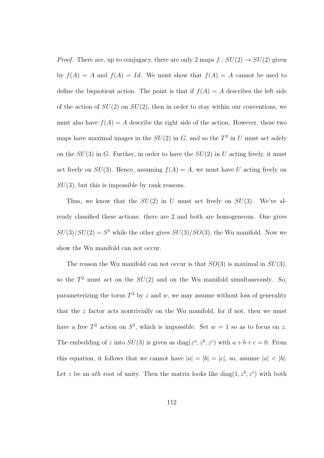*Proof.* There are, up to conjugacy, there are only 2 maps  $f : SU(2) \rightarrow SU(2)$  given by  $f(A) = A$  and  $f(A) = Id$ . We must show that  $f(A) = A$  cannot be used to define the biquotient action. The point is that if  $f(A) = A$  describes the left side of the action of  $SU(2)$  on  $SU(2)$ , then in order to stay within our conventions, we must also have  $f(A) = A$  describe the right side of the action. However, these two maps have maximal images in the  $SU(2)$  in G, and so the  $T^2$  in U must act solely on the  $SU(3)$  in G. Further, in order to have the  $SU(2)$  in U acting freely, it must act freely on  $SU(3)$ . Hence, assuming  $f(A) = A$ , we must have U acting freely on  $SU(3)$ , but this is impossible by rank reasons.

Thus, we know that the  $SU(2)$  in U must act freely on  $SU(3)$ . We've already classified these actions: there are 2 and both are homogeneous. One gives  $SU(3)/SU(2) = S<sup>5</sup>$  while the other gives  $SU(3)/SO(3)$ , the Wu manifold. Now we show the Wu manifold can not occur.

The reason the Wu manifold can not occur is that  $SO(3)$  is maximal in  $SU(3)$ , so the  $T^2$  must act on the  $SU(2)$  and on the Wu manifold simultaneously. So, parameterizing the torus  $T^2$  by z and w, we may assume without loss of generality that the  $z$  factor acts nontrivially on the Wu manifold, for if not, then we must have a free  $T^2$  action on  $S^3$ , which is impossible. Set  $w = 1$  so as to focus on z. The embedding of z into  $SU(3)$  is given as  $diag(z^a, z^b, z^c)$  with  $a+b+c=0$ . From this equation, it follows that we cannot have  $|a| = |b| = |c|$ , so, assume  $|a| < |b|$ . Let z be an *ath* root of unity. Then the matrix looks like diag $(1, z<sup>b</sup>, z<sup>c</sup>)$  with both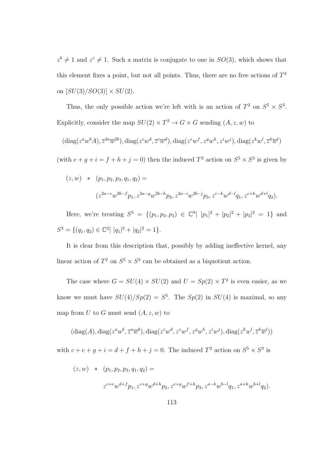$z^{b} \neq 1$  and  $z^{c} \neq 1$ . Such a matrix is conjugate to one in  $SO(3)$ , which shows that this element fixes a point, but not all points. Thus, there are no free actions of  $T^2$ on  $[SU(3)/SO(3)] \times SU(2)$ .

Thus, the only possible action we're left with is an action of  $T^2$  on  $S^5 \times S^3$ . Explicitly, consider the map  $SU(2) \times T^2 \to G \times G$  sending  $(A, z, w)$  to

$$
(\mathrm{diag}(z^a w^b A), \overline{z}^{2a} \overline{w}^{2b}), \mathrm{diag}(z^c w^d, \overline{z}^c \overline{w}^d), \mathrm{diag}(z^e w^f, z^g w^h, z^i w^j), \mathrm{diag}(z^k w^l, \overline{z}^k \overline{w}^l)
$$

(with  $e + g + i = f + h + j = 0$ ) then the induced  $T^2$  action on  $S^5 \times S^3$  is given by

$$
(z, w) * (p_1, p_2, p_3, q_1, q_2) =
$$
  

$$
(z^{2a-e}w^{2b-f}p_1, z^{2a-g}w^{2b-h}p_2, z^{2a-i}w^{2b-j}p_3, z^{c-k}w^{d-l}q_1, z^{c+k}w^{d+l}q_2).
$$

Here, we're treating  $S^5 = \{(p_1, p_2, p_3) \in \mathbb{C}^3 | |p_1|^2 + |p_2|^2 + |p_3|^2 = 1\}$  and  $S^3 = \{ (q_1, q_2) \in \mathbb{C}^2 \mid |q_1|^2 + |q_2|^2 = 1 \}.$ 

It is clear from this description that, possibly by adding ineffective kernel, any linear action of  $T^2$  on  $S^5 \times S^3$  can be obtained as a biquotient action.

The case where  $G = SU(4) \times SU(2)$  and  $U = Sp(2) \times T^2$  is even easier, as we know we must have  $SU(4)/Sp(2) = S^5$ . The  $Sp(2)$  in  $SU(4)$  is maximal, so any map from U to G must send  $(A, z, w)$  to

$$
(\text{diag}(A),\text{diag}(z^a w^b,\overline{z}^a \overline{w}^b),\text{diag}(z^c w^d,z^e w^f,z^g w^h,z^i w^j),\text{diag}(z^k w^l,\overline{z}^k \overline{w}^l))
$$

with  $c + e + g + i = d + f + h + j = 0$ . The induced  $T^2$  action on  $S^5 \times S^3$  is

$$
(z, w) * (p_1, p_2, p_3, q_1, q_2) =
$$
  

$$
z^{c+e}w^{d+f}p_1, z^{c+g}w^{d+h}p_2, z^{e+g}w^{f+h}p_3, z^{a-k}w^{b-l}q_1, z^{a+k}w^{b+l}q_2).
$$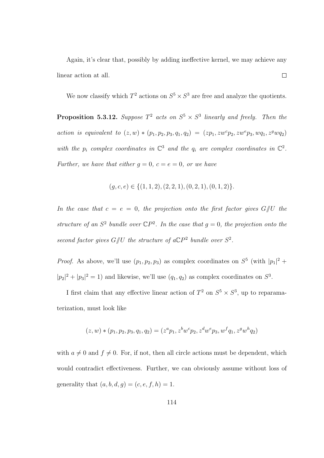Again, it's clear that, possibly by adding ineffective kernel, we may achieve any  $\Box$ linear action at all.

We now classify which  $T^2$  actions on  $S^5 \times S^3$  are free and analyze the quotients.

**Proposition 5.3.12.** Suppose  $T^2$  acts on  $S^5 \times S^3$  linearly and freely. Then the action is equivalent to  $(z, w) * (p_1, p_2, p_3, q_1, q_2) = (zp_1, zw^c p_2, zw^e p_3, wq_1, z^g wq_2)$ with the  $p_i$  complex coordinates in  $\mathbb{C}^3$  and the  $q_i$  are complex coordinates in  $\mathbb{C}^2$ . Further, we have that either  $g = 0$ ,  $c = e = 0$ , or we have

$$
(g, c, e) \in \{(1, 1, 2), (2, 2, 1), (0, 2, 1), (0, 1, 2)\}.
$$

In the case that  $c = e = 0$ , the projection onto the first factor gives  $G/\!\!/ U$  the structure of an  $S^2$  bundle over  $\mathbb{C}P^2$ . In the case that  $g=0$ , the projection onto the second factor gives  $G/\!\!/ U$  the structure of a $\mathbb{C}P^2$  bundle over  $S^2$ .

*Proof.* As above, we'll use  $(p_1, p_2, p_3)$  as complex coordinates on  $S^5$  (with  $|p_1|^2$  +  $|p_2|^2 + |p_3|^2 = 1$  and likewise, we'll use  $(q_1, q_2)$  as complex coordinates on  $S^3$ .

I first claim that any effective linear action of  $T^2$  on  $S^5 \times S^3$ , up to reparamaterization, must look like

$$
(z, w) * (p_1, p_2, p_3, q_1, q_2) = (z^a p_1, z^b w^c p_2, z^d w^e p_3, w^f q_1, z^g w^h q_2)
$$

with  $a \neq 0$  and  $f \neq 0$ . For, if not, then all circle actions must be dependent, which would contradict effectiveness. Further, we can obviously assume without loss of generality that  $(a, b, d, g) = (c, e, f, h) = 1$ .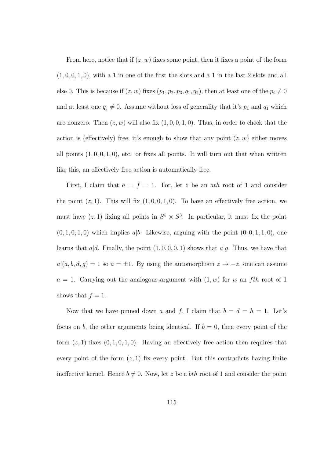From here, notice that if  $(z, w)$  fixes some point, then it fixes a point of the form  $(1, 0, 0, 1, 0)$ , with a 1 in one of the first the slots and a 1 in the last 2 slots and all else 0. This is because if  $(z, w)$  fixes  $(p_1, p_2, p_3, q_1, q_2)$ , then at least one of the  $p_i \neq 0$ and at least one  $q_j \neq 0$ . Assume without loss of generality that it's  $p_1$  and  $q_1$  which are nonzero. Then  $(z, w)$  will also fix  $(1, 0, 0, 1, 0)$ . Thus, in order to check that the action is (effectively) free, it's enough to show that any point  $(z, w)$  either moves all points  $(1, 0, 0, 1, 0)$ , etc. or fixes all points. It will turn out that when written like this, an effectively free action is automatically free.

First, I claim that  $a = f = 1$ . For, let z be an ath root of 1 and consider the point  $(z, 1)$ . This will fix  $(1, 0, 0, 1, 0)$ . To have an effectively free action, we must have  $(z, 1)$  fixing all points in  $S^5 \times S^3$ . In particular, it must fix the point  $(0, 1, 0, 1, 0)$  which implies a|b. Likewise, arguing with the point  $(0, 0, 1, 1, 0)$ , one learns that  $a|d$ . Finally, the point  $(1, 0, 0, 0, 1)$  shows that  $a|q$ . Thus, we have that  $a|(a, b, d, g) = 1$  so  $a = \pm 1$ . By using the automorphism  $z \to -z$ , one can assume  $a = 1$ . Carrying out the analogous argument with  $(1, w)$  for w an fth root of 1 shows that  $f = 1$ .

Now that we have pinned down a and f, I claim that  $b = d = h = 1$ . Let's focus on b, the other arguments being identical. If  $b = 0$ , then every point of the form  $(z, 1)$  fixes  $(0, 1, 0, 1, 0)$ . Having an effectively free action then requires that every point of the form  $(z, 1)$  fix every point. But this contradicts having finite ineffective kernel. Hence  $b \neq 0$ . Now, let z be a bth root of 1 and consider the point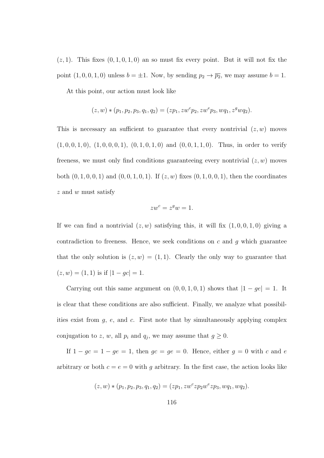$(z, 1)$ . This fixes  $(0, 1, 0, 1, 0)$  an so must fix every point. But it will not fix the point  $(1, 0, 0, 1, 0)$  unless  $b = \pm 1$ . Now, by sending  $p_2 \rightarrow \overline{p_2}$ , we may assume  $b = 1$ .

At this point, our action must look like

$$
(z, w) * (p_1, p_2, p_3, q_1, q_2) = (zp_1, zw^c p_2, zw^e p_3, w q_1, z^g w q_2).
$$

This is necessary an sufficient to guarantee that every nontrivial  $(z, w)$  moves  $(1, 0, 0, 1, 0), (1, 0, 0, 0, 1), (0, 1, 0, 1, 0)$  and  $(0, 0, 1, 1, 0)$ . Thus, in order to verify freeness, we must only find conditions guaranteeing every nontrivial  $(z, w)$  moves both  $(0, 1, 0, 0, 1)$  and  $(0, 0, 1, 0, 1)$ . If  $(z, w)$  fixes  $(0, 1, 0, 0, 1)$ , then the coordinates z and w must satisfy

$$
zw^c = z^g w = 1.
$$

If we can find a nontrivial  $(z, w)$  satisfying this, it will fix  $(1, 0, 0, 1, 0)$  giving a contradiction to freeness. Hence, we seek conditions on  $c$  and  $g$  which guarantee that the only solution is  $(z, w) = (1, 1)$ . Clearly the only way to guarantee that  $(z, w) = (1, 1)$  is if  $|1 - gc| = 1$ .

Carrying out this same argument on  $(0, 0, 1, 0, 1)$  shows that  $|1 - ge| = 1$ . It is clear that these conditions are also sufficient. Finally, we analyze what possibilities exist from  $g$ ,  $e$ , and  $c$ . First note that by simultaneously applying complex conjugation to z, w, all  $p_i$  and  $q_j$ , we may assume that  $g \geq 0$ .

If  $1 - gc = 1 - ge = 1$ , then  $gc = ge = 0$ . Hence, either  $g = 0$  with c and e arbitrary or both  $c = e = 0$  with g arbitrary. In the first case, the action looks like

$$
(z, w) * (p_1, p_2, p_3, q_1, q_2) = (zp_1, zw^c z p_2 w^e z p_3, w q_1, w q_2).
$$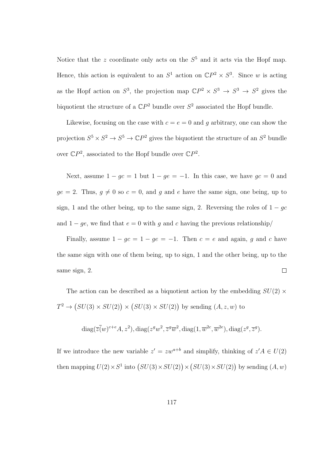Notice that the z coordinate only acts on the  $S<sup>5</sup>$  and it acts via the Hopf map. Hence, this action is equivalent to an  $S^1$  action on  $\mathbb{C}P^2 \times S^3$ . Since w is acting as the Hopf action on  $S^3$ , the projection map  $\mathbb{C}P^2 \times S^3 \to S^3 \to S^2$  gives the biquotient the structure of a  $\mathbb{C}P^2$  bundle over  $S^2$  associated the Hopf bundle.

Likewise, focusing on the case with  $c = e = 0$  and g arbitrary, one can show the projection  $S^5 \times S^2 \to S^5 \to \mathbb{C}P^2$  gives the biquotient the structure of an  $S^2$  bundle over  $\mathbb{C}P^2$ , associated to the Hopf bundle over  $\mathbb{C}P^2$ .

Next, assume  $1 - gc = 1$  but  $1 - ge = -1$ . In this case, we have  $gc = 0$  and  $ge = 2$ . Thus,  $g \neq 0$  so  $c = 0$ , and g and e have the same sign, one being, up to sign, 1 and the other being, up to the same sign, 2. Reversing the roles of  $1 - gc$ and  $1 - ge$ , we find that  $e = 0$  with g and c having the previous relationship

Finally, assume  $1 - gc = 1 - ge = -1$ . Then  $c = e$  and again, g and c have the same sign with one of them being, up to sign, 1 and the other being, up to the same sign, 2.  $\Box$ 

The action can be described as a biquotient action by the embedding  $SU(2)$  ×  $T^2 \to (SU(3) \times SU(2)) \times (SU(3) \times SU(2))$  by sending  $(A, z, w)$  to

$$
diag(\overline{z}(\overline{w})^{c+e}A, z^2), diag(z^gw^2, \overline{z}^g\overline{w}^2, diag(1, \overline{w}^{2c}, \overline{w}^{2e}), diag(z^g, \overline{z}^g).
$$

If we introduce the new variable  $z' = zw^{a+b}$  and simplify, thinking of  $z'A \in U(2)$ then mapping  $U(2) \times S^1$  into  $(SU(3) \times SU(2)) \times (SU(3) \times SU(2))$  by sending  $(A, w)$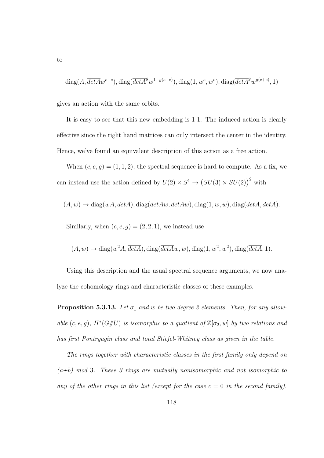$$
\text{diag}(A,\overline{detA}\overline{w}^{c+e}),\text{diag}(\overline{detA}^{g}w^{1-g(c+e)}),\text{diag}(1,\overline{w}^{c},\overline{w}^{e}),\text{diag}(\overline{detA}^{g}\overline{w}^{g(c+e)},1)
$$

gives an action with the same orbits.

It is easy to see that this new embedding is 1-1. The induced action is clearly effective since the right hand matrices can only intersect the center in the identity. Hence, we've found an equivalent description of this action as a free action.

When  $(c, e, g) = (1, 1, 2)$ , the spectral sequence is hard to compute. As a fix, we can instead use the action defined by  $U(2) \times S^1 \rightarrow (SU(3) \times SU(2))^2$  with

$$
(A, w) \rightarrow diag(\overline{w}A, \overline{detA}), diag(\overline{detA}w, detA\overline{w}), diag(1, \overline{w}, \overline{w}), diag(\overline{detA}, detA).
$$

Similarly, when  $(c, e, g) = (2, 2, 1)$ , we instead use

$$
(A, w) \rightarrow diag(\overline{w}^2 A, \overline{detA}), diag(\overline{detAw}, \overline{w}), diag(1, \overline{w}^2, \overline{w}^2), diag(\overline{detA}, 1).
$$

Using this description and the usual spectral sequence arguments, we now analyze the cohomology rings and characteristic classes of these examples.

**Proposition 5.3.13.** Let  $\sigma_1$  and w be two degree 2 elements. Then, for any allowable  $(c, e, g)$ ,  $H^*(G/\hspace{-3pt}/ U)$  is isomorphic to a quotient of  $\mathbb{Z}[\sigma_2, w]$  by two relations and has first Pontryagin class and total Stiefel-Whitney class as given in the table.

The rings together with characteristic classes in the first family only depend on  $(a+b)$  mod 3. These 3 rings are mutually nonisomorphic and not isomorphic to any of the other rings in this list (except for the case  $c = 0$  in the second family).

to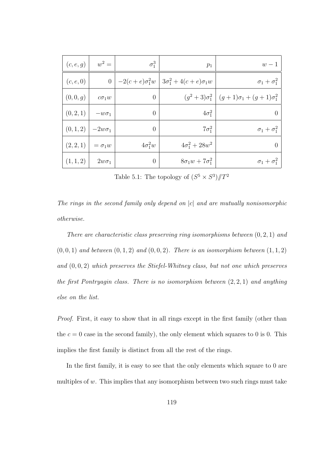| $w-1$                                                               | $p_1$                                                  | $\sigma_1^3$   | $w^2 =$        | (c, e, g) |
|---------------------------------------------------------------------|--------------------------------------------------------|----------------|----------------|-----------|
| $\sigma_1 + \sigma_1^2$                                             | $-2(c+e)\sigma_1^2w$   $3\sigma_1^2 + 4(c+e)\sigma_1w$ |                | $\overline{0}$ | (c, e, 0) |
| $(g^{2}+3)\sigma_{1}^{2}$   $(g+1)\sigma_{1} + (g+1)\sigma_{1}^{2}$ |                                                        | $\theta$       | $c\sigma_1w$   | (0, 0, g) |
| $\overline{0}$                                                      | $4\sigma_1^2$                                          | $\overline{0}$ | $-w\sigma_1$   | (0, 2, 1) |
| $\sigma_1 + \sigma_1^2$                                             | $7\sigma_1^2$                                          | $\theta$       | $-2w\sigma_1$  | (0, 1, 2) |
| $\overline{0}$                                                      | $4\sigma_1^2 + 28w^2$                                  | $4\sigma_1^2w$ | $= \sigma_1 w$ | (2,2,1)   |
| $\sigma_1 + \sigma_1^2$                                             | $8\sigma_1 w + 7\sigma_1^2$                            | $\theta$       | $2w\sigma_1$   | (1, 1, 2) |

Table 5.1: The topology of  $(S^5 \times S^3)/T^2$ 

The rings in the second family only depend on  $|c|$  and are mutually nonisomorphic otherwise.

There are characteristic class preserving ring isomorphisms between  $(0, 2, 1)$  and  $(0, 0, 1)$  and between  $(0, 1, 2)$  and  $(0, 0, 2)$ . There is an isomorphism between  $(1, 1, 2)$ and  $(0, 0, 2)$  which preserves the Stiefel-Whitney class, but not one which preserves the first Pontryagin class. There is no isomorphism between  $(2, 2, 1)$  and anything else on the list.

Proof. First, it easy to show that in all rings except in the first family (other than the  $c = 0$  case in the second family), the only element which squares to 0 is 0. This implies the first family is distinct from all the rest of the rings.

In the first family, it is easy to see that the only elements which square to 0 are multiples of  $w$ . This implies that any isomorphism between two such rings must take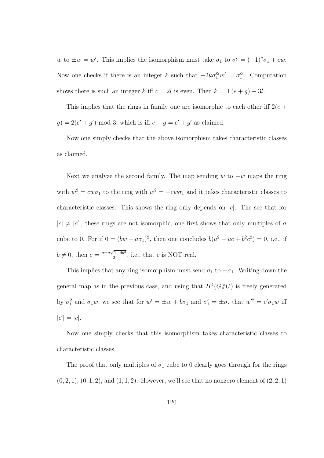w to  $\pm w = w'$ . This implies the isomorphism must take  $\sigma_1$  to  $\sigma'_1 = (-1)^a \sigma_1 + cw$ . Now one checks if there is an integer k such that  $-2k\sigma_1'^2w' = \sigma_1'^3$ . Computation shows there is such an integer k iff  $c = 2l$  is even. Then  $k = \pm (e + g) + 3l$ .

This implies that the rings in family one are isomorphic to each other iff  $2(e +$  $g$ ) = 2( $e' + g'$ ) mod 3, which is iff  $e + g = e' + g'$  as claimed.

Now one simply checks that the above isomorphism takes characteristic classes as claimed.

Next we analyze the second family. The map sending w to  $-w$  maps the ring with  $w^2 = c w \sigma_1$  to the ring with  $w^2 = -c w \sigma_1$  and it takes characteristic classes to characteristic classes. This shows the ring only depends on  $|c|$ . The see that for  $|c| \neq |c'|$ , these rings are not isomorphic, one first shows that only multiples of  $\sigma$ cube to 0. For if  $0 = (bw + a\sigma_1)^2$ , then one concludes  $b(a^2 - ac + b^2c^2) = 0$ , i.e., if  $b \neq 0$ , then  $c = \frac{a \pm a\sqrt{1-4b^2}}{2}$  $\frac{\sqrt{1-4b^2}}{2}$ , i.e., that c is NOT real.

This implies that any ring isomorphism must send  $\sigma_1$  to  $\pm \sigma_1$ . Writing down the general map as in the previous case, and using that  $H^4(G/\hspace{-3pt}/ U)$  is freely generated by  $\sigma_1^2$  and  $\sigma_1 w$ , we see that for  $w' = \pm w + b\sigma_1$  and  $\sigma_1' = \pm \sigma$ , that  $w'^2 = c'\sigma_1 w$  iff  $|c'| = |c|.$ 

Now one simply checks that this isomorphism takes characteristic classes to characteristic classes.

The proof that only multiples of  $\sigma_1$  cube to 0 clearly goes through for the rings  $(0, 2, 1), (0, 1, 2),$  and  $(1, 1, 2)$ . However, we'll see that no nonzero element of  $(2, 2, 1)$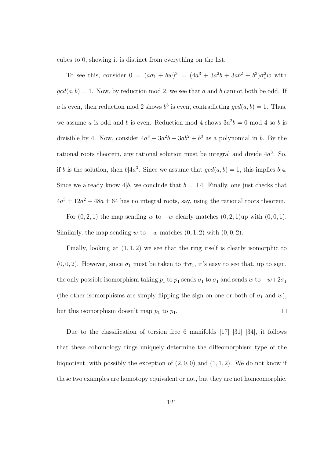cubes to 0, showing it is distinct from everything on the list.

To see this, consider  $0 = (a\sigma_1 + bw)^3 = (4a^3 + 3a^2b + 3ab^2 + b^3)\sigma_1^2w$  with  $gcd(a, b) = 1$ . Now, by reduction mod 2, we see that a and b cannot both be odd. If a is even, then reduction mod 2 shows  $b^3$  is even, contradicting  $gcd(a, b) = 1$ . Thus, we assume a is odd and b is even. Reduction mod 4 shows  $3a^2b = 0$  mod 4 so b is divisible by 4. Now, consider  $4a^3 + 3a^2b + 3ab^2 + b^3$  as a polynomial in b. By the rational roots theorem, any rational solution must be integral and divide  $4a^3$ . So, if b is the solution, then  $b|4a^3$ . Since we assume that  $gcd(a, b) = 1$ , this implies  $b|4$ . Since we already know  $4|b$ , we conclude that  $b = \pm 4$ . Finally, one just checks that  $4a^3 \pm 12a^2 + 48a \pm 64$  has no integral roots, say, using the rational roots theorem.

For  $(0, 2, 1)$  the map sending w to  $-w$  clearly matches  $(0, 2, 1)$ up with  $(0, 0, 1)$ . Similarly, the map sending w to  $-w$  matches  $(0, 1, 2)$  with  $(0, 0, 2)$ .

Finally, looking at  $(1, 1, 2)$  we see that the ring itself is clearly isomorphic to  $(0, 0, 2)$ . However, since  $\sigma_1$  must be taken to  $\pm \sigma_1$ , it's easy to see that, up to sign, the only possible isomorphism taking  $p_1$  to  $p_1$  sends  $\sigma_1$  to  $\sigma_1$  and sends w to  $-w+2\sigma_1$ (the other isomorphisms are simply flipping the sign on one or both of  $\sigma_1$  and w),  $\Box$ but this isomorphism doesn't map  $p_1$  to  $p_1$ .

Due to the classification of torsion free 6 manifolds [17] [31] [34], it follows that these cohomology rings uniquely determine the diffeomorphism type of the biquotient, with possibly the exception of  $(2, 0, 0)$  and  $(1, 1, 2)$ . We do not know if these two examples are homotopy equivalent or not, but they are not homeomorphic.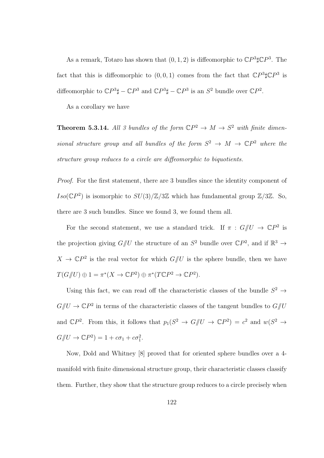As a remark, Totaro has shown that  $(0, 1, 2)$  is diffeomorphic to  $\mathbb{C}P^3\sharp\mathbb{C}P^3$ . The fact that this is diffeomorphic to  $(0,0,1)$  comes from the fact that  $\mathbb{C}P^3\sharp\mathbb{C}P^3$  is diffeomorphic to  $\mathbb{C}P^3\sharp - \mathbb{C}P^3$  and  $\mathbb{C}P^3\sharp - \mathbb{C}P^3$  is an  $S^2$  bundle over  $\mathbb{C}P^2$ .

As a corollary we have

**Theorem 5.3.14.** All 3 bundles of the form  $\mathbb{C}P^2 \to M \to S^2$  with finite dimensional structure group and all bundles of the form  $S^2 \to M \to \mathbb{C}P^2$  where the structure group reduces to a circle are diffeomorphic to biquotients.

Proof. For the first statement, there are 3 bundles since the identity component of  $Iso(\mathbb{C}P^2)$  is isomorphic to  $SU(3)/\mathbb{Z}/3\mathbb{Z}$  which has fundamental group  $\mathbb{Z}/3\mathbb{Z}$ . So, there are 3 such bundles. Since we found 3, we found them all.

For the second statement, we use a standard trick. If  $\pi : G/\!\!/ U \to \mathbb{C}P^2$  is the projection giving  $G/\!\!/ U$  the structure of an  $S^2$  bundle over  $\mathbb{C}P^2$ , and if  $\mathbb{R}^3 \to$  $X \to \mathbb{C}P^2$  is the real vector for which  $G/\!\!/ U$  is the sphere bundle, then we have  $T(G/\!\!/ U) \oplus 1 = \pi^* (X \to \mathbb{C} P^2) \oplus \pi^* (T \mathbb{C} P^2 \to \mathbb{C} P^2).$ 

Using this fact, we can read off the characteristic classes of the bundle  $S^2 \rightarrow$  $G/\!\!/ U \to \mathbb{C}P^2$  in terms of the characteristic classes of the tangent bundles to  $G/\!\!/ U$ and  $\mathbb{C}P^2$ . From this, it follows that  $p_1(S^2 \to G/\!\!/ U \to \mathbb{C}P^2) = c^2$  and  $w(S^2 \to G/\!\!/ U \to \mathbb{C}P^2)$  $G/\!\!/ U \to \mathbb{C}P^2$ ) = 1 +  $c\sigma_1$  +  $c\sigma_1^2$ .

Now, Dold and Whitney [8] proved that for oriented sphere bundles over a 4 manifold with finite dimensional structure group, their characteristic classes classify them. Further, they show that the structure group reduces to a circle precisely when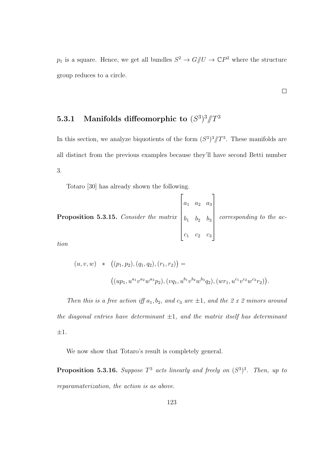$p_1$  is a square. Hence, we get all bundles  $S^2 \to G/U \to \mathbb{C}P^2$  where the structure group reduces to a circle.

 $\Box$ 

5.3.1 Manifolds diffeomorphic to  $(S^3)^3/\!\!/ T^3$ 

In this section, we analyze biquotients of the form  $(S^3)^3/T^3$ . These manifolds are all distinct from the previous examples because they'll have second Betti number 3.

Totaro [30] has already shown the following.

**Proposition 5.3.15.** Consider the matrix 
$$
\begin{bmatrix} a_1 & a_2 & a_3 \ b_1 & b_2 & b_3 \ c_1 & c_2 & c_3 \end{bmatrix}
$$
 corresponding to the *ac-*

tion

$$
(u, v, w) * ((p_1, p_2), (q_1, q_2), (r_1, r_2)) =
$$
  

$$
((up_1, u^{a_1}v^{a_2}w^{a_3}p_2), (vq_1, u^{b_1}v^{b_2}w^{b_3}q_2), (wr_1, u^{c_1}v^{c_2}w^{c_3}r_2)).
$$

Then this is a free action iff  $a_1, b_2$ , and  $c_3$  are  $\pm 1$ , and the 2 x 2 minors around the diagonal entries have determinant  $\pm 1$ , and the matrix itself has determinant  $\pm 1$ .

We now show that Totaro's result is completely general.

**Proposition 5.3.16.** Suppose  $T^3$  acts linearly and freely on  $(S^3)^3$ . Then, up to reparamaterization, the action is as above.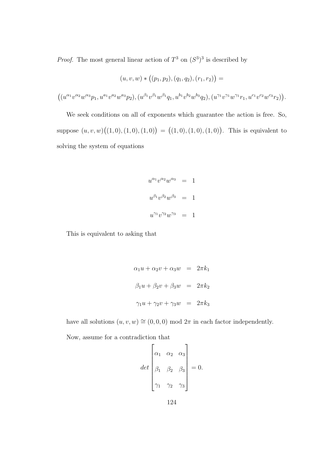*Proof.* The most general linear action of  $T^3$  on  $(S^3)^3$  is described by

$$
(u, v, w) * ((p_1, p_2), (q_1, q_2), (r_1, r_2)) =
$$

$$
\big( (u^{\alpha_1}v^{\alpha_2}w^{\alpha_3}p_1, u^{a_1}v^{a_2}w^{a_3}p_2), (u^{\beta_1}v^{\beta_1}w^{\beta_1}q_1, u^{b_1}v^{b_2}w^{b_3}q_2), (u^{\gamma_1}v^{\gamma_1}w^{\gamma_1}r_1, u^{c_1}v^{c_2}w^{c_3}r_2) \big).
$$

We seek conditions on all of exponents which guarantee the action is free. So, suppose  $(u, v, w)((1, 0), (1, 0), (1, 0)) = ((1, 0), (1, 0), (1, 0))$ . This is equivalent to solving the system of equations

$$
u^{\alpha_1}v^{\alpha_2}w^{\alpha_3} = 1
$$
  

$$
u^{\beta_1}v^{\beta_2}w^{\beta_3} = 1
$$
  

$$
u^{\gamma_1}v^{\gamma_2}w^{\gamma_3} = 1
$$

This is equivalent to asking that

$$
\alpha_1 u + \alpha_2 v + \alpha_3 w = 2\pi k_1
$$
  

$$
\beta_1 u + \beta_2 v + \beta_3 w = 2\pi k_2
$$
  

$$
\gamma_1 u + \gamma_2 v + \gamma_3 w = 2\pi k_3
$$

have all solutions  $(u, v, w) \cong (0, 0, 0) \text{ mod } 2\pi$  in each factor independently.

Now, assume for a contradiction that

$$
det \begin{bmatrix} \alpha_1 & \alpha_2 & \alpha_3 \\ \beta_1 & \beta_2 & \beta_3 \\ \gamma_1 & \gamma_2 & \gamma_3 \end{bmatrix} = 0.
$$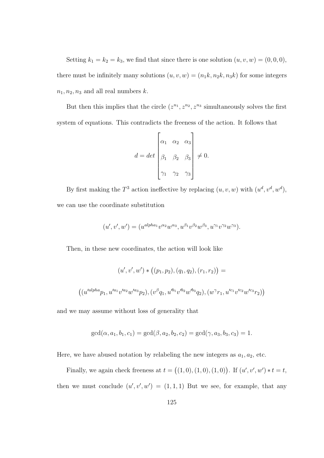Setting  $k_1 = k_2 = k_3$ , we find that since there is one solution  $(u, v, w) = (0, 0, 0)$ , there must be infinitely many solutions  $(u, v, w) = (n_1k, n_2k, n_3k)$  for some integers  $n_1, n_2, n_3$  and all real numbers k.

But then this implies that the circle  $(z^{n_1}, z^{n_2}, z^{n_3})$  simultaneously solves the first system of equations. This contradicts the freeness of the action. It follows that

$$
d = det \begin{bmatrix} \alpha_1 & \alpha_2 & \alpha_3 \\ \beta_1 & \beta_2 & \beta_3 \\ \gamma_1 & \gamma_2 & \gamma_3 \end{bmatrix} \neq 0.
$$

By first making the  $T^3$  action ineffective by replacing  $(u, v, w)$  with  $(u^d, v^d, w^d)$ , we can use the coordinate substitution

$$
(u', v', w') = (u^{alpha_1 v^{alpha_1} v^{\alpha_2} w^{\alpha_3}, u^{\beta_1} v^{\beta_2} w^{\beta_3}, u^{\gamma_1} v^{\gamma_2} w^{\gamma_3}).
$$

Then, in these new coordinates, the action will look like

$$
(u', v', w') * ((p_1, p_2), (q_1, q_2), (r_1, r_2)) =
$$
  

$$
((u'^{alpha}p_1, u'^{a_1}v'^{a_2}w'^{a_3}p_2), (v^{\beta}q_1, u'^{b_1}v'^{b_2}w'^{b_3}q_2), (w^{\gamma}r_1, u'^{c_1}v'^{c_2}w'^{c_3}r_2))
$$

and we may assume without loss of generality that

$$
\gcd(\alpha, a_1, b_1, c_1) = \gcd(\beta, a_2, b_2, c_2) = \gcd(\gamma, a_3, b_3, c_3) = 1.
$$

Here, we have abused notation by relabeling the new integers as  $a_1, a_2$ , etc.

Finally, we again check freeness at  $t = ((1,0), (1,0), (1,0))$ . If  $(u', v', w') * t = t$ , then we must conclude  $(u', v', w') = (1, 1, 1)$  But we see, for example, that any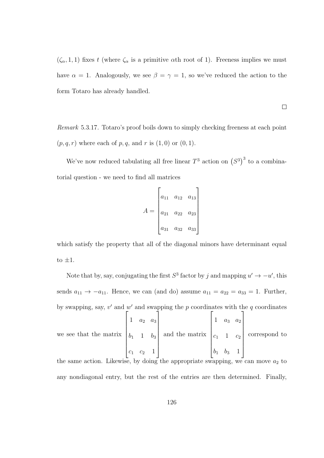$(\zeta_{\alpha}, 1, 1)$  fixes t (where  $\zeta_{\alpha}$  is a primitive  $\alpha$ th root of 1). Freeness implies we must have  $\alpha = 1$ . Analogously, we see  $\beta = \gamma = 1$ , so we've reduced the action to the form Totaro has already handled.

 $\Box$ 

Remark 5.3.17. Totaro's proof boils down to simply checking freeness at each point  $(p, q, r)$  where each of p, q, and r is  $(1, 0)$  or  $(0, 1)$ .

We've now reduced tabulating all free linear  $T^3$  action on  $(S^3)^3$  to a combinatorial question - we need to find all matrices

$$
A = \begin{bmatrix} a_{11} & a_{12} & a_{13} \\ a_{21} & a_{22} & a_{23} \\ a_{31} & a_{32} & a_{33} \end{bmatrix}
$$

which satisfy the property that all of the diagonal minors have determinant equal to  $\pm 1$ .

Note that by, say, conjugating the first  $S^3$  factor by j and mapping  $u' \to -u'$ , this sends  $a_{11} \rightarrow -a_{11}$ . Hence, we can (and do) assume  $a_{11} = a_{22} = a_{33} = 1$ . Further, by swapping, say,  $v'$  and  $w'$  and swapping the p coordinates with the q coordinates we see that the matrix  $\sqrt{ }$  1  $a_2$   $a_3$  $b_1$  1  $b_3$  $c_1$   $c_2$  1 1  $\begin{array}{c} \begin{array}{c} \begin{array}{c} \begin{array}{c} \end{array} \\ \begin{array}{c} \end{array} \end{array} \end{array} \end{array}$ and the matrix  $\sqrt{ }$  $\begin{array}{c} \begin{array}{c} \begin{array}{c} \end{array} \\ \begin{array}{c} \end{array} \end{array} \end{array}$ 1  $a_3$   $a_2$  $c_1$  1  $c_2$  $b_1$   $b_3$  1 1  $\begin{array}{c} \begin{array}{c} \begin{array}{c} \end{array} \end{array} \end{array}$ correspond to

the same action. Likewise, by doing the appropriate swapping, we can move  $a_2$  to any nondiagonal entry, but the rest of the entries are then determined. Finally,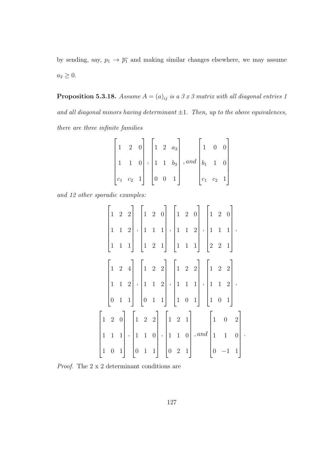by sending, say,  $p_1 \rightarrow \overline{p_1}$  and making similar changes elsewhere, we may assume  $a_2 \geq 0.$ 

**Proposition 5.3.18.** Assume  $A = (a)_{ij}$  is a 3 x 3 matrix with all diagonal entries 1 and all diagonal minors having determinant  $\pm 1$ . Then, up to the above equivalences, there are three infinite families

$$
\begin{bmatrix} 1 & 2 & 0 \ 1 & 1 & 0 \ c_1 & c_2 & 1 \end{bmatrix}, \begin{bmatrix} 1 & 2 & a_3 \ 1 & 1 & b_3 \ 0 & 0 & 1 \end{bmatrix}, and \begin{bmatrix} 1 & 0 & 0 \ b_1 & 1 & 0 \ c_1 & c_2 & 1 \end{bmatrix}
$$

and 12 other sporadic examples:

$$
\begin{bmatrix} 1 & 2 & 2 \\ 1 & 1 & 2 \\ 1 & 1 & 1 \end{bmatrix}, \begin{bmatrix} 1 & 2 & 0 \\ 1 & 1 & 1 \\ 1 & 2 & 1 \end{bmatrix}, \begin{bmatrix} 1 & 2 & 0 \\ 1 & 1 & 2 \\ 1 & 1 & 1 \end{bmatrix}, \begin{bmatrix} 1 & 2 & 0 \\ 1 & 1 & 1 \\ 2 & 2 & 1 \end{bmatrix}, \begin{bmatrix} 1 & 2 & 0 \\ 1 & 1 & 1 \\ 2 & 2 & 1 \end{bmatrix}, \begin{bmatrix} 1 & 2 & 2 \\ 1 & 2 & 1 \\ 2 & 2 & 1 \end{bmatrix}, \begin{bmatrix} 1 & 2 & 2 \\ 1 & 1 & 2 \\ 2 & 2 & 1 \end{bmatrix}, \begin{bmatrix} 1 & 2 & 2 \\ 1 & 1 & 2 \\ 2 & 2 & 1 \end{bmatrix}, \begin{bmatrix} 1 & 2 & 2 \\ 1 & 1 & 2 \\ 2 & 2 & 1 \end{bmatrix}, \begin{bmatrix} 1 & 2 & 2 \\ 1 & 1 & 2 \\ 2 & 2 & 1 \end{bmatrix}, \begin{bmatrix} 1 & 2 & 2 \\ 1 & 1 & 2 \\ 2 & 2 & 1 \end{bmatrix}, \begin{bmatrix} 1 & 2 & 2 \\ 1 & 2 & 1 \\ 2 & 2 & 1 \end{bmatrix}, \begin{bmatrix} 1 & 2 & 2 \\ 1 & 2 & 1 \\ 2 & 2 & 1 \end{bmatrix}, \begin{bmatrix} 1 & 0 & 2 \\ 1 & 1 & 0 \\ 2 & 2 & 1 \end{bmatrix}, \begin{bmatrix} 1 & 0 & 2 \\ 1 & 1 & 0 \\ 0 & -1 & 1 \end{bmatrix}
$$

.

Proof. The 2 x 2 determinant conditions are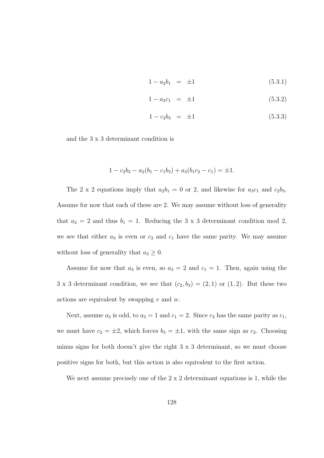$$
1 - a_2 b_1 = \pm 1 \tag{5.3.1}
$$

$$
1 - a_3 c_1 = \pm 1 \tag{5.3.2}
$$

$$
1 - c_2 b_3 = \pm 1 \tag{5.3.3}
$$

and the 3 x 3 determinant condition is

$$
1 - c_2b_3 - a_2(b_1 - c_1b_3) + a_3(b_1c_2 - c_1) = \pm 1.
$$

The 2 x 2 equations imply that  $a_2b_1 = 0$  or 2, and likewise for  $a_3c_1$  and  $c_2b_3$ . Assume for now that each of these are 2. We may assume without loss of generality that  $a_2 = 2$  and thus  $b_1 = 1$ . Reducing the 3 x 3 determinant condition mod 2, we see that either  $a_3$  is even or  $c_2$  and  $c_1$  have the same parity. We may assume without loss of generality that  $a_3 \geq 0$ .

Assume for now that  $a_3$  is even, so  $a_3 = 2$  and  $c_1 = 1$ . Then, again using the 3 x 3 determinant condition, we see that  $(c_2, b_3) = (2, 1)$  or  $(1, 2)$ . But these two actions are equivalent by swapping  $v$  and  $w$ .

Next, assume  $a_3$  is odd, to  $a_3 = 1$  and  $c_1 = 2$ . Since  $c_2$  has the same parity as  $c_1$ , we must have  $c_2 = \pm 2$ , which forces  $b_3 = \pm 1$ , with the same sign as  $c_2$ . Choosing minus signs for both doesn't give the right 3 x 3 determinant, so we must choose positive signs for both, but this action is also equivalent to the first action.

We next assume precisely one of the  $2 \times 2$  determinant equations is 1, while the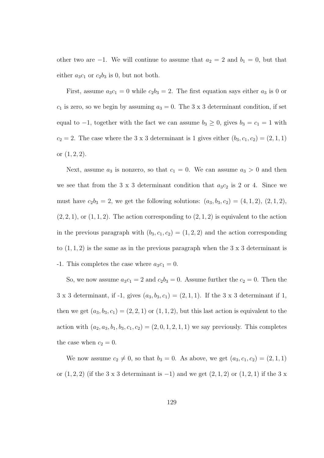other two are −1. We will continue to assume that  $a_2 = 2$  and  $b_1 = 0$ , but that either  $a_3c_1$  or  $c_2b_3$  is 0, but not both.

First, assume  $a_3c_1 = 0$  while  $c_2b_3 = 2$ . The first equation says either  $a_3$  is 0 or  $c_1$  is zero, so we begin by assuming  $a_3 = 0$ . The 3 x 3 determinant condition, if set equal to  $-1$ , together with the fact we can assume  $b_3 \geq 0$ , gives  $b_3 = c_1 = 1$  with  $c_2 = 2$ . The case where the 3 x 3 determinant is 1 gives either  $(b_3, c_1, c_2) = (2, 1, 1)$ or  $(1, 2, 2)$ .

Next, assume  $a_3$  is nonzero, so that  $c_1 = 0$ . We can assume  $a_3 > 0$  and then we see that from the 3 x 3 determinant condition that  $a_3c_2$  is 2 or 4. Since we must have  $c_2b_3 = 2$ , we get the following solutions:  $(a_3, b_3, c_2) = (4, 1, 2), (2, 1, 2),$  $(2, 2, 1)$ , or  $(1, 1, 2)$ . The action corresponding to  $(2, 1, 2)$  is equivalent to the action in the previous paragraph with  $(b_3, c_1, c_2) = (1, 2, 2)$  and the action corresponding to  $(1, 1, 2)$  is the same as in the previous paragraph when the  $3 \times 3$  determinant is -1. This completes the case where  $a_3c_1 = 0$ .

So, we now assume  $a_3c_1 = 2$  and  $c_2b_3 = 0$ . Assume further the  $c_2 = 0$ . Then the 3 x 3 determinant, if -1, gives  $(a_3, b_3, c_1) = (2, 1, 1)$ . If the 3 x 3 determinant if 1, then we get  $(a_3, b_3, c_1) = (2, 2, 1)$  or  $(1, 1, 2)$ , but this last action is equivalent to the action with  $(a_2, a_3, b_1, b_3, c_1, c_2) = (2, 0, 1, 2, 1, 1)$  we say previously. This completes the case when  $c_2 = 0$ .

We now assume  $c_2 \neq 0$ , so that  $b_3 = 0$ . As above, we get  $(a_3, c_1, c_2) = (2, 1, 1)$ or  $(1, 2, 2)$  (if the 3 x 3 determinant is −1) and we get  $(2, 1, 2)$  or  $(1, 2, 1)$  if the 3 x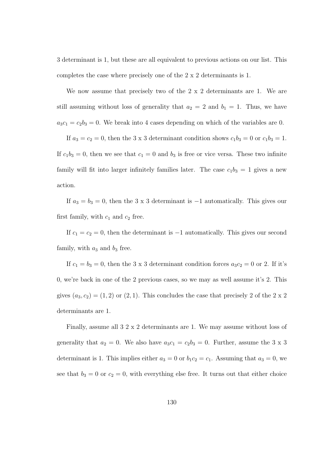3 determinant is 1, but these are all equivalent to previous actions on our list. This completes the case where precisely one of the 2 x 2 determinants is 1.

We now assume that precisely two of the 2 x 2 determinants are 1. We are still assuming without loss of generality that  $a_2 = 2$  and  $b_1 = 1$ . Thus, we have  $a_3c_1 = c_2b_3 = 0$ . We break into 4 cases depending on which of the variables are 0.

If  $a_3 = c_2 = 0$ , then the 3 x 3 determinant condition shows  $c_1b_3 = 0$  or  $c_1b_3 = 1$ . If  $c_1b_3 = 0$ , then we see that  $c_1 = 0$  and  $b_3$  is free or vice versa. These two infinite family will fit into larger infinitely families later. The case  $c_1b_3 = 1$  gives a new action.

If  $a_3 = b_3 = 0$ , then the 3 x 3 determinant is -1 automatically. This gives our first family, with  $c_1$  and  $c_2$  free.

If  $c_1 = c_2 = 0$ , then the determinant is  $-1$  automatically. This gives our second family, with  $a_3$  and  $b_3$  free.

If  $c_1 = b_3 = 0$ , then the 3 x 3 determinant condition forces  $a_3c_2 = 0$  or 2. If it's 0, we're back in one of the 2 previous cases, so we may as well assume it's 2. This gives  $(a_3, c_2) = (1, 2)$  or  $(2, 1)$ . This concludes the case that precisely 2 of the 2 x 2 determinants are 1.

Finally, assume all 3 2 x 2 determinants are 1. We may assume without loss of generality that  $a_2 = 0$ . We also have  $a_3c_1 = c_2b_3 = 0$ . Further, assume the 3 x 3 determinant is 1. This implies either  $a_3 = 0$  or  $b_1c_2 = c_1$ . Assuming that  $a_3 = 0$ , we see that  $b_3 = 0$  or  $c_2 = 0$ , with everything else free. It turns out that either choice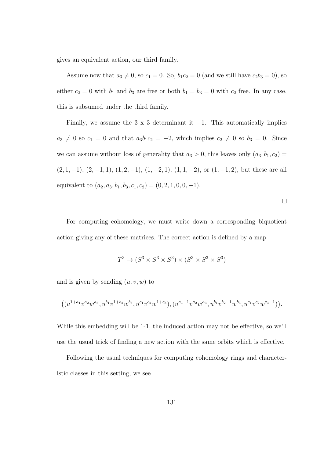gives an equivalent action, our third family.

Assume now that  $a_3 \neq 0$ , so  $c_1 = 0$ . So,  $b_1c_2 = 0$  (and we still have  $c_2b_3 = 0$ ), so either  $c_2 = 0$  with  $b_1$  and  $b_3$  are free or both  $b_1 = b_3 = 0$  with  $c_2$  free. In any case, this is subsumed under the third family.

Finally, we assume the 3 x 3 determinant it  $-1$ . This automatically implies  $a_3 \neq 0$  so  $c_1 = 0$  and that  $a_3b_1c_2 = -2$ , which implies  $c_2 \neq 0$  so  $b_3 = 0$ . Since we can assume without loss of generality that  $a_3 > 0$ , this leaves only  $(a_3, b_1, c_2) =$  $(2, 1, -1), (2, -1, 1), (1, 2, -1), (1, -2, 1), (1, 1, -2),$  or  $(1, -1, 2)$ , but these are all equivalent to  $(a_2, a_3, b_1, b_3, c_1, c_2) = (0, 2, 1, 0, 0, -1).$ 

 $\Box$ 

For computing cohomology, we must write down a corresponding biquotient action giving any of these matrices. The correct action is defined by a map

$$
T^3 \to (S^3 \times S^3 \times S^3) \times (S^3 \times S^3 \times S^3)
$$

and is given by sending  $(u, v, w)$  to

$$
\left((u^{1+a_1}v^{a_2}w^{a_3},u^{b_1}v^{1+b_2}w^{b_3},u^{c_1}v^{c_2}w^{1+c_3}),(u^{a_1-1}v^{a_2}w^{a_3},u^{b_1}v^{b_2-1}w^{b_3},u^{c_1}v^{c_2}w^{c_3-1})\right).
$$

While this embedding will be 1-1, the induced action may not be effective, so we'll use the usual trick of finding a new action with the same orbits which is effective.

Following the usual techniques for computing cohomology rings and characteristic classes in this setting, we see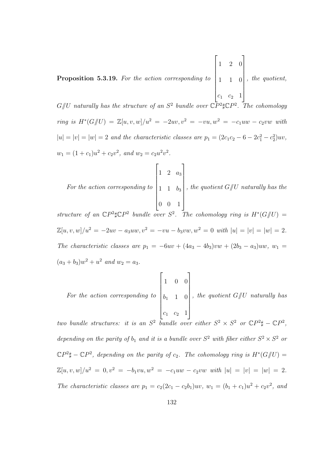Proposition 5.3.19. For the action corresponding to  $\sqrt{ }$  1 2 0 1 1 0  $c_1$   $c_2$  1 1  $\overline{\phantom{a}}$ , the quotient,

 $G/\!\!/ U$  naturally has the structure of an  $S^2$  bundle over  $\mathbb{C}P^2\sharp \mathbb{C}P^2$ . The cohomology  $ring$  is  $H^*(G/\!\!/ U) = \mathbb{Z}[u, v, w]/u^2 = -2uv, v^2 = -vu, w^2 = -c_1uw - c_2vw$  with  $|u| = |v| = |w| = 2$  and the characteristic classes are  $p_1 = (2c_1c_2 - 6 - 2c_1^2 - c_2^2)uv$ ,  $w_1 = (1 + c_1)u^2 + c_2v^2$ , and  $w_2 = c_2u^2v^2$ .

 $\sqrt{ }$ 

For the action corresponding to 1 1  $b_3$ 0 0 1  $\begin{array}{c} \hline \end{array}$ , the quotient  $G/U$  naturally has the

1

1 2  $a_3$ 

structure of an  $\mathbb{C}P^2\sharp\mathbb{C}P^2$  bundle over  $S^2$ . The cohomology ring is  $H^*(G/\!\!/ U) =$  $\mathbb{Z}[u, v, w]/u^2 = -2uv - a_3uw, v^2 = -vu - b_3vw, w^2 = 0 \text{ with } |u| = |v| = |w| = 2.$ The characteristic classes are  $p_1 = -6uv + (4a_3 - 4b_3)vw + (2b_3 - a_3)uw$ ,  $w_1 =$  $(a_3 + b_3)w^2 + u^2$  and  $w_2 = a_3$ .

For the action corresponding to 
$$
\begin{bmatrix} 1 & 0 & 0 \ b_1 & 1 & 0 \ c_1 & c_2 & 1 \end{bmatrix}
$$
, the quotient  $G$ / $U$  naturally has

two bundle structures: it is an  $S^2$  bundle over either  $S^2 \times S^2$  or  $\mathbb{C}P^2 \sharp - \mathbb{C}P^2$ , depending on the parity of  $b_1$  and it is a bundle over  $S^2$  with fiber either  $S^2 \times S^2$  or  $\mathbb{C}P^2\sharp-\mathbb{C}P^2$ , depending on the parity of  $c_2$ . The cohomology ring is  $H^*(G/\!\!/ U)$  =  $\mathbb{Z}[u, v, w]/u^2 = 0, v^2 = -b_1vu, w^2 = -c_1uw - c_2vw \text{ with } |u| = |v| = |w| = 2.$ The characteristic classes are  $p_1 = c_2(2c_1 - c_2b_1)uv$ ,  $w_1 = (b_1 + c_1)u^2 + c_2v^2$ , and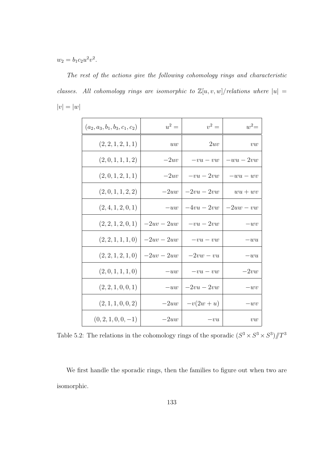$w_2 = b_1 c_2 u^2 v^2$ .

The rest of the actions give the following cohomology rings and characteristic classes. All cohomology rings are isomorphic to  $\mathbb{Z}[u, v, w]$  / relations where  $|u| =$  $|v| = |w|$ 

| $(a_2, a_3, b_1, b_3, c_1, c_2)$ | $u^2 =$      | $v^2 =$     | $w^2=$     |
|----------------------------------|--------------|-------------|------------|
| (2, 2, 1, 2, 1, 1)               | uw           | 2uv         | vw         |
| (2,0,1,1,1,2)                    | $-2uv$       | $-vu-vw$    | $-wu-2vw$  |
| (2,0,1,2,1,1)                    | $-2uv$       | $-vu-2vw$   | $-wu - wv$ |
| (2,0,1,1,2,2)                    | $-2uw$       | $-2vu-2vw$  | $wu+wv$    |
| (2, 4, 1, 2, 0, 1)               | $-uw$        | $-4vu-2vw$  | $-2uw-vw$  |
| (2, 2, 1, 2, 0, 1)               | $-2uv - 2uw$ | $-vu-2vw$   | $-wv$      |
| (2, 2, 1, 1, 1, 0)               | $-2uv - 2uw$ | $-vu-vw$    | $-wu$      |
| (2, 2, 1, 2, 1, 0)               | $-2uv - 2uw$ | $-2vw - vu$ | $-wu$      |
| (2,0,1,1,1,0)                    | $-uw$        | $-vu-vw$    | $-2vw$     |
| (2, 2, 1, 0, 0, 1)               | $-uw$        | $-2vu-2vw$  | $-wv$      |
| (2, 1, 1, 0, 0, 2)               | $-2uw$       | $-v(2w+u)$  | $-wv$      |
| $(0, 2, 1, 0, 0, -1)$            | $-2uw$       | $-vu$       | vw         |

Table 5.2: The relations in the cohomology rings of the sporadic  $(S^3 \times S^3 \times S^3)/T^3$ 

We first handle the sporadic rings, then the families to figure out when two are isomorphic.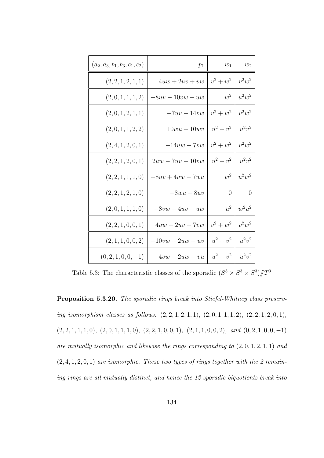| $w_2$             | $w_1$          | $p_1$              | $(a_2, a_3, b_1, b_3, c_1, c_2)$ |
|-------------------|----------------|--------------------|----------------------------------|
| $v^2w^2$          | $v^2 + w^2$    | $4uw + 2uv + vw$   | (2, 2, 1, 2, 1, 1)               |
| $w^2 \mid u^2w^2$ |                | $-8uv - 10vw + uw$ | (2,0,1,1,1,2)                    |
| $v^2w^2$          | $v^2 + w^2$    | $-7uv-14vw$        | (2,0,1,2,1,1)                    |
| $u^2v^2$          | $u^2 + v^2$    | $10wu + 10wv$      | $(2,0,1,1,2,2)$                  |
| $v^2w^2$          | $v^2 + w^2$    | $-14uw - 7vw$      | (2, 4, 1, 2, 0, 1)               |
| $u^2v^2$          | $u^2 + v^2$    | $2uw - 7uv - 10vw$ | (2, 2, 1, 2, 0, 1)               |
| $u^2w^2$          | $w^2$          | $-8uv + 4vw - 7wu$ | (2, 2, 1, 1, 1, 0)               |
| $\overline{0}$    | $\overline{0}$ | $-8wu - 8uv$       | (2, 2, 1, 2, 1, 0)               |
| $w^2u^2$          | $u^2$          | $-8vw - 4uv + uw$  | (2,0,1,1,1,0)                    |
| $v^2w^2$          | $v^2 + w^2$    | $4uw - 2uv - 7vw$  | (2, 2, 1, 0, 0, 1)               |
| $u^2v^2$          | $u^2 + v^2$    | $-10vw + 2uw - uv$ | (2, 1, 1, 0, 0, 2)               |
| $u^2v^2$          | $u^2 + v^2$    | $4vw - 2uw - vu$   | $(0, 2, 1, 0, 0, -1)$            |

Table 5.3: The characteristic classes of the sporadic  $(S^3 \times S^3 \times S^3)/T^3$ 

Proposition 5.3.20. The sporadic rings break into Stiefel-Whitney class preserving isomorphism classes as follows:  $(2, 2, 1, 2, 1, 1), (2, 0, 1, 1, 1, 2), (2, 2, 1, 2, 0, 1),$  $(2, 2, 1, 1, 1, 0), (2, 0, 1, 1, 1, 0), (2, 2, 1, 0, 0, 1), (2, 1, 1, 0, 0, 2), and (0, 2, 1, 0, 0, -1)$ are mutually isomorphic and likewise the rings corresponding to  $(2, 0, 1, 2, 1, 1)$  and  $(2, 4, 1, 2, 0, 1)$  are isomorphic. These two types of rings together with the 2 remaining rings are all mutually distinct, and hence the 12 sporadic biquotients break into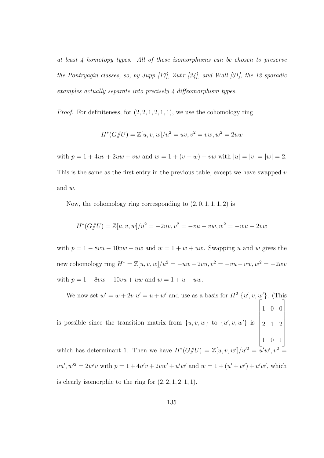at least 4 homotopy types. All of these isomorphisms can be chosen to preserve the Pontryagin classes, so, by Jupp [17], Zubr [34], and Wall [31], the 12 sporadic examples actually separate into precisely 4 diffeomorphism types.

*Proof.* For definiteness, for  $(2, 2, 1, 2, 1, 1)$ , we use the cohomology ring

$$
H^*(G/\!\!/ U) = \mathbb{Z}[u, v, w]/u^2 = uv, v^2 = vw, w^2 = 2uw
$$

with  $p = 1 + 4uv + 2uw + vw$  and  $w = 1 + (v + w) + vw$  with  $|u| = |v| = |w| = 2$ . This is the same as the first entry in the previous table, except we have swapped  $v$ and w.

Now, the cohomology ring corresponding to  $(2, 0, 1, 1, 1, 2)$  is

$$
H^*(G/\!\!/ U) = \mathbb{Z}[u, v, w]/u^2 = -2uv, v^2 = -vu - vw, w^2 = -wu - 2vw
$$

with  $p = 1 - 8vu - 10vw + uw$  and  $w = 1 + w + uw$ . Swapping u and w gives the new cohomology ring  $H^* = \mathbb{Z}[u, v, w]/u^2 = -uw - 2vu, v^2 = -vu - vw, w^2 = -2wv$ with  $p = 1 - 8vw - 10vu + uw$  and  $w = 1 + u + uw$ .

We now set  $w' = w + 2v$   $u' = u + w'$  and use as a basis for  $H^2 \{u', v, w'\}$ . (This is possible since the transition matrix from  $\{u, v, w\}$  to  $\{u', v, w'\}$  is  $\sqrt{ }$  $\begin{array}{c} \begin{array}{c} \begin{array}{c} \end{array} \\ \begin{array}{c} \end{array} \end{array} \end{array}$ 1 0 0 2 1 2 1 0 1 1 which has determinant 1. Then we have  $H^*(G/\hspace{-0.1cm}/ U) = \mathbb{Z}[u, v, w']/u'^2 = \overline{u}'w$  $v', v^2 =$  $vu', w'^2 = 2w'v$  with  $p = 1 + 4u'v + 2vw' + u'w'$  and  $w = 1 + (u' + w') + u'w'$ , which

is clearly isomorphic to the ring for  $(2, 2, 1, 2, 1, 1)$ .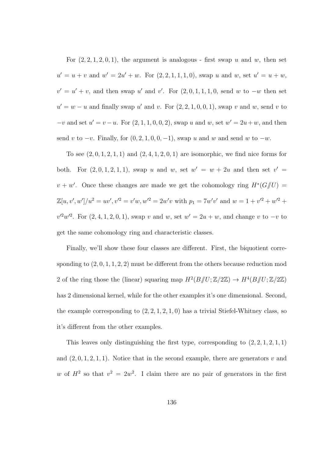For  $(2, 2, 1, 2, 0, 1)$ , the argument is analogous - first swap u and w, then set  $u' = u + v$  and  $w' = 2u' + w$ . For  $(2, 2, 1, 1, 1, 0)$ , swap u and w, set  $u' = u + w$ ,  $v' = u' + v$ , and then swap u' and v'. For  $(2, 0, 1, 1, 1, 0,$  send w to  $-w$  then set  $u' = w - u$  and finally swap u' and v. For  $(2, 2, 1, 0, 0, 1)$ , swap v and w, send v to  $-v$  and set  $u' = v - u$ . For  $(2, 1, 1, 0, 0, 2)$ , swap u and w, set  $w' = 2u + w$ , and then send v to  $-v$ . Finally, for  $(0, 2, 1, 0, 0, -1)$ , swap u and w and send w to  $-w$ .

To see  $(2, 0, 1, 2, 1, 1)$  and  $(2, 4, 1, 2, 0, 1)$  are isomorphic, we find nice forms for both. For  $(2,0,1,2,1,1)$ , swap u and w, set  $w' = w + 2u$  and then set  $v' =$  $v + w'$ . Once these changes are made we get the cohomology ring  $H^*(G/\!\!/ U)$  $\mathbb{Z}[u, v', w']/u^2 = uv', v'^2 = v'w, w'^2 = 2w'v$  with  $p_1 = 7w'v'$  and  $w = 1 + v'^2 + w'^2 + w'$  $v'^2w'^2$ . For  $(2, 4, 1, 2, 0, 1)$ , swap v and w, set  $w' = 2u + w$ , and change v to  $-v$  to get the same cohomology ring and characteristic classes.

Finally, we'll show these four classes are different. First, the biquotient corresponding to  $(2, 0, 1, 1, 2, 2)$  must be different from the others because reduction mod 2 of the ring those the (linear) squaring map  $H^2(B/\!\!/ U;\mathbb{Z}/2\mathbb{Z}) \to H^4(B/\!\!/ U;\mathbb{Z}/2\mathbb{Z})$ has 2 dimensional kernel, while for the other examples it's one dimensional. Second, the example corresponding to  $(2, 2, 1, 2, 1, 0)$  has a trivial Stiefel-Whitney class, so it's different from the other examples.

This leaves only distinguishing the first type, corresponding to  $(2, 2, 1, 2, 1, 1)$ and  $(2, 0, 1, 2, 1, 1)$ . Notice that in the second example, there are generators v and w of  $H^2$  so that  $v^2 = 2w^2$ . I claim there are no pair of generators in the first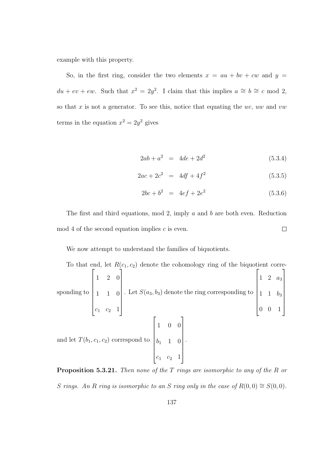example with this property.

So, in the first ring, consider the two elements  $x = au + bv + cw$  and  $y =$  $du + ev + ew$ . Such that  $x^2 = 2y^2$ . I claim that this implies  $a \cong b \cong c \mod 2$ , so that  $x$  is not a generator. To see this, notice that equating the  $uv$ ,  $uw$  and  $vw$ terms in the equation  $x^2 = 2y^2$  gives

$$
2ab + a^2 = 4de + 2d^2 \tag{5.3.4}
$$

$$
2ac + 2c^2 = 4df + 4f^2 \tag{5.3.5}
$$

$$
2bc + b^2 = 4ef + 2e^2 \tag{5.3.6}
$$

The first and third equations, mod 2, imply a and b are both even. Reduction mod 4 of the second equation implies  $c$  is even.  $\Box$ 

We now attempt to understand the families of biquotients.

To that end, let  $R(c_1, c_2)$  denote the cohomology ring of the biquotient corresponding to  $\sqrt{ }$  1 2 0 1 1 0  $c_1$   $c_2$  1 1 . Let  $S(a_3, b_3)$  denote the ring corresponding to  $\sqrt{ }$   $1 \t2 \t a_3$ 1 1  $b_3$ 0 0 1 1 and let  $T(b_1, c_1, c_2)$  correspond to  $\sqrt{ }$  1 0 0  $b_1$  1 0  $c_1$   $c_2$  1 1 .

**Proposition 5.3.21.** Then none of the T rings are isomorphic to any of the R or S rings. An R ring is isomorphic to an S ring only in the case of  $R(0,0) \cong S(0,0)$ .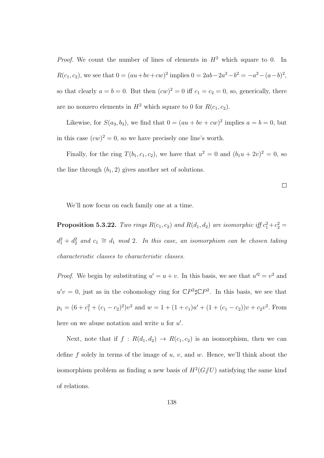*Proof.* We count the number of lines of elements in  $H^2$  which square to 0. In  $R(c_1, c_2)$ , we see that  $0 = (au + bv + cw)^2$  implies  $0 = 2ab - 2a^2 - b^2 = -a^2 - (a - b)^2$ , so that clearly  $a = b = 0$ . But then  $(cw)^2 = 0$  iff  $c_1 = c_2 = 0$ , so, generically, there are no nonzero elements in  $H^2$  which square to 0 for  $R(c_1, c_2)$ .

Likewise, for  $S(a_3, b_3)$ , we find that  $0 = (au + bv + cw)^2$  implies  $a = b = 0$ , but in this case  $(cw)^2 = 0$ , so we have precisely one line's worth.

Finally, for the ring  $T(b_1, c_1, c_2)$ , we have that  $u^2 = 0$  and  $(b_1u + 2v)^2 = 0$ , so the line through  $(b_1, 2)$  gives another set of solutions.

 $\Box$ 

We'll now focus on each family one at a time.

**Proposition 5.3.22.** Two rings  $R(c_1, c_2)$  and  $R(d_1, d_2)$  are isomorphic iff  $c_1^2 + c_2^2 =$  $d_1^2 + d_2^2$  and  $c_1 \cong d_1$  mod 2. In this case, an isomorphism can be chosen taking characteristic classes to characteristic classes.

*Proof.* We begin by substituting  $u' = u + v$ . In this basis, we see that  $u'^2 = v^2$  and  $u'v = 0$ , just as in the cohomology ring for  $\mathbb{C}P^2 \sharp \mathbb{C}P^2$ . In this basis, we see that  $p_1 = (6 + c_1^2 + (c_1 - c_2)^2)v^2$  and  $w = 1 + (1 + c_1)u' + (1 + (c_1 - c_2))v + c_2v^2$ . From here on we abuse notation and write  $u$  for  $u'$ .

Next, note that if  $f : R(d_1, d_2) \rightarrow R(c_1, c_2)$  is an isomorphism, then we can define f solely in terms of the image of  $u, v$ , and  $w$ . Hence, we'll think about the isomorphism problem as finding a new basis of  $H^2(G/\hspace{-3pt}/ U)$  satisfying the same kind of relations.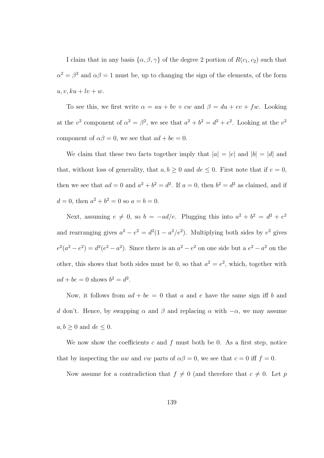I claim that in any basis  $\{\alpha, \beta, \gamma\}$  of the degree 2 portion of  $R(c_1, c_2)$  such that  $\alpha^2 = \beta^2$  and  $\alpha\beta = 1$  must be, up to changing the sign of the elements, of the form  $u, v, ku + lw + w.$ 

To see this, we first write  $\alpha = au + bv + cw$  and  $\beta = du + ev + fw$ . Looking at the  $v^2$  component of  $\alpha^2 = \beta^2$ , we see that  $a^2 + b^2 = d^2 + e^2$ . Looking at the  $v^2$ component of  $\alpha\beta = 0$ , we see that  $ad + be = 0$ .

We claim that these two facts together imply that  $|a| = |e|$  and  $|b| = |d|$  and that, without loss of generality, that  $a, b \ge 0$  and  $de \le 0$ . First note that if  $e = 0$ , then we see that  $ad = 0$  and  $a^2 + b^2 = d^2$ . If  $a = 0$ , then  $b^2 = d^2$  as claimed, and if  $d = 0$ , then  $a^2 + b^2 = 0$  so  $a = b = 0$ .

Next, assuming  $e \neq 0$ , so  $b = -ad/e$ . Plugging this into  $a^2 + b^2 = d^2 + e^2$ and rearranging gives  $a^2 - e^2 = d^2(1 - a^2/e^2)$ . Multiplying both sides by  $e^2$  gives  $e^2(a^2-e^2)=d^2(e^2-a^2)$ . Since there is an  $a^2-e^2$  on one side but a  $e^2-a^2$  on the other, this shows that both sides must be 0, so that  $a^2 = e^2$ , which, together with  $ad + be = 0$  shows  $b^2 = d^2$ .

Now, it follows from  $ad + be = 0$  that a and e have the same sign iff b and d don't. Hence, by swapping  $\alpha$  and  $\beta$  and replacing  $\alpha$  with  $-\alpha$ , we may assume  $a, b \geq 0$  and  $de \leq 0$ .

We now show the coefficients c and f must both be 0. As a first step, notice that by inspecting the uw and vw parts of  $\alpha\beta = 0$ , we see that  $c = 0$  iff  $f = 0$ .

Now assume for a contradiction that  $f \neq 0$  (and therefore that  $c \neq 0$ . Let p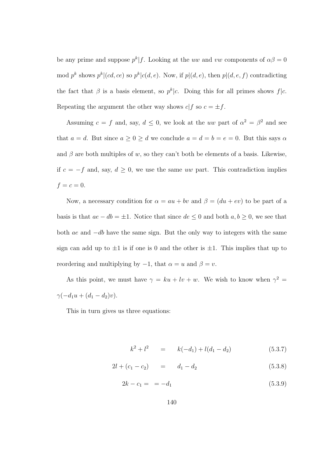be any prime and suppose  $p^k | f$ . Looking at the uw and vw components of  $\alpha \beta = 0$ mod  $p^k$  shows  $p^k|(cd, ce)$  so  $p^k|c(d, e)$ . Now, if  $p|(d, e)$ , then  $p|(d, e, f)$  contradicting the fact that  $\beta$  is a basis element, so  $p^k|c$ . Doing this for all primes shows  $f|c$ . Repeating the argument the other way shows  $c|f$  so  $c = \pm f$ .

Assuming  $c = f$  and, say,  $d \leq 0$ , we look at the uw part of  $\alpha^2 = \beta^2$  and see that  $a = d$ . But since  $a \ge 0 \ge d$  we conclude  $a = d = b = e = 0$ . But this says  $\alpha$ and  $\beta$  are both multiples of w, so they can't both be elements of a basis. Likewise, if  $c = -f$  and, say,  $d \ge 0$ , we use the same uw part. This contradiction implies  $f = c = 0.$ 

Now, a necessary condition for  $\alpha = au + bv$  and  $\beta = (du + ev)$  to be part of a basis is that  $ae - db = \pm 1$ . Notice that since  $de \leq 0$  and both  $a, b \geq 0$ , we see that both ae and −db have the same sign. But the only way to integers with the same sign can add up to  $\pm 1$  is if one is 0 and the other is  $\pm 1$ . This implies that up to reordering and multiplying by  $-1$ , that  $\alpha = u$  and  $\beta = v$ .

As this point, we must have  $\gamma = ku + iv + w$ . We wish to know when  $\gamma^2 =$  $\gamma(-d_1u + (d_1 - d_2)v).$ 

This in turn gives us three equations:

$$
k^2 + l^2 = k(-d_1) + l(d_1 - d_2) \tag{5.3.7}
$$

$$
2l + (c_1 - c_2) = d_1 - d_2 \tag{5.3.8}
$$

$$
2k - c_1 = -d_1 \tag{5.3.9}
$$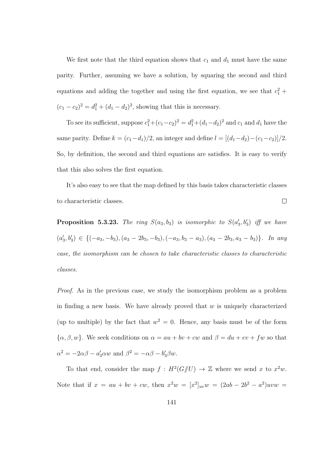We first note that the third equation shows that  $c_1$  and  $d_1$  must have the same parity. Further, assuming we have a solution, by squaring the second and third equations and adding the together and using the first equation, we see that  $c_1^2$  +  $(c_1 - c_2)^2 = d_1^2 + (d_1 - d_2)^2$ , showing that this is necessary.

To see its sufficient, suppose  $c_1^2 + (c_1 - c_2)^2 = d_1^2 + (d_1 - d_2)^2$  and  $c_1$  and  $d_1$  have the same parity. Define  $k = (c_1 - d_1)/2$ , an integer and define  $l = [(d_1 - d_2) - (c_1 - c_2)]/2$ . So, by definition, the second and third equations are satisfies. It is easy to verify that this also solves the first equation.

It's also easy to see that the map defined by this basis takes characteristic classes to characteristic classes.  $\Box$ 

**Proposition 5.3.23.** The ring  $S(a_3, b_3)$  is isomorphic to  $S(a'_3, b'_3)$  iff we have  $(a'_3, b'_3) \in \{(-a_3, -b_3), (a_3 - 2b_3, -b_3), (-a_3, b_3 - a_3), (a_3 - 2b_3, a_3 - b_3)\}.$  In any case, the isomorphism can be chosen to take characteristic classes to characteristic classes.

Proof. As in the previous case, we study the isomorphism problem as a problem in finding a new basis. We have already proved that  $w$  is uniquely characterized (up to multiple) by the fact that  $w^2 = 0$ . Hence, any basis must be of the form  $\{\alpha, \beta, w\}$ . We seek conditions on  $\alpha = au + bv + cw$  and  $\beta = du + ev + fw$  so that  $\alpha^2 = -2\alpha\beta - a'_3\alpha w$  and  $\beta^2 = -\alpha\beta - b'_3\beta w$ .

To that end, consider the map  $f: H^2(G/\hspace{-3pt}/ U) \to \mathbb{Z}$  where we send x to  $x^2w$ . Note that if  $x = au + bv + cw$ , then  $x^2w = [x^2]_{uv}w = (2ab - 2b^2 - a^2)uvw$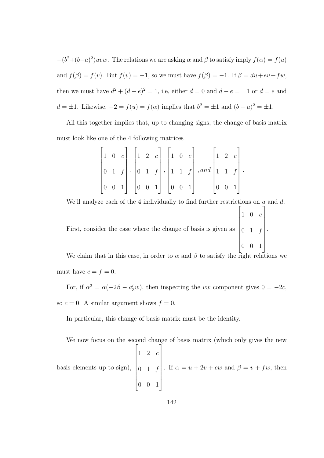$-(b^2+(b-a)^2)uvw$ . The relations we are asking  $\alpha$  and  $\beta$  to satisfy imply  $f(\alpha) = f(u)$ and  $f(\beta) = f(v)$ . But  $f(v) = -1$ , so we must have  $f(\beta) = -1$ . If  $\beta = du + ev + fw$ , then we must have  $d^2 + (d - e)^2 = 1$ , i.e, either  $d = 0$  and  $d - e = \pm 1$  or  $d = e$  and  $d = \pm 1$ . Likewise,  $-2 = f(u) = f(\alpha)$  implies that  $b^2 = \pm 1$  and  $(b - a)^2 = \pm 1$ .

All this together implies that, up to changing signs, the change of basis matrix must look like one of the 4 following matrices

|  |  |  |  |  |  | $\begin{vmatrix} 1 & 0 & c \end{vmatrix} \begin{vmatrix} 1 & 2 & c \end{vmatrix} \begin{vmatrix} 1 & 0 & c \end{vmatrix} \begin{vmatrix} 1 & 2 & c \end{vmatrix}$                                             |  |  |
|--|--|--|--|--|--|---------------------------------------------------------------------------------------------------------------------------------------------------------------------------------------------------------------|--|--|
|  |  |  |  |  |  | $\left[\begin{array}{cc cc}0&1&f\end{array}\right],\left[\begin{array}{cc cc}0&1&f\end{array}\right],\left[\begin{array}{cc cc}1&1&f\end{array}\right],and\left[\begin{array}{cc cc}1&1&f\end{array}\right].$ |  |  |
|  |  |  |  |  |  | $\begin{bmatrix} 0 & 0 & 1 \end{bmatrix}$ $\begin{bmatrix} 0 & 0 & 1 \end{bmatrix}$ $\begin{bmatrix} 0 & 0 & 1 \end{bmatrix}$ $\begin{bmatrix} 0 & 0 & 1 \end{bmatrix}$                                       |  |  |

We'll analyze each of the 4 individually to find further restrictions on  $a$  and  $d$ . First, consider the case where the change of basis is given as  $\sqrt{ }$   $1 \quad 0 \quad c$  $0 \quad 1 \quad f$ 0 0 1 1 .

We claim that in this case, in order to  $\alpha$  and  $\beta$  to satisfy the right relations we must have  $c = f = 0$ .

For, if  $\alpha^2 = \alpha(-2\beta - a_3'w)$ , then inspecting the vw component gives  $0 = -2c$ , so  $c = 0$ . A similar argument shows  $f = 0$ .

In particular, this change of basis matrix must be the identity.

We now focus on the second change of basis matrix (which only gives the new basis elements up to sign),  $\sqrt{ }$   $1 \quad 2 \quad c$  $0 \quad 1 \quad f$ 0 0 1 1  $\begin{array}{c} \begin{array}{c} \begin{array}{c} \begin{array}{c} \end{array} \\ \begin{array}{c} \end{array} \end{array} \end{array} \end{array}$ . If  $\alpha = u + 2v + cw$  and  $\beta = v + fw$ , then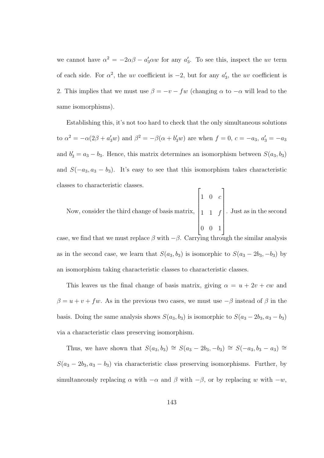we cannot have  $\alpha^2 = -2\alpha\beta - a_3'\alpha w$  for any  $a_3'$ . To see this, inspect the uv term of each side. For  $\alpha^2$ , the uv coefficient is  $-2$ , but for any  $a'_3$ , the uv coefficient is 2. This implies that we must use  $\beta = -v - fw$  (changing  $\alpha$  to  $-\alpha$  will lead to the same isomorphisms).

Establishing this, it's not too hard to check that the only simultaneous solutions to  $\alpha^2 = -\alpha(2\beta + a_3'w)$  and  $\beta^2 = -\beta(\alpha + b_3'w)$  are when  $f = 0, c = -a_3, a_3' = -a_3$ and  $b'_3 = a_3 - b_3$ . Hence, this matrix determines an isomorphism between  $S(a_3, b_3)$ and  $S(-a_3, a_3 - b_3)$ . It's easy to see that this isomorphism takes characteristic classes to characteristic classes.  $\sqrt{ }$ 1

Now, consider the third change of basis matrix,  $\begin{array}{c} \hline \end{array}$  $1 \quad 0 \quad c$ 1 1 f 0 0 1  $\begin{array}{c} \begin{array}{c} \begin{array}{c} \end{array} \\ \begin{array}{c} \end{array} \end{array} \end{array}$ . Just as in the second

case, we find that we must replace  $\beta$  with  $-\beta$ . Carrying through the similar analysis as in the second case, we learn that  $S(a_3, b_3)$  is isomorphic to  $S(a_3 - 2b_3, -b_3)$  by an isomorphism taking characteristic classes to characteristic classes.

This leaves us the final change of basis matrix, giving  $\alpha = u + 2v + cw$  and  $\beta=u+v+fw.$  As in the previous two cases, we must use  $-\beta$  instead of  $\beta$  in the basis. Doing the same analysis shows  $S(a_3, b_3)$  is isomorphic to  $S(a_3 - 2b_3, a_3 - b_3)$ via a characteristic class preserving isomorphism.

Thus, we have shown that  $S(a_3, b_3) \cong S(a_3 - 2b_3, -b_3) \cong S(-a_3, b_3 - a_3) \cong$  $S(a_3 - 2b_3, a_3 - b_3)$  via characteristic class preserving isomorphisms. Further, by simultaneously replacing  $\alpha$  with  $-\alpha$  and  $\beta$  with  $-\beta$ , or by replacing w with  $-w$ ,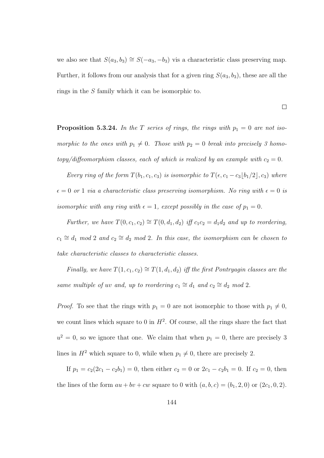we also see that  $S(a_3, b_3) \cong S(-a_3, -b_3)$  vis a characteristic class preserving map. Further, it follows from our analysis that for a given ring  $S(a_3, b_3)$ , these are all the rings in the S family which it can be isomorphic to.

 $\Box$ 

**Proposition 5.3.24.** In the T series of rings, the rings with  $p_1 = 0$  are not isomorphic to the ones with  $p_1 \neq 0$ . Those with  $p_2 = 0$  break into precisely 3 homo $topy/diffeomorphism classes, each of which is realized by an example with  $c_2 = 0$ .$ 

Every ring of the form  $T(b_1, c_1, c_3)$  is isomorphic to  $T(\epsilon, c_1 - c_3 \lfloor b_1/2 \rfloor, c_3)$  where  $\epsilon = 0$  or 1 via a characteristic class preserving isomorphism. No ring with  $\epsilon = 0$  is isomorphic with any ring with  $\epsilon = 1$ , except possibly in the case of  $p_1 = 0$ .

Further, we have  $T(0, c_1, c_2) \cong T(0, d_1, d_2)$  iff  $c_1c_2 = d_1d_2$  and up to reordering,  $c_1 \cong d_1 \mod 2$  and  $c_2 \cong d_2 \mod 2$ . In this case, the isomorphism can be chosen to take characteristic classes to characteristic classes.

Finally, we have  $T(1, c_1, c_2) \cong T(1, d_1, d_2)$  iff the first Pontryagin classes are the same multiple of uv and, up to reordering  $c_1 \cong d_1$  and  $c_2 \cong d_2$  mod 2.

*Proof.* To see that the rings with  $p_1 = 0$  are not isomorphic to those with  $p_1 \neq 0$ , we count lines which square to 0 in  $H^2$ . Of course, all the rings share the fact that  $u^2 = 0$ , so we ignore that one. We claim that when  $p_1 = 0$ , there are precisely 3 lines in  $H^2$  which square to 0, while when  $p_1 \neq 0$ , there are precisely 2.

If  $p_1 = c_2(2c_1 - c_2b_1) = 0$ , then either  $c_2 = 0$  or  $2c_1 - c_2b_1 = 0$ . If  $c_2 = 0$ , then the lines of the form  $au + bv + cw$  square to 0 with  $(a, b, c) = (b_1, 2, 0)$  or  $(2c_1, 0, 2)$ .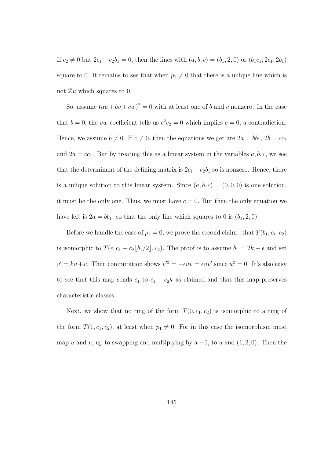If  $c_2 \neq 0$  but  $2c_1 - c_2b_1 = 0$ , then the lines with  $(a, b, c) = (b_1, 2, 0)$  or  $(b_1c_1, 2c_1, 2b_1)$ square to 0. It remains to see that when  $p_1 \neq 0$  that there is a unique line which is not  $\mathbb{Z} u$  which squares to 0.

So, assume  $(au + bv + cw)^2 = 0$  with at least one of b and c nonzero. In the case that  $b = 0$ , the vw coefficient tells us  $c^2 c_2 = 0$  which implies  $c = 0$ , a contradiction. Hence, we assume  $b \neq 0$ . If  $c \neq 0$ , then the equations we get are  $2a = bb_1$ ,  $2b = cc_2$ and  $2a = cc<sub>1</sub>$ . But by treating this as a linear system in the variables  $a, b, c$ , we see that the determinant of the defining matrix is  $2c_1 - c_2b_1$  so is nonzero. Hence, there is a unique solution to this linear system. Since  $(a, b, c) = (0, 0, 0)$  is one solution, it must be the only one. Thus, we must have  $c = 0$ . But then the only equation we have left is  $2a = bb_1$ , so that the only line which squares to 0 is  $(b_1, 2, 0)$ .

Before we handle the case of  $p_1 = 0$ , we prove the second claim - that  $T(b_1, c_1, c_2)$ is isomorphic to  $T(\epsilon, c_1 - c_2 \lfloor b_1/2 \rfloor, c_2)$ . The proof is to assume  $b_1 = 2k + \epsilon$  and set  $v' = ku + v$ . Then computation shows  $v'^2 = -\epsilon uv = \epsilon uv'$  since  $u^2 = 0$ . It's also easy to see that this map sends  $c_1$  to  $c_1 - c_2k$  as claimed and that this map preserves characteristic classes.

Next, we show that no ring of the form  $T(0, c_1, c_2)$  is isomorphic to a ring of the form  $T(1, c_1, c_2)$ , at least when  $p_1 \neq 0$ . For in this case the isomorphism must map u and v, up to swapping and multiplying by a  $-1$ , to u and  $(1, 2, 0)$ . Then the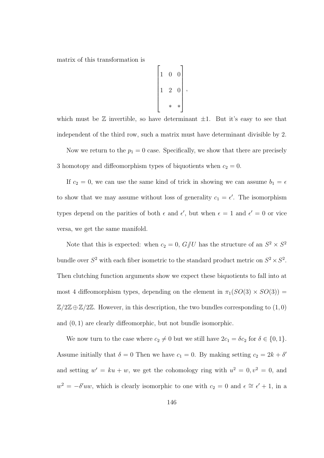matrix of this transformation is

$$
\begin{bmatrix} 1 & 0 & 0 \\ 1 & 2 & 0 \\ & & * & * \end{bmatrix},
$$

which must be  $\mathbb Z$  invertible, so have determinant  $\pm 1$ . But it's easy to see that independent of the third row, such a matrix must have determinant divisible by 2.

Now we return to the  $p_1 = 0$  case. Specifically, we show that there are precisely 3 homotopy and diffeomorphism types of biquotients when  $c_2 = 0$ .

If  $c_2 = 0$ , we can use the same kind of trick in showing we can assume  $b_1 = \epsilon$ to show that we may assume without loss of generality  $c_1 = \epsilon'$ . The isomorphism types depend on the parities of both  $\epsilon$  and  $\epsilon'$ , but when  $\epsilon = 1$  and  $\epsilon' = 0$  or vice versa, we get the same manifold.

Note that this is expected: when  $c_2 = 0$ ,  $G/\!\!/ U$  has the structure of an  $S^2 \times S^2$ bundle over  $S^2$  with each fiber isometric to the standard product metric on  $S^2 \times S^2$ . Then clutching function arguments show we expect these biquotients to fall into at most 4 diffeomorphism types, depending on the element in  $\pi_1(SO(3) \times SO(3))$  =  $\mathbb{Z}/2\mathbb{Z} \oplus \mathbb{Z}/2\mathbb{Z}$ . However, in this description, the two bundles corresponding to  $(1,0)$ and (0, 1) are clearly diffeomorphic, but not bundle isomorphic.

We now turn to the case where  $c_2 \neq 0$  but we still have  $2c_1 = \delta c_2$  for  $\delta \in \{0, 1\}$ . Assume initially that  $\delta = 0$  Then we have  $c_1 = 0$ . By making setting  $c_2 = 2k + \delta'$ and setting  $w' = ku + w$ , we get the cohomology ring with  $u^2 = 0, v^2 = 0$ , and  $w^2 = -\delta' u w$ , which is clearly isomorphic to one with  $c_2 = 0$  and  $\epsilon \approx \epsilon' + 1$ , in a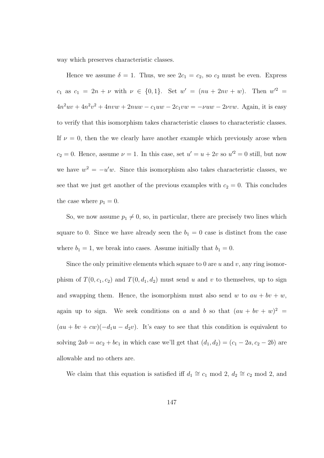way which preserves characteristic classes.

Hence we assume  $\delta = 1$ . Thus, we see  $2c_1 = c_2$ , so  $c_2$  must be even. Express  $c_1$  as  $c_1 = 2n + \nu$  with  $\nu \in \{0, 1\}$ . Set  $w' = (nu + 2nv + w)$ . Then  $w'^2 =$  $4n^2uv + 4n^2v^2 + 4nvw + 2nuw - c_1uw - 2c_1vw = -\nu uw - 2\nu vw$ . Again, it is easy to verify that this isomorphism takes characteristic classes to characteristic classes. If  $\nu = 0$ , then the we clearly have another example which previously arose when  $c_2 = 0$ . Hence, assume  $\nu = 1$ . In this case, set  $u' = u + 2v$  so  $u'^2 = 0$  still, but now we have  $w^2 = -u'w$ . Since this isomorphism also takes characteristic classes, we see that we just get another of the previous examples with  $c_2 = 0$ . This concludes the case where  $p_1 = 0$ .

So, we now assume  $p_1 \neq 0$ , so, in particular, there are precisely two lines which square to 0. Since we have already seen the  $b_1 = 0$  case is distinct from the case where  $b_1 = 1$ , we break into cases. Assume initially that  $b_1 = 0$ .

Since the only primitive elements which square to 0 are  $u$  and  $v$ , any ring isomorphism of  $T(0, c_1, c_2)$  and  $T(0, d_1, d_2)$  must send u and v to themselves, up to sign and swapping them. Hence, the isomorphism must also send w to  $au + bv + w$ , again up to sign. We seek conditions on a and b so that  $(au + bv + w)^2$  $(au + bv + cw)(-d_1u - d_2v)$ . It's easy to see that this condition is equivalent to solving  $2ab = ac_2 + bc_1$  in which case we'll get that  $(d_1, d_2) = (c_1 - 2a, c_2 - 2b)$  are allowable and no others are.

We claim that this equation is satisfied iff  $d_1 \cong c_1 \mod 2$ ,  $d_2 \cong c_2 \mod 2$ , and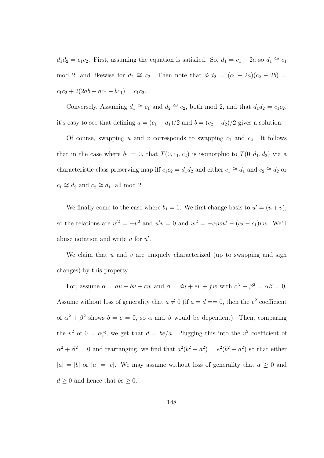$d_1 d_2 = c_1 c_2$ . First, assuming the equation is satisfied. So,  $d_1 = c_1 - 2a$  so  $d_1 \cong c_1$ mod 2, and likewise for  $d_2 \cong c_2$ . Then note that  $d_1 d_2 = (c_1 - 2a)(c_2 - 2b)$  $c_1c_2 + 2(2ab - ac_2 - bc_1) = c_1c_2.$ 

Conversely, Assuming  $d_1 \cong c_1$  and  $d_2 \cong c_2$ , both mod 2, and that  $d_1 d_2 = c_1 c_2$ , it's easy to see that defining  $a = (c_1 - d_1)/2$  and  $b = (c_2 - d_2)/2$  gives a solution.

Of course, swapping u and v corresponds to swapping  $c_1$  and  $c_2$ . It follows that in the case where  $b_1 = 0$ , that  $T(0, c_1, c_2)$  is isomorphic to  $T(0, d_1, d_2)$  via a characteristic class preserving map iff  $c_1c_2 = d_1d_2$  and either  $c_1 \cong d_1$  and  $c_2 \cong d_2$  or  $c_1 \cong d_2$  and  $c_2 \cong d_1$ , all mod 2.

We finally come to the case where  $b_1 = 1$ . We first change basis to  $u' = (u + v)$ , so the relations are  $u'^2 = -v^2$  and  $u'v = 0$  and  $w^2 = -c_1wu' - (c_2 - c_1)vw$ . We'll abuse notation and write  $u$  for  $u'$ .

We claim that u and v are uniquely characterized (up to swapping and sign changes) by this property.

For, assume  $\alpha = au + bv + cw$  and  $\beta = du + ev + fw$  with  $\alpha^2 + \beta^2 = \alpha \beta = 0$ . Assume without loss of generality that  $a \neq 0$  (if  $a = d = 0$ , then the  $v^2$  coefficient of  $\alpha^2 + \beta^2$  shows  $b = e = 0$ , so  $\alpha$  and  $\beta$  would be dependent). Then, comparing the  $v^2$  of  $0 = \alpha \beta$ , we get that  $d = be/a$ . Plugging this into the  $v^2$  coefficient of  $\alpha^2 + \beta^2 = 0$  and rearranging, we find that  $a^2(b^2 - a^2) = e^2(b^2 - a^2)$  so that either  $|a| = |b|$  or  $|a| = |e|$ . We may assume without loss of generality that  $a \ge 0$  and  $d \geq 0$  and hence that  $be \geq 0$ .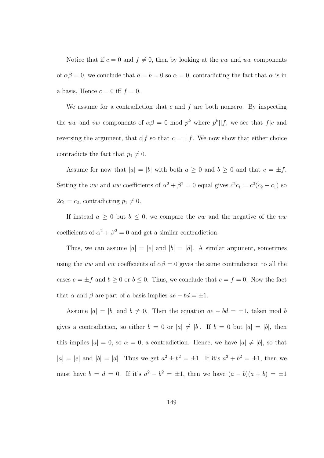Notice that if  $c = 0$  and  $f \neq 0$ , then by looking at the vw and uw components of  $\alpha\beta = 0$ , we conclude that  $a = b = 0$  so  $\alpha = 0$ , contradicting the fact that  $\alpha$  is in a basis. Hence  $c = 0$  iff  $f = 0$ .

We assume for a contradiction that  $c$  and  $f$  are both nonzero. By inspecting the uw and vw components of  $\alpha\beta = 0$  mod  $p^k$  where  $p^k||f$ , we see that  $f|c$  and reversing the argument, that  $c|f$  so that  $c = \pm f$ . We now show that either choice contradicts the fact that  $p_1 \neq 0$ .

Assume for now that  $|a| = |b|$  with both  $a \geq 0$  and  $b \geq 0$  and that  $c = \pm f$ . Setting the vw and uw coefficients of  $\alpha^2 + \beta^2 = 0$  equal gives  $c^2 c_1 = c^2 (c_2 - c_1)$  so  $2c_1 = c_2$ , contradicting  $p_1 \neq 0$ .

If instead  $a \geq 0$  but  $b \leq 0$ , we compare the vw and the negative of the uw coefficients of  $\alpha^2 + \beta^2 = 0$  and get a similar contradiction.

Thus, we can assume  $|a| = |e|$  and  $|b| = |d|$ . A similar argument, sometimes using the uw and vw coefficients of  $\alpha\beta = 0$  gives the same contradiction to all the cases  $c = \pm f$  and  $b \ge 0$  or  $b \le 0$ . Thus, we conclude that  $c = f = 0$ . Now the fact that  $\alpha$  and  $\beta$  are part of a basis implies  $ae - bd = \pm 1$ .

Assume  $|a| = |b|$  and  $b \neq 0$ . Then the equation  $ae - bd = \pm 1$ , taken mod b gives a contradiction, so either  $b = 0$  or  $|a| \neq |b|$ . If  $b = 0$  but  $|a| = |b|$ , then this implies  $|a| = 0$ , so  $\alpha = 0$ , a contradiction. Hence, we have  $|a| \neq |b|$ , so that  $|a| = |e|$  and  $|b| = |d|$ . Thus we get  $a^2 \pm b^2 = \pm 1$ . If it's  $a^2 + b^2 = \pm 1$ , then we must have  $b = d = 0$ . If it's  $a^2 - b^2 = \pm 1$ , then we have  $(a - b)(a + b) = \pm 1$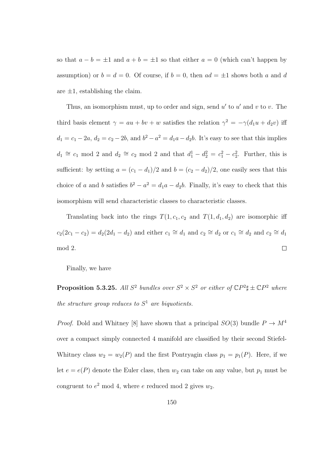so that  $a - b = \pm 1$  and  $a + b = \pm 1$  so that either  $a = 0$  (which can't happen by assumption) or  $b = d = 0$ . Of course, if  $b = 0$ , then  $ad = \pm 1$  shows both a and d are  $\pm 1$ , establishing the claim.

Thus, an isomorphism must, up to order and sign, send  $u'$  to  $u'$  and  $v$  to  $v$ . The third basis element  $\gamma = au + bv + w$  satisfies the relation  $\gamma^2 = -\gamma(d_1u + d_2v)$  iff  $d_1 = c_1 - 2a, d_2 = c_2 - 2b$ , and  $b^2 - a^2 = d_1a - d_2b$ . It's easy to see that this implies  $d_1 \cong c_1 \mod 2$  and  $d_2 \cong c_2 \mod 2$  and that  $d_1^1 - d_2^2 = c_1^2 - c_2^2$ . Further, this is sufficient: by setting  $a = (c_1 - d_1)/2$  and  $b = (c_2 - d_2)/2$ , one easily sees that this choice of a and b satisfies  $b^2 - a^2 = d_1a - d_2b$ . Finally, it's easy to check that this isomorphism will send characteristic classes to characteristic classes.

Translating back into the rings  $T(1, c_1, c_2$  and  $T(1, d_1, d_2)$  are isomorphic iff  $c_2(2c_1 - c_2) = d_2(2d_1 - d_2)$  and either  $c_1 \cong d_1$  and  $c_2 \cong d_2$  or  $c_1 \cong d_2$  and  $c_2 \cong d_1$ mod 2.  $\Box$ 

Finally, we have

**Proposition 5.3.25.** All  $S^2$  bundles over  $S^2 \times S^2$  or either of  $\mathbb{C}P^2 \sharp \pm \mathbb{C}P^2$  where the structure group reduces to  $S<sup>1</sup>$  are biquotients.

*Proof.* Dold and Whitney [8] have shown that a principal  $SO(3)$  bundle  $P \to M^4$ over a compact simply connected 4 manifold are classified by their second Stiefel-Whitney class  $w_2 = w_2(P)$  and the first Pontryagin class  $p_1 = p_1(P)$ . Here, if we let  $e = e(P)$  denote the Euler class, then  $w_2$  can take on any value, but  $p_1$  must be congruent to  $e^2$  mod 4, where e reduced mod 2 gives  $w_2$ .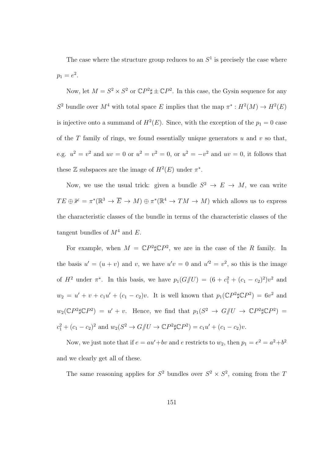The case where the structure group reduces to an  $S<sup>1</sup>$  is precisely the case where  $p_1 = e^2$ .

Now, let  $M = S^2 \times S^2$  or  $\mathbb{C}P^2 \sharp \pm \mathbb{C}P^2$ . In this case, the Gysin sequence for any  $S^2$  bundle over  $M^4$  with total space E implies that the map  $\pi^*: H^2(M) \to H^2(E)$ is injective onto a summand of  $H^2(E)$ . Since, with the exception of the  $p_1 = 0$  case of the  $T$  family of rings, we found essentially unique generators  $u$  and  $v$  so that, e.g.  $u^2 = v^2$  and  $uv = 0$  or  $u^2 = v^2 = 0$ , or  $u^2 = -v^2$  and  $uv = 0$ , it follows that these  $\mathbb Z$  subspaces are the image of  $H^2(E)$  under  $\pi^*$ .

Now, we use the usual trick: given a bundle  $S^2 \to E \to M$ , we can write  $TE \oplus \mathbb{1} = \pi^*(\mathbb{R}^3 \to \overline{E} \to M) \oplus \pi^*(\mathbb{R}^4 \to TM \to M)$  which allows us to express the characteristic classes of the bundle in terms of the characteristic classes of the tangent bundles of  $M^4$  and E.

For example, when  $M = \mathbb{C}P^2 \sharp \mathbb{C}P^2$ , we are in the case of the R family. In the basis  $u' = (u + v)$  and v, we have  $u'v = 0$  and  $u'^2 = v^2$ , so this is the image of  $H^2$  under  $\pi^*$ . In this basis, we have  $p_1(G\#U) = (6+c_1^2+(c_1-c_2)^2)v^2$  and  $w_2 = u' + v + c_1 u' + (c_1 - c_2)v$ . It is well known that  $p_1(\mathbb{C}P^2 \sharp \mathbb{C}P^2) = 6v^2$  and  $w_2(\mathbb{C}P^2 \sharp \mathbb{C}P^2) = u' + v$ . Hence, we find that  $p_1(S^2 \to G/\!\!/ U \to \mathbb{C}P^2 \sharp \mathbb{C}P^2) =$  $c_1^2 + (c_1 - c_2)^2$  and  $w_2(S^2 \to G)/U \to \mathbb{C}P^2 \sharp \mathbb{C}P^2) = c_1u' + (c_1 - c_2)v$ .

Now, we just note that if  $e = au' + bv$  and e restricts to  $w_2$ , then  $p_1 = e^2 = a^2 + b^2$ and we clearly get all of these.

The same reasoning applies for  $S^2$  bundles over  $S^2 \times S^2$ , coming from the T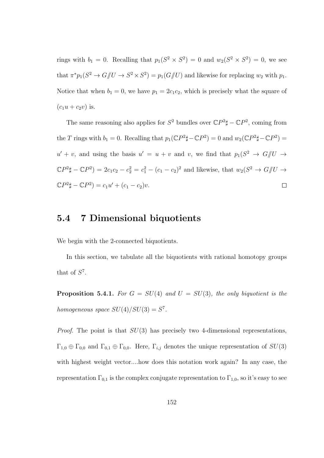rings with  $b_1 = 0$ . Recalling that  $p_1(S^2 \times S^2) = 0$  and  $w_2(S^2 \times S^2) = 0$ , we see that  $\pi^* p_1(S^2 \to G/\!\!/ U \to S^2 \times S^2) = p_1(G/\!\!/ U)$  and likewise for replacing  $w_2$  with  $p_1$ . Notice that when  $b_1 = 0$ , we have  $p_1 = 2c_1c_2$ , which is precisely what the square of  $(c_1u + c_2v)$  is.

The same reasoning also applies for  $S^2$  bundles over  $\mathbb{C}P^2\sharp - \mathbb{C}P^2$ , coming from the T rings with  $b_1 = 0$ . Recalling that  $p_1(\mathbb{C}P^2 \sharp - \mathbb{C}P^2) = 0$  and  $w_2(\mathbb{C}P^2 \sharp - \mathbb{C}P^2) = 0$  $u' + v$ , and using the basis  $u' = u + v$  and v, we find that  $p_1(S^2 \to G)/U \to$  $\mathbb{C}P^2\sharp - \mathbb{C}P^2 = 2c_1c_2 - c_2^2 = c_1^2 - (c_1 - c_2)^2$  and likewise, that  $w_2(S^2 \to G/\!\!/ U \to G/\!\!/ U)$  $\mathbb{C}P^2\sharp - \mathbb{C}P^2 = c_1u' + (c_1 - c_2)v.$  $\Box$ 

## 5.4 7 Dimensional biquotients

We begin with the 2-connected biquotients.

In this section, we tabulate all the biquotients with rational homotopy groups that of  $S^7$ .

**Proposition 5.4.1.** For  $G = SU(4)$  and  $U = SU(3)$ , the only biquotient is the homogeneous space  $SU(4)/SU(3) = S^7$ .

*Proof.* The point is that  $SU(3)$  has precisely two 4-dimensional representations,  $\Gamma_{1,0} \oplus \Gamma_{0,0}$  and  $\Gamma_{0,1} \oplus \Gamma_{0,0}$ . Here,  $\Gamma_{i,j}$  denotes the unique representation of  $SU(3)$ with highest weight vector....how does this notation work again? In any case, the representation  $\Gamma_{0,1}$  is the complex conjugate representation to  $\Gamma_{1,0}$ , so it's easy to see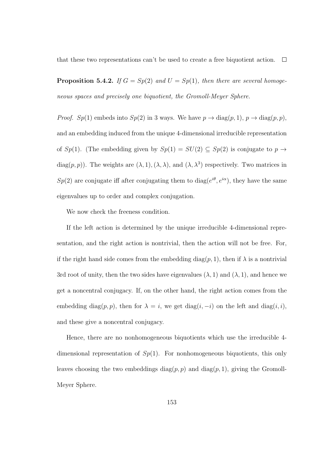that these two representations can't be used to create a free biquotient action.  $\Box$ 

**Proposition 5.4.2.** If  $G = Sp(2)$  and  $U = Sp(1)$ , then there are several homogeneous spaces and precisely one biquotient, the Gromoll-Meyer Sphere.

*Proof.*  $Sp(1)$  embeds into  $Sp(2)$  in 3 ways. We have  $p \to \text{diag}(p, 1)$ ,  $p \to \text{diag}(p, p)$ , and an embedding induced from the unique 4-dimensional irreducible representation of  $Sp(1)$ . (The embedding given by  $Sp(1) = SU(2) \subseteq Sp(2)$  is conjugate to  $p \to p$ diag $(p, p)$ ). The weights are  $(\lambda, 1), (\lambda, \lambda)$ , and  $(\lambda, \lambda^3)$  respectively. Two matrices in  $Sp(2)$  are conjugate iff after conjugating them to diag( $e^{i\theta}, e^{i\alpha}$ ), they have the same eigenvalues up to order and complex conjugation.

We now check the freeness condition.

If the left action is determined by the unique irreducible 4-dimensional representation, and the right action is nontrivial, then the action will not be free. For, if the right hand side comes from the embedding diag(p, 1), then if  $\lambda$  is a nontrivial 3rd root of unity, then the two sides have eigenvalues  $(\lambda, 1)$  and  $(\lambda, 1)$ , and hence we get a noncentral conjugacy. If, on the other hand, the right action comes from the embedding diag $(p, p)$ , then for  $\lambda = i$ , we get diag $(i, -i)$  on the left and diag $(i, i)$ , and these give a noncentral conjugacy.

Hence, there are no nonhomogeneous biquotients which use the irreducible 4 dimensional representation of  $Sp(1)$ . For nonhomogeneous biquotients, this only leaves choosing the two embeddings diag $(p, p)$  and diag $(p, 1)$ , giving the Gromoll-Meyer Sphere.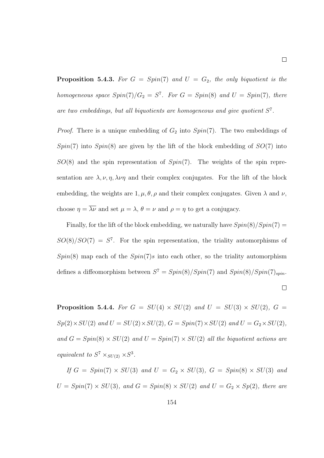**Proposition 5.4.3.** For  $G = Spin(7)$  and  $U = G_2$ , the only biquotient is the homogeneous space  $Spin(7)/G_2 = S^7$ . For  $G = Spin(8)$  and  $U = Spin(7)$ , there are two embeddings, but all biquotients are homogeneous and give quotient  $S^7$ .

*Proof.* There is a unique embedding of  $G_2$  into  $Spin(7)$ . The two embeddings of  $Spin(7)$  into  $Spin(8)$  are given by the lift of the block embedding of  $SO(7)$  into  $SO(8)$  and the spin representation of  $Spin(7)$ . The weights of the spin representation are  $\lambda$ ,  $\nu$ ,  $\eta$ ,  $\lambda \nu \eta$  and their complex conjugates. For the lift of the block embedding, the weights are  $1, \mu, \theta, \rho$  and their complex conjugates. Given  $\lambda$  and  $\nu$ , choose  $\eta = \overline{\lambda \nu}$  and set  $\mu = \lambda$ ,  $\theta = \nu$  and  $\rho = \eta$  to get a conjugacy.

Finally, for the lift of the block embedding, we naturally have  $Spin(8)/Spin(7) =$  $SO(8)/SO(7) = S<sup>7</sup>$ . For the spin representation, the triality automorphisms of  $Spin(8)$  map each of the  $Spin(7)$ s into each other, so the triality automorphism defines a diffeomorphism between  $S^7 = Spin(8)/Spin(7)$  and  $Spin(8)/Spin(7)_{spin}$ .  $\Box$ 

**Proposition 5.4.4.** For  $G = SU(4) \times SU(2)$  and  $U = SU(3) \times SU(2)$ ,  $G =$  $Sp(2)\times SU(2)$  and  $U = SU(2)\times SU(2)$ ,  $G = Spin(7)\times SU(2)$  and  $U = G_2\times SU(2)$ , and  $G = Spin(8) \times SU(2)$  and  $U = Spin(7) \times SU(2)$  all the biquotient actions are equivalent to  $S^7 \times_{SU(2)} \times S^3$ .

If  $G = Spin(7) \times SU(3)$  and  $U = G_2 \times SU(3)$ ,  $G = Spin(8) \times SU(3)$  and  $U = Spin(7) \times SU(3)$ , and  $G = Spin(8) \times SU(2)$  and  $U = G_2 \times Sp(2)$ , there are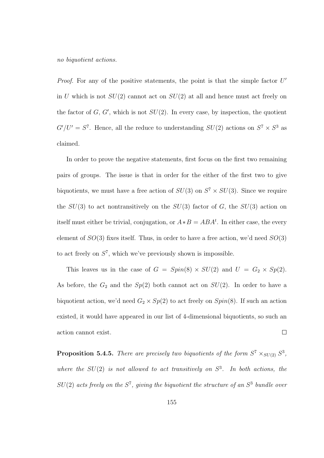no biquotient actions.

*Proof.* For any of the positive statements, the point is that the simple factor  $U'$ in U which is not  $SU(2)$  cannot act on  $SU(2)$  at all and hence must act freely on the factor of  $G, G'$ , which is not  $SU(2)$ . In every case, by inspection, the quotient  $G'/U' = S^7$ . Hence, all the reduce to understanding  $SU(2)$  actions on  $S^7 \times S^3$  as claimed.

In order to prove the negative statements, first focus on the first two remaining pairs of groups. The issue is that in order for the either of the first two to give biquotients, we must have a free action of  $SU(3)$  on  $S^7 \times SU(3)$ . Since we require the  $SU(3)$  to act nontransitively on the  $SU(3)$  factor of G, the  $SU(3)$  action on itself must either be trivial, conjugation, or  $A*B = ABA<sup>t</sup>$ . In either case, the every element of  $SO(3)$  fixes itself. Thus, in order to have a free action, we'd need  $SO(3)$ to act freely on  $S^7$ , which we've previously shown is impossible.

This leaves us in the case of  $G = Spin(8) \times SU(2)$  and  $U = G_2 \times Sp(2)$ . As before, the  $G_2$  and the  $Sp(2)$  both cannot act on  $SU(2)$ . In order to have a biquotient action, we'd need  $G_2 \times Sp(2)$  to act freely on  $Spin(8)$ . If such an action existed, it would have appeared in our list of 4-dimensional biquotients, so such an  $\Box$ action cannot exist.

**Proposition 5.4.5.** There are precisely two biquotients of the form  $S^7 \times_{SU(2)} S^3$ , where the  $SU(2)$  is not allowed to act transitively on  $S^3$ . In both actions, the  $SU(2)$  acts freely on the  $S^7$ , giving the biquotient the structure of an  $S^3$  bundle over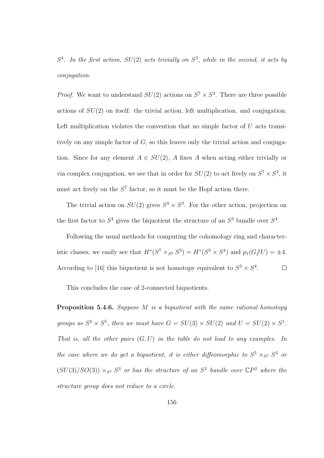$S<sup>4</sup>$ . In the first action,  $SU(2)$  acts trivially on  $S<sup>3</sup>$ , while in the second, it acts by conjugation.

*Proof.* We want to understand  $SU(2)$  actions on  $S^7 \times S^3$ . There are three possible actions of SU(2) on itself: the trivial action, left multiplication, and conjugation. Left multiplication violates the convention that no simple factor of  $U$  acts transitively on any simple factor of  $G$ , so this leaves only the trivial action and conjugation. Since for any element  $A \in SU(2)$ , A fixes A when acting either trivially or via complex conjugation, we see that in order for  $SU(2)$  to act freely on  $S^7 \times S^3$ , it must act freely on the  $S<sup>7</sup>$  factor, so it must be the Hopf action there.

The trivial action on  $SU(2)$  gives  $S<sup>4</sup> \times S<sup>3</sup>$ . For the other action, projection on the first factor to  $S^4$  gives the biquotient the structure of an  $S^3$  bundle over  $S^4$ .

Following the usual methods for computing the cohomology ring and characteristic classes, we easily see that  $H^*(S^7 \times_{S^3} S^3) = H^*(S^3 \times S^4)$  and  $p_1(G \text{yU}) = \pm 4$ . According to [16] this biquotient is not homotopy equivalent to  $S^3 \times S^4$ .  $\Box$ 

This concludes the case of 2-connected biquotients.

Proposition 5.4.6. Suppose M is a biquotient with the same rational homotopy groups as  $S^2 \times S^5$ , then we must have  $G = SU(3) \times SU(2)$  and  $U = SU(2) \times S^1$ . That is, all the other pairs  $(G, U)$  in the table do not lead to any examples. In the case where we do get a biquotient, it is either diffeomorphic to  $S^5 \times_{S^1} S^3$  or  $(SU(3)/SO(3)) \times_{S^1} S^3$  or has the structure of an  $S^3$  bundle over  $\mathbb{C}P^2$  where the structure group does not reduce to a circle.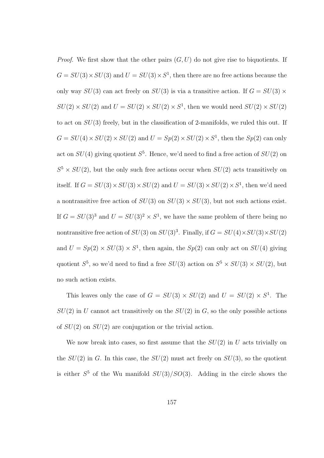*Proof.* We first show that the other pairs  $(G, U)$  do not give rise to biquotients. If  $G = SU(3) \times SU(3)$  and  $U = SU(3) \times S<sup>1</sup>$ , then there are no free actions because the only way  $SU(3)$  can act freely on  $SU(3)$  is via a transitive action. If  $G = SU(3) \times$  $SU(2) \times SU(2)$  and  $U = SU(2) \times SU(2) \times S<sup>1</sup>$ , then we would need  $SU(2) \times SU(2)$ to act on  $SU(3)$  freely, but in the classification of 2-manifolds, we ruled this out. If  $G = SU(4) \times SU(2) \times SU(2)$  and  $U = Sp(2) \times SU(2) \times S<sup>1</sup>$ , then the  $Sp(2)$  can only act on  $SU(4)$  giving quotient  $S^5$ . Hence, we'd need to find a free action of  $SU(2)$  on  $S^5 \times SU(2)$ , but the only such free actions occur when  $SU(2)$  acts transitively on itself. If  $G = SU(3) \times SU(3) \times SU(2)$  and  $U = SU(3) \times SU(2) \times S<sup>1</sup>$ , then we'd need a nontransitive free action of  $SU(3)$  on  $SU(3) \times SU(3)$ , but not such actions exist. If  $G = SU(3)^3$  and  $U = SU(3)^2 \times S^1$ , we have the same problem of there being no nontransitive free action of  $SU(3)$  on  $SU(3)^3$ . Finally, if  $G = SU(4) \times SU(3) \times SU(2)$ and  $U = Sp(2) \times SU(3) \times S<sup>1</sup>$ , then again, the  $Sp(2)$  can only act on  $SU(4)$  giving quotient  $S^5$ , so we'd need to find a free  $SU(3)$  action on  $S^5 \times SU(3) \times SU(2)$ , but no such action exists.

This leaves only the case of  $G = SU(3) \times SU(2)$  and  $U = SU(2) \times S^1$ . The  $SU(2)$  in U cannot act transitively on the  $SU(2)$  in G, so the only possible actions of  $SU(2)$  on  $SU(2)$  are conjugation or the trivial action.

We now break into cases, so first assume that the  $SU(2)$  in U acts trivially on the  $SU(2)$  in G. In this case, the  $SU(2)$  must act freely on  $SU(3)$ , so the quotient is either  $S^5$  of the Wu manifold  $SU(3)/SO(3)$ . Adding in the circle shows the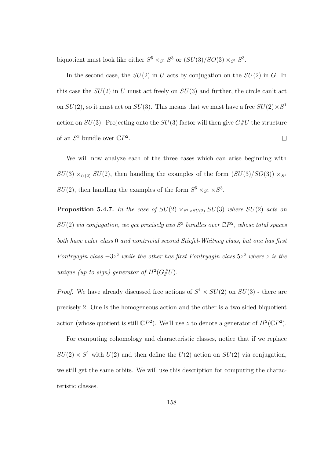biquotient must look like either  $S^5 \times_{S^1} S^3$  or  $(SU(3)/SO(3) \times_{S^1} S^3$ .

In the second case, the  $SU(2)$  in U acts by conjugation on the  $SU(2)$  in G. In this case the  $SU(2)$  in U must act freely on  $SU(3)$  and further, the circle can't act on  $SU(2)$ , so it must act on  $SU(3)$ . This means that we must have a free  $SU(2) \times S^1$ action on  $SU(3)$ . Projecting onto the  $SU(3)$  factor will then give  $G/\!\!/ U$  the structure of an  $S^3$  bundle over  $\mathbb{C}P^2$ .  $\Box$ 

We will now analyze each of the three cases which can arise beginning with  $SU(3) \times_{U(2)} SU(2)$ , then handling the examples of the form  $(SU(3)/SO(3)) \times_{S^1} SU(2)$  $SU(2)$ , then handling the examples of the form  $S^5 \times_{S^1} \times S^3$ .

**Proposition 5.4.7.** In the case of  $SU(2) \times_{S^1 \times SU(2)} SU(3)$  where  $SU(2)$  acts on  $SU(2)$  via conjugation, we get precisely two  $S^3$  bundles over  $\mathbb{C}P^2$ , whose total spaces both have euler class 0 and nontrivial second Stiefel-Whitney class, but one has first Pontryagin class  $-3z^2$  while the other has first Pontryagin class  $5z^2$  where z is the unique (up to sign) generator of  $H^2(G/\hspace{-0.1cm}/ U)$ .

*Proof.* We have already discussed free actions of  $S^1 \times SU(2)$  on  $SU(3)$  - there are precisely 2. One is the homogeneous action and the other is a two sided biquotient action (whose quotient is still  $\mathbb{C}P^2$ ). We'll use z to denote a generator of  $H^2(\mathbb{C}P^2)$ .

For computing cohomology and characteristic classes, notice that if we replace  $SU(2) \times S<sup>1</sup>$  with  $U(2)$  and then define the  $U(2)$  action on  $SU(2)$  via conjugation, we still get the same orbits. We will use this description for computing the characteristic classes.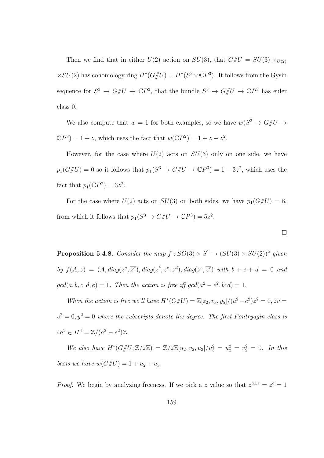Then we find that in either  $U(2)$  action on  $SU(3)$ , that  $G/\!\!/ U = SU(3) \times_{U(2)} U$  $\times SU(2)$  has cohomology ring  $H^*(G/\!\!/ U) = H^*(S^3 \times \mathbb{C}P^3)$ . It follows from the Gysin sequence for  $S^3 \to G/\!\!/ U \to \mathbb{C}P^3$ , that the bundle  $S^3 \to G/\!\!/ U \to \mathbb{C}P^3$  has euler class 0.

We also compute that  $w = 1$  for both examples, so we have  $w(S^3 \to G/U \to$  $\mathbb{C}P^3$  = 1 + z, which uses the fact that  $w(\mathbb{C}P^2) = 1 + z + z^2$ .

However, for the case where  $U(2)$  acts on  $SU(3)$  only on one side, we have  $p_1(G/\!\!/ U) = 0$  so it follows that  $p_1(S^3 \to G/\!\!/ U \to \mathbb{C}P^3) = 1 - 3z^2$ , which uses the fact that  $p_1(\mathbb{C}P^2) = 3z^2$ .

For the case where  $U(2)$  acts on  $SU(3)$  on both sides, we have  $p_1(G/\!\!/ U) = 8$ , from which it follows that  $p_1(S^3 \to G/\!\!/ U \to \mathbb{C}P^3) = 5z^2$ .

 $\Box$ 

**Proposition 5.4.8.** Consider the map  $f : SO(3) \times S^1 \rightarrow (SU(3) \times SU(2))^2$  given by  $f(A, z) = (A, diag(z^a, \overline{z^a}), diag(z^b, z^c, z^d), diag(z^e, \overline{z^e})$  with  $b + c + d = 0$  and  $gcd(a, b, c, d, e) = 1$ . Then the action is free iff  $gcd(a^2 - e^2, bcd) = 1$ .

When the action is free we'll have  $H^*(G/\hspace{-0.1cm}/ U) = \mathbb{Z}[z_2, v_3, y_5]/(a^2 - e^2)z^2 = 0, 2v = 0$  $v^2 = 0, y^2 = 0$  where the subscripts denote the degree. The first Pontryagin class is  $4a^2 \in H^4 = \mathbb{Z}/(a^2 - e^2)\mathbb{Z}.$ 

We also have  $H^*(G/\hspace{-0.1cm}/ U;\mathbb{Z}/2\mathbb{Z}) = \mathbb{Z}/2\mathbb{Z}[u_2,v_2,u_3]/u_3^2 = u_2^2 = v_2^2 = 0$ . In this *basis we have*  $w(G/\!\!/ U) = 1 + u_2 + u_3$ .

*Proof.* We begin by analyzing freeness. If we pick a z value so that  $z^{a \pm e} = z^b = 1$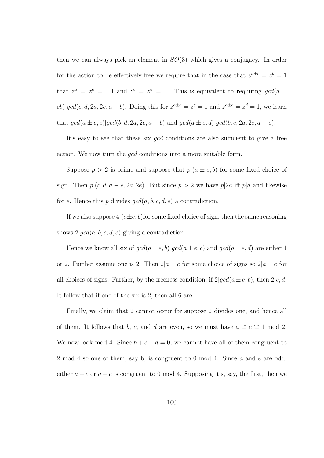then we can always pick an element in  $SO(3)$  which gives a conjugacy. In order for the action to be effectively free we require that in the case that  $z^{a \pm e} = z^b = 1$ that  $z^a = z^e = \pm 1$  and  $z^c = z^d = 1$ . This is equivalent to requiring  $gcd(a \pm \frac{1}{2})$  $e^{b}|gcd(c, d, 2a, 2e, a - b)|$ . Doing this for  $z^{a \pm e} = z^{c} = 1$  and  $z^{a \pm e} = z^{d} = 1$ , we learn that  $gcd(a \pm e, c) | gcd(b, d, 2a, 2e, a - b)$  and  $gcd(a \pm e, d) | gcd(b, c, 2a, 2e, a - e)$ .

It's easy to see that these six *gcd* conditions are also sufficient to give a free action. We now turn the gcd conditions into a more suitable form.

Suppose  $p > 2$  is prime and suppose that  $p|(a \pm e, b)$  for some fixed choice of sign. Then  $p|(c, d, a - e, 2a, 2e)$ . But since  $p > 2$  we have  $p|2a$  iff  $p|a$  and likewise for e. Hence this p divides  $gcd(a, b, c, d, e)$  a contradiction.

If we also suppose  $4(a \pm e, b)$  for some fixed choice of sign, then the same reasoning shows  $2|gcd(a, b, c, d, e)$  giving a contradiction.

Hence we know all six of  $\gcd(a \pm e, b) \gcd(a \pm e, c)$  and  $\gcd(a \pm e, d)$  are either 1 or 2. Further assume one is 2. Then  $2|a \pm e$  for some choice of signs so  $2|a \pm e$  for all choices of signs. Further, by the freeness condition, if  $2|qcd(a \pm e, b)$ , then  $2|c, d$ . It follow that if one of the six is 2, then all 6 are.

Finally, we claim that 2 cannot occur for suppose 2 divides one, and hence all of them. It follows that b, c, and d are even, so we must have  $a \cong e \cong 1 \mod 2$ . We now look mod 4. Since  $b + c + d = 0$ , we cannot have all of them congruent to 2 mod 4 so one of them, say b, is congruent to 0 mod 4. Since a and e are odd, either  $a + e$  or  $a - e$  is congruent to 0 mod 4. Supposing it's, say, the first, then we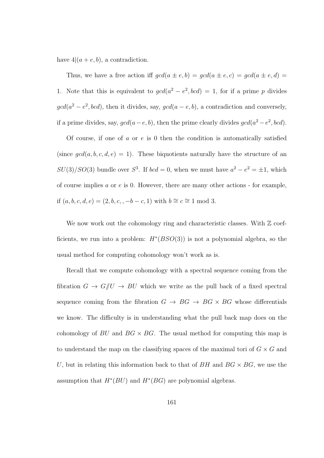have  $4|(a + e, b)$ , a contradiction.

Thus, we have a free action iff  $gcd(a \pm e, b) = gcd(a \pm e, c) = gcd(a \pm e, d)$ 1. Note that this is equivalent to  $gcd(a^2 - e^2, bcd) = 1$ , for if a prime p divides  $gcd(a^2 - e^2, bcd)$ , then it divides, say,  $gcd(a - e, b)$ , a contradiction and conversely, if a prime divides, say,  $gcd(a-e, b)$ , then the prime clearly divides  $gcd(a^2-e^2, bcd)$ .

Of course, if one of a or  $e$  is 0 then the condition is automatically satisfied (since  $gcd(a, b, c, d, e) = 1$ ). These biquotients naturally have the structure of an  $SU(3)/SO(3)$  bundle over  $S^3$ . If  $bcd = 0$ , when we must have  $a^2 - e^2 = \pm 1$ , which of course implies  $a$  or  $e$  is 0. However, there are many other actions - for example, if  $(a, b, c, d, e) = (2, b, c, -b - c, 1)$  with  $b ≅ c ≅ 1 \mod 3$ .

We now work out the cohomology ring and characteristic classes. With  $\mathbb Z$  coefficients, we run into a problem:  $H^*(BSO(3))$  is not a polynomial algebra, so the usual method for computing cohomology won't work as is.

Recall that we compute cohomology with a spectral sequence coming from the fibration  $G \to G/\!\!/ U \to BU$  which we write as the pull back of a fixed spectral sequence coming from the fibration  $G \rightarrow BG \rightarrow BG \times BG$  whose differentials we know. The difficulty is in understanding what the pull back map does on the cohomology of BU and  $BG \times BG$ . The usual method for computing this map is to understand the map on the classifying spaces of the maximal tori of  $G \times G$  and U, but in relating this information back to that of  $BH$  and  $BG \times BG$ , we use the assumption that  $H^*(BU)$  and  $H^*(BG)$  are polynomial algebras.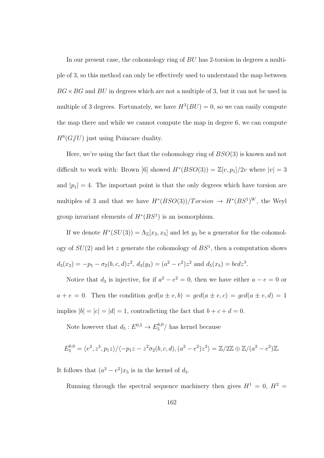In our present case, the cohomology ring of BU has 2-torsion in degrees a multiple of 3, so this method can only be effectively used to understand the map between  $BG \times BG$  and  $BU$  in degrees which are not a multiple of 3, but it can not be used in multiple of 3 degrees. Fortunately, we have  $H^3(BU) = 0$ , so we can easily compute the map there and while we cannot compute the map in degree 6, we can compute  $H^6(G /\!\!/ U)$  just using Poincare duality.

Here, we're using the fact that the cohomology ring of  $BSO(3)$  is known and not difficult to work with: Brown [6] showed  $H^*(BSO(3)) = \mathbb{Z}[v, p_1]/2v$  where  $|v| = 3$ and  $|p_1| = 4$ . The important point is that the only degrees which have torsion are multiples of 3 and that we have  $H^*(BSO(3))/Torsion \rightarrow H^*(BS^1)^W$ , the Weyl group invariant elements of  $H^*(BS^1)$  is an isomorphism.

If we denote  $H^*(SU(3)) = \Lambda_{\mathbb{Z}}[x_3, x_5]$  and let  $y_3$  be a generator for the cohomology of  $SU(2)$  and let z generate the cohomology of  $BS<sup>1</sup>$ , then a computation shows  $d_3(x_3) = -p_1 - \sigma_2(b, c, d)z^2$ ,  $d_3(y_3) = (a^2 - e^2)z^2$  and  $d_5(x_5) = bcdz^3$ .

Notice that  $d_3$  is injective, for if  $a^2 - e^2 = 0$ , then we have either  $a - e = 0$  or  $a + e = 0$ . Then the condition  $gcd(a \pm e, b) = gcd(a \pm e, c) = gcd(a \pm e, d) = 1$ implies  $|b| = |c| = |d| = 1$ , contradicting the fact that  $b + c + d = 0$ .

Note however that  $d_5: E^{0,5} \to E_5^{6,0}$  $\frac{1}{5}$ <sup>0,0</sup>/ has kernel because

$$
E_5^{6,0} = \langle v^2, z^3, p_1 z \rangle / \langle -p_1 z - z^2 \sigma_2(b, c, d), (a^2 - e^2) z^2 \rangle = \mathbb{Z}/2\mathbb{Z} \oplus \mathbb{Z}/(a^2 - e^2)\mathbb{Z}.
$$

It follows that  $(a^2 - e^2)x_5$  is in the kernel of  $d_5$ .

Running through the spectral sequence machinery then gives  $H^1 = 0$ ,  $H^2 =$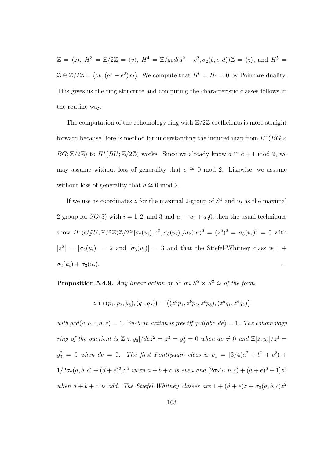$\mathbb{Z} = \langle z \rangle$ ,  $H^3 = \mathbb{Z}/2\mathbb{Z} = \langle v \rangle$ ,  $H^4 = \mathbb{Z}/gcd(a^2 - e^2, \sigma_2(b, c, d))\mathbb{Z} = \langle z \rangle$ , and  $H^5 =$  $\mathbb{Z} \oplus \mathbb{Z}/2\mathbb{Z} = \langle zv, (a^2 - e^2)x_5 \rangle$ . We compute that  $H^6 = H_1 = 0$  by Poincare duality. This gives us the ring structure and computing the characteristic classes follows in the routine way.

The computation of the cohomology ring with  $\mathbb{Z}/2\mathbb{Z}$  coefficients is more straight forward because Borel's method for understanding the induced map from  $H^*(BG \times$  $BG; \mathbb{Z}/2\mathbb{Z}$ ) to  $H^*(BU; \mathbb{Z}/2\mathbb{Z})$  works. Since we already know  $a \cong e+1$  mod 2, we may assume without loss of generality that  $e \cong 0 \mod 2$ . Likewise, we assume without loss of generality that  $d \approx 0 \mod 2$ .

If we use as coordinates z for the maximal 2-group of  $S^1$  and  $u_i$  as the maximal 2-group for  $SO(3)$  with  $i = 1, 2$ , and 3 and  $u_1 + u_2 + u_3$ , then the usual techniques show  $H^*(G/\!\!/ U;\mathbb{Z}/2\mathbb{Z})\mathbb{Z}/2\mathbb{Z}[\sigma_2(u_i),z^2,\sigma_3(u_i)]/\sigma_2(u_i)^2 = (z^2)^2 = \sigma_3(u_i)^2 = 0$  with  $|z^2| = |\sigma_2(u_i)| = 2$  and  $|\sigma_3(u_i)| = 3$  and that the Stiefel-Whitney class is 1 +  $\sigma_2(u_i) + \sigma_3(u_i)$ .  $\Box$ 

**Proposition 5.4.9.** Any linear action of  $S^1$  on  $S^5 \times S^3$  is of the form

$$
z * ((p_1, p_2, p_3), (q_1, q_2)) = ((zap_1, zbp_2, zcp_3), (zdq_1, zeq_2))
$$

with  $gcd(a, b, c, d, e) = 1$ . Such an action is free iff  $gcd(abc, de) = 1$ . The cohomology ring of the quotient is  $\mathbb{Z}[z, y_5]/dez^2 = z^3 = y_5^2 = 0$  when  $de \neq 0$  and  $\mathbb{Z}[z, y_3]/z^3 =$  $y_3^2 = 0$  when  $de = 0$ . The first Pontryagin class is  $p_1 = [3/4(a^2 + b^2 + c^2) +$  $1/2\sigma_2(a,b,c) + (d+e)^2]z^2$  when  $a+b+c$  is even and  $[2\sigma_2(a,b,c) + (d+e)^2 + 1]z^2$ when  $a + b + c$  is odd. The Stiefel-Whitney classes are  $1 + (d + e)z + \sigma_2(a, b, c)z^2$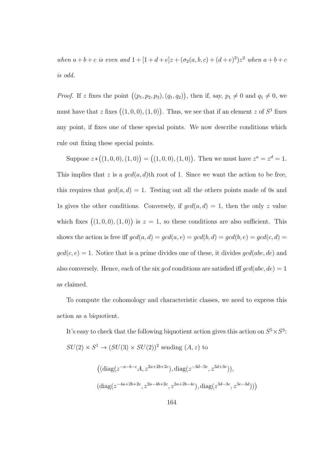when  $a + b + c$  is even and  $1 + [1 + d + e]z + (\sigma_2(a, b, c) + (d + e)^2)z^2$  when  $a + b + c$ is odd.

*Proof.* If z fixes the point  $((p_1, p_2, p_3), (q_1, q_2))$ , then if, say,  $p_1 \neq 0$  and  $q_1 \neq 0$ , we must have that z fixes  $((1,0,0),(1,0))$ . Thus, we see that if an element z of  $S<sup>1</sup>$  fixes any point, if fixes one of these special points. We now describe conditions which rule out fixing these special points.

Suppose  $z * ((1,0,0), (1,0)) = ((1,0,0), (1,0))$ . Then we must have  $z^a = z^d = 1$ . This implies that z is a  $gcd(a, d)$ th root of 1. Since we want the action to be free, this requires that  $gcd(a, d) = 1$ . Testing out all the others points made of 0s and 1s gives the other conditions. Conversely, if  $gcd(a, d) = 1$ , then the only z value which fixes  $((1,0,0),(1,0))$  is  $z=1$ , so these conditions are also sufficient. This shows the action is free iff  $gcd(a, d) = gcd(a, e) = gcd(b, d) = gcd(b, e) = gcd(c, d)$  $gcd(c, e) = 1$ . Notice that is a prime divides one of these, it divides  $gcd(abc, de)$  and also conversely. Hence, each of the six gcd conditions are satisfied iff  $gcd(abc, de) = 1$ as claimed.

To compute the cohomology and characteristic classes, we need to express this action as a biquotient.

It's easy to check that the following biquotient action gives this action on  $S^5 \times S^3$ :  $SU(2) \times S^1 \rightarrow (SU(3) \times SU(2))^2$  sending  $(A, z)$  to

$$
((diag(z^{-a-b-c}A, z^{2a+2b+2c}), diag(z^{-3d-3e}, z^{3d+3e})),
$$
  
 $(diag(z^{-4a+2b+2c}, z^{2a-4b+2c}, z^{2a+2b-4c}), diag(z^{3d-3e}, z^{3e-3d})))$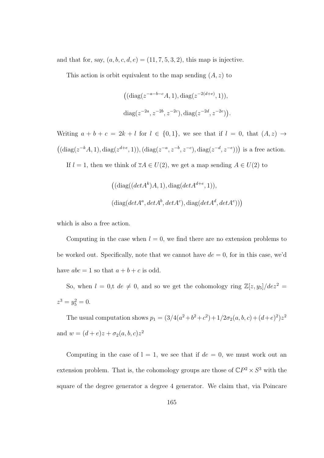and that for, say,  $(a, b, c, d, e) = (11, 7, 5, 3, 2)$ , this map is injective.

This action is orbit equivalent to the map sending  $(A, z)$  to

$$
((diag(z^{-a-b-c}A, 1), diag(z^{-2(d+e)}, 1)),
$$
  

$$
diag(z^{-2a}, z^{-2b}, z^{-2c}), diag(z^{-2d}, z^{-2e})).
$$

Writing  $a + b + c = 2k + l$  for  $l \in \{0, 1\}$ , we see that if  $l = 0$ , that  $(A, z) \rightarrow$  $((diag(z^{-k}A, 1), diag(z^{d+e}, 1)), (diag(z^{-a}, z^{-b}, z^{-c}), diag(z^{-d}, z^{-e})))$  is a free action.

If  $l = 1$ , then we think of  $\overline{z}A \in U(2)$ , we get a map sending  $A \in U(2)$  to

$$
((diag((det Ak)A, 1), diag(det Ad+e, 1)),
$$
  

$$
(diag(det Aa, det Ab, det Ac), diag(det Ad, det Ae)))
$$

which is also a free action.

Computing in the case when  $l = 0$ , we find there are no extension problems to be worked out. Specifically, note that we cannot have  $de = 0$ , for in this case, we'd have  $abc = 1$  so that  $a + b + c$  is odd.

So, when  $l = 0$ ,t  $de \neq 0$ , and so we get the cohomology ring  $\mathbb{Z}[z, y_5]/dez^2 =$  $z^3 = y_5^2 = 0.$ 

The usual computation shows  $p_1 = (3/4(a^2+b^2+c^2)+1/2\sigma_2(a,b,c)+(d+e)^2)z^2$ and  $w = (d + e)z + \sigma_2(a, b, c)z^2$ 

Computing in the case of  $l = 1$ , we see that if  $de = 0$ , we must work out an extension problem. That is, the cohomology groups are those of  $\mathbb{C}P^2 \times S^3$  with the square of the degree generator a degree 4 generator. We claim that, via Poincare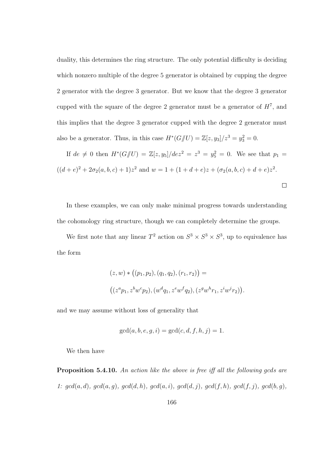duality, this determines the ring structure. The only potential difficulty is deciding which nonzero multiple of the degree 5 generator is obtained by cupping the degree 2 generator with the degree 3 generator. But we know that the degree 3 generator cupped with the square of the degree 2 generator must be a generator of  $H^7$ , and this implies that the degree 3 generator cupped with the degree 2 generator must also be a generator. Thus, in this case  $H^*(G/\!\!/ U) = \mathbb{Z}[z, y_3]/z^3 = y_3^2 = 0$ .

If  $de \neq 0$  then  $H^*(G/\!\!/ U) = \mathbb{Z}[z, y_5]/dez^2 = z^3 = y_5^2 = 0$ . We see that  $p_1 =$  $((d+e)^2+2\sigma_2(a,b,c)+1)z^2$  and  $w=1+(1+d+e)z+(\sigma_2(a,b,c)+d+e)z^2$ .

 $\Box$ 

In these examples, we can only make minimal progress towards understanding the cohomology ring structure, though we can completely determine the groups.

We first note that any linear  $T^2$  action on  $S^3 \times S^3 \times S^3$ , up to equivalence has the form

$$
(z, w) * ((p_1, p_2), (q_1, q_2), (r_1, r_2)) =
$$
  

$$
((zap_1, zbwcp_2), (wdq_1, zewfq_2), (zgwhr_1, ziwjr_2)).
$$

and we may assume without loss of generality that

$$
gcd(a, b, e, g, i) = gcd(c, d, f, h, j) = 1.
$$

We then have

**Proposition 5.4.10.** An action like the above is free iff all the following gcds are 1:  $gcd(a, d)$ ,  $gcd(a, g)$ ,  $gcd(d, h)$ ,  $gcd(a, i)$ ,  $gcd(d, j)$ ,  $gcd(f, h)$ ,  $gcd(f, j)$ ,  $gcd(b, g)$ ,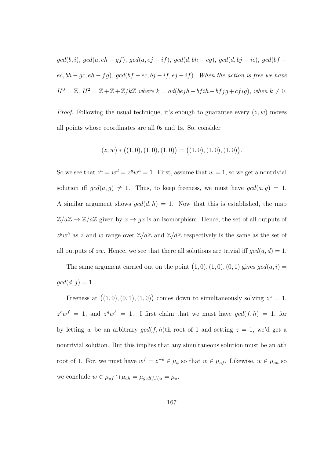$gcd(b, i), gcd(a, eh - gf), gcd(a, ej - if), gcd(d, bh - cg), gcd(d, bj - ic), gcd(bf$  $ec, bh-gc, eh-fg), gcd(bf-ec, bj-if, ej-if).$  When the action is free we have  $H^0 = \mathbb{Z}, H^2 = \mathbb{Z} + \mathbb{Z} + \mathbb{Z}/k\mathbb{Z}$  where  $k = ad(bejh - bfih - bfjg + cfig)$ , when  $k \neq 0$ .

*Proof.* Following the usual technique, it's enough to guarantee every  $(z, w)$  moves all points whose coordinates are all 0s and 1s. So, consider

$$
(z, w) * ((1, 0), (1, 0), (1, 0)) = ((1, 0), (1, 0), (1, 0)).
$$

So we see that  $z^a = w^d = z^g w^h = 1$ . First, assume that  $w = 1$ , so we get a nontrivial solution iff  $gcd(a, g) \neq 1$ . Thus, to keep freeness, we must have  $gcd(a, g) = 1$ . A similar argument shows  $gcd(d, h) = 1$ . Now that this is established, the map  $\mathbb{Z}/a\mathbb{Z} \to \mathbb{Z}/a\mathbb{Z}$  given by  $x \to gx$  is an isomorphism. Hence, the set of all outputs of  $z^gw^h$  as z and w range over  $\mathbb{Z}/a\mathbb{Z}$  and  $\mathbb{Z}/d\mathbb{Z}$  respectively is the same as the set of all outputs of zw. Hence, we see that there all solutions are trivial iff  $gcd(a, d) = 1$ .

The same argument carried out on the point  $(1,0), (1,0), (0,1)$  gives  $gcd(a, i)$  $gcd(d, j) = 1.$ 

Freeness at  $((1,0),(0,1),(1,0))$  comes down to simultaneously solving  $z^a=1$ ,  $z^e w^f = 1$ , and  $z^g w^h = 1$ . I first claim that we must have  $gcd(f, h) = 1$ , for by letting w be an arbitrary  $gcd(f, h)$ th root of 1 and setting  $z = 1$ , we'd get a nontrivial solution. But this implies that any simultaneous solution must be an ath root of 1. For, we must have  $w^f = z^{-e} \in \mu_a$  so that  $w \in \mu_{af}$ . Likewise,  $w \in \mu_{ah}$  so we conclude  $w \in \mu_{af} \cap \mu_{ah} = \mu_{gcd(f,h)a} = \mu_a$ .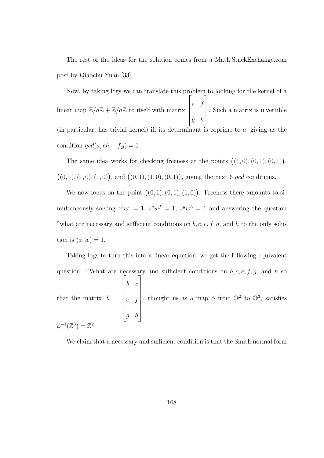The rest of the ideas for the solution comes from a Math.StackExchange.com post by Qiaochu Yuan [33]

Now, by taking logs we can translate this problem to looking for the kernel of a linear map  $\mathbb{Z}/a\mathbb{Z} + \mathbb{Z}/a\mathbb{Z}$  to itself with matrix  $\sqrt{ }$  $\Big\}$ e f g h 1  $\overline{\phantom{a}}$ . Such a matrix is invertible (in particular, has trivial kernel) iff its determinant is coprime to  $a$ , giving us the condition  $gcd(a, eh - fg) = 1$ 

The same idea works for checking freeness at the points  $((1,0),(0,1),(0,1)),$  $((0, 1), (1, 0), (1, 0))$ , and  $((0, 1), (1, 0), (0, 1))$ , giving the next 6 gcd conditions.

We now focus on the point  $((0,1),(0,1),(1,0))$ . Freeness there amounts to simultaneously solving  $z^b w^c = 1$ ,  $z^e w^f = 1$ ,  $z^g w^h = 1$  and answering the question "what are necessary and sufficient conditions on  $b, c, e, f, g$ , and h to the only solution is  $(z, w) = 1$ .

Taking logs to turn this into a linear equation, we get the following equivalent question: "What are necessary and sufficient conditions on  $b, c, e, f, g$ , and h so that the matrix  $X =$  $\sqrt{ }$   $b \quad c$ e f g h 1 , thought us as a map  $\phi$  from  $\mathbb{Q}^2$  to  $\mathbb{Q}^3$ , satisfies  $\phi^{-1}(\mathbb{Z}^3) = \mathbb{Z}$  $^{-1}(\mathbb{Z}^3) = \mathbb{Z}^2.$ 

We claim that a necessary and sufficient condition is that the Smith normal form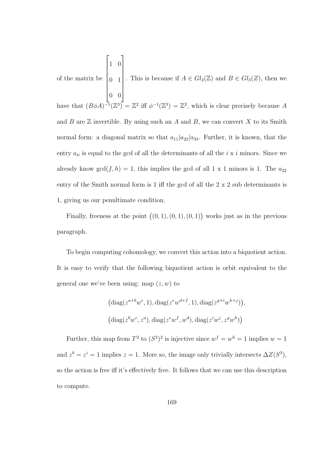of the matrix be  $\sqrt{ }$  $\begin{array}{c} \begin{array}{c} \begin{array}{c} \end{array} \\ \begin{array}{c} \end{array} \end{array} \end{array}$ 1 0 0 1 0 0 1  $\begin{array}{c} \hline \end{array}$ . This is because if  $A \in Gl_2(\mathbb{Z})$  and  $B \in Gl_3(\mathbb{Z})$ , then we have that  $(B\phi A)^{-1}(\mathbb{Z}^3) = \mathbb{Z}^2$  iff  $\phi^{-1}(\mathbb{Z}^3) = \mathbb{Z}^2$ , which is clear precisely because A and B are  $\mathbb Z$  invertible. By using such an A and B, we can convert X to its Smith normal form: a diagonal matrix so that  $a_{11}|a_{22}|a_{33}$ . Further, it is known, that the entry  $a_{ii}$  is equal to the gcd of all the determinants of all the  $i \times i$  minors. Since we already know  $gcd(f, h) = 1$ , this implies the gcd of all 1 x 1 minors is 1. The  $a_{22}$ entry of the Smith normal form is 1 iff the gcd of all the 2 x 2 sub determinants is 1, giving us our penultimate condition.

Finally, freeness at the point  $((0,1),(0,1),(0,1))$  works just as in the previous paragraph.

To begin computing cohomology, we convert this action into a biquotient action. It is easy to verify that the following biquotient action is orbit equivalent to the general one we've been using: map  $(z, w)$  to

$$
(\text{diag}(z^{a+b}w^c, 1), \text{diag}(z^ew^{d+f}, 1), \text{diag}(z^{g+i}w^{h+j})),
$$
  

$$
(\text{diag}(z^bw^c, z^a), \text{diag}(z^ew^f, w^d), \text{diag}(z^iw^j, z^gw^h))
$$

Further, this map from  $T^2$  to  $(S^3)^2$  is injective since  $w^f = w^h = 1$  implies  $w = 1$ and  $z^b = z^i = 1$  implies  $z = 1$ . More so, the image only trivially intersects  $\Delta Z(S^3)$ , so the action is free iff it's effectively free. It follows that we can use this description to compute.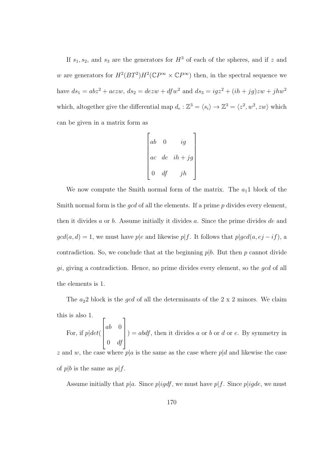If  $s_1, s_2$ , and  $s_3$  are the generators for  $H^3$  of each of the spheres, and if z and w are generators for  $H^2(BT^2)H^2(\mathbb{C}P^{\infty}\times \mathbb{C}P^{\infty})$  then, in the spectral sequence we have  $ds_1 = abz^2 + aczw$ ,  $ds_2 = dezw + dfw^2$  and  $ds_3 = igz^2 + (ih + jg)zw + jhw^2$ which, altogether give the differential map  $d_e : \mathbb{Z}^3 = \langle s_i \rangle \to \mathbb{Z}^3 = \langle z^2, w^2, zw \rangle$  which can be given in a matrix form as

$$
\begin{bmatrix} ab & 0 & ig \\ ac & de & ih + jg \\ 0 & df & jh \end{bmatrix}
$$

We now compute the Smith normal form of the matrix. The  $a_1$ 1 block of the Smith normal form is the  $qcd$  of all the elements. If a prime  $p$  divides every element, then it divides a or b. Assume initially it divides a. Since the prime divides de and  $gcd(a, d) = 1$ , we must have p|e and likewise p|f. It follows that p|gcd(a, ej - if), a contradiction. So, we conclude that at the beginning  $p|b$ . But then p cannot divide  $gi$ , giving a contradiction. Hence, no prime divides every element, so the  $gcd$  of all the elements is 1.

The  $a_2$ 2 block is the *gcd* of all the determinants of the 2 x 2 minors. We claim this is also 1.  $\sqrt{ }$ 1

For, if  $p|det($  $\Bigg\}$ ab 0  $0 \quad df$  $\overline{\phantom{a}}$  $) = abdf$ , then it divides a or b or d or e. By symmetry in

z and w, the case where  $p|a$  is the same as the case where  $p|d$  and likewise the case of  $p|b$  is the same as  $p|f$ .

Assume initially that  $p|a$ . Since  $p|igdf$ , we must have  $p|f$ . Since  $p|igde$ , we must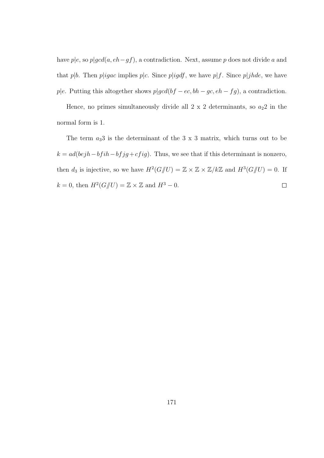have  $p|e$ , so  $p|gcd(a, eh-gf)$ , a contradiction. Next, assume p does not divide a and that p|b. Then p|igac implies p|c. Since p|igdf, we have p|f. Since p|jhde, we have p|e. Putting this altogether shows  $p|gcd(bf-ec, bh-gc, eh-fg)$ , a contradiction.

Hence, no primes simultaneously divide all  $2 \times 2$  determinants, so  $a_22$  in the normal form is 1.

The term  $a_33$  is the determinant of the 3 x 3 matrix, which turns out to be  $k = ad(bejh - bfih - bfjg +cfig)$ . Thus, we see that if this determinant is nonzero, then  $d_3$  is injective, so we have  $H^2(G/\hspace{-0.1cm}/ U) = \mathbb{Z} \times \mathbb{Z} \times \mathbb{Z}/k\mathbb{Z}$  and  $H^3(G/\hspace{-0.1cm}/ U) = 0$ . If  $k = 0$ , then  $H^2(G \text{/} U) = \mathbb{Z} \times \mathbb{Z}$  and  $H^3 - 0$ .  $\Box$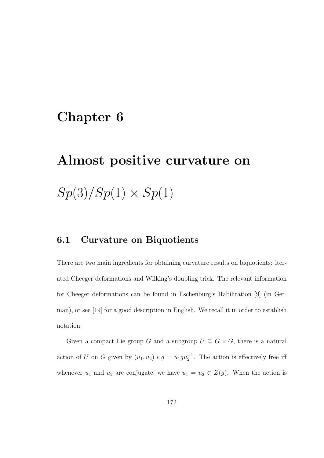## Chapter 6

## Almost positive curvature on  $Sp(3)/Sp(1) \times Sp(1)$

## 6.1 Curvature on Biquotients

There are two main ingredients for obtaining curvature results on biquotients: iterated Cheeger deformations and Wilking's doubling trick. The relevant information for Cheeger deformations can be found in Eschenburg's Habilitation [9] (in German), or see [19] for a good description in English. We recall it in order to establish notation.

Given a compact Lie group G and a subgroup  $U \subseteq G \times G$ , there is a natural action of U on G given by  $(u_1, u_2) * g = u_1 g u_2^{-1}$ . The action is effectively free iff whenever  $u_1$  and  $u_2$  are conjugate, we have  $u_1 = u_2 \in Z(g)$ . When the action is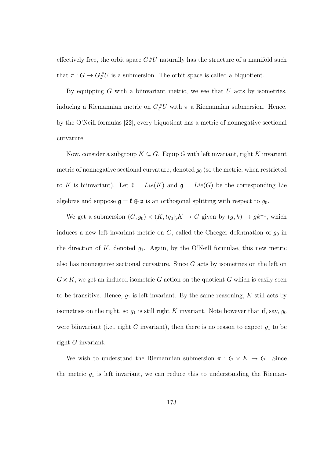effectively free, the orbit space  $G/U$  naturally has the structure of a manifold such that  $\pi: G \to G/\!\!/ U$  is a submersion. The orbit space is called a biquotient.

By equipping  $G$  with a biinvariant metric, we see that  $U$  acts by isometries, inducing a Riemannian metric on  $G/U$  with  $\pi$  a Riemannian submersion. Hence, by the O'Neill formulas [22], every biquotient has a metric of nonnegative sectional curvature.

Now, consider a subgroup  $K \subseteq G$ . Equip G with left invariant, right K invariant metric of nonnegative sectional curvature, denoted  $g_0$  (so the metric, when restricted to K is biinvariant). Let  $\mathfrak{k} = Lie(K)$  and  $\mathfrak{g} = Lie(G)$  be the corresponding Lie algebras and suppose  $\mathfrak{g} = \mathfrak{k} \oplus \mathfrak{p}$  is an orthogonal splitting with respect to  $g_0$ .

We get a submersion  $(G, g_0) \times (K, tg_0 |) K \to G$  given by  $(g, k) \to g k^{-1}$ , which induces a new left invariant metric on  $G$ , called the Cheeger deformation of  $g_0$  in the direction of K, denoted  $q_1$ . Again, by the O'Neill formulae, this new metric also has nonnegative sectional curvature. Since G acts by isometries on the left on  $G \times K$ , we get an induced isometric G action on the quotient G which is easily seen to be transitive. Hence,  $g_1$  is left invariant. By the same reasoning, K still acts by isometries on the right, so  $g_1$  is still right K invariant. Note however that if, say,  $g_0$ were biinvariant (i.e., right G invariant), then there is no reason to expect  $g_1$  to be right G invariant.

We wish to understand the Riemannian submersion  $\pi : G \times K \to G$ . Since the metric  $g_1$  is left invariant, we can reduce this to understanding the Rieman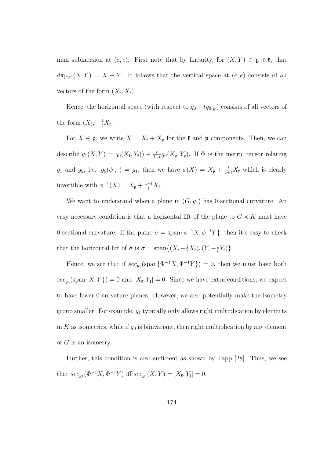nian submersion at  $(e, e)$ . First note that by linearity, for  $(X, Y) \in \mathfrak{g} \oplus \mathfrak{k}$ , that  $d\pi_{(e,e)}(X,Y) = X - Y$ . It follows that the vertical space at  $(e,e)$  consists of all vectors of the form  $(X_{\mathfrak{k}}, X_{\mathfrak{k}})$ .

Hence, the horizontal space (with respect to  $g_0 + tg_{0|K}$ ) consists of all vectors of the form  $(X_{\mathfrak{k}}, -\frac{1}{t}X_{\mathfrak{k}})$ .

For  $X \in \mathfrak{g}$ , we write  $X = X_{\mathfrak{k}} + X_{\mathfrak{p}}$  for the  $\mathfrak{k}$  and  $\mathfrak{p}$  components. Then, we can describe  $g_1(X,Y) = g_0(X_{\mathfrak{k}},Y_{\mathfrak{k}})) + \frac{t}{1+t} g_0(X_{\mathfrak{p}},Y_{\mathfrak{p}})$ . If  $\Phi$  is the metric tensor relating  $g_1$  and  $g_2$ , i.e.  $g_0(\phi \cdot, \cdot) = g_1$ , then we have  $\phi(X) = X_p + \frac{t}{1+t}X_t$  which is clearly invertible with  $\phi^{-1}(X) = X_{\mathfrak{p}} + \frac{1+t}{t}X_{\mathfrak{k}}$ .

We want to understand when a plane in  $(G, g_1)$  has 0 sectional curvature. An easy necessary condition is that a horizontal lift of the plane to  $G \times K$  must have 0 sectional curvature. If the plane  $\sigma = \text{span}\{\phi^{-1}X, \phi^{-1}Y\}$ , then it's easy to check that the horizontal lift of  $\sigma$  is  $\tilde{\sigma} = \text{span}\{(X, -\frac{1}{t}X_t), (Y, -\frac{1}{t}X_t)\}$  $\frac{1}{t}Y_{\mathfrak{k}})\}.$ 

Hence, we see that if  $\sec_{g_1}(\text{span}\{\Phi^{-1}X,\Phi^{-1}Y\})=0$ , then we must have both  $\sec_{g_0}(\text{span}\{X,Y\})=0$  and  $[X_{\mathfrak{k}},Y_{\mathfrak{k}}]=0$ . Since we have extra conditions, we expect to have fewer 0 curvature planes. However, we also potentially make the isometry group smaller. For example,  $g_1$  typically only allows right multiplication by elements in K as isometries, while if  $g_0$  is biinvariant, then right multiplication by any element of  $G$  is an isometry.

Further, this condition is also sufficient as shown by Tapp [28]. Thus, we see that  $\sec_{g_1}(\Phi^{-1}X, \Phi^{-1}Y)$  iff  $\sec_{g_0}(X, Y) = [X_{\mathfrak{k}}, Y_{\mathfrak{k}}] = 0.$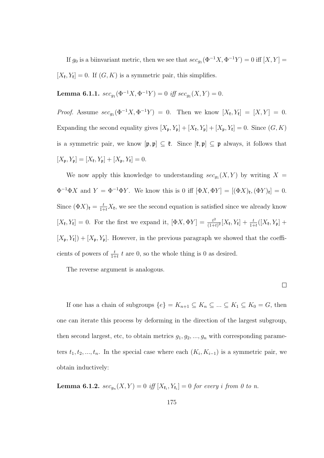If  $g_0$  is a biinvariant metric, then we see that  $\sec_{g_1}(\Phi^{-1}X, \Phi^{-1}Y) = 0$  iff  $[X, Y] =$  $[X_{\mathfrak{k}}, Y_{\mathfrak{k}}] = 0$ . If  $(G, K)$  is a symmetric pair, this simplifies.

Lemma 6.1.1.  $sec_{g_1}(\Phi^{-1}X, \Phi^{-1}Y) = 0$  iff  $sec_{g_1}(X, Y) = 0$ .

*Proof.* Assume  $\sec_{g_1}(\Phi^{-1}X, \Phi^{-1}Y) = 0$ . Then we know  $[X_{\mathfrak{k}}, Y_{\mathfrak{k}}] = [X, Y] = 0$ . Expanding the second equality gives  $[X_{\mathfrak{p}}, Y_{\mathfrak{p}}] + [X_{\mathfrak{k}}, Y_{\mathfrak{p}}] + [X_{\mathfrak{p}}, Y_{\mathfrak{k}}] = 0$ . Since  $(G, K)$ is a symmetric pair, we know  $[\mathfrak{p}, \mathfrak{p}] \subseteq \mathfrak{k}$ . Since  $[\mathfrak{k}, \mathfrak{p}] \subseteq \mathfrak{p}$  always, it follows that  $[X_{\mathfrak{p}}, Y_{\mathfrak{p}}] = [X_{\mathfrak{k}}, Y_{\mathfrak{p}}] + [X_{\mathfrak{p}}, Y_{\mathfrak{k}}] = 0.$ 

We now apply this knowledge to understanding  $\sec_{g_1}(X, Y)$  by writing  $X =$  $\Phi^{-1}\Phi X$  and  $Y = \Phi^{-1}\Phi Y$ . We know this is 0 iff  $[\Phi X, \Phi Y] = [(\Phi X)_{\mathfrak{k}}, (\Phi Y)_{\mathfrak{k}}] = 0$ . Since  $(\Phi X)_\mathfrak{k} = \frac{t}{1+t} X_\mathfrak{k}$ , we see the second equation is satisfied since we already know  $[X_{\mathfrak{k}}, Y_{\mathfrak{k}}] = 0$ . For the first we expand it,  $[\Phi X, \Phi Y] = \frac{t^2}{(1+t)^2}$  $\frac{t^2}{(1+t)^2}[X_{\mathfrak{k}},Y_{\mathfrak{k}}] + \frac{t}{1+t}([X_{\mathfrak{k}},Y_{\mathfrak{p}}] +$  $[X_{\mathfrak{p}}, Y_{\mathfrak{p}}] + [X_{\mathfrak{p}}, Y_{\mathfrak{p}}]$ . However, in the previous paragraph we showed that the coefficients of powers of  $\frac{t}{1+t}$  t are 0, so the whole thing is 0 as desired.

The reverse argument is analogous.

 $\Box$ 

If one has a chain of subgroups  $\{e\} = K_{n+1} \subseteq K_n \subseteq \ldots \subseteq K_1 \subseteq K_0 = G$ , then one can iterate this process by deforming in the direction of the largest subgroup, then second largest, etc, to obtain metrics  $g_1, g_2, ..., g_n$  with corresponding parameters  $t_1, t_2, ..., t_n$ . In the special case where each  $(K_i, K_{i-1})$  is a symmetric pair, we obtain inductively:

**Lemma 6.1.2.**  $sec_{g_n}(X, Y) = 0$  iff  $[X_{\mathfrak{k}_i}, Y_{\mathfrak{k}_i}] = 0$  for every i from 0 to n.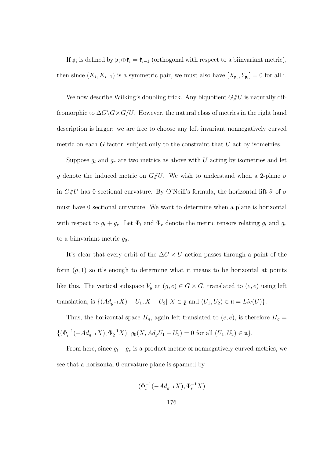If  $\mathfrak{p}_i$  is defined by  $\mathfrak{p}_i \oplus \mathfrak{k}_i = \mathfrak{k}_{i-1}$  (orthogonal with respect to a biinvariant metric), then since  $(K_i, K_{i-1})$  is a symmetric pair, we must also have  $[X_{\mathfrak{p}_i}, Y_{\mathfrak{p}_i}] = 0$  for all i.

We now describe Wilking's doubling trick. Any biquotient  $G/U$  is naturally diffeomorphic to  $\Delta G \backslash G \times G/U$ . However, the natural class of metrics in the right hand description is larger: we are free to choose any left invariant nonnegatively curved metric on each  $G$  factor, subject only to the constraint that  $U$  act by isometries.

Suppose  $g_l$  and  $g_r$  are two metrics as above with U acting by isometries and let g denote the induced metric on  $G/U$ . We wish to understand when a 2-plane  $\sigma$ in  $G/U$  has 0 sectional curvature. By O'Neill's formula, the horizontal lift  $\tilde{\sigma}$  of  $\sigma$ must have 0 sectional curvature. We want to determine when a plane is horizontal with respect to  $g_l + g_r$ . Let  $\Phi_l$  and  $\Phi_r$  denote the metric tensors relating  $g_l$  and  $g_r$ to a biinvariant metric  $q_0$ .

It's clear that every orbit of the  $\Delta G \times U$  action passes through a point of the form  $(g, 1)$  so it's enough to determine what it means to be horizontal at points like this. The vertical subspace  $V_g$  at  $(g, e) \in G \times G$ , translated to  $(e, e)$  using left translation, is  $\{(Ad_{g^{-1}}X) - U_1, X - U_2 | X \in \mathfrak{g} \text{ and } (U_1, U_2) \in \mathfrak{u} = Lie(U)\}.$ 

Thus, the horizontal space  $H_g$ , again left translated to  $(e, e)$ , is therefore  $H_g =$  $\{(\Phi_l^{-1}(-Ad_{g^{-1}}X), \Phi_2^{-1}X) | g_0(X, Ad_gU_1 - U_2) = 0 \text{ for all } (U_1, U_2) \in \mathfrak{u}\}.$ 

From here, since  $g_l + g_r$  is a product metric of nonnegatively curved metrics, we see that a horizontal 0 curvature plane is spanned by

$$
(\Phi_l^{-1}(-Ad_{g^{-1}}X), \Phi_r^{-1}X)
$$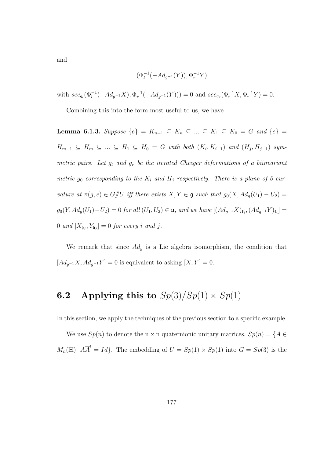and

$$
(\Phi_l^{-1}(-Ad_{g^{-1}}(Y)),\Phi_r^{-1}Y)
$$

with  $\sec_{g_l}(\Phi_l^{-1}(-Ad_{g^{-1}}X), \Phi_r^{-1}(-Ad_{g^{-1}}(Y))) = 0$  and  $\sec_{g_r}(\Phi_r^{-1}X, \Phi_r^{-1}Y) = 0$ .

Combining this into the form most useful to us, we have

Lemma 6.1.3. Suppose  $\{e\} = K_{n+1} \subseteq K_n \subseteq ... \subseteq K_1 \subseteq K_0 = G$  and  $\{e\} =$  $H_{m+1} \subseteq H_m \subseteq ... \subseteq H_1 \subseteq H_0 = G$  with both  $(K_i, K_{i-1})$  and  $(H_j, H_{j-1})$  symmetric pairs. Let  $g_l$  and  $g_r$  be the iterated Cheeger deformations of a biinvariant metric  $g_0$  corresponding to the  $K_i$  and  $H_j$  respectively. There is a plane of 0 curvature at  $\pi(g, e) \in G/\!\!/ U$  iff there exists  $X, Y \in \mathfrak{g}$  such that  $g_0(X, Ad_g(U_1) - U_2) =$  $g_0(Y,Ad_g(U_1)-U_2)=0$  for all  $(U_1,U_2)\in \mathfrak{u}$ , and we have  $[(Ad_{g^{-1}}X)_{\mathfrak{k}_i},(Ad_{g^{-1}}Y)_{\mathfrak{k}_i}]=$  $0$  and  $[X_{\mathfrak{h}_j}, Y_{\mathfrak{h}_j}] = 0$  for every i and j.

We remark that since  $Ad<sub>g</sub>$  is a Lie algebra isomorphism, the condition that  $[Ad_{g^{-1}}X, Ad_{g^{-1}}Y] = 0$  is equivalent to asking  $[X, Y] = 0$ .

## **6.2** Applying this to  $Sp(3)/Sp(1) \times Sp(1)$

In this section, we apply the techniques of the previous section to a specific example.

We use  $Sp(n)$  to denote the n x n quaternionic unitary matrices,  $Sp(n) = \{A \in$  $M_n(\mathbb{H})|$   $A\overline{A}^t = Id$ . The embedding of  $U = Sp(1) \times Sp(1)$  into  $G = Sp(3)$  is the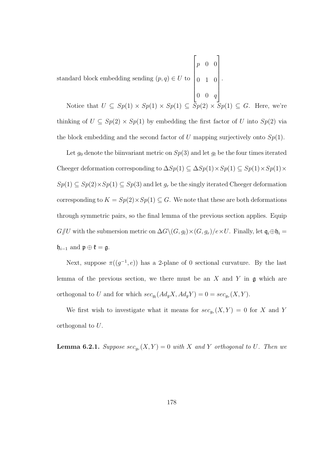standard block embedding sending  $(p, q) \in U$  to  $\overline{\phantom{a}}$ p 0 0 0 1 0  $\begin{array}{c} \hline \end{array}$ .

0 0 q Notice that  $U \subseteq Sp(1) \times Sp(1) \times Sp(1) \subseteq Sp(2) \times Sp(1) \subseteq G$ . Here, we're thinking of  $U \subseteq Sp(2) \times Sp(1)$  by embedding the first factor of U into  $Sp(2)$  via the block embedding and the second factor of  $U$  mapping surjectively onto  $Sp(1)$ .

 $\sqrt{ }$ 

1

Let  $g_0$  denote the biinvariant metric on  $Sp(3)$  and let  $g_l$  be the four times iterated Cheeger deformation corresponding to  $\Delta Sp(1) \subseteq \Delta Sp(1) \times Sp(1) \subseteq Sp(1) \times Sp(1) \times$  $Sp(1) \subseteq Sp(2) \times Sp(1) \subseteq Sp(3)$  and let  $g_r$  be the singly iterated Cheeger deformation corresponding to  $K = Sp(2) \times Sp(1) \subseteq G$ . We note that these are both deformations through symmetric pairs, so the final lemma of the previous section applies. Equip  $G/\!\!/ U$  with the submersion metric on  $\Delta G \setminus (G, g_i) \times (G, g_r)/e \times U$ . Finally, let  $\mathfrak{q}_i \oplus \mathfrak{h}_i =$  $\mathfrak{h}_{i-1}$  and  $\mathfrak{p} \oplus \mathfrak{k} = \mathfrak{g}.$ 

Next, suppose  $\pi((g^{-1}, e))$  has a 2-plane of 0 sectional curvature. By the last lemma of the previous section, we there must be an  $X$  and  $Y$  in  $\mathfrak g$  which are orthogonal to U and for which  $\sec_{g_l}(Ad_g X, Ad_g Y) = 0 = \sec_{g_r}(X, Y)$ .

We first wish to investigate what it means for  $\sec_{g_r}(X,Y) = 0$  for X and Y orthogonal to U.

**Lemma 6.2.1.** Suppose  $\sec_{g_r}(X, Y) = 0$  with X and Y orthogonal to U. Then we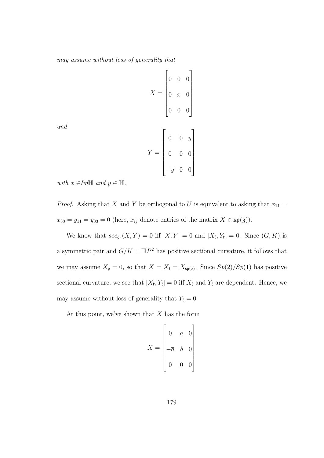may assume without loss of generality that

$$
X = \begin{bmatrix} 0 & 0 & 0 \\ 0 & x & 0 \\ 0 & 0 & 0 \end{bmatrix}
$$

$$
Y = \begin{bmatrix} 0 & 0 & y \\ 0 & 0 & 0 \\ -\overline{y} & 0 & 0 \end{bmatrix}
$$

and

with  $x \in Im\mathbb{H}$  and  $y \in \mathbb{H}$ .

*Proof.* Asking that X and Y be orthogonal to U is equivalent to asking that  $x_{11} =$  $x_{33} = y_{11} = y_{33} = 0$  (here,  $x_{ij}$  denote entries of the matrix  $X \in \mathfrak{sp}(3)$ ).

We know that  $\operatorname{sec}_{g_r}(X,Y) = 0$  iff  $[X,Y] = 0$  and  $[X_{\mathfrak{k}},Y_{\mathfrak{k}}] = 0$ . Since  $(G,K)$  is a symmetric pair and  $G/K = \mathbb{H}P^2$  has positive sectional curvature, it follows that we may assume  $X_{\mathfrak{p}} = 0$ , so that  $X = X_{\mathfrak{k}} = X_{\mathfrak{sp}(2)}$ . Since  $Sp(2)/Sp(1)$  has positive sectional curvature, we see that  $[X_{\mathfrak{k}}, Y_{\mathfrak{k}}] = 0$  iff  $X_{\mathfrak{k}}$  and  $Y_{\mathfrak{k}}$  are dependent. Hence, we may assume without loss of generality that  $Y_{\ell} = 0$ .

At this point, we've shown that  $X$  has the form

$$
X = \begin{bmatrix} 0 & a & 0 \\ -\overline{a} & b & 0 \\ 0 & 0 & 0 \end{bmatrix}
$$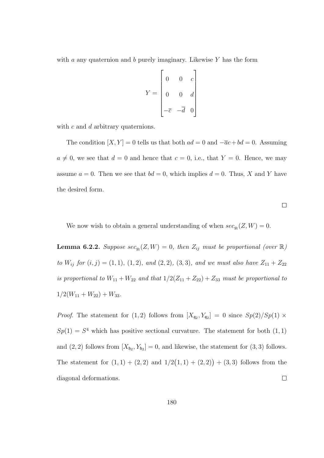with  $a$  any quaternion and  $b$  purely imaginary. Likewise  $Y$  has the form

$$
Y = \begin{bmatrix} 0 & 0 & c \\ 0 & 0 & d \\ -\overline{c} & -\overline{d} & 0 \end{bmatrix}
$$

with c and d arbitrary quaternions.

The condition  $[X, Y] = 0$  tells us that both  $ad = 0$  and  $-\overline{a}c + bd = 0$ . Assuming  $a \neq 0$ , we see that  $d = 0$  and hence that  $c = 0$ , i.e., that  $Y = 0$ . Hence, we may assume  $a = 0$ . Then we see that  $bd = 0$ , which implies  $d = 0$ . Thus, X and Y have the desired form.

 $\Box$ 

We now wish to obtain a general understanding of when  $\sec_{g_l}(Z, W) = 0$ .

**Lemma 6.2.2.** Suppose  $\sec_{g_l}(Z, W) = 0$ , then  $Z_{ij}$  must be proportional (over  $\mathbb{R}$ ) to  $W_{ij}$  for  $(i, j) = (1, 1), (1, 2), and (2, 2), (3, 3), and we must also have  $Z_{11} + Z_{22}$$ is proportional to  $W_{11} + W_{22}$  and that  $1/2(Z_{11} + Z_{22}) + Z_{33}$  must be proportional to  $1/2(W_{11} + W_{22}) + W_{33}.$ 

*Proof.* The statement for (1,2) follows from  $[X_{q_2}, Y_{q_2}] = 0$  since  $Sp(2)/Sp(1) \times$  $Sp(1) = S<sup>4</sup>$  which has positive sectional curvature. The statement for both  $(1,1)$ and  $(2, 2)$  follows from  $[X_{\mathfrak{h}_2}, Y_{\mathfrak{h}_2}] = 0$ , and likewise, the statement for  $(3, 3)$  follows. The statement for  $(1,1) + (2,2)$  and  $1/2(1,1) + (2,2)$  +  $(3,3)$  follows from the diagonal deformations.  $\Box$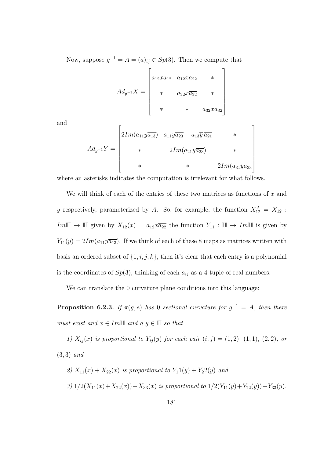Now, suppose  $g^{-1} = A = (a)_{ij} \in Sp(3)$ . Then we compute that

$$
Ad_{g^{-1}}X = \begin{bmatrix} a_{12}x\overline{a_{12}} & a_{12}x\overline{a_{22}} & * \\ * & a_{22}x\overline{a_{22}} & * \\ * & * & a_{32}x\overline{a_{32}} \end{bmatrix}
$$

and

$$
Ad_{g^{-1}}Y = \begin{bmatrix} 2Im(a_{11}y\overline{a_{13}}) & a_{11}y\overline{a_{23}} - a_{13}\overline{y} \overline{a_{21}} & * \\ * & 2Im(a_{21}y\overline{a_{23}}) & * \\ * & * & 2Im(a_{31}y\overline{a_{33}}) \end{bmatrix}
$$

where an asterisks indicates the computation is irrelevant for what follows.

We will think of each of the entries of these two matrices as functions of  $x$  and y respectively, parameterized by A. So, for example, the function  $X_{12}^A = X_{12}$ : Im $\mathbb{H} \to \mathbb{H}$  given by  $X_{12}(x) = a_{12}x\overline{a_{22}}$  the function  $Y_{11} : \mathbb{H} \to Im\mathbb{H}$  is given by  $Y_{11}(y) = 2Im(a_{11}y\overline{a_{13}})$ . If we think of each of these 8 maps as matrices written with basis an ordered subset of  $\{1, i, j, k\}$ , then it's clear that each entry is a polynomial is the coordinates of  $Sp(3)$ , thinking of each  $a_{ij}$  as a 4 tuple of real numbers.

We can translate the 0 curvature plane conditions into this language:

**Proposition 6.2.3.** If  $\pi(g,e)$  has 0 sectional curvature for  $g^{-1} = A$ , then there must exist and  $x \in Im\mathbb{H}$  and a  $y \in \mathbb{H}$  so that

1)  $X_{ij}(x)$  is proportional to  $Y_{ij}(y)$  for each pair  $(i, j) = (1, 2), (1, 1), (2, 2),$  or (3, 3) and

\n- \n
$$
Z(X_{11}(x) + X_{22}(x))
$$
\n*is proportional to*\n
$$
Y_1(1(y) + Y_2(2(y))
$$
\n*and*\n
$$
Y_2(1(y) + Y_{22}(y)) + Y_{33}(y)
$$
\n*is proportional to*\n
$$
Y_1(2(Y_{11}(y) + Y_{22}(y)) + Y_{33}(y)
$$
\n
\n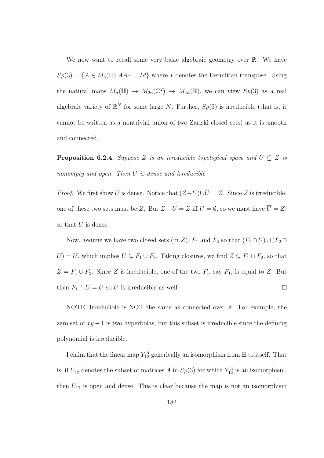We now want to recall some very basic algebraic geometry over  $\mathbb{R}$ . We have  $Sp(3) = \{A \in M_3(\mathbb{H}) | AA^* = Id\}$  where \* denotes the Hermitian transpose. Using the natural maps  $M_n(\mathbb{H}) \to M_{2n}(\mathbb{C}^2) \to M_{4n}(\mathbb{R})$ , we can view  $Sp(3)$  as a real algebraic variety of  $\mathbb{R}^N$  for some large N. Further,  $Sp(3)$  is irreducible (that is, it cannot be written as a nontrivial union of two Zariski closed sets) as it is smooth and connected.

**Proposition 6.2.4.** Suppose Z is an irreducible topological space and  $U \subseteq Z$  is nonempty and open. Then U is dense and irreducible

*Proof.* We first show U is dense. Notice that  $(Z-U)\cup \overline{U}=Z$ . Since Z is irreducible, one of these two sets must be Z. But  $Z - U = Z$  iff  $U = \emptyset$ , so we must have  $\overline{U} = Z$ , so that  $U$  is dense.

Now, assume we have two closed sets (in Z),  $F_1$  and  $F_2$  so that  $(F_1 \cap U) \cup (F_2 \cap$ U) = U, which implies  $U \subseteq F_1 \cup F_2$ . Taking closures, we find  $Z \subseteq F_1 \cup F_2$ , so that  $Z = F_1 \cup F_2$ . Since Z is irreducible, one of the two  $F_i$ , say  $F_1$ , is equal to Z. But then  $F_1 \cap U = U$  so U is irreducible as well.  $\Box$ 

NOTE: Irreducible is NOT the same as connected over R. For example, the zero set of  $xy - 1$  is two hyperbolas, but this subset is irreducible since the defining polynomial is irreducible.

I claim that the linear map  $Y_{12}^A$  generically an isomorphism from  $\mathbb H$  to itself. That is, if  $U_{12}$  denotes the subset of matrices A in  $Sp(3)$  for which  $Y_{12}^A$  is an isomorphism, then  $U_{12}$  is open and dense. This is clear because the map is not an isomorphism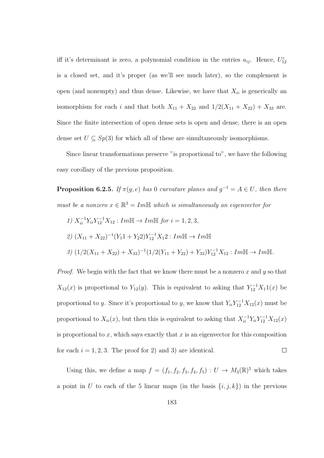iff it's determinant is zero, a polynomial condition in the entries  $a_{ij}$ . Hence,  $U_{12}^c$ is a closed set, and it's proper (as we'll see much later), so the complement is open (and nonempty) and thus dense. Likewise, we have that  $X_{ii}$  is generically an isomorphism for each *i* and that both  $X_{11} + X_{22}$  and  $1/2(X_{11} + X_{22}) + X_{33}$  are. Since the finite intersection of open dense sets is open and dense, there is an open dense set  $U \subseteq Sp(3)$  for which all of these are simultaneously isomorphisms.

Since linear transformations preserve "is proportional to", we have the following easy corollary of the previous proposition.

**Proposition 6.2.5.** If  $\pi(g,e)$  has 0 curvature planes and  $g^{-1} = A \in U$ , then there must be a nonzero  $x \in \mathbb{R}^3 = Im\mathbb{H}$  which is simultaneously an eigenvector for

$$
1) X_{ii}^{-1} Y_{ii} Y_{12}^{-1} X_{12} : Im\mathbb{H} \to Im\mathbb{H} \text{ for } i = 1, 2, 3,
$$
  
\n
$$
2) (X_{11} + X_{22})^{-1} (Y_1 1 + Y_2 2) Y_{12}^{-1} X_1 2 : Im\mathbb{H} \to Im\mathbb{H}
$$
  
\n
$$
3) (1/2(X_{11} + X_{22}) + X_{33})^{-1} (1/2(Y_{11} + Y_{22}) + Y_{33}) Y_{12}^{-1} X_{12} : Im\mathbb{H} \to Im\mathbb{H}.
$$

*Proof.* We begin with the fact that we know there must be a nonzero x and y so that  $X_{12}(x)$  is proportional to  $Y_{12}(y)$ . This is equivalent to asking that  $Y_{12}^{-1}X_11(x)$  be proportional to y. Since it's proportional to y, we know that  $Y_{ii}Y_{12}^{-1}X_{12}(x)$  must be proportional to  $X_{ii}(x)$ , but then this is equivalent to asking that  $X_{ii}^{-1}Y_{ii}Y_{12}^{-1}X_{12}(x)$ is proportional to  $x$ , which says exactly that  $x$  is an eigenvector for this composition for each  $i = 1, 2, 3$ . The proof for 2) and 3) are identical.  $\Box$ 

Using this, we define a map  $f = (f_1, f_2, f_3, f_4, f_5) : U \to M_3(\mathbb{R})^5$  which takes a point in U to each of the 5 linear maps (in the basis  $\{i, j, k\}$ ) in the previous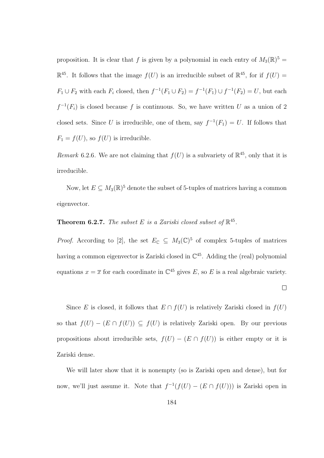proposition. It is clear that f is given by a polynomial in each entry of  $M_3(\mathbb{R})^5 =$  $\mathbb{R}^{45}$ . It follows that the image  $f(U)$  is an irreducible subset of  $\mathbb{R}^{45}$ , for if  $f(U)$  =  $F_1 \cup F_2$  with each  $F_i$  closed, then  $f^{-1}(F_1 \cup F_2) = f^{-1}(F_1) \cup f^{-1}(F_2) = U$ , but each  $f^{-1}(F_i)$  is closed because f is continuous. So, we have written U as a union of 2 closed sets. Since U is irreducible, one of them, say  $f^{-1}(F_1) = U$ . If follows that  $F_1 = f(U)$ , so  $f(U)$  is irreducible.

Remark 6.2.6. We are not claiming that  $f(U)$  is a subvariety of  $\mathbb{R}^{45}$ , only that it is irreducible.

Now, let  $E \subseteq M_3(\mathbb{R})^5$  denote the subset of 5-tuples of matrices having a common eigenvector.

## **Theorem 6.2.7.** The subset E is a Zariski closed subset of  $\mathbb{R}^{45}$ .

*Proof.* According to [2], the set  $E_{\mathbb{C}} \subseteq M_3(\mathbb{C})^5$  of complex 5-tuples of matrices having a common eigenvector is Zariski closed in  $\mathbb{C}^{45}$ . Adding the (real) polynomial equations  $x = \overline{x}$  for each coordinate in  $\mathbb{C}^{45}$  gives E, so E is a real algebraic variety.

 $\Box$ 

Since E is closed, it follows that  $E \cap f(U)$  is relatively Zariski closed in  $f(U)$ so that  $f(U) - (E \cap f(U)) \subseteq f(U)$  is relatively Zariski open. By our previous propositions about irreducible sets,  $f(U) - (E \cap f(U))$  is either empty or it is Zariski dense.

We will later show that it is nonempty (so is Zariski open and dense), but for now, we'll just assume it. Note that  $f^{-1}(f(U) - (E \cap f(U)))$  is Zariski open in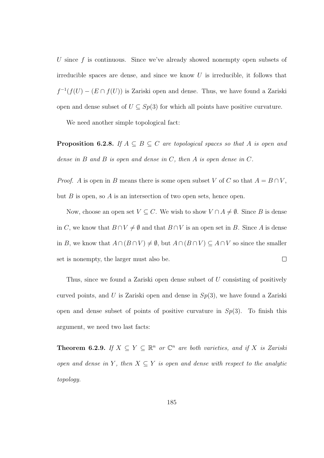U since f is continuous. Since we've already showed nonempty open subsets of irreducible spaces are dense, and since we know  $U$  is irreducible, it follows that  $f^{-1}(f(U) - (E \cap f(U))$  is Zariski open and dense. Thus, we have found a Zariski open and dense subset of  $U \subseteq Sp(3)$  for which all points have positive curvature.

We need another simple topological fact:

**Proposition 6.2.8.** If  $A \subseteq B \subseteq C$  are topological spaces so that A is open and dense in  $B$  and  $B$  is open and dense in  $C$ , then  $A$  is open dense in  $C$ .

*Proof.* A is open in B means there is some open subset V of C so that  $A = B \cap V$ , but  $B$  is open, so  $A$  is an intersection of two open sets, hence open.

Now, choose an open set  $V \subseteq C$ . We wish to show  $V \cap A \neq \emptyset$ . Since B is dense in C, we know that  $B \cap V \neq \emptyset$  and that  $B \cap V$  is an open set in B. Since A is dense in B, we know that  $A \cap (B \cap V) \neq \emptyset$ , but  $A \cap (B \cap V) \subseteq A \cap V$  so since the smaller  $\Box$ set is nonempty, the larger must also be.

Thus, since we found a Zariski open dense subset of U consisting of positively curved points, and U is Zariski open and dense in  $Sp(3)$ , we have found a Zariski open and dense subset of points of positive curvature in  $Sp(3)$ . To finish this argument, we need two last facts:

**Theorem 6.2.9.** If  $X \subseteq Y \subseteq \mathbb{R}^n$  or  $\mathbb{C}^n$  are both varieties, and if X is Zariski open and dense in Y, then  $X \subseteq Y$  is open and dense with respect to the analytic topology.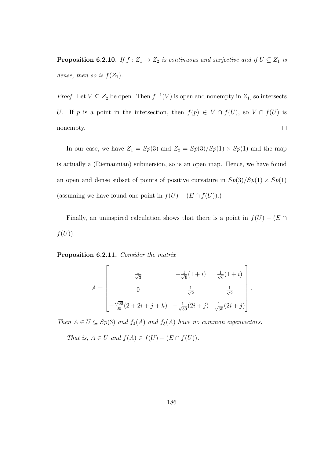**Proposition 6.2.10.** If  $f : Z_1 \to Z_2$  is continuous and surjective and if  $U \subseteq Z_1$  is dense, then so is  $f(Z_1)$ .

*Proof.* Let  $V \subseteq Z_2$  be open. Then  $f^{-1}(V)$  is open and nonempty in  $Z_1$ , so intersects U. If p is a point in the intersection, then  $f(p) \in V \cap f(U)$ , so  $V \cap f(U)$  is nonempty.  $\Box$ 

In our case, we have  $Z_1 = Sp(3)$  and  $Z_2 = Sp(3)/Sp(1) \times Sp(1)$  and the map is actually a (Riemannian) submersion, so is an open map. Hence, we have found an open and dense subset of points of positive curvature in  $Sp(3)/Sp(1) \times Sp(1)$ (assuming we have found one point in  $f(U) - (E \cap f(U))$ .)

Finally, an uninspired calculation shows that there is a point in  $f(U) - (E \cap$  $f(U)$ ).

Proposition 6.2.11. Consider the matrix

$$
A = \begin{bmatrix} \frac{1}{\sqrt{3}} & -\frac{1}{\sqrt{6}}(1+i) & \frac{1}{\sqrt{6}}(1+i) \\ 0 & \frac{1}{\sqrt{2}} & \frac{1}{\sqrt{2}} \\ -\frac{\sqrt{60}}{30}(2+2i+j+k) & -\frac{1}{\sqrt{30}}(2i+j) & \frac{1}{\sqrt{30}}(2i+j) \end{bmatrix}.
$$

Then  $A \in U \subseteq Sp(3)$  and  $f_4(A)$  and  $f_5(A)$  have no common eigenvectors.

That is,  $A \in U$  and  $f(A) \in f(U) - (E \cap f(U)).$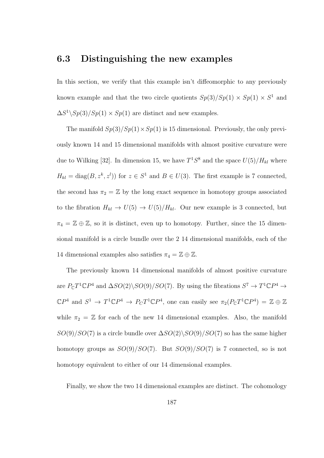## 6.3 Distinguishing the new examples

In this section, we verify that this example isn't diffeomorphic to any previously known example and that the two circle quotients  $Sp(3)/Sp(1) \times Sp(1) \times S<sup>1</sup>$  and  $\Delta S^1 \setminus Sp(3)/Sp(1) \times Sp(1)$  are distinct and new examples.

The manifold  $Sp(3)/Sp(1) \times Sp(1)$  is 15 dimensional. Previously, the only previously known 14 and 15 dimensional manifolds with almost positive curvature were due to Wilking [32]. In dimension 15, we have  $T^1S^8$  and the space  $U(5)/H_{kl}$  where  $H_{kl} = \text{diag}(B, z^k, z^l)$  for  $z \in S^1$  and  $B \in U(3)$ . The first example is 7 connected, the second has  $\pi_2 = \mathbb{Z}$  by the long exact sequence in homotopy groups associated to the fibration  $H_{kl} \to U(5) \to U(5)/H_{kl}$ . Our new example is 3 connected, but  $\pi_4 = \mathbb{Z} \oplus \mathbb{Z}$ , so it is distinct, even up to homotopy. Further, since the 15 dimensional manifold is a circle bundle over the 2 14 dimensional manifolds, each of the 14 dimensional examples also satisfies  $\pi_4 = \mathbb{Z} \oplus \mathbb{Z}$ .

The previously known 14 dimensional manifolds of almost positive curvature are  $P_{\mathbb{C}}T^1\mathbb{C}P^4$  and  $\Delta SO(2)\backslash SO(9)/SO(7)$ . By using the fibrations  $S^7 \to T^1\mathbb{C}P^4 \to$  $\mathbb{C}P^4$  and  $S^1 \to T^1 \mathbb{C}P^4 \to P_C T^1 \mathbb{C}P^4$ , one can easily see  $\pi_2(P_{\mathbb{C}}T^1 \mathbb{C}P^4) = \mathbb{Z} \oplus \mathbb{Z}$ while  $\pi_2 = \mathbb{Z}$  for each of the new 14 dimensional examples. Also, the manifold  $SO(9)/SO(7)$  is a circle bundle over  $\Delta SO(2)\setminus SO(9)/SO(7)$  so has the same higher homotopy groups as  $SO(9)/SO(7)$ . But  $SO(9)/SO(7)$  is 7 connected, so is not homotopy equivalent to either of our 14 dimensional examples.

Finally, we show the two 14 dimensional examples are distinct. The cohomology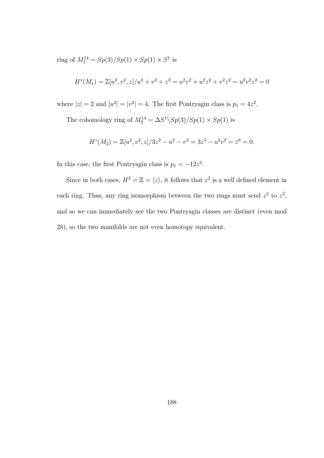ring of  $M_1^{14} = Sp(3)/Sp(1) \times Sp(1) \times S^1$  is

$$
H^*(M_1) = \mathbb{Z}[u^2, v^2, z]/u^2 + v^2 + z^2 = u^2v^2 + u^2z^2 + v^2z^2 = u^2v^2z^2 = 0
$$

where  $|z| = 2$  and  $|u^2| = |v^2| = 4$ . The first Pontryagin class is  $p_1 = 4z^2$ .

The cohomology ring of  $M_2^{14} = \Delta S^1 \backslash Sp(3)/Sp(1) \times Sp(1)$  is

$$
H^*(M_2) = \mathbb{Z}[u^2, v^2, z]/3z^2 - u^2 - v^2 = 3z^3 - u^2v^2 = z^6 = 0.
$$

In this case, the first Pontryagin class is  $p_1 = -12z^2$ .

Since in both cases,  $H^2 = \mathbb{Z} = \langle z \rangle$ , it follows that  $z^2$  is a well defined element in each ring. Thus, any ring isomorphism between the two rings must send  $z^2$  to  $z^2$ , and so we can immediately see the two Pontryagin classes are distinct (even mod 28), so the two manifolds are not even homotopy equivalent.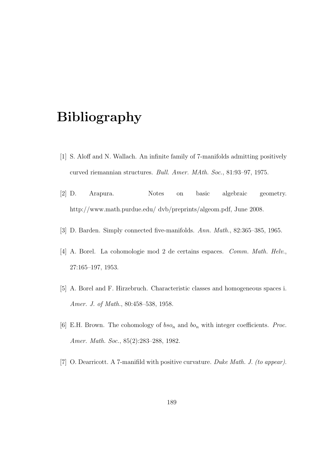## Bibliography

- [1] S. Aloff and N. Wallach. An infinite family of 7-manifolds admitting positively curved riemannian structures. Bull. Amer. MAth. Soc., 81:93–97, 1975.
- [2] D. Arapura. Notes on basic algebraic geometry. http://www.math.purdue.edu/ dvb/preprints/algeom.pdf, June 2008.
- [3] D. Barden. Simply connected five-manifolds. Ann. Math., 82:365–385, 1965.
- [4] A. Borel. La cohomologie mod 2 de certains espaces. Comm. Math. Helv., 27:165–197, 1953.
- [5] A. Borel and F. Hirzebruch. Characteristic classes and homogeneous spaces i. Amer. J. of Math., 80:458–538, 1958.
- [6] E.H. Brown. The cohomology of  $bso_n$  and  $bo_n$  with integer coefficients. *Proc.* Amer. Math. Soc., 85(2):283-288, 1982.
- [7] O. Dearricott. A 7-manifild with positive curvature. Duke Math. J. (to appear).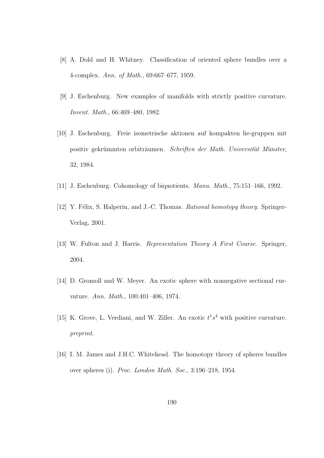- [8] A. Dold and H. Whitney. Classification of oriented sphere bundles over a 4-complex. Ann. of Math., 69:667–677, 1959.
- [9] J. Eschenburg. New examples of manifolds with strictly positive curvature. Invent. Math., 66:469–480, 1982.
- [10] J. Eschenburg. Freie isometrische aktionen auf kompakten lie-gruppen mit positiv gekrümmten orbiträumen. Schriften der Math. Universität Münster, 32, 1984.
- [11] J. Eschenburg. Cohomology of biquotients. Manu. Math., 75:151–166, 1992.
- [12] Y. Félix, S. Halperin, and J.-C. Thomas. Rational homotopy theory. Springer-Verlag, 2001.
- [13] W. Fulton and J. Harris. Representation Theory A First Course. Springer, 2004.
- [14] D. Gromoll and W. Meyer. An exotic sphere with nonnegative sectional curvature. Ann. Math., 100:401–406, 1974.
- [15] K. Grove, L. Verdiani, and W. Ziller. An exotic  $t^1s^4$  with positive curvature. preprint.
- [16] I. M. James and J.H.C. Whitehead. The homotopy theory of spheres bundles over spheres (i). Proc. London Math. Soc., 3:196–218, 1954.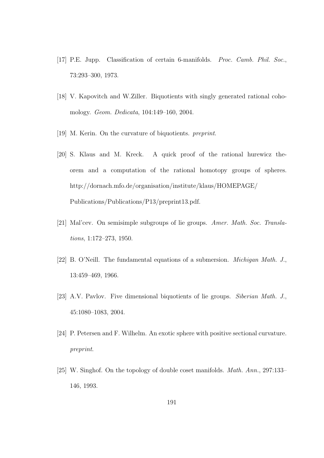- [17] P.E. Jupp. Classification of certain 6-manifolds. Proc. Camb. Phil. Soc., 73:293–300, 1973.
- [18] V. Kapovitch and W.Ziller. Biquotients with singly generated rational cohomology. Geom. Dedicata, 104:149–160, 2004.
- [19] M. Kerin. On the curvature of biquotients. preprint.
- [20] S. Klaus and M. Kreck. A quick proof of the rational hurewicz theorem and a computation of the rational homotopy groups of spheres. http://dornach.mfo.de/organisation/institute/klaus/HOMEPAGE/ Publications/Publications/P13/preprint13.pdf.
- [21] Mal'cev. On semisimple subgroups of lie groups. Amer. Math. Soc. Translations, 1:172–273, 1950.
- [22] B. O'Neill. The fundamental equations of a submersion. Michigan Math. J., 13:459–469, 1966.
- [23] A.V. Pavlov. Five dimensional biquotients of lie groups. Siberian Math. J., 45:1080–1083, 2004.
- [24] P. Petersen and F. Wilhelm. An exotic sphere with positive sectional curvature. preprint.
- [25] W. Singhof. On the topology of double coset manifolds. Math. Ann., 297:133– 146, 1993.